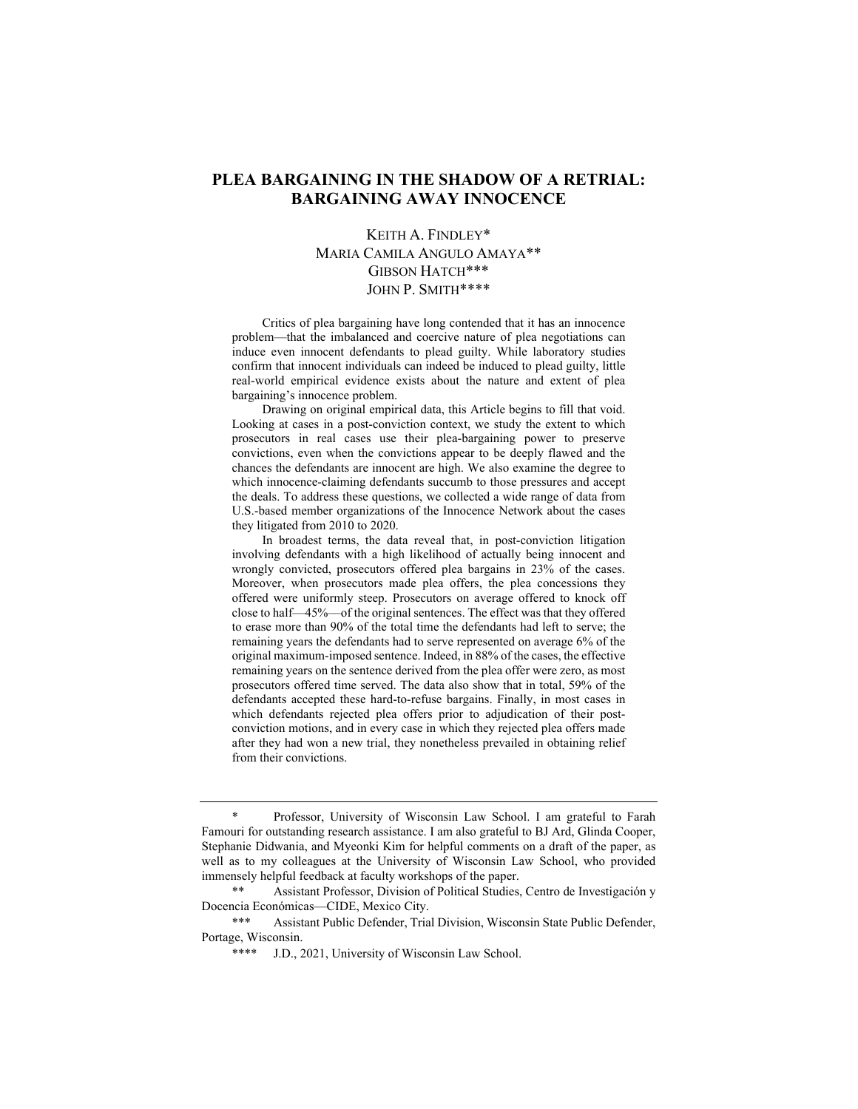# **PLEA BARGAINING IN THE SHADOW OF A RETRIAL: BARGAINING AWAY INNOCENCE**

## KEITH A. FINDLEY\* MARIA CAMILA ANGULO AMAYA\*\* GIBSON HATCH\*\*\* JOHN P. SMITH\*\*\*\*

Critics of plea bargaining have long contended that it has an innocence problem—that the imbalanced and coercive nature of plea negotiations can induce even innocent defendants to plead guilty. While laboratory studies confirm that innocent individuals can indeed be induced to plead guilty, little real-world empirical evidence exists about the nature and extent of plea bargaining's innocence problem.

Drawing on original empirical data, this Article begins to fill that void. Looking at cases in a post-conviction context, we study the extent to which prosecutors in real cases use their plea-bargaining power to preserve convictions, even when the convictions appear to be deeply flawed and the chances the defendants are innocent are high. We also examine the degree to which innocence-claiming defendants succumb to those pressures and accept the deals. To address these questions, we collected a wide range of data from U.S.-based member organizations of the Innocence Network about the cases they litigated from 2010 to 2020.

In broadest terms, the data reveal that, in post-conviction litigation involving defendants with a high likelihood of actually being innocent and wrongly convicted, prosecutors offered plea bargains in 23% of the cases. Moreover, when prosecutors made plea offers, the plea concessions they offered were uniformly steep. Prosecutors on average offered to knock off close to half––45%––of the original sentences. The effect was that they offered to erase more than 90% of the total time the defendants had left to serve; the remaining years the defendants had to serve represented on average 6% of the original maximum-imposed sentence. Indeed, in 88% of the cases, the effective remaining years on the sentence derived from the plea offer were zero, as most prosecutors offered time served. The data also show that in total, 59% of the defendants accepted these hard-to-refuse bargains. Finally, in most cases in which defendants rejected plea offers prior to adjudication of their postconviction motions, and in every case in which they rejected plea offers made after they had won a new trial, they nonetheless prevailed in obtaining relief from their convictions.

Professor, University of Wisconsin Law School. I am grateful to Farah Famouri for outstanding research assistance. I am also grateful to BJ Ard, Glinda Cooper, Stephanie Didwania, and Myeonki Kim for helpful comments on a draft of the paper, as well as to my colleagues at the University of Wisconsin Law School, who provided immensely helpful feedback at faculty workshops of the paper.

<sup>\*\*</sup> Assistant Professor, Division of Political Studies, Centro de Investigación y Docencia Económicas—CIDE, Mexico City.

<sup>\*\*\*</sup> Assistant Public Defender, Trial Division, Wisconsin State Public Defender, Portage, Wisconsin.

<sup>\*\*\*\*</sup> J.D., 2021, University of Wisconsin Law School.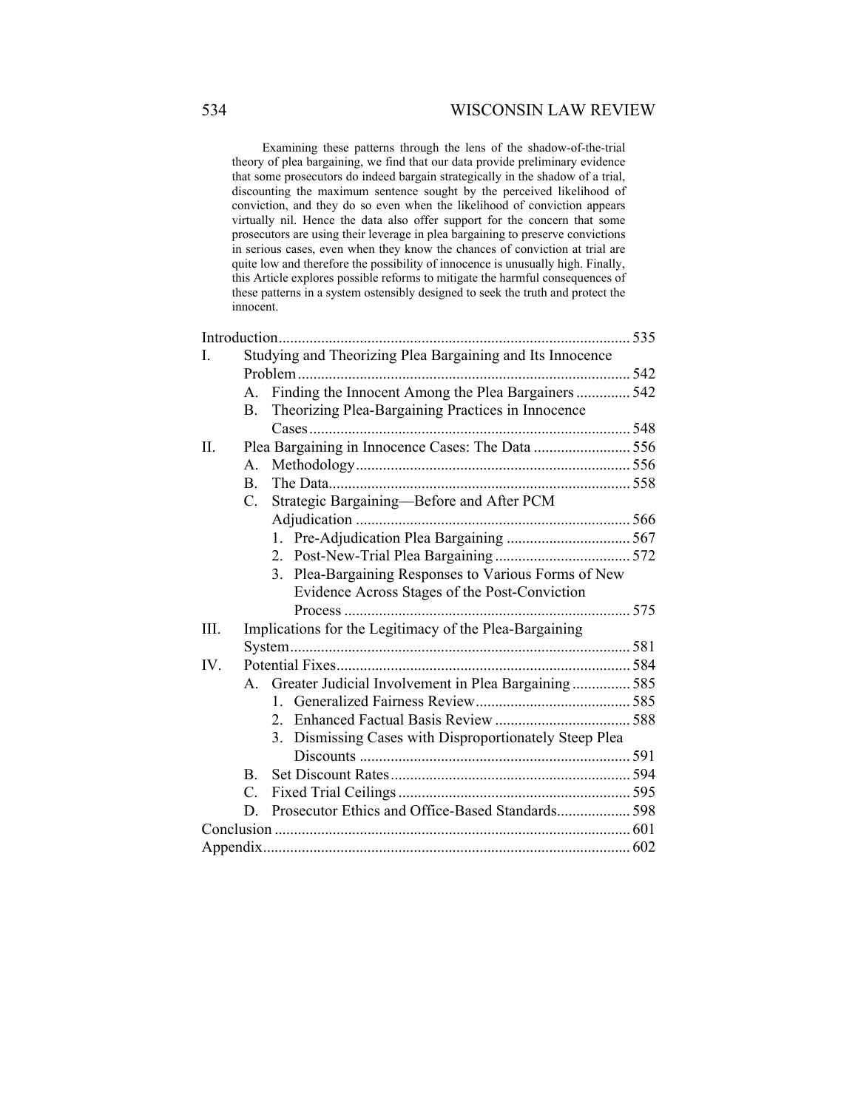## 534 WISCONSIN LAW REVIEW

Examining these patterns through the lens of the shadow-of-the-trial theory of plea bargaining, we find that our data provide preliminary evidence that some prosecutors do indeed bargain strategically in the shadow of a trial, discounting the maximum sentence sought by the perceived likelihood of conviction, and they do so even when the likelihood of conviction appears virtually nil. Hence the data also offer support for the concern that some prosecutors are using their leverage in plea bargaining to preserve convictions in serious cases, even when they know the chances of conviction at trial are quite low and therefore the possibility of innocence is unusually high. Finally, this Article explores possible reforms to mitigate the harmful consequences of these patterns in a system ostensibly designed to seek the truth and protect the innocent.

| L    |    | Studying and Theorizing Plea Bargaining and Its Innocence |  |
|------|----|-----------------------------------------------------------|--|
|      |    |                                                           |  |
|      | A. | Finding the Innocent Among the Plea Bargainers  542       |  |
|      | В. | Theorizing Plea-Bargaining Practices in Innocence         |  |
|      |    |                                                           |  |
| Π.   |    | Plea Bargaining in Innocence Cases: The Data  556         |  |
|      | Α. |                                                           |  |
|      | B. |                                                           |  |
|      | C. | Strategic Bargaining-Before and After PCM                 |  |
|      |    |                                                           |  |
|      |    |                                                           |  |
|      |    |                                                           |  |
|      |    | 3. Plea-Bargaining Responses to Various Forms of New      |  |
|      |    | Evidence Across Stages of the Post-Conviction             |  |
|      |    |                                                           |  |
| III. |    | Implications for the Legitimacy of the Plea-Bargaining    |  |
|      |    |                                                           |  |
| IV.  |    |                                                           |  |
|      |    | A. Greater Judicial Involvement in Plea Bargaining 585    |  |
|      |    |                                                           |  |
|      |    |                                                           |  |
|      |    | 3. Dismissing Cases with Disproportionately Steep Plea    |  |
|      |    |                                                           |  |
|      | B. |                                                           |  |
|      | C. |                                                           |  |
|      | D. | Prosecutor Ethics and Office-Based Standards 598          |  |
|      |    |                                                           |  |
|      |    |                                                           |  |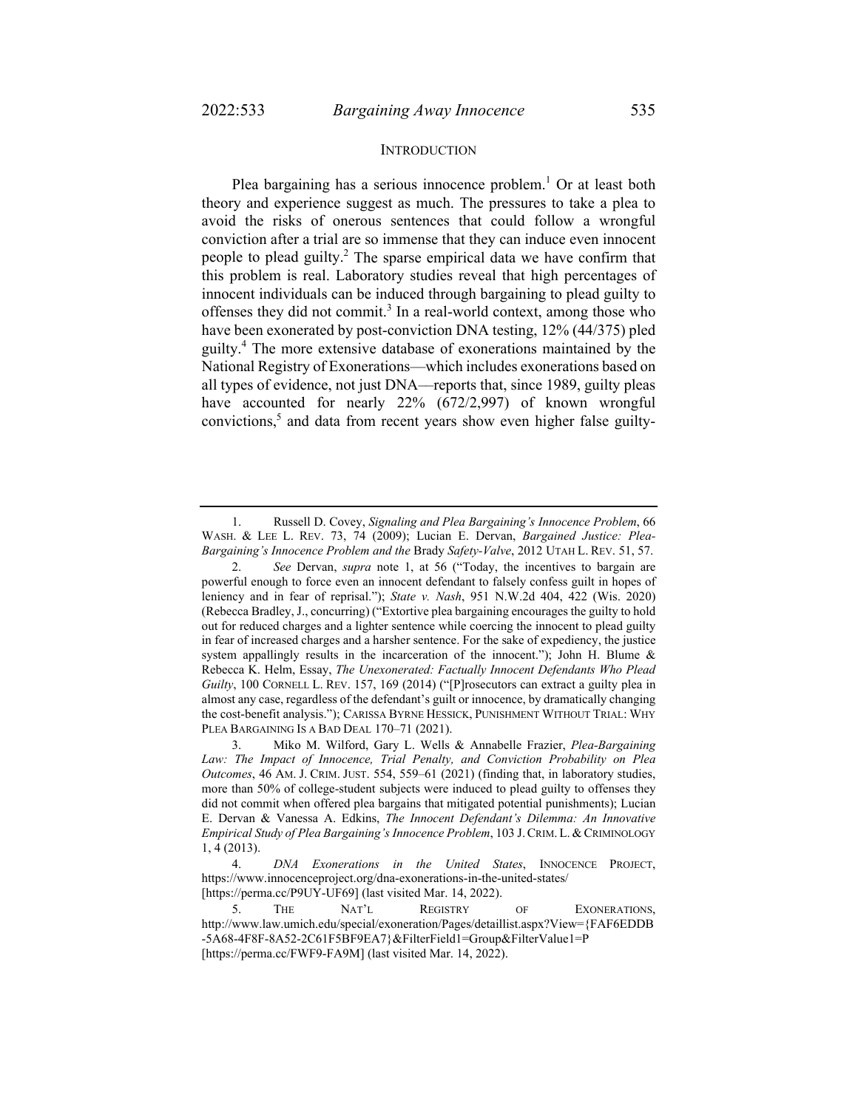#### **INTRODUCTION**

Plea bargaining has a serious innocence problem.<sup>1</sup> Or at least both theory and experience suggest as much. The pressures to take a plea to avoid the risks of onerous sentences that could follow a wrongful conviction after a trial are so immense that they can induce even innocent people to plead guilty.<sup>2</sup> The sparse empirical data we have confirm that this problem is real. Laboratory studies reveal that high percentages of innocent individuals can be induced through bargaining to plead guilty to offenses they did not commit.<sup>3</sup> In a real-world context, among those who have been exonerated by post-conviction DNA testing, 12% (44/375) pled guilty.4 The more extensive database of exonerations maintained by the National Registry of Exonerations––which includes exonerations based on all types of evidence, not just DNA––reports that, since 1989, guilty pleas have accounted for nearly 22% (672/2,997) of known wrongful convictions,<sup>5</sup> and data from recent years show even higher false guilty-

 <sup>1.</sup> Russell D. Covey, *Signaling and Plea Bargaining's Innocence Problem*, 66 WASH. & LEE L. REV. 73, 74 (2009); Lucian E. Dervan, *Bargained Justice: Plea-Bargaining's Innocence Problem and the* Brady *Safety-Valve*, 2012 UTAH L. REV. 51, 57.

 <sup>2.</sup> *See* Dervan, *supra* note 1, at 56 ("Today, the incentives to bargain are powerful enough to force even an innocent defendant to falsely confess guilt in hopes of leniency and in fear of reprisal."); *State v. Nash*, 951 N.W.2d 404, 422 (Wis. 2020) (Rebecca Bradley, J., concurring) ("Extortive plea bargaining encourages the guilty to hold out for reduced charges and a lighter sentence while coercing the innocent to plead guilty in fear of increased charges and a harsher sentence. For the sake of expediency, the justice system appallingly results in the incarceration of the innocent."); John H. Blume & Rebecca K. Helm, Essay, *The Unexonerated: Factually Innocent Defendants Who Plead Guilty*, 100 CORNELL L. REV. 157, 169 (2014) ("[P]rosecutors can extract a guilty plea in almost any case, regardless of the defendant's guilt or innocence, by dramatically changing the cost-benefit analysis."); CARISSA BYRNE HESSICK, PUNISHMENT WITHOUT TRIAL: WHY PLEA BARGAINING IS A BAD DEAL 170-71 (2021).

 <sup>3.</sup> Miko M. Wilford, Gary L. Wells & Annabelle Frazier, *Plea-Bargaining Law: The Impact of Innocence, Trial Penalty, and Conviction Probability on Plea Outcomes*, 46 AM. J. CRIM. JUST. 554, 559–61 (2021) (finding that, in laboratory studies, more than 50% of college-student subjects were induced to plead guilty to offenses they did not commit when offered plea bargains that mitigated potential punishments); Lucian E. Dervan & Vanessa A. Edkins, *The Innocent Defendant's Dilemma: An Innovative Empirical Study of Plea Bargaining's Innocence Problem*, 103 J.CRIM. L. &CRIMINOLOGY 1, 4 (2013).

 <sup>4.</sup> *DNA Exonerations in the United States*, INNOCENCE PROJECT, https://www.innocenceproject.org/dna-exonerations-in-the-united-states/ [https://perma.cc/P9UY-UF69] (last visited Mar. 14, 2022).

 <sup>5.</sup> THE NAT'L REGISTRY OF EXONERATIONS, http://www.law.umich.edu/special/exoneration/Pages/detaillist.aspx?View={FAF6EDDB -5A68-4F8F-8A52-2C61F5BF9EA7}&FilterField1=Group&FilterValue1=P [https://perma.cc/FWF9-FA9M] (last visited Mar. 14, 2022).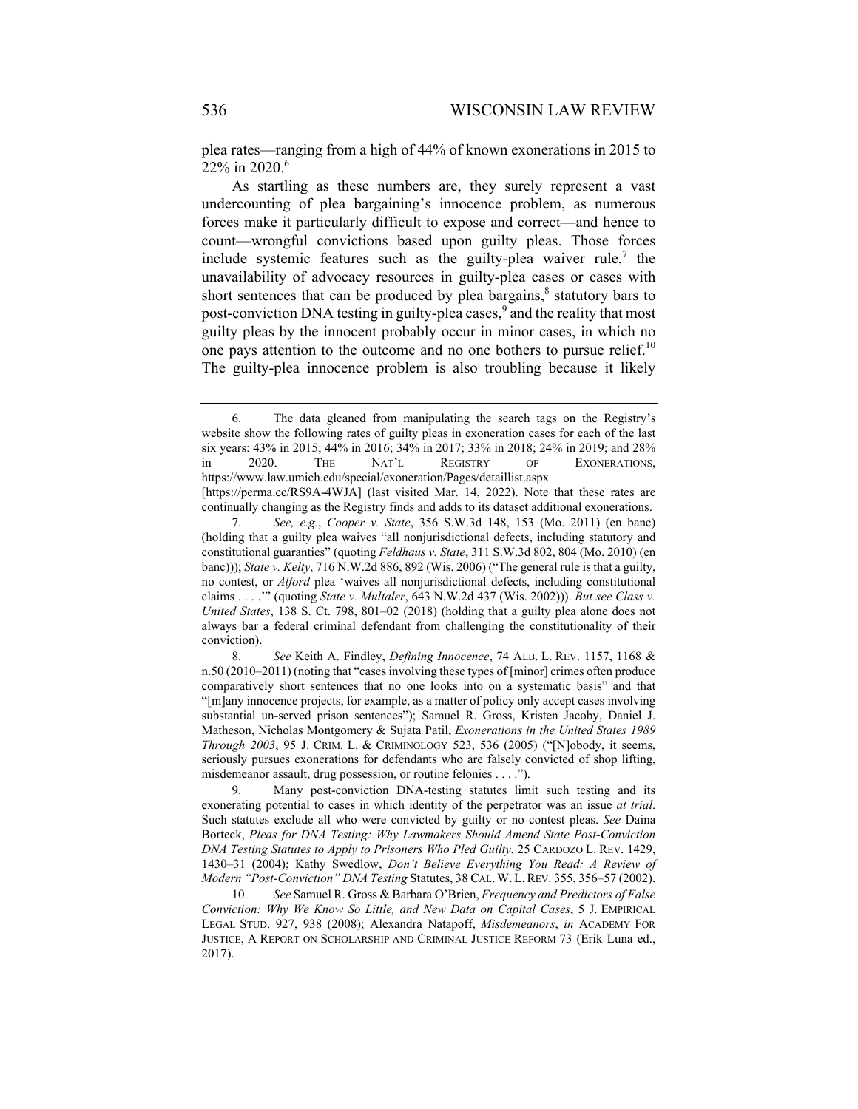plea rates—ranging from a high of 44% of known exonerations in 2015 to  $22\%$  in 2020.<sup>6</sup>

As startling as these numbers are, they surely represent a vast undercounting of plea bargaining's innocence problem, as numerous forces make it particularly difficult to expose and correct—and hence to count—wrongful convictions based upon guilty pleas. Those forces include systemic features such as the guilty-plea waiver rule,<sup>7</sup> the unavailability of advocacy resources in guilty-plea cases or cases with short sentences that can be produced by plea bargains, $\delta$  statutory bars to post-conviction DNA testing in guilty-plea cases,<sup>9</sup> and the reality that most guilty pleas by the innocent probably occur in minor cases, in which no one pays attention to the outcome and no one bothers to pursue relief.<sup>10</sup> The guilty-plea innocence problem is also troubling because it likely

continually changing as the Registry finds and adds to its dataset additional exonerations.

 <sup>6.</sup> The data gleaned from manipulating the search tags on the Registry's website show the following rates of guilty pleas in exoneration cases for each of the last six years: 43% in 2015; 44% in 2016; 34% in 2017; 33% in 2018; 24% in 2019; and 28% in 2020. THE NAT'L REGISTRY OF EXONERATIONS, https://www.law.umich.edu/special/exoneration/Pages/detaillist.aspx [https://perma.cc/RS9A-4WJA] (last visited Mar. 14, 2022). Note that these rates are

 <sup>7.</sup> *See, e.g.*, *Cooper v. State*, 356 S.W.3d 148, 153 (Mo. 2011) (en banc) (holding that a guilty plea waives "all nonjurisdictional defects, including statutory and constitutional guaranties" (quoting *Feldhaus v. State*, 311 S.W.3d 802, 804 (Mo. 2010) (en banc))); *State v. Kelty*, 716 N.W.2d 886, 892 (Wis. 2006) ("The general rule is that a guilty, no contest, or *Alford* plea 'waives all nonjurisdictional defects, including constitutional claims . . . .'" (quoting *State v. Multaler*, 643 N.W.2d 437 (Wis. 2002))). *But see Class v. United States*, 138 S. Ct. 798, 801–02 (2018) (holding that a guilty plea alone does not always bar a federal criminal defendant from challenging the constitutionality of their conviction).

 <sup>8.</sup> *See* Keith A. Findley, *Defining Innocence*, 74 ALB. L. REV. 1157, 1168 & n.50 (2010–2011) (noting that "cases involving these types of [minor] crimes often produce comparatively short sentences that no one looks into on a systematic basis" and that "[m]any innocence projects, for example, as a matter of policy only accept cases involving substantial un-served prison sentences"); Samuel R. Gross, Kristen Jacoby, Daniel J. Matheson, Nicholas Montgomery & Sujata Patil, *Exonerations in the United States 1989 Through 2003*, 95 J. CRIM. L. & CRIMINOLOGY 523, 536 (2005) ("[N]obody, it seems, seriously pursues exonerations for defendants who are falsely convicted of shop lifting, misdemeanor assault, drug possession, or routine felonies . . . .").

 <sup>9.</sup> Many post-conviction DNA-testing statutes limit such testing and its exonerating potential to cases in which identity of the perpetrator was an issue *at trial*. Such statutes exclude all who were convicted by guilty or no contest pleas. *See* Daina Borteck, *Pleas for DNA Testing: Why Lawmakers Should Amend State Post-Conviction DNA Testing Statutes to Apply to Prisoners Who Pled Guilty*, 25 CARDOZO L. REV. 1429, 1430–31 (2004); Kathy Swedlow, *Don't Believe Everything You Read: A Review of Modern "Post-Conviction" DNA Testing* Statutes, 38 CAL.W.L.REV. 355, 356–57 (2002).

 <sup>10.</sup> *See* Samuel R. Gross & Barbara O'Brien, *Frequency and Predictors of False Conviction: Why We Know So Little, and New Data on Capital Cases*, 5 J. EMPIRICAL LEGAL STUD. 927, 938 (2008); Alexandra Natapoff, *Misdemeanors*, *in* ACADEMY FOR JUSTICE, A REPORT ON SCHOLARSHIP AND CRIMINAL JUSTICE REFORM 73 (Erik Luna ed., 2017).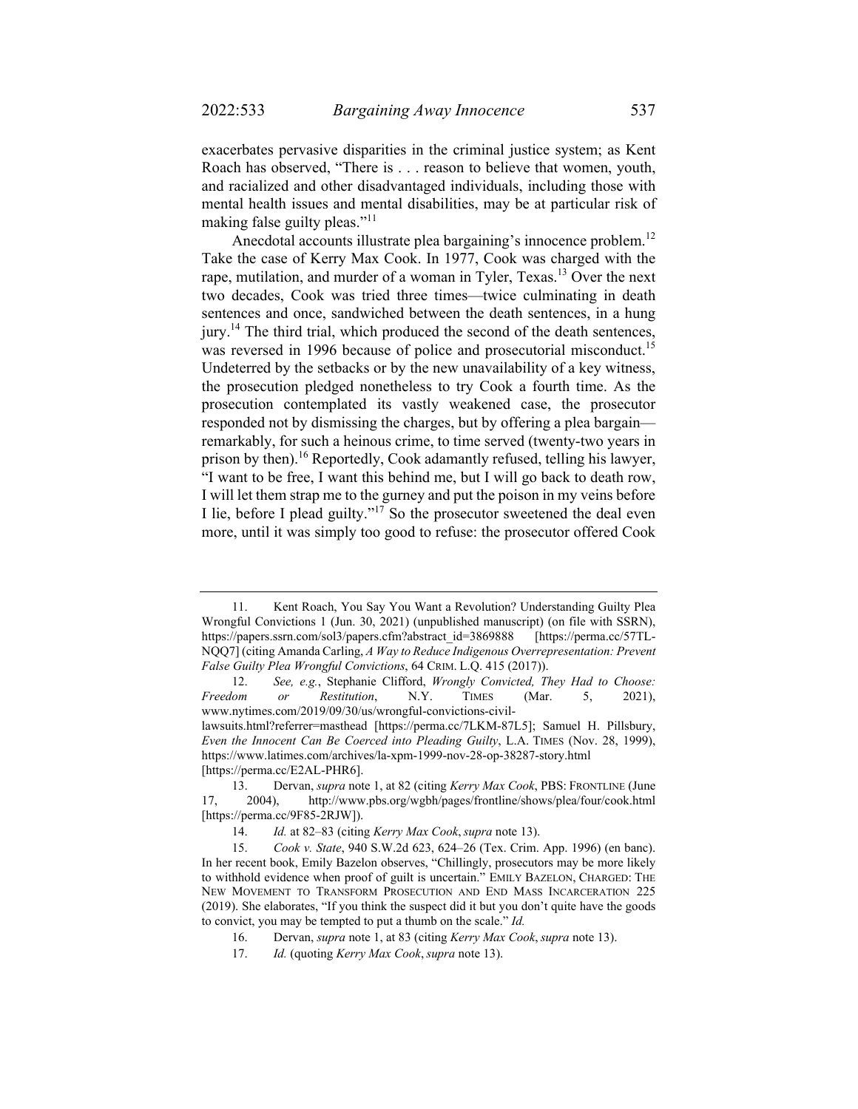exacerbates pervasive disparities in the criminal justice system; as Kent Roach has observed, "There is . . . reason to believe that women, youth, and racialized and other disadvantaged individuals, including those with mental health issues and mental disabilities, may be at particular risk of making false guilty pleas."<sup>11</sup>

Anecdotal accounts illustrate plea bargaining's innocence problem.<sup>12</sup> Take the case of Kerry Max Cook. In 1977, Cook was charged with the rape, mutilation, and murder of a woman in Tyler, Texas.<sup>13</sup> Over the next two decades, Cook was tried three times—twice culminating in death sentences and once, sandwiched between the death sentences, in a hung jury.<sup>14</sup> The third trial, which produced the second of the death sentences, was reversed in 1996 because of police and prosecutorial misconduct.<sup>15</sup> Undeterred by the setbacks or by the new unavailability of a key witness, the prosecution pledged nonetheless to try Cook a fourth time. As the prosecution contemplated its vastly weakened case, the prosecutor responded not by dismissing the charges, but by offering a plea bargain remarkably, for such a heinous crime, to time served (twenty-two years in prison by then).<sup>16</sup> Reportedly, Cook adamantly refused, telling his lawyer, "I want to be free, I want this behind me, but I will go back to death row, I will let them strap me to the gurney and put the poison in my veins before I lie, before I plead guilty."17 So the prosecutor sweetened the deal even more, until it was simply too good to refuse: the prosecutor offered Cook

 <sup>11.</sup> Kent Roach, You Say You Want a Revolution? Understanding Guilty Plea Wrongful Convictions 1 (Jun. 30, 2021) (unpublished manuscript) (on file with SSRN), https://papers.ssrn.com/sol3/papers.cfm?abstract\_id=3869888 [https://perma.cc/57TL-NQQ7] (citing Amanda Carling, *A Way to Reduce Indigenous Overrepresentation: Prevent False Guilty Plea Wrongful Convictions*, 64 CRIM. L.Q. 415 (2017)).

 <sup>12.</sup> *See, e.g.*, Stephanie Clifford, *Wrongly Convicted, They Had to Choose: Freedom or Restitution*, N.Y. TIMES (Mar. 5, 2021), www.nytimes.com/2019/09/30/us/wrongful-convictions-civil-

lawsuits.html?referrer=masthead [https://perma.cc/7LKM-87L5]; Samuel H. Pillsbury, *Even the Innocent Can Be Coerced into Pleading Guilty*, L.A. TIMES (Nov. 28, 1999), https://www.latimes.com/archives/la-xpm-1999-nov-28-op-38287-story.html [https://perma.cc/E2AL-PHR6].

 <sup>13.</sup> Dervan, *supra* note 1, at 82 (citing *Kerry Max Cook*, PBS: FRONTLINE (June 17, 2004), http://www.pbs.org/wgbh/pages/frontline/shows/plea/four/cook.html [https://perma.cc/9F85-2RJW]).

 <sup>14.</sup> *Id.* at 82–83 (citing *Kerry Max Cook*, *supra* note 13).

 <sup>15.</sup> *Cook v. State*, 940 S.W.2d 623, 624–26 (Tex. Crim. App. 1996) (en banc). In her recent book, Emily Bazelon observes, "Chillingly, prosecutors may be more likely to withhold evidence when proof of guilt is uncertain." EMILY BAZELON, CHARGED: THE NEW MOVEMENT TO TRANSFORM PROSECUTION AND END MASS INCARCERATION 225 (2019). She elaborates, "If you think the suspect did it but you don't quite have the goods to convict, you may be tempted to put a thumb on the scale." *Id.*

 <sup>16.</sup> Dervan, *supra* note 1, at 83 (citing *Kerry Max Cook*, *supra* note 13).

 <sup>17.</sup> *Id.* (quoting *Kerry Max Cook*, *supra* note 13).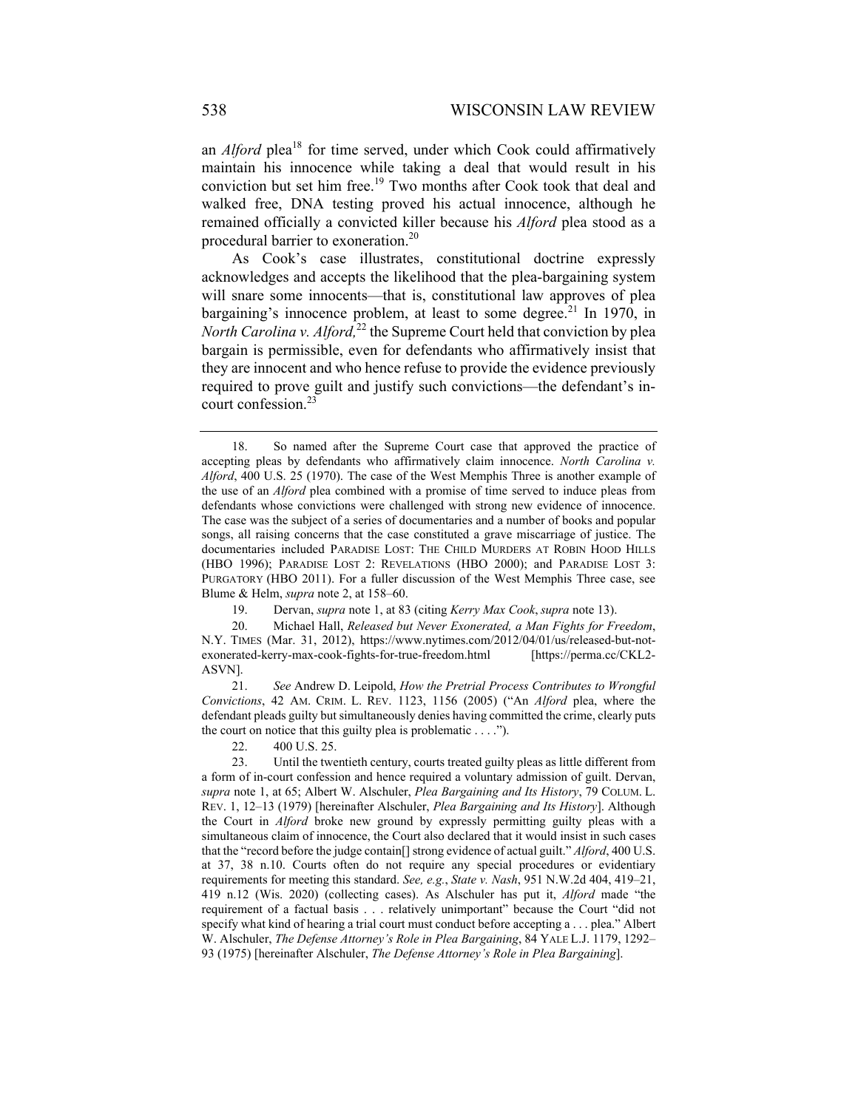an *Alford* plea<sup>18</sup> for time served, under which Cook could affirmatively maintain his innocence while taking a deal that would result in his conviction but set him free.<sup>19</sup> Two months after Cook took that deal and walked free, DNA testing proved his actual innocence, although he remained officially a convicted killer because his *Alford* plea stood as a procedural barrier to exoneration.20

As Cook's case illustrates, constitutional doctrine expressly acknowledges and accepts the likelihood that the plea-bargaining system will snare some innocents—that is, constitutional law approves of plea bargaining's innocence problem, at least to some degree.<sup>21</sup> In 1970, in *North Carolina v. Alford*<sup>22</sup> the Supreme Court held that conviction by plea bargain is permissible, even for defendants who affirmatively insist that they are innocent and who hence refuse to provide the evidence previously required to prove guilt and justify such convictions—the defendant's incourt confession.23

 21. *See* Andrew D. Leipold, *How the Pretrial Process Contributes to Wrongful Convictions*, 42 AM. CRIM. L. REV. 1123, 1156 (2005) ("An *Alford* plea, where the defendant pleads guilty but simultaneously denies having committed the crime, clearly puts the court on notice that this guilty plea is problematic . . . .").

22. 400 U.S. 25.

 <sup>18.</sup> So named after the Supreme Court case that approved the practice of accepting pleas by defendants who affirmatively claim innocence. *North Carolina v. Alford*, 400 U.S. 25 (1970). The case of the West Memphis Three is another example of the use of an *Alford* plea combined with a promise of time served to induce pleas from defendants whose convictions were challenged with strong new evidence of innocence. The case was the subject of a series of documentaries and a number of books and popular songs, all raising concerns that the case constituted a grave miscarriage of justice. The documentaries included PARADISE LOST: THE CHILD MURDERS AT ROBIN HOOD HILLS (HBO 1996); PARADISE LOST 2: REVELATIONS (HBO 2000); and PARADISE LOST 3: PURGATORY (HBO 2011). For a fuller discussion of the West Memphis Three case, see Blume & Helm, *supra* note 2, at 158–60.

 <sup>19.</sup> Dervan, *supra* note 1, at 83 (citing *Kerry Max Cook*, *supra* note 13).

 <sup>20.</sup> Michael Hall, *Released but Never Exonerated, a Man Fights for Freedom*, N.Y. TIMES (Mar. 31, 2012), https://www.nytimes.com/2012/04/01/us/released-but-notexonerated-kerry-max-cook-fights-for-true-freedom.html [https://perma.cc/CKL2- ASVN].

 <sup>23.</sup> Until the twentieth century, courts treated guilty pleas as little different from a form of in-court confession and hence required a voluntary admission of guilt. Dervan, *supra* note 1, at 65; Albert W. Alschuler, *Plea Bargaining and Its History*, 79 COLUM. L. REV. 1, 12–13 (1979) [hereinafter Alschuler, *Plea Bargaining and Its History*]. Although the Court in *Alford* broke new ground by expressly permitting guilty pleas with a simultaneous claim of innocence, the Court also declared that it would insist in such cases that the "record before the judge contain[] strong evidence of actual guilt." *Alford*, 400 U.S. at 37, 38 n.10. Courts often do not require any special procedures or evidentiary requirements for meeting this standard. *See, e.g.*, *State v. Nash*, 951 N.W.2d 404, 419–21, 419 n.12 (Wis. 2020) (collecting cases). As Alschuler has put it, *Alford* made "the requirement of a factual basis . . . relatively unimportant" because the Court "did not specify what kind of hearing a trial court must conduct before accepting a . . . plea." Albert W. Alschuler, *The Defense Attorney's Role in Plea Bargaining*, 84 YALE L.J. 1179, 1292– 93 (1975) [hereinafter Alschuler, *The Defense Attorney's Role in Plea Bargaining*].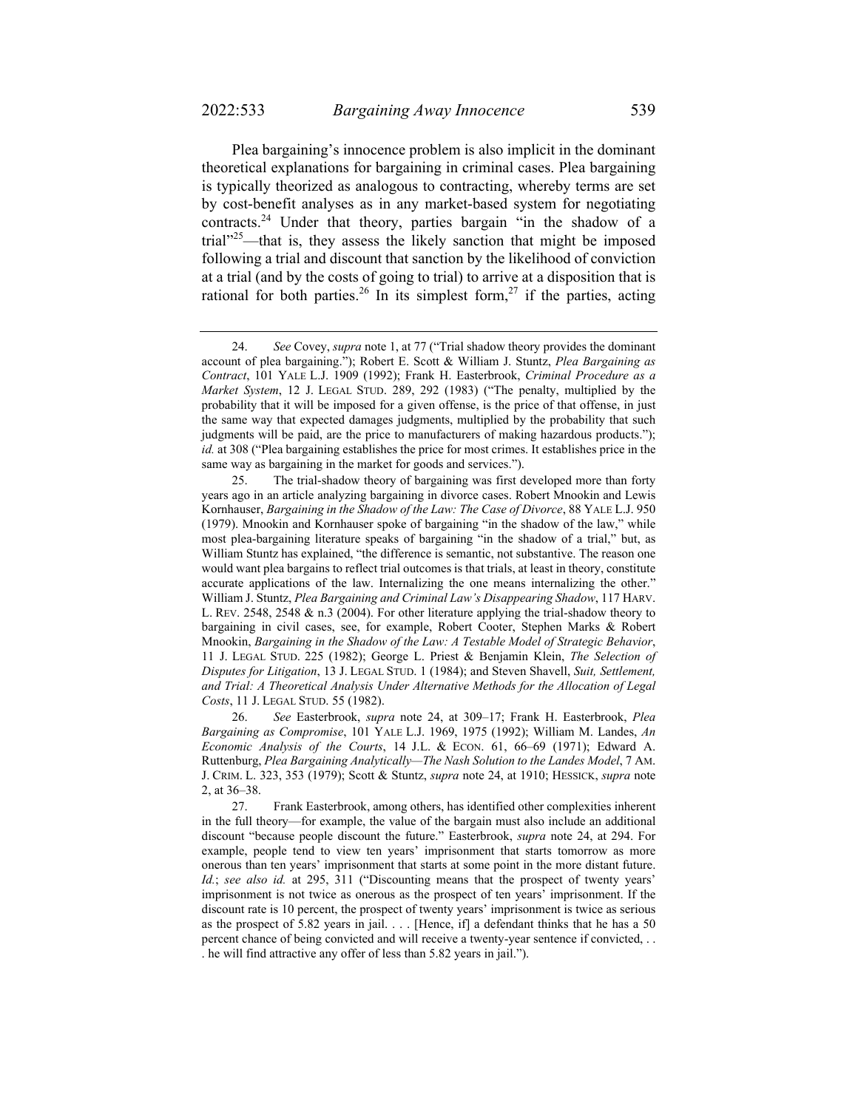Plea bargaining's innocence problem is also implicit in the dominant theoretical explanations for bargaining in criminal cases. Plea bargaining is typically theorized as analogous to contracting, whereby terms are set by cost-benefit analyses as in any market-based system for negotiating contracts.24 Under that theory, parties bargain "in the shadow of a trial"25—that is, they assess the likely sanction that might be imposed following a trial and discount that sanction by the likelihood of conviction at a trial (and by the costs of going to trial) to arrive at a disposition that is rational for both parties.<sup>26</sup> In its simplest form,<sup>27</sup> if the parties, acting

 <sup>24.</sup> *See* Covey, *supra* note 1, at 77 ("Trial shadow theory provides the dominant account of plea bargaining."); Robert E. Scott & William J. Stuntz, *Plea Bargaining as Contract*, 101 YALE L.J. 1909 (1992); Frank H. Easterbrook, *Criminal Procedure as a Market System*, 12 J. LEGAL STUD. 289, 292 (1983) ("The penalty, multiplied by the probability that it will be imposed for a given offense, is the price of that offense, in just the same way that expected damages judgments, multiplied by the probability that such judgments will be paid, are the price to manufacturers of making hazardous products."); *id.* at 308 ("Plea bargaining establishes the price for most crimes. It establishes price in the same way as bargaining in the market for goods and services.").

 <sup>25.</sup> The trial-shadow theory of bargaining was first developed more than forty years ago in an article analyzing bargaining in divorce cases. Robert Mnookin and Lewis Kornhauser, *Bargaining in the Shadow of the Law: The Case of Divorce*, 88 YALE L.J. 950 (1979). Mnookin and Kornhauser spoke of bargaining "in the shadow of the law," while most plea-bargaining literature speaks of bargaining "in the shadow of a trial," but, as William Stuntz has explained, "the difference is semantic, not substantive. The reason one would want plea bargains to reflect trial outcomes is that trials, at least in theory, constitute accurate applications of the law. Internalizing the one means internalizing the other." William J. Stuntz, *Plea Bargaining and Criminal Law's Disappearing Shadow*, 117 HARV. L. REV. 2548, 2548 & n.3 (2004). For other literature applying the trial-shadow theory to bargaining in civil cases, see, for example, Robert Cooter, Stephen Marks & Robert Mnookin, *Bargaining in the Shadow of the Law: A Testable Model of Strategic Behavior*, 11 J. LEGAL STUD. 225 (1982); George L. Priest & Benjamin Klein, *The Selection of Disputes for Litigation*, 13 J. LEGAL STUD. 1 (1984); and Steven Shavell, *Suit, Settlement, and Trial: A Theoretical Analysis Under Alternative Methods for the Allocation of Legal Costs*, 11 J. LEGAL STUD. 55 (1982).

 <sup>26.</sup> *See* Easterbrook, *supra* note 24, at 309–17; Frank H. Easterbrook, *Plea Bargaining as Compromise*, 101 YALE L.J. 1969, 1975 (1992); William M. Landes, *An Economic Analysis of the Courts*, 14 J.L. & ECON. 61, 66–69 (1971); Edward A. Ruttenburg, *Plea Bargaining Analytically—The Nash Solution to the Landes Model*, 7 AM. J. CRIM. L. 323, 353 (1979); Scott & Stuntz, *supra* note 24, at 1910; HESSICK, *supra* note 2, at 36–38.

 <sup>27.</sup> Frank Easterbrook, among others, has identified other complexities inherent in the full theory—for example, the value of the bargain must also include an additional discount "because people discount the future." Easterbrook, *supra* note 24, at 294. For example, people tend to view ten years' imprisonment that starts tomorrow as more onerous than ten years' imprisonment that starts at some point in the more distant future. *Id.*; *see also id.* at 295, 311 ("Discounting means that the prospect of twenty years' imprisonment is not twice as onerous as the prospect of ten years' imprisonment. If the discount rate is 10 percent, the prospect of twenty years' imprisonment is twice as serious as the prospect of 5.82 years in jail.  $\ldots$  [Hence, if] a defendant thinks that he has a 50 percent chance of being convicted and will receive a twenty-year sentence if convicted, . . . he will find attractive any offer of less than 5.82 years in jail.").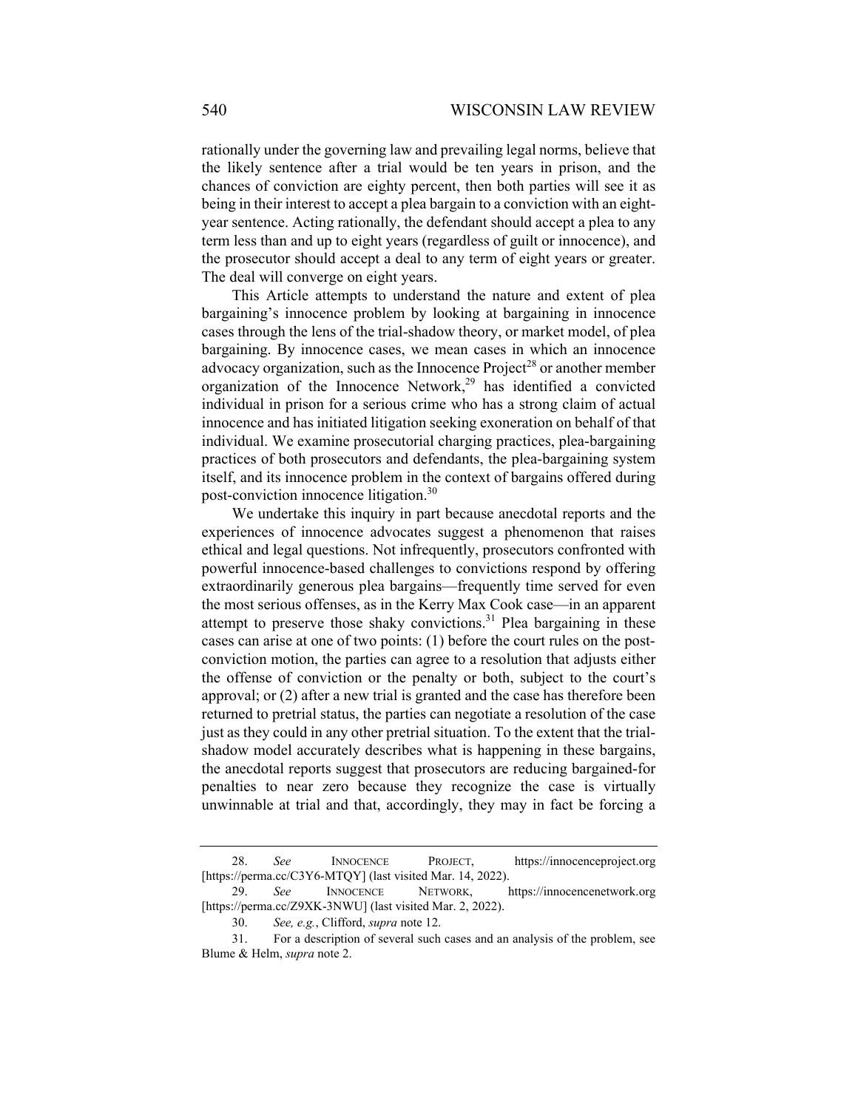rationally under the governing law and prevailing legal norms, believe that the likely sentence after a trial would be ten years in prison, and the chances of conviction are eighty percent, then both parties will see it as being in their interest to accept a plea bargain to a conviction with an eightyear sentence. Acting rationally, the defendant should accept a plea to any term less than and up to eight years (regardless of guilt or innocence), and the prosecutor should accept a deal to any term of eight years or greater. The deal will converge on eight years.

This Article attempts to understand the nature and extent of plea bargaining's innocence problem by looking at bargaining in innocence cases through the lens of the trial-shadow theory, or market model, of plea bargaining. By innocence cases, we mean cases in which an innocence advocacy organization, such as the Innocence  $Project^{28}$  or another member organization of the Innocence Network, $2^9$  has identified a convicted individual in prison for a serious crime who has a strong claim of actual innocence and has initiated litigation seeking exoneration on behalf of that individual. We examine prosecutorial charging practices, plea-bargaining practices of both prosecutors and defendants, the plea-bargaining system itself, and its innocence problem in the context of bargains offered during post-conviction innocence litigation.30

We undertake this inquiry in part because anecdotal reports and the experiences of innocence advocates suggest a phenomenon that raises ethical and legal questions. Not infrequently, prosecutors confronted with powerful innocence-based challenges to convictions respond by offering extraordinarily generous plea bargains—frequently time served for even the most serious offenses, as in the Kerry Max Cook case—in an apparent attempt to preserve those shaky convictions.<sup>31</sup> Plea bargaining in these cases can arise at one of two points: (1) before the court rules on the postconviction motion, the parties can agree to a resolution that adjusts either the offense of conviction or the penalty or both, subject to the court's approval; or (2) after a new trial is granted and the case has therefore been returned to pretrial status, the parties can negotiate a resolution of the case just as they could in any other pretrial situation. To the extent that the trialshadow model accurately describes what is happening in these bargains, the anecdotal reports suggest that prosecutors are reducing bargained-for penalties to near zero because they recognize the case is virtually unwinnable at trial and that, accordingly, they may in fact be forcing a

 <sup>28.</sup> *See* INNOCENCE PROJECT, https://innocenceproject.org [https://perma.cc/C3Y6-MTQY] (last visited Mar. 14, 2022).

 <sup>29.</sup> *See* INNOCENCE NETWORK, https://innocencenetwork.org [https://perma.cc/Z9XK-3NWU] (last visited Mar. 2, 2022).

 <sup>30.</sup> *See, e.g.*, Clifford, *supra* note 12.

 <sup>31.</sup> For a description of several such cases and an analysis of the problem, see Blume & Helm, *supra* note 2.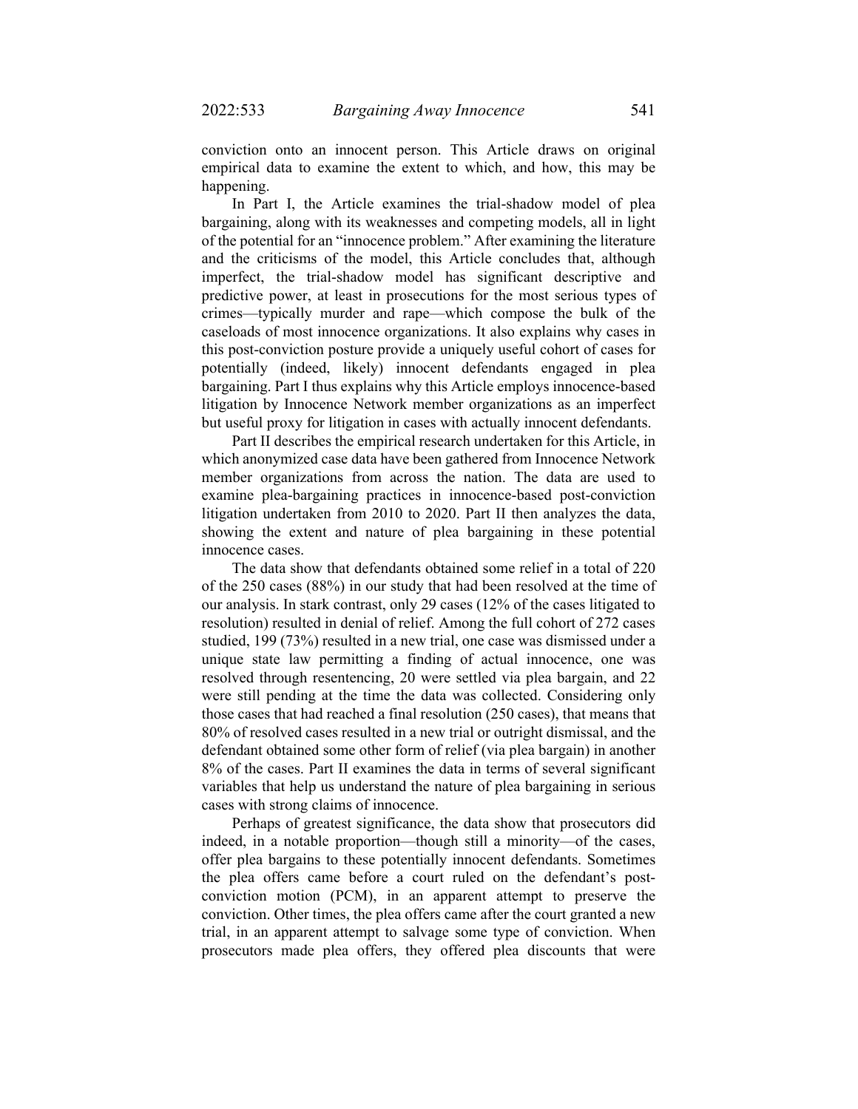conviction onto an innocent person. This Article draws on original empirical data to examine the extent to which, and how, this may be happening.

In Part I, the Article examines the trial-shadow model of plea bargaining, along with its weaknesses and competing models, all in light of the potential for an "innocence problem." After examining the literature and the criticisms of the model, this Article concludes that, although imperfect, the trial-shadow model has significant descriptive and predictive power, at least in prosecutions for the most serious types of crimes—typically murder and rape—which compose the bulk of the caseloads of most innocence organizations. It also explains why cases in this post-conviction posture provide a uniquely useful cohort of cases for potentially (indeed, likely) innocent defendants engaged in plea bargaining. Part I thus explains why this Article employs innocence-based litigation by Innocence Network member organizations as an imperfect but useful proxy for litigation in cases with actually innocent defendants.

Part II describes the empirical research undertaken for this Article, in which anonymized case data have been gathered from Innocence Network member organizations from across the nation. The data are used to examine plea-bargaining practices in innocence-based post-conviction litigation undertaken from 2010 to 2020. Part II then analyzes the data, showing the extent and nature of plea bargaining in these potential innocence cases.

The data show that defendants obtained some relief in a total of 220 of the 250 cases (88%) in our study that had been resolved at the time of our analysis. In stark contrast, only 29 cases (12% of the cases litigated to resolution) resulted in denial of relief. Among the full cohort of 272 cases studied, 199 (73%) resulted in a new trial, one case was dismissed under a unique state law permitting a finding of actual innocence, one was resolved through resentencing, 20 were settled via plea bargain, and 22 were still pending at the time the data was collected. Considering only those cases that had reached a final resolution (250 cases), that means that 80% of resolved cases resulted in a new trial or outright dismissal, and the defendant obtained some other form of relief (via plea bargain) in another 8% of the cases. Part II examines the data in terms of several significant variables that help us understand the nature of plea bargaining in serious cases with strong claims of innocence.

Perhaps of greatest significance, the data show that prosecutors did indeed, in a notable proportion—though still a minority—of the cases, offer plea bargains to these potentially innocent defendants. Sometimes the plea offers came before a court ruled on the defendant's postconviction motion (PCM), in an apparent attempt to preserve the conviction. Other times, the plea offers came after the court granted a new trial, in an apparent attempt to salvage some type of conviction. When prosecutors made plea offers, they offered plea discounts that were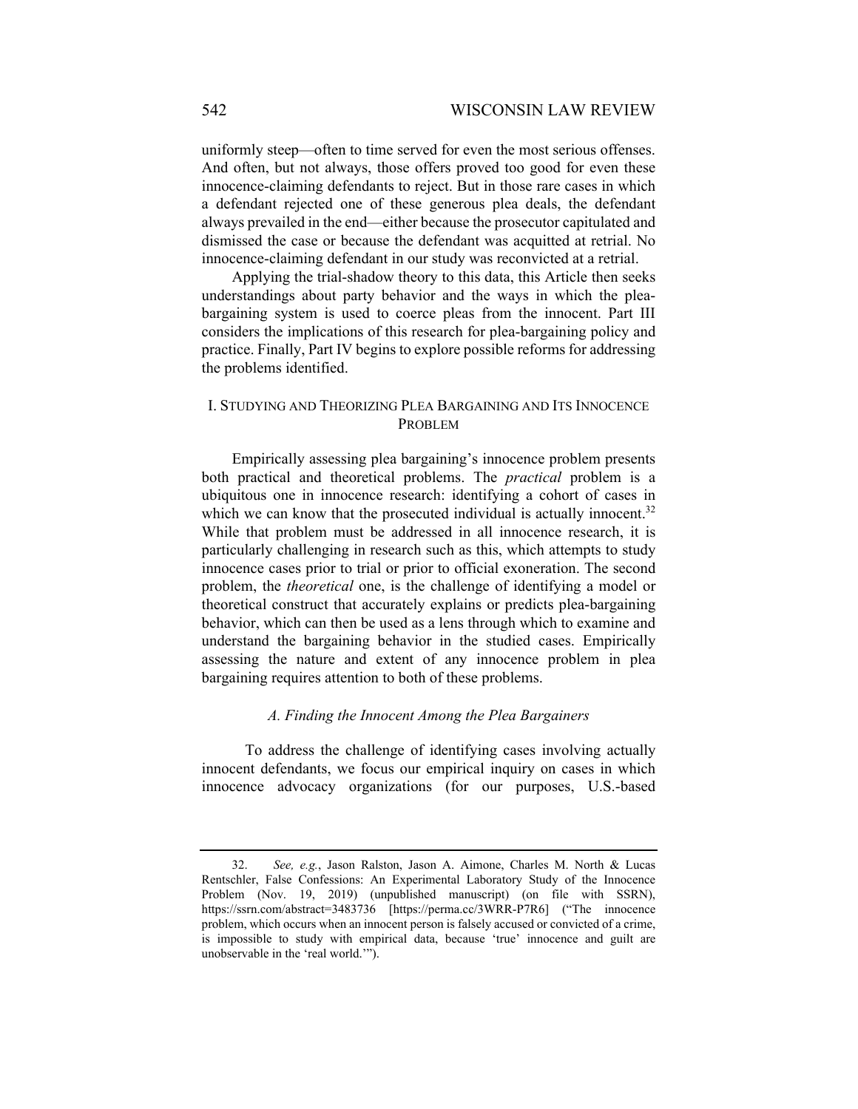uniformly steep—often to time served for even the most serious offenses. And often, but not always, those offers proved too good for even these innocence-claiming defendants to reject. But in those rare cases in which a defendant rejected one of these generous plea deals, the defendant always prevailed in the end—either because the prosecutor capitulated and dismissed the case or because the defendant was acquitted at retrial. No innocence-claiming defendant in our study was reconvicted at a retrial.

Applying the trial-shadow theory to this data, this Article then seeks understandings about party behavior and the ways in which the pleabargaining system is used to coerce pleas from the innocent. Part III considers the implications of this research for plea-bargaining policy and practice. Finally, Part IV begins to explore possible reforms for addressing the problems identified.

## I. STUDYING AND THEORIZING PLEA BARGAINING AND ITS INNOCENCE PROBLEM

Empirically assessing plea bargaining's innocence problem presents both practical and theoretical problems. The *practical* problem is a ubiquitous one in innocence research: identifying a cohort of cases in which we can know that the prosecuted individual is actually innocent. $32$ While that problem must be addressed in all innocence research, it is particularly challenging in research such as this, which attempts to study innocence cases prior to trial or prior to official exoneration. The second problem, the *theoretical* one, is the challenge of identifying a model or theoretical construct that accurately explains or predicts plea-bargaining behavior, which can then be used as a lens through which to examine and understand the bargaining behavior in the studied cases. Empirically assessing the nature and extent of any innocence problem in plea bargaining requires attention to both of these problems.

### *A. Finding the Innocent Among the Plea Bargainers*

To address the challenge of identifying cases involving actually innocent defendants, we focus our empirical inquiry on cases in which innocence advocacy organizations (for our purposes, U.S.-based

 <sup>32.</sup> *See, e.g.*, Jason Ralston, Jason A. Aimone, Charles M. North & Lucas Rentschler, False Confessions: An Experimental Laboratory Study of the Innocence Problem (Nov. 19, 2019) (unpublished manuscript) (on file with SSRN), https://ssrn.com/abstract=3483736 [https://perma.cc/3WRR-P7R6] ("The innocence problem, which occurs when an innocent person is falsely accused or convicted of a crime, is impossible to study with empirical data, because 'true' innocence and guilt are unobservable in the 'real world.'").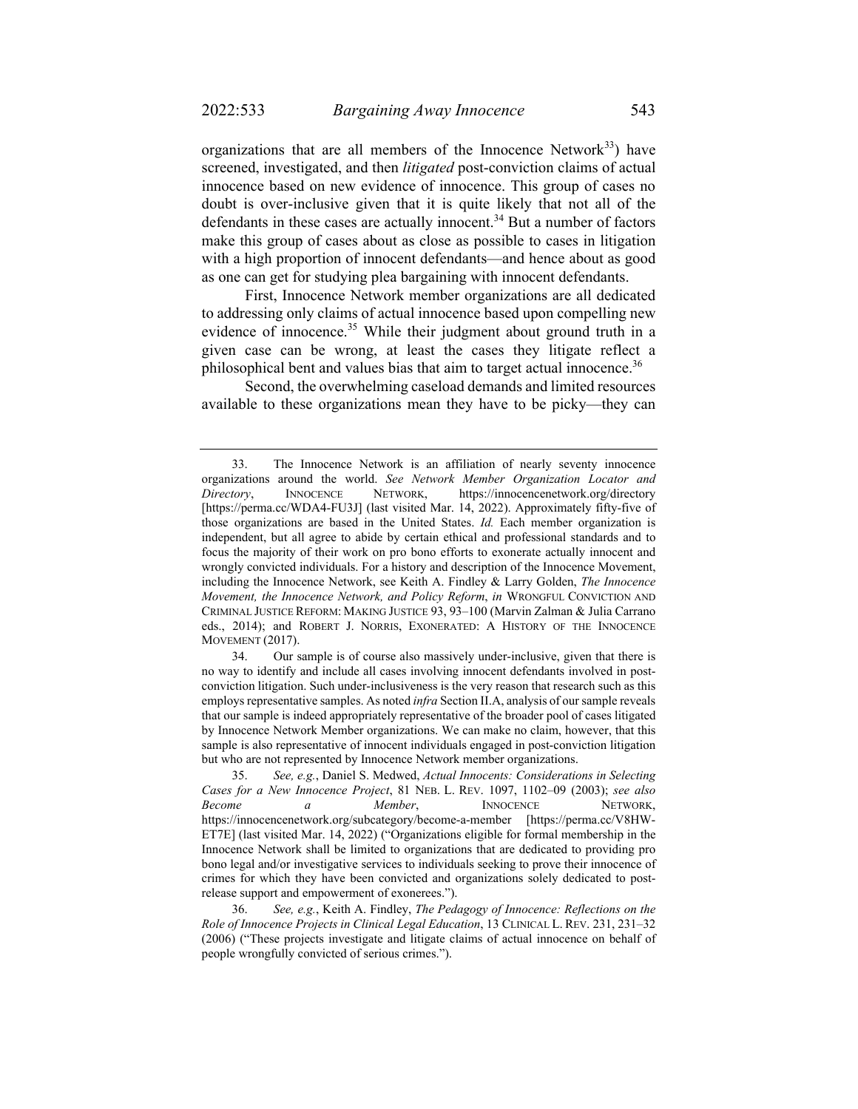organizations that are all members of the Innocence Network $33$ ) have screened, investigated, and then *litigated* post-conviction claims of actual innocence based on new evidence of innocence. This group of cases no doubt is over-inclusive given that it is quite likely that not all of the defendants in these cases are actually innocent. $34$  But a number of factors make this group of cases about as close as possible to cases in litigation with a high proportion of innocent defendants—and hence about as good as one can get for studying plea bargaining with innocent defendants.

First, Innocence Network member organizations are all dedicated to addressing only claims of actual innocence based upon compelling new evidence of innocence.<sup>35</sup> While their judgment about ground truth in a given case can be wrong, at least the cases they litigate reflect a philosophical bent and values bias that aim to target actual innocence.<sup>36</sup>

Second, the overwhelming caseload demands and limited resources available to these organizations mean they have to be picky—they can

 34. Our sample is of course also massively under-inclusive, given that there is no way to identify and include all cases involving innocent defendants involved in postconviction litigation. Such under-inclusiveness is the very reason that research such as this employs representative samples. As noted *infra* Section II.A, analysis of our sample reveals that our sample is indeed appropriately representative of the broader pool of cases litigated by Innocence Network Member organizations. We can make no claim, however, that this sample is also representative of innocent individuals engaged in post-conviction litigation but who are not represented by Innocence Network member organizations.

 <sup>33.</sup> The Innocence Network is an affiliation of nearly seventy innocence organizations around the world. *See Network Member Organization Locator and Directory*, INNOCENCE NETWORK, https://innocencenetwork.org/directory [https://perma.cc/WDA4-FU3J] (last visited Mar. 14, 2022). Approximately fifty-five of those organizations are based in the United States. *Id.* Each member organization is independent, but all agree to abide by certain ethical and professional standards and to focus the majority of their work on pro bono efforts to exonerate actually innocent and wrongly convicted individuals. For a history and description of the Innocence Movement, including the Innocence Network, see Keith A. Findley & Larry Golden, *The Innocence Movement, the Innocence Network, and Policy Reform*, *in* WRONGFUL CONVICTION AND CRIMINAL JUSTICE REFORM: MAKING JUSTICE 93, 93–100 (Marvin Zalman & Julia Carrano eds., 2014); and ROBERT J. NORRIS, EXONERATED: A HISTORY OF THE INNOCENCE MOVEMENT (2017).

 <sup>35.</sup> *See, e.g.*, Daniel S. Medwed, *Actual Innocents: Considerations in Selecting Cases for a New Innocence Project*, 81 NEB. L. REV. 1097, 1102–09 (2003); *see also Become a Member*, INNOCENCE NETWORK, https://innocencenetwork.org/subcategory/become-a-member [https://perma.cc/V8HW-ET7E] (last visited Mar. 14, 2022) ("Organizations eligible for formal membership in the Innocence Network shall be limited to organizations that are dedicated to providing pro bono legal and/or investigative services to individuals seeking to prove their innocence of crimes for which they have been convicted and organizations solely dedicated to postrelease support and empowerment of exonerees.").

 <sup>36.</sup> *See, e.g.*, Keith A. Findley, *The Pedagogy of Innocence: Reflections on the Role of Innocence Projects in Clinical Legal Education*, 13 CLINICAL L. REV. 231, 231–32 (2006) ("These projects investigate and litigate claims of actual innocence on behalf of people wrongfully convicted of serious crimes.").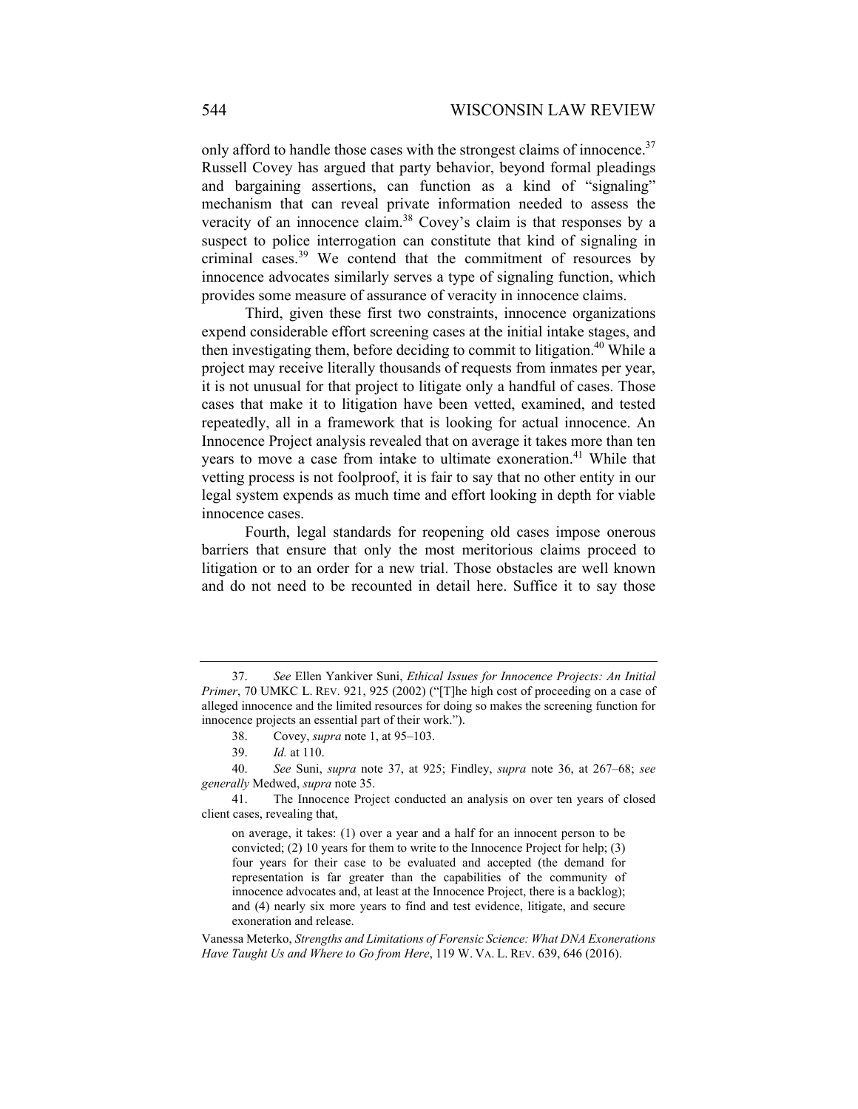only afford to handle those cases with the strongest claims of innocence.<sup>37</sup> Russell Covey has argued that party behavior, beyond formal pleadings and bargaining assertions, can function as a kind of "signaling" mechanism that can reveal private information needed to assess the veracity of an innocence claim.<sup>38</sup> Covey's claim is that responses by a suspect to police interrogation can constitute that kind of signaling in criminal cases.39 We contend that the commitment of resources by innocence advocates similarly serves a type of signaling function, which provides some measure of assurance of veracity in innocence claims.

Third, given these first two constraints, innocence organizations expend considerable effort screening cases at the initial intake stages, and then investigating them, before deciding to commit to litigation.<sup>40</sup> While a project may receive literally thousands of requests from inmates per year, it is not unusual for that project to litigate only a handful of cases. Those cases that make it to litigation have been vetted, examined, and tested repeatedly, all in a framework that is looking for actual innocence. An Innocence Project analysis revealed that on average it takes more than ten years to move a case from intake to ultimate exoneration.<sup>41</sup> While that vetting process is not foolproof, it is fair to say that no other entity in our legal system expends as much time and effort looking in depth for viable innocence cases.

Fourth, legal standards for reopening old cases impose onerous barriers that ensure that only the most meritorious claims proceed to litigation or to an order for a new trial. Those obstacles are well known and do not need to be recounted in detail here. Suffice it to say those

 <sup>37.</sup> *See* Ellen Yankiver Suni, *Ethical Issues for Innocence Projects: An Initial Primer*, 70 UMKC L. REV. 921, 925 (2002) ("[T]he high cost of proceeding on a case of alleged innocence and the limited resources for doing so makes the screening function for innocence projects an essential part of their work.").

 <sup>38.</sup> Covey, *supra* note 1, at 95–103.

 <sup>39.</sup> *Id.* at 110.

 <sup>40.</sup> *See* Suni, *supra* note 37, at 925; Findley, *supra* note 36, at 267–68; *see generally* Medwed, *supra* note 35.

 <sup>41.</sup> The Innocence Project conducted an analysis on over ten years of closed client cases, revealing that,

on average, it takes: (1) over a year and a half for an innocent person to be convicted; (2) 10 years for them to write to the Innocence Project for help; (3) four years for their case to be evaluated and accepted (the demand for representation is far greater than the capabilities of the community of innocence advocates and, at least at the Innocence Project, there is a backlog); and (4) nearly six more years to find and test evidence, litigate, and secure exoneration and release.

Vanessa Meterko, *Strengths and Limitations of Forensic Science: What DNA Exonerations Have Taught Us and Where to Go from Here*, 119 W. VA. L. REV. 639, 646 (2016).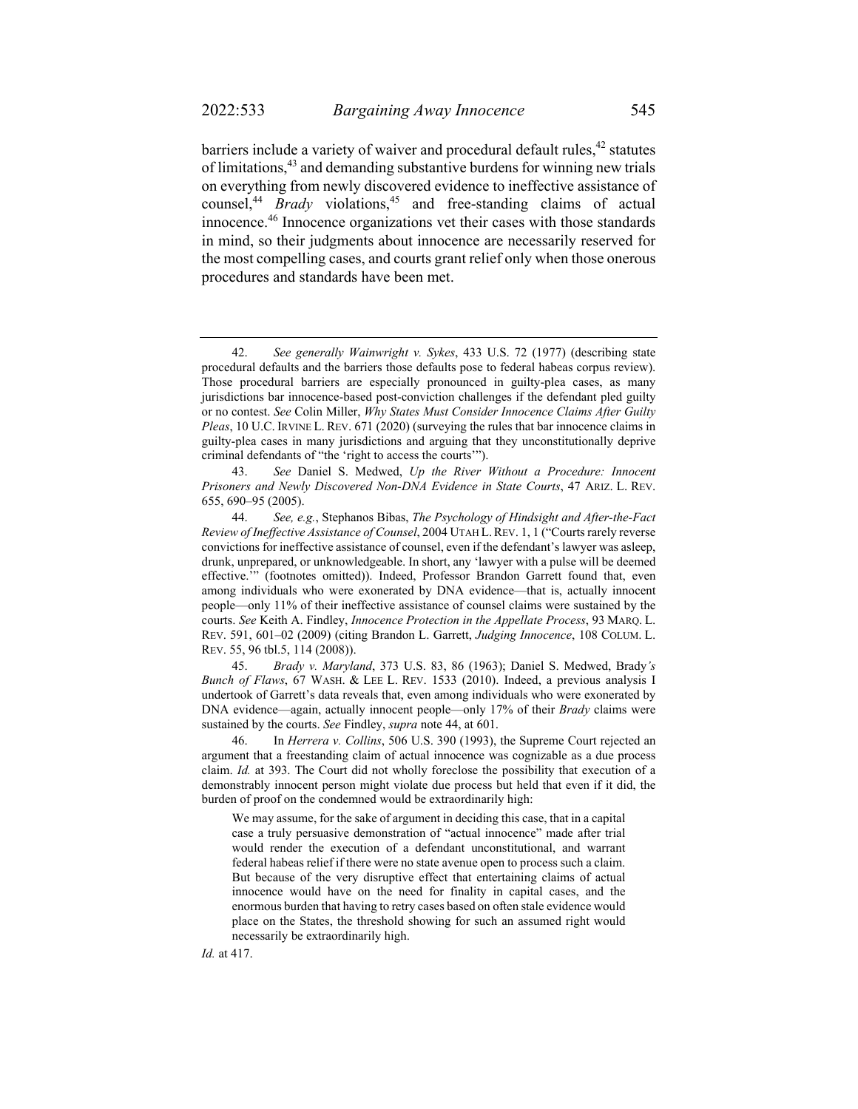barriers include a variety of waiver and procedural default rules,<sup>42</sup> statutes of limitations,43 and demanding substantive burdens for winning new trials on everything from newly discovered evidence to ineffective assistance of counsel,<sup>44</sup> *Brady* violations,<sup>45</sup> and free-standing claims of actual innocence.46 Innocence organizations vet their cases with those standards in mind, so their judgments about innocence are necessarily reserved for the most compelling cases, and courts grant relief only when those onerous procedures and standards have been met.

 45. *Brady v. Maryland*, 373 U.S. 83, 86 (1963); Daniel S. Medwed, Brady*'s Bunch of Flaws*, 67 WASH. & LEE L. REV. 1533 (2010). Indeed, a previous analysis I undertook of Garrett's data reveals that, even among individuals who were exonerated by DNA evidence—again, actually innocent people—only 17% of their *Brady* claims were sustained by the courts. *See* Findley, *supra* note 44, at 601.

 46. In *Herrera v. Collins*, 506 U.S. 390 (1993), the Supreme Court rejected an argument that a freestanding claim of actual innocence was cognizable as a due process claim. *Id.* at 393. The Court did not wholly foreclose the possibility that execution of a demonstrably innocent person might violate due process but held that even if it did, the burden of proof on the condemned would be extraordinarily high:

 We may assume, for the sake of argument in deciding this case, that in a capital case a truly persuasive demonstration of "actual innocence" made after trial would render the execution of a defendant unconstitutional, and warrant federal habeas relief if there were no state avenue open to process such a claim. But because of the very disruptive effect that entertaining claims of actual innocence would have on the need for finality in capital cases, and the enormous burden that having to retry cases based on often stale evidence would place on the States, the threshold showing for such an assumed right would necessarily be extraordinarily high.

 <sup>42.</sup> *See generally Wainwright v. Sykes*, 433 U.S. 72 (1977) (describing state procedural defaults and the barriers those defaults pose to federal habeas corpus review). Those procedural barriers are especially pronounced in guilty-plea cases, as many jurisdictions bar innocence-based post-conviction challenges if the defendant pled guilty or no contest. *See* Colin Miller, *Why States Must Consider Innocence Claims After Guilty Pleas*, 10 U.C. IRVINE L. REV. 671 (2020) (surveying the rules that bar innocence claims in guilty-plea cases in many jurisdictions and arguing that they unconstitutionally deprive criminal defendants of "the 'right to access the courts'").

 <sup>43.</sup> *See* Daniel S. Medwed, *Up the River Without a Procedure: Innocent Prisoners and Newly Discovered Non-DNA Evidence in State Courts*, 47 ARIZ. L. REV. 655, 690–95 (2005).

 <sup>44.</sup> *See, e.g.*, Stephanos Bibas, *The Psychology of Hindsight and After-the-Fact Review of Ineffective Assistance of Counsel*, 2004 UTAH L.REV. 1, 1 ("Courts rarely reverse convictions for ineffective assistance of counsel, even if the defendant's lawyer was asleep, drunk, unprepared, or unknowledgeable. In short, any 'lawyer with a pulse will be deemed effective.'" (footnotes omitted)). Indeed, Professor Brandon Garrett found that, even among individuals who were exonerated by DNA evidence—that is, actually innocent people—only 11% of their ineffective assistance of counsel claims were sustained by the courts. *See* Keith A. Findley, *Innocence Protection in the Appellate Process*, 93 MARQ. L. REV. 591, 601–02 (2009) (citing Brandon L. Garrett, *Judging Innocence*, 108 COLUM. L. REV. 55, 96 tbl.5, 114 (2008)).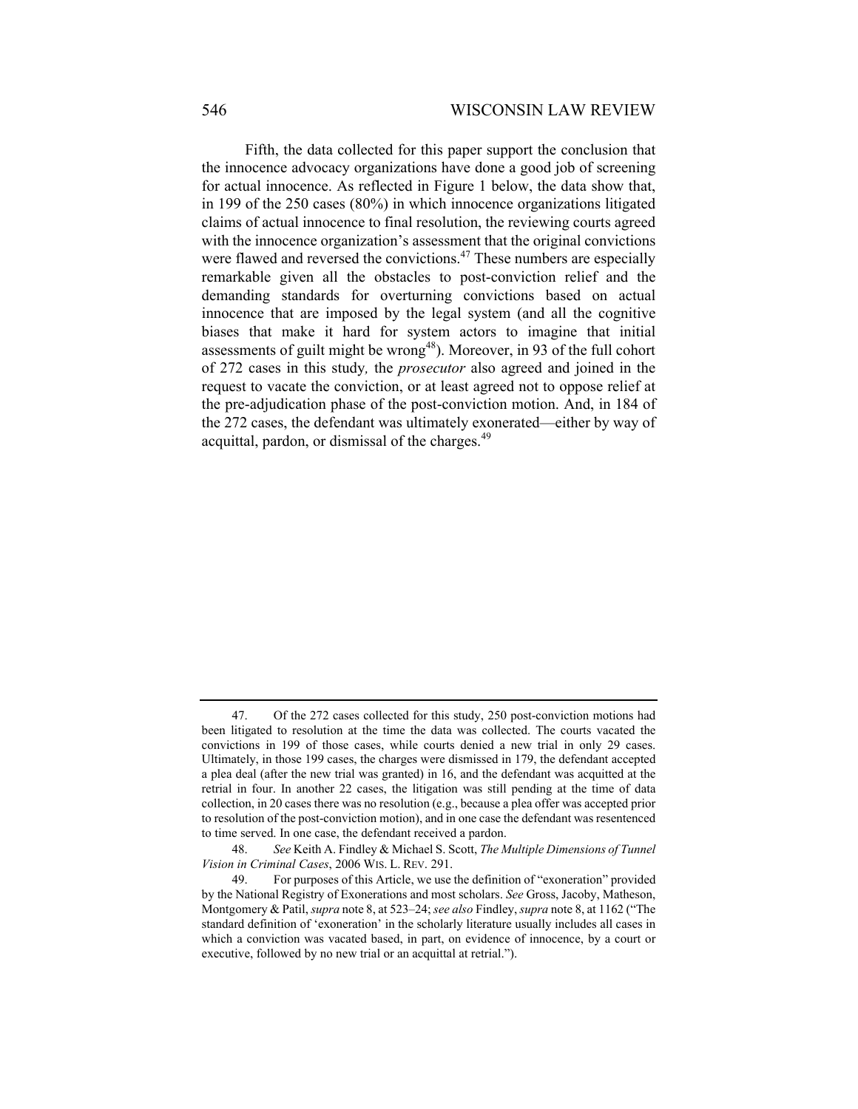Fifth, the data collected for this paper support the conclusion that the innocence advocacy organizations have done a good job of screening for actual innocence. As reflected in Figure 1 below, the data show that, in 199 of the 250 cases (80%) in which innocence organizations litigated claims of actual innocence to final resolution, the reviewing courts agreed with the innocence organization's assessment that the original convictions were flawed and reversed the convictions.<sup>47</sup> These numbers are especially remarkable given all the obstacles to post-conviction relief and the demanding standards for overturning convictions based on actual innocence that are imposed by the legal system (and all the cognitive biases that make it hard for system actors to imagine that initial assessments of guilt might be wrong<sup>48</sup>). Moreover, in 93 of the full cohort of 272 cases in this study*,* the *prosecutor* also agreed and joined in the request to vacate the conviction, or at least agreed not to oppose relief at the pre-adjudication phase of the post-conviction motion. And, in 184 of the 272 cases, the defendant was ultimately exonerated—either by way of acquittal, pardon, or dismissal of the charges.<sup>49</sup>

 <sup>47.</sup> Of the 272 cases collected for this study, 250 post-conviction motions had been litigated to resolution at the time the data was collected. The courts vacated the convictions in 199 of those cases, while courts denied a new trial in only 29 cases. Ultimately, in those 199 cases, the charges were dismissed in 179, the defendant accepted a plea deal (after the new trial was granted) in 16, and the defendant was acquitted at the retrial in four. In another 22 cases, the litigation was still pending at the time of data collection, in 20 cases there was no resolution (e.g., because a plea offer was accepted prior to resolution of the post-conviction motion), and in one case the defendant was resentenced to time served. In one case, the defendant received a pardon.

 <sup>48.</sup> *See* Keith A. Findley & Michael S. Scott, *The Multiple Dimensions of Tunnel Vision in Criminal Cases*, 2006 WIS. L. REV. 291.

 <sup>49.</sup> For purposes of this Article, we use the definition of "exoneration" provided by the National Registry of Exonerations and most scholars. *See* Gross, Jacoby, Matheson, Montgomery & Patil, *supra* note 8, at 523–24; *see also* Findley, *supra* note 8, at 1162 ("The standard definition of 'exoneration' in the scholarly literature usually includes all cases in which a conviction was vacated based, in part, on evidence of innocence, by a court or executive, followed by no new trial or an acquittal at retrial.").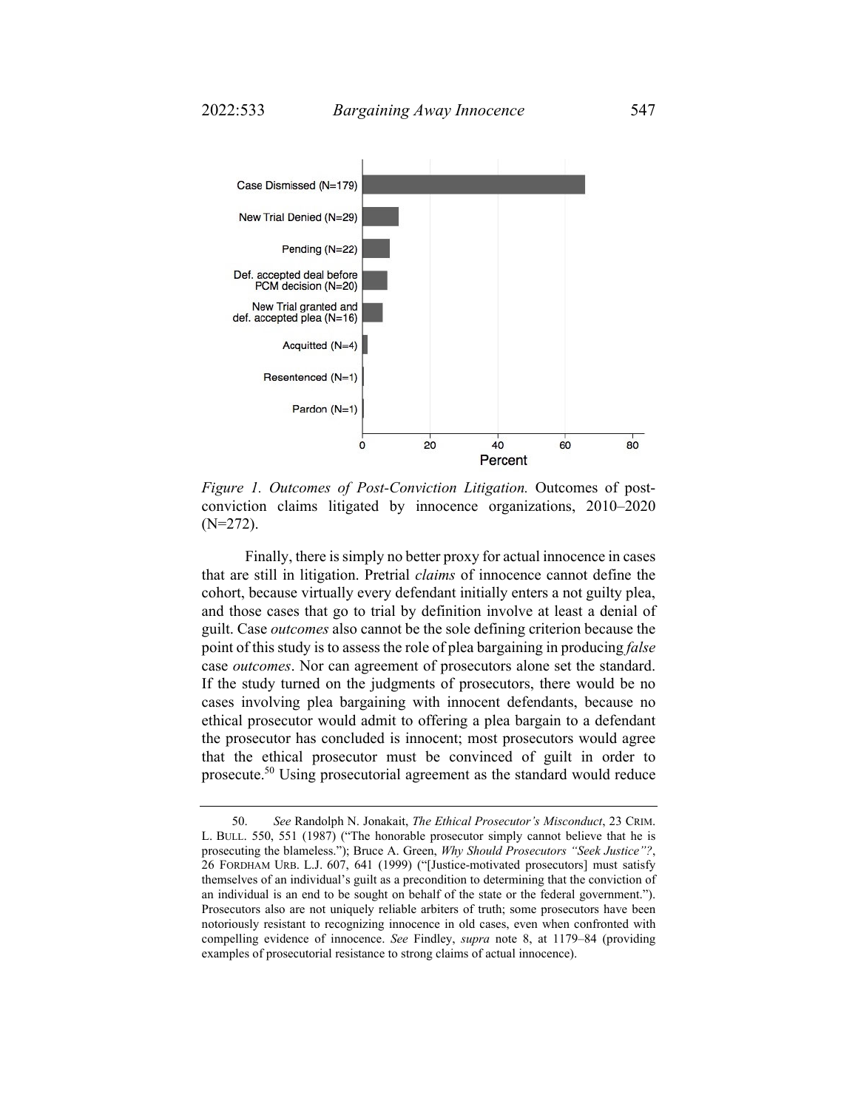

*Figure 1. Outcomes of Post-Conviction Litigation.* Outcomes of postconviction claims litigated by innocence organizations, 2010–2020 (N=272).

Finally, there is simply no better proxy for actual innocence in cases that are still in litigation. Pretrial *claims* of innocence cannot define the cohort, because virtually every defendant initially enters a not guilty plea, and those cases that go to trial by definition involve at least a denial of guilt. Case *outcomes* also cannot be the sole defining criterion because the point of this study is to assess the role of plea bargaining in producing *false* case *outcomes*. Nor can agreement of prosecutors alone set the standard. If the study turned on the judgments of prosecutors, there would be no cases involving plea bargaining with innocent defendants, because no ethical prosecutor would admit to offering a plea bargain to a defendant the prosecutor has concluded is innocent; most prosecutors would agree that the ethical prosecutor must be convinced of guilt in order to prosecute.50 Using prosecutorial agreement as the standard would reduce

 <sup>50.</sup> *See* Randolph N. Jonakait, *The Ethical Prosecutor's Misconduct*, 23 CRIM. L. BULL. 550, 551 (1987) ("The honorable prosecutor simply cannot believe that he is prosecuting the blameless."); Bruce A. Green, *Why Should Prosecutors "Seek Justice"?*, 26 FORDHAM URB. L.J. 607, 641 (1999) ("[Justice-motivated prosecutors] must satisfy themselves of an individual's guilt as a precondition to determining that the conviction of an individual is an end to be sought on behalf of the state or the federal government."). Prosecutors also are not uniquely reliable arbiters of truth; some prosecutors have been notoriously resistant to recognizing innocence in old cases, even when confronted with compelling evidence of innocence. *See* Findley, *supra* note 8, at 1179–84 (providing examples of prosecutorial resistance to strong claims of actual innocence).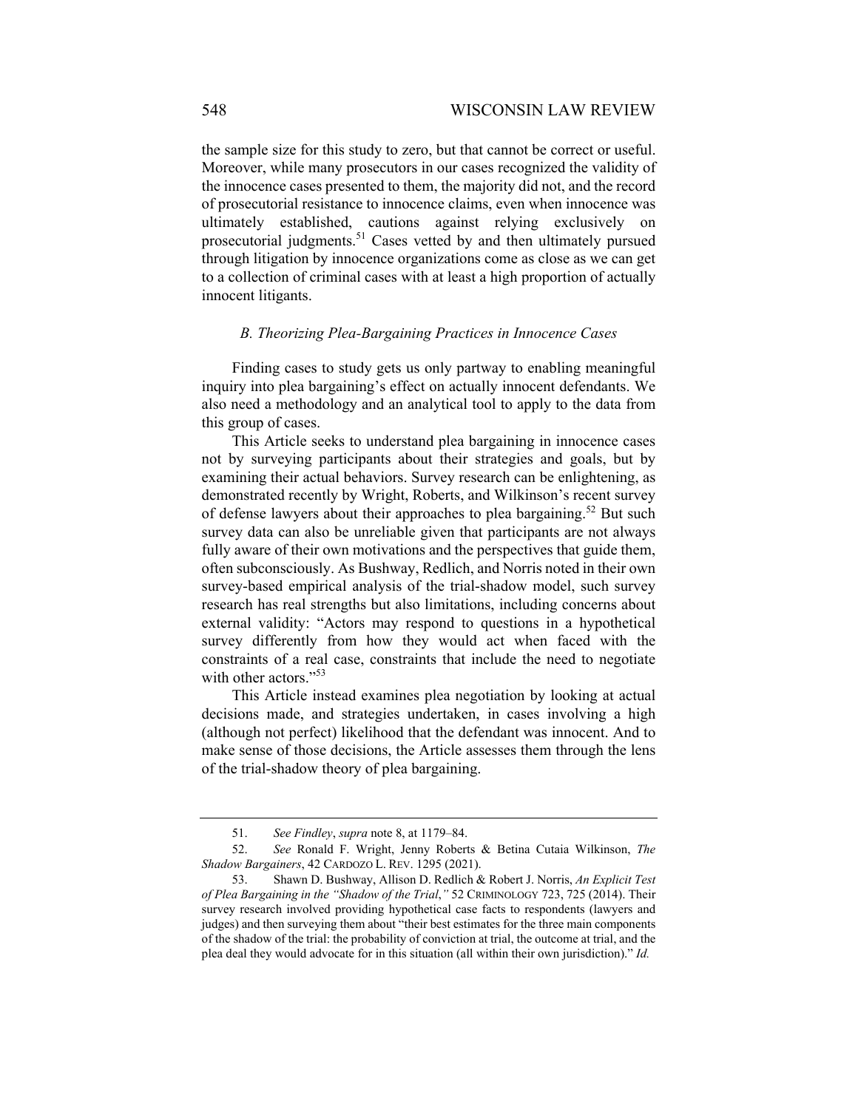the sample size for this study to zero, but that cannot be correct or useful. Moreover, while many prosecutors in our cases recognized the validity of the innocence cases presented to them, the majority did not, and the record of prosecutorial resistance to innocence claims, even when innocence was ultimately established, cautions against relying exclusively on prosecutorial judgments.<sup>51</sup> Cases vetted by and then ultimately pursued through litigation by innocence organizations come as close as we can get to a collection of criminal cases with at least a high proportion of actually innocent litigants.

### *B. Theorizing Plea-Bargaining Practices in Innocence Cases*

Finding cases to study gets us only partway to enabling meaningful inquiry into plea bargaining's effect on actually innocent defendants. We also need a methodology and an analytical tool to apply to the data from this group of cases.

This Article seeks to understand plea bargaining in innocence cases not by surveying participants about their strategies and goals, but by examining their actual behaviors. Survey research can be enlightening, as demonstrated recently by Wright, Roberts, and Wilkinson's recent survey of defense lawyers about their approaches to plea bargaining.<sup>52</sup> But such survey data can also be unreliable given that participants are not always fully aware of their own motivations and the perspectives that guide them, often subconsciously. As Bushway, Redlich, and Norris noted in their own survey-based empirical analysis of the trial-shadow model, such survey research has real strengths but also limitations, including concerns about external validity: "Actors may respond to questions in a hypothetical survey differently from how they would act when faced with the constraints of a real case, constraints that include the need to negotiate with other actors."<sup>53</sup>

This Article instead examines plea negotiation by looking at actual decisions made, and strategies undertaken, in cases involving a high (although not perfect) likelihood that the defendant was innocent. And to make sense of those decisions, the Article assesses them through the lens of the trial-shadow theory of plea bargaining.

 <sup>51.</sup> *See Findley*, *supra* note 8, at 1179–84.

 <sup>52.</sup> *See* Ronald F. Wright, Jenny Roberts & Betina Cutaia Wilkinson, *The Shadow Bargainers*, 42 CARDOZO L. REV. 1295 (2021).

 <sup>53.</sup> Shawn D. Bushway, Allison D. Redlich & Robert J. Norris, *An Explicit Test of Plea Bargaining in the "Shadow of the Trial*,*"* 52 CRIMINOLOGY 723, 725 (2014). Their survey research involved providing hypothetical case facts to respondents (lawyers and judges) and then surveying them about "their best estimates for the three main components of the shadow of the trial: the probability of conviction at trial, the outcome at trial, and the plea deal they would advocate for in this situation (all within their own jurisdiction)." *Id.*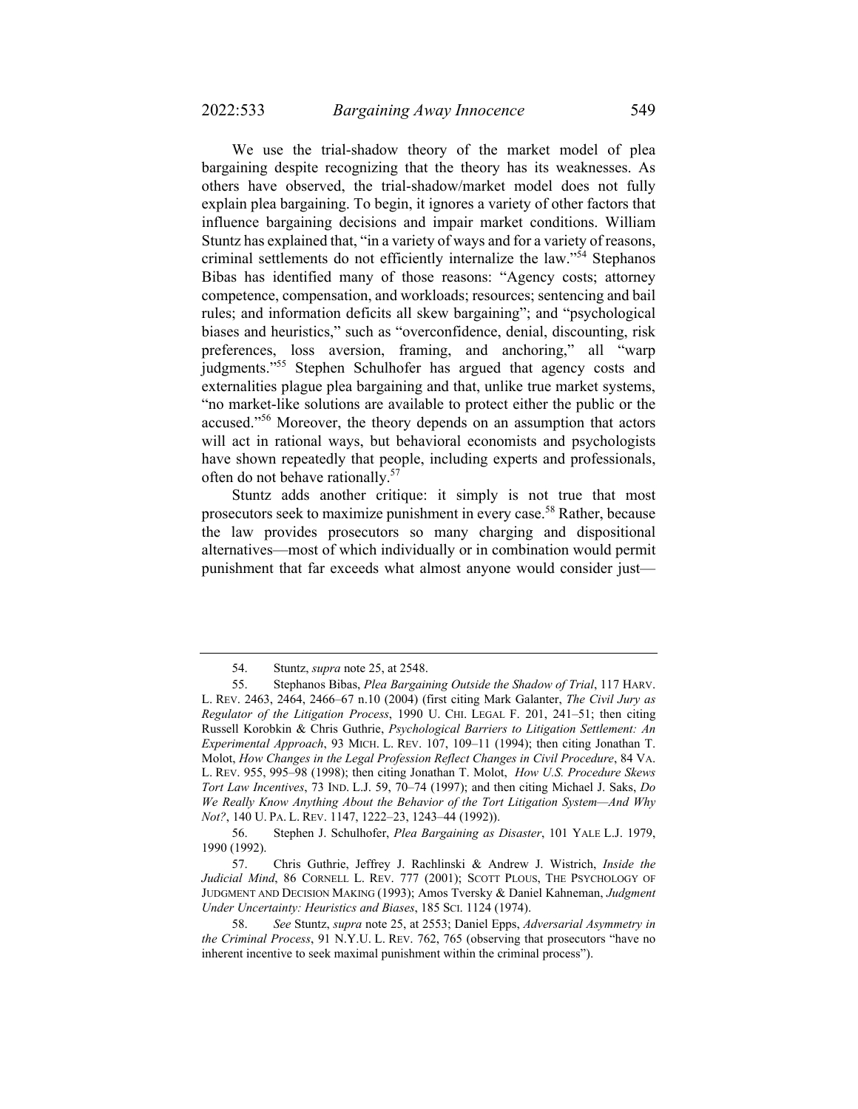We use the trial-shadow theory of the market model of plea bargaining despite recognizing that the theory has its weaknesses. As others have observed, the trial-shadow/market model does not fully explain plea bargaining. To begin, it ignores a variety of other factors that influence bargaining decisions and impair market conditions. William Stuntz has explained that, "in a variety of ways and for a variety of reasons, criminal settlements do not efficiently internalize the law."<sup>54</sup> Stephanos Bibas has identified many of those reasons: "Agency costs; attorney competence, compensation, and workloads; resources; sentencing and bail rules; and information deficits all skew bargaining"; and "psychological biases and heuristics," such as "overconfidence, denial, discounting, risk preferences, loss aversion, framing, and anchoring," all "warp judgments."<sup>55</sup> Stephen Schulhofer has argued that agency costs and externalities plague plea bargaining and that, unlike true market systems, "no market-like solutions are available to protect either the public or the accused."56 Moreover, the theory depends on an assumption that actors will act in rational ways, but behavioral economists and psychologists have shown repeatedly that people, including experts and professionals, often do not behave rationally.<sup>57</sup>

Stuntz adds another critique: it simply is not true that most prosecutors seek to maximize punishment in every case.<sup>58</sup> Rather, because the law provides prosecutors so many charging and dispositional alternatives—most of which individually or in combination would permit punishment that far exceeds what almost anyone would consider just—

 <sup>54.</sup> Stuntz, *supra* note 25, at 2548.

 <sup>55.</sup> Stephanos Bibas, *Plea Bargaining Outside the Shadow of Trial*, 117 HARV. L. REV. 2463, 2464, 2466–67 n.10 (2004) (first citing Mark Galanter, *The Civil Jury as Regulator of the Litigation Process*, 1990 U. CHI. LEGAL F. 201, 241–51; then citing Russell Korobkin & Chris Guthrie, *Psychological Barriers to Litigation Settlement: An Experimental Approach*, 93 MICH. L. REV. 107, 109–11 (1994); then citing Jonathan T. Molot, *How Changes in the Legal Profession Reflect Changes in Civil Procedure*, 84 VA. L. REV. 955, 995–98 (1998); then citing Jonathan T. Molot, *How U.S. Procedure Skews Tort Law Incentives*, 73 IND. L.J. 59, 70–74 (1997); and then citing Michael J. Saks, *Do We Really Know Anything About the Behavior of the Tort Litigation System—And Why Not?*, 140 U. PA. L. REV. 1147, 1222–23, 1243–44 (1992)).

 <sup>56.</sup> Stephen J. Schulhofer, *Plea Bargaining as Disaster*, 101 YALE L.J. 1979, 1990 (1992).

 <sup>57.</sup> Chris Guthrie, Jeffrey J. Rachlinski & Andrew J. Wistrich, *Inside the Judicial Mind*, 86 CORNELL L. REV. 777 (2001); SCOTT PLOUS, THE PSYCHOLOGY OF JUDGMENT AND DECISION MAKING (1993); Amos Tversky & Daniel Kahneman, *Judgment Under Uncertainty: Heuristics and Biases*, 185 SCI. 1124 (1974).

 <sup>58.</sup> *See* Stuntz, *supra* note 25, at 2553; Daniel Epps, *Adversarial Asymmetry in the Criminal Process*, 91 N.Y.U. L. REV. 762, 765 (observing that prosecutors "have no inherent incentive to seek maximal punishment within the criminal process").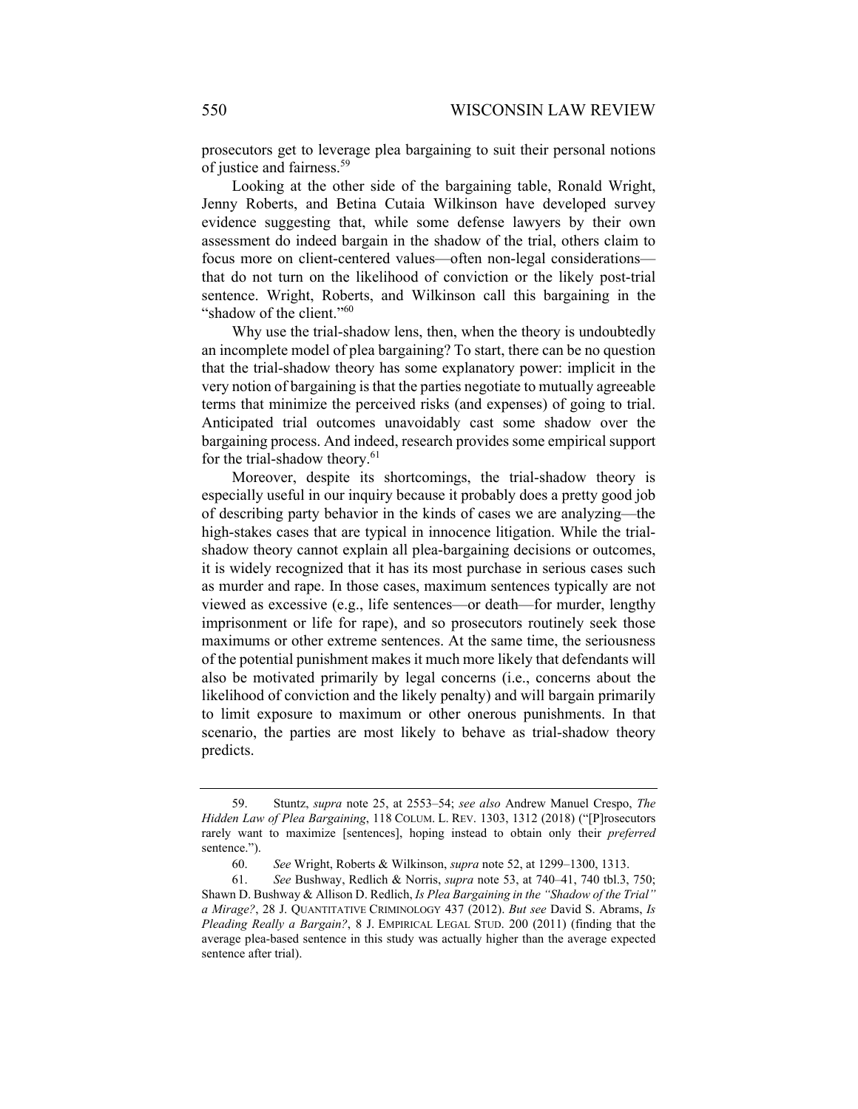prosecutors get to leverage plea bargaining to suit their personal notions of justice and fairness.<sup>59</sup>

Looking at the other side of the bargaining table, Ronald Wright, Jenny Roberts, and Betina Cutaia Wilkinson have developed survey evidence suggesting that, while some defense lawyers by their own assessment do indeed bargain in the shadow of the trial, others claim to focus more on client-centered values—often non-legal considerations that do not turn on the likelihood of conviction or the likely post-trial sentence. Wright, Roberts, and Wilkinson call this bargaining in the "shadow of the client."<sup>60</sup>

Why use the trial-shadow lens, then, when the theory is undoubtedly an incomplete model of plea bargaining? To start, there can be no question that the trial-shadow theory has some explanatory power: implicit in the very notion of bargaining is that the parties negotiate to mutually agreeable terms that minimize the perceived risks (and expenses) of going to trial. Anticipated trial outcomes unavoidably cast some shadow over the bargaining process. And indeed, research provides some empirical support for the trial-shadow theory.<sup>61</sup>

Moreover, despite its shortcomings, the trial-shadow theory is especially useful in our inquiry because it probably does a pretty good job of describing party behavior in the kinds of cases we are analyzing—the high-stakes cases that are typical in innocence litigation. While the trialshadow theory cannot explain all plea-bargaining decisions or outcomes, it is widely recognized that it has its most purchase in serious cases such as murder and rape. In those cases, maximum sentences typically are not viewed as excessive (e.g., life sentences—or death—for murder, lengthy imprisonment or life for rape), and so prosecutors routinely seek those maximums or other extreme sentences. At the same time, the seriousness of the potential punishment makes it much more likely that defendants will also be motivated primarily by legal concerns (i.e., concerns about the likelihood of conviction and the likely penalty) and will bargain primarily to limit exposure to maximum or other onerous punishments. In that scenario, the parties are most likely to behave as trial-shadow theory predicts.

 <sup>59.</sup> Stuntz, *supra* note 25, at 2553–54; *see also* Andrew Manuel Crespo, *The Hidden Law of Plea Bargaining*, 118 COLUM. L. REV. 1303, 1312 (2018) ("[P]rosecutors rarely want to maximize [sentences], hoping instead to obtain only their *preferred* sentence.").

 <sup>60.</sup> *See* Wright, Roberts & Wilkinson, *supra* note 52, at 1299–1300, 1313.

 <sup>61.</sup> *See* Bushway, Redlich & Norris, *supra* note 53, at 740–41, 740 tbl.3, 750; Shawn D. Bushway & Allison D. Redlich, *Is Plea Bargaining in the "Shadow of the Trial" a Mirage?*, 28 J. QUANTITATIVE CRIMINOLOGY 437 (2012). *But see* David S. Abrams, *Is Pleading Really a Bargain?*, 8 J. EMPIRICAL LEGAL STUD. 200 (2011) (finding that the average plea-based sentence in this study was actually higher than the average expected sentence after trial).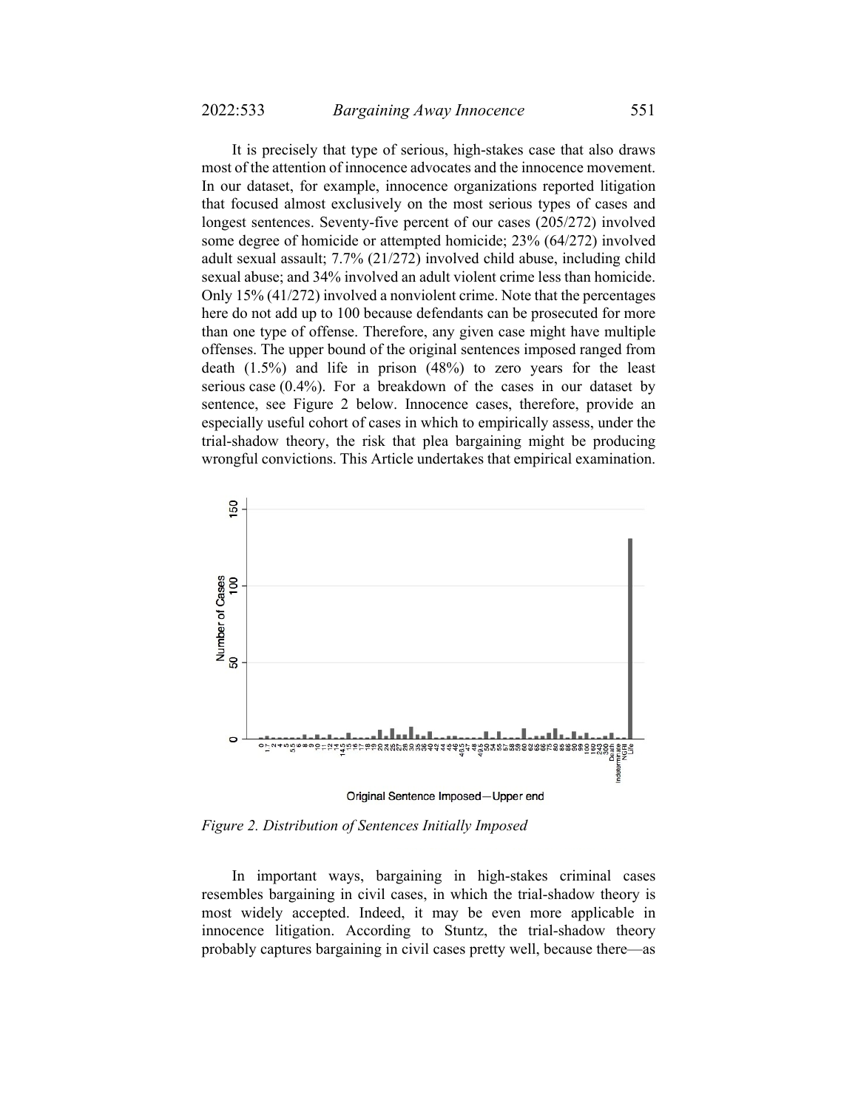It is precisely that type of serious, high-stakes case that also draws most of the attention of innocence advocates and the innocence movement. In our dataset, for example, innocence organizations reported litigation that focused almost exclusively on the most serious types of cases and longest sentences. Seventy-five percent of our cases (205/272) involved some degree of homicide or attempted homicide; 23% (64/272) involved adult sexual assault; 7.7% (21/272) involved child abuse, including child sexual abuse; and 34% involved an adult violent crime less than homicide. Only 15% (41/272) involved a nonviolent crime. Note that the percentages here do not add up to 100 because defendants can be prosecuted for more than one type of offense. Therefore, any given case might have multiple offenses. The upper bound of the original sentences imposed ranged from death (1.5%) and life in prison (48%) to zero years for the least serious case (0.4%). For a breakdown of the cases in our dataset by sentence, see Figure 2 below. Innocence cases, therefore, provide an especially useful cohort of cases in which to empirically assess, under the trial-shadow theory, the risk that plea bargaining might be producing wrongful convictions. This Article undertakes that empirical examination.



*Figure 2. Distribution of Sentences Initially Imposed* 

In important ways, bargaining in high-stakes criminal cases resembles bargaining in civil cases, in which the trial-shadow theory is most widely accepted. Indeed, it may be even more applicable in innocence litigation. According to Stuntz, the trial-shadow theory probably captures bargaining in civil cases pretty well, because there—as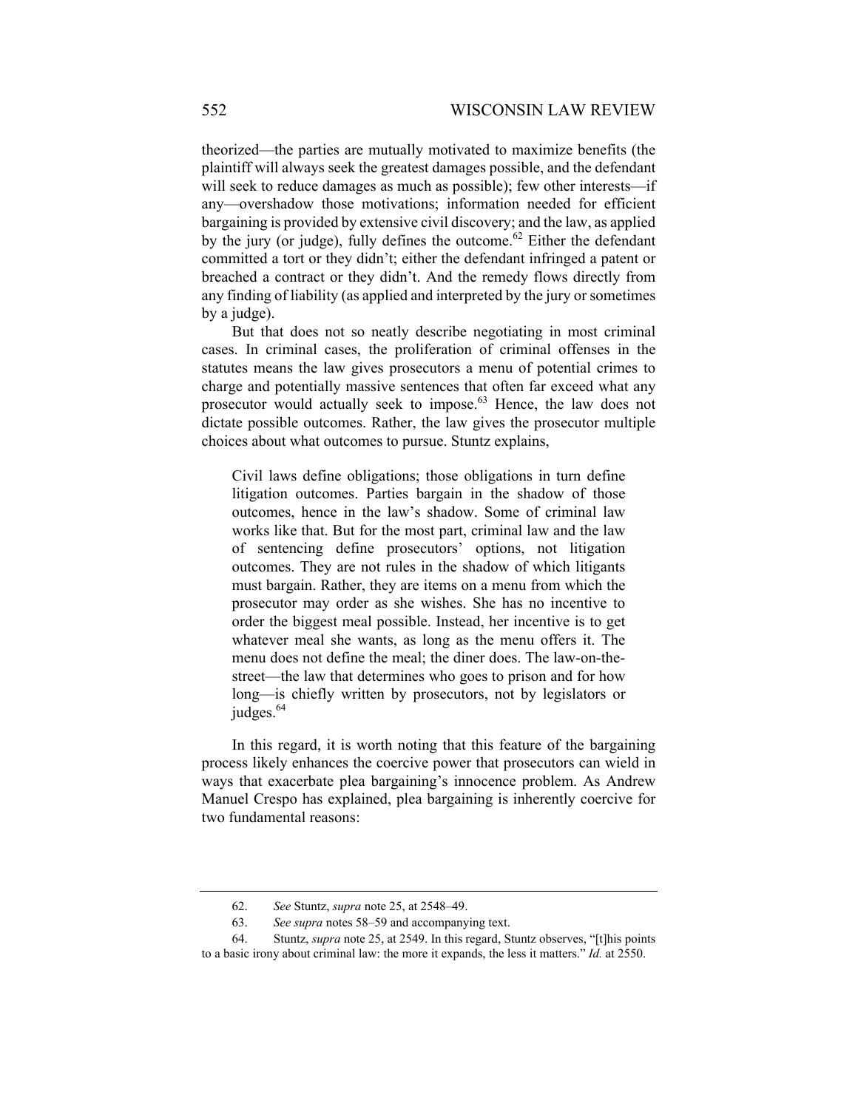theorized—the parties are mutually motivated to maximize benefits (the plaintiff will always seek the greatest damages possible, and the defendant will seek to reduce damages as much as possible); few other interests—if any—overshadow those motivations; information needed for efficient bargaining is provided by extensive civil discovery; and the law, as applied by the jury (or judge), fully defines the outcome.<sup>62</sup> Either the defendant committed a tort or they didn't; either the defendant infringed a patent or breached a contract or they didn't. And the remedy flows directly from any finding of liability (as applied and interpreted by the jury or sometimes by a judge).

But that does not so neatly describe negotiating in most criminal cases. In criminal cases, the proliferation of criminal offenses in the statutes means the law gives prosecutors a menu of potential crimes to charge and potentially massive sentences that often far exceed what any prosecutor would actually seek to impose.<sup>63</sup> Hence, the law does not dictate possible outcomes. Rather, the law gives the prosecutor multiple choices about what outcomes to pursue. Stuntz explains,

Civil laws define obligations; those obligations in turn define litigation outcomes. Parties bargain in the shadow of those outcomes, hence in the law's shadow. Some of criminal law works like that. But for the most part, criminal law and the law of sentencing define prosecutors' options, not litigation outcomes. They are not rules in the shadow of which litigants must bargain. Rather, they are items on a menu from which the prosecutor may order as she wishes. She has no incentive to order the biggest meal possible. Instead, her incentive is to get whatever meal she wants, as long as the menu offers it. The menu does not define the meal; the diner does. The law-on-thestreet—the law that determines who goes to prison and for how long—is chiefly written by prosecutors, not by legislators or judges.<sup>64</sup>

In this regard, it is worth noting that this feature of the bargaining process likely enhances the coercive power that prosecutors can wield in ways that exacerbate plea bargaining's innocence problem. As Andrew Manuel Crespo has explained, plea bargaining is inherently coercive for two fundamental reasons:

 <sup>62.</sup> *See* Stuntz, *supra* note 25, at 2548–49.

 <sup>63.</sup> *See supra* notes 58–59 and accompanying text.

 <sup>64.</sup> Stuntz, *supra* note 25, at 2549. In this regard, Stuntz observes, "[t]his points to a basic irony about criminal law: the more it expands, the less it matters." *Id.* at 2550.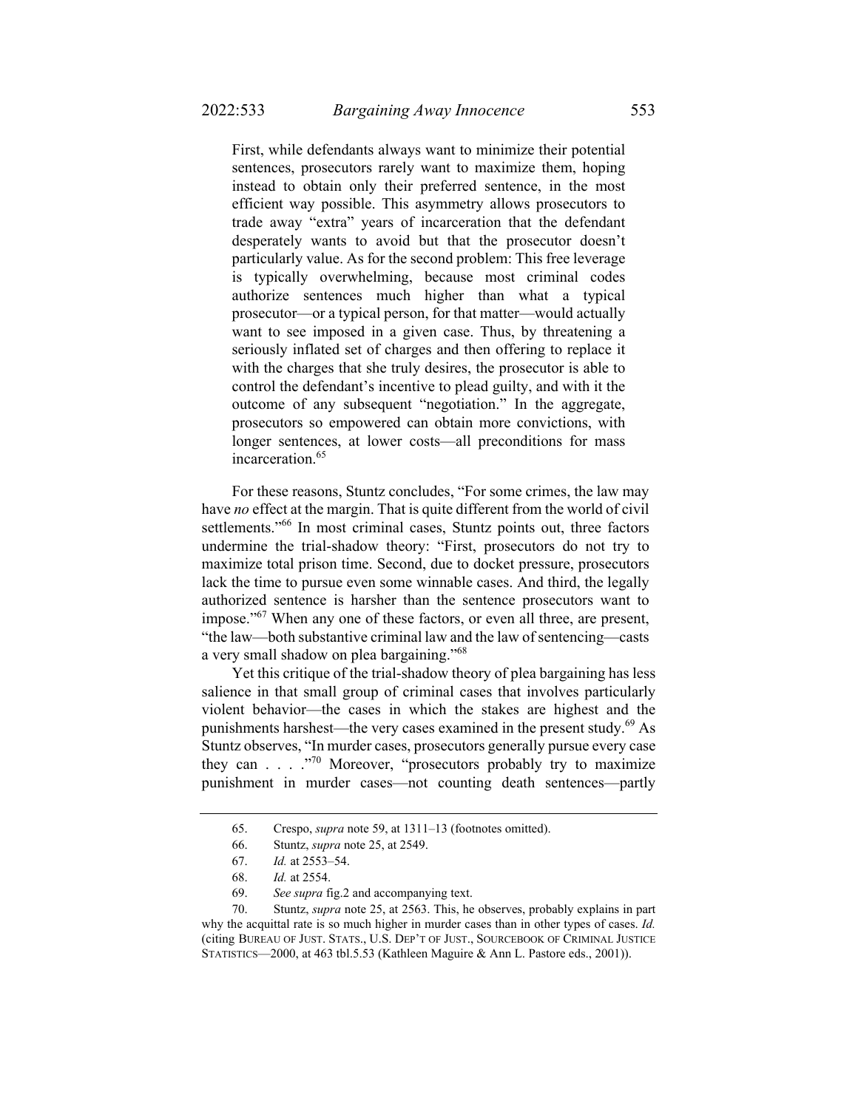First, while defendants always want to minimize their potential sentences, prosecutors rarely want to maximize them, hoping instead to obtain only their preferred sentence, in the most efficient way possible. This asymmetry allows prosecutors to trade away "extra" years of incarceration that the defendant desperately wants to avoid but that the prosecutor doesn't particularly value. As for the second problem: This free leverage is typically overwhelming, because most criminal codes authorize sentences much higher than what a typical prosecutor—or a typical person, for that matter—would actually want to see imposed in a given case. Thus, by threatening a seriously inflated set of charges and then offering to replace it with the charges that she truly desires, the prosecutor is able to control the defendant's incentive to plead guilty, and with it the outcome of any subsequent "negotiation." In the aggregate, prosecutors so empowered can obtain more convictions, with longer sentences, at lower costs—all preconditions for mass

incarceration.<sup>65</sup>

For these reasons, Stuntz concludes, "For some crimes, the law may have *no* effect at the margin. That is quite different from the world of civil settlements."<sup>66</sup> In most criminal cases, Stuntz points out, three factors undermine the trial-shadow theory: "First, prosecutors do not try to maximize total prison time. Second, due to docket pressure, prosecutors lack the time to pursue even some winnable cases. And third, the legally authorized sentence is harsher than the sentence prosecutors want to impose."<sup>67</sup> When any one of these factors, or even all three, are present, "the law—both substantive criminal law and the law of sentencing—casts a very small shadow on plea bargaining."68

Yet this critique of the trial-shadow theory of plea bargaining has less salience in that small group of criminal cases that involves particularly violent behavior—the cases in which the stakes are highest and the punishments harshest—the very cases examined in the present study. $^{69}$  As Stuntz observes, "In murder cases, prosecutors generally pursue every case they can . . . ."70 Moreover, "prosecutors probably try to maximize punishment in murder cases—not counting death sentences—partly

 <sup>65.</sup> Crespo, *supra* note 59, at 1311–13 (footnotes omitted).

 <sup>66.</sup> Stuntz, *supra* note 25, at 2549.

 <sup>67.</sup> *Id.* at 2553–54.

 <sup>68.</sup> *Id.* at 2554.

 <sup>69.</sup> *See supra* fig.2 and accompanying text.

 <sup>70.</sup> Stuntz, *supra* note 25, at 2563. This, he observes, probably explains in part why the acquittal rate is so much higher in murder cases than in other types of cases. *Id.*  (citing BUREAU OF JUST. STATS., U.S. DEP'T OF JUST., SOURCEBOOK OF CRIMINAL JUSTICE STATISTICS—2000, at 463 tbl.5.53 (Kathleen Maguire & Ann L. Pastore eds., 2001)).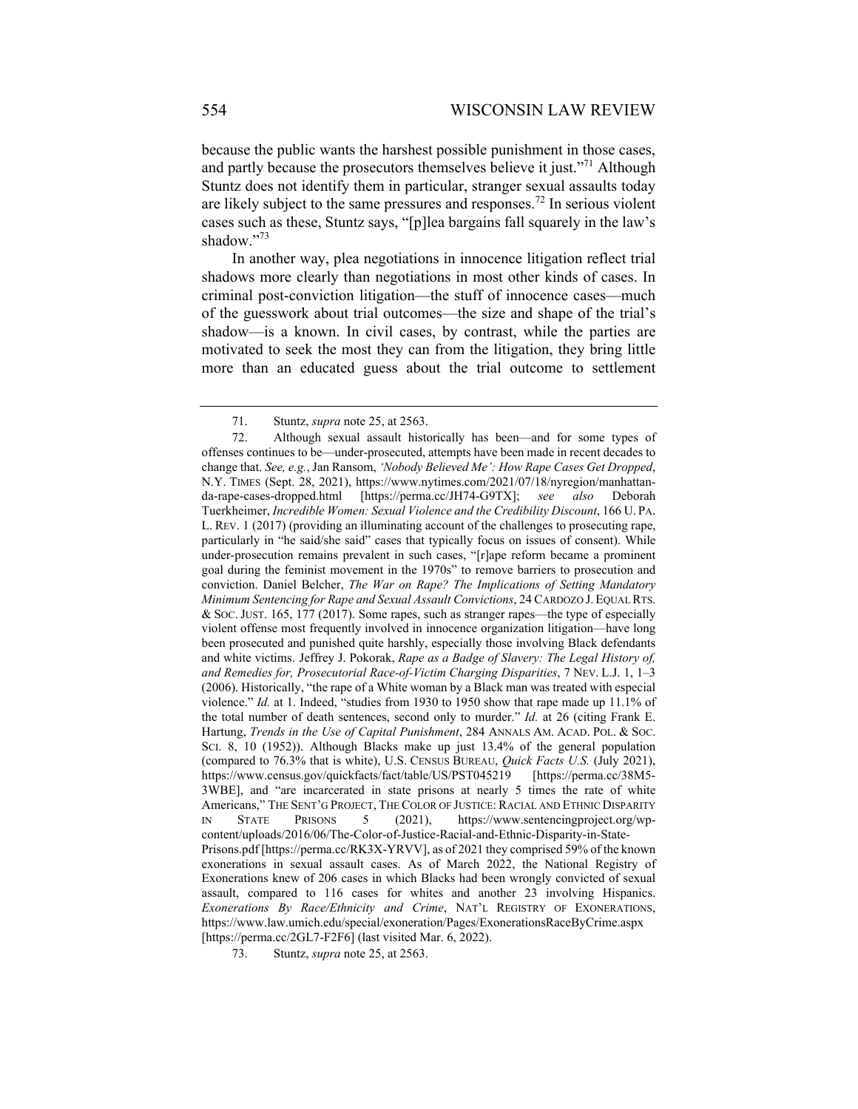because the public wants the harshest possible punishment in those cases, and partly because the prosecutors themselves believe it just."<sup>71</sup> Although Stuntz does not identify them in particular, stranger sexual assaults today are likely subject to the same pressures and responses.<sup>72</sup> In serious violent cases such as these, Stuntz says, "[p]lea bargains fall squarely in the law's shadow."73

In another way, plea negotiations in innocence litigation reflect trial shadows more clearly than negotiations in most other kinds of cases. In criminal post-conviction litigation—the stuff of innocence cases—much of the guesswork about trial outcomes—the size and shape of the trial's shadow—is a known. In civil cases, by contrast, while the parties are motivated to seek the most they can from the litigation, they bring little more than an educated guess about the trial outcome to settlement

 <sup>71.</sup> Stuntz, *supra* note 25, at 2563.

 <sup>72.</sup> Although sexual assault historically has been—and for some types of offenses continues to be—under-prosecuted, attempts have been made in recent decades to change that. *See, e.g.*, Jan Ransom, *'Nobody Believed Me': How Rape Cases Get Dropped*, N.Y. TIMES (Sept. 28, 2021), https://www.nytimes.com/2021/07/18/nyregion/manhattanda-rape-cases-dropped.html [https://perma.cc/JH74-G9TX]; *see also* Deborah Tuerkheimer, *Incredible Women: Sexual Violence and the Credibility Discount*, 166 U. PA. L. REV. 1 (2017) (providing an illuminating account of the challenges to prosecuting rape, particularly in "he said/she said" cases that typically focus on issues of consent). While under-prosecution remains prevalent in such cases, "[r]ape reform became a prominent goal during the feminist movement in the 1970s" to remove barriers to prosecution and conviction. Daniel Belcher, *The War on Rape? The Implications of Setting Mandatory Minimum Sentencing for Rape and Sexual Assault Convictions*, 24 CARDOZO J. EQUAL RTS. & SOC. JUST. 165, 177 (2017). Some rapes, such as stranger rapes—the type of especially violent offense most frequently involved in innocence organization litigation—have long been prosecuted and punished quite harshly, especially those involving Black defendants and white victims. Jeffrey J. Pokorak, *Rape as a Badge of Slavery: The Legal History of, and Remedies for, Prosecutorial Race-of-Victim Charging Disparities*, 7 NEV. L.J. 1, 1–3 (2006). Historically, "the rape of a White woman by a Black man was treated with especial violence." *Id.* at 1. Indeed, "studies from 1930 to 1950 show that rape made up 11.1% of the total number of death sentences, second only to murder." *Id.* at 26 (citing Frank E. Hartung, *Trends in the Use of Capital Punishment*, 284 ANNALS AM. ACAD. POL. & SOC. SCI. 8, 10 (1952)). Although Blacks make up just 13.4% of the general population (compared to 76.3% that is white), U.S. CENSUS BUREAU, *Quick Facts U.S.* (July 2021), https://www.census.gov/quickfacts/fact/table/US/PST045219 [https://perma.cc/38M5- 3WBE], and "are incarcerated in state prisons at nearly 5 times the rate of white Americans," THE SENT'G PROJECT, THE COLOR OF JUSTICE: RACIAL AND ETHNIC DISPARITY IN STATE PRISONS 5 (2021), https://www.sentencingproject.org/wpcontent/uploads/2016/06/The-Color-of-Justice-Racial-and-Ethnic-Disparity-in-State-Prisons.pdf [https://perma.cc/RK3X-YRVV], as of 2021 they comprised 59% of the known exonerations in sexual assault cases. As of March 2022, the National Registry of Exonerations knew of 206 cases in which Blacks had been wrongly convicted of sexual assault, compared to 116 cases for whites and another 23 involving Hispanics. *Exonerations By Race/Ethnicity and Crime*, NAT'L REGISTRY OF EXONERATIONS, https://www.law.umich.edu/special/exoneration/Pages/ExonerationsRaceByCrime.aspx [https://perma.cc/2GL7-F2F6] (last visited Mar. 6, 2022).

 <sup>73.</sup> Stuntz, *supra* note 25, at 2563.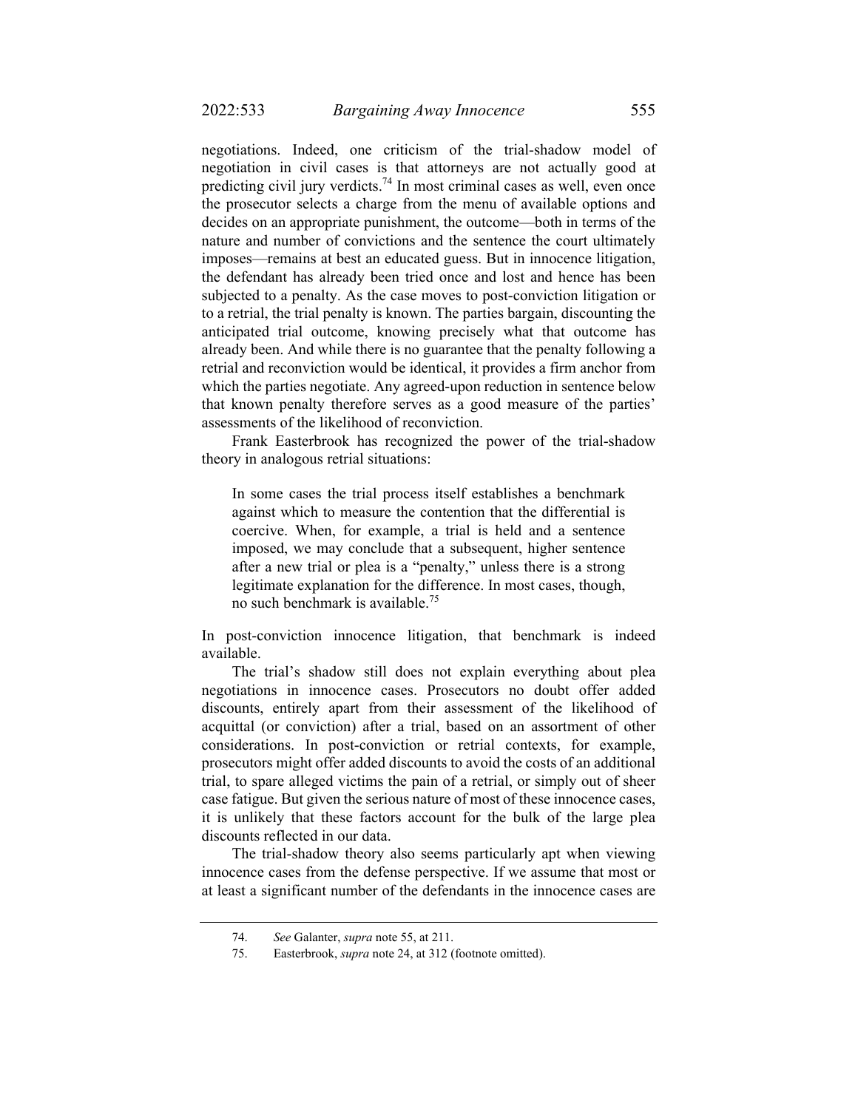negotiations. Indeed, one criticism of the trial-shadow model of negotiation in civil cases is that attorneys are not actually good at predicting civil jury verdicts.<sup>74</sup> In most criminal cases as well, even once the prosecutor selects a charge from the menu of available options and decides on an appropriate punishment, the outcome—both in terms of the nature and number of convictions and the sentence the court ultimately imposes—remains at best an educated guess. But in innocence litigation, the defendant has already been tried once and lost and hence has been subjected to a penalty. As the case moves to post-conviction litigation or to a retrial, the trial penalty is known. The parties bargain, discounting the anticipated trial outcome, knowing precisely what that outcome has already been. And while there is no guarantee that the penalty following a retrial and reconviction would be identical, it provides a firm anchor from which the parties negotiate. Any agreed-upon reduction in sentence below that known penalty therefore serves as a good measure of the parties' assessments of the likelihood of reconviction.

Frank Easterbrook has recognized the power of the trial-shadow theory in analogous retrial situations:

In some cases the trial process itself establishes a benchmark against which to measure the contention that the differential is coercive. When, for example, a trial is held and a sentence imposed, we may conclude that a subsequent, higher sentence after a new trial or plea is a "penalty," unless there is a strong legitimate explanation for the difference. In most cases, though, no such benchmark is available.75

In post-conviction innocence litigation, that benchmark is indeed available.

The trial's shadow still does not explain everything about plea negotiations in innocence cases. Prosecutors no doubt offer added discounts, entirely apart from their assessment of the likelihood of acquittal (or conviction) after a trial, based on an assortment of other considerations. In post-conviction or retrial contexts, for example, prosecutors might offer added discounts to avoid the costs of an additional trial, to spare alleged victims the pain of a retrial, or simply out of sheer case fatigue. But given the serious nature of most of these innocence cases, it is unlikely that these factors account for the bulk of the large plea discounts reflected in our data.

The trial-shadow theory also seems particularly apt when viewing innocence cases from the defense perspective. If we assume that most or at least a significant number of the defendants in the innocence cases are

 <sup>74.</sup> *See* Galanter, *supra* note 55, at 211.

 <sup>75.</sup> Easterbrook, *supra* note 24, at 312 (footnote omitted).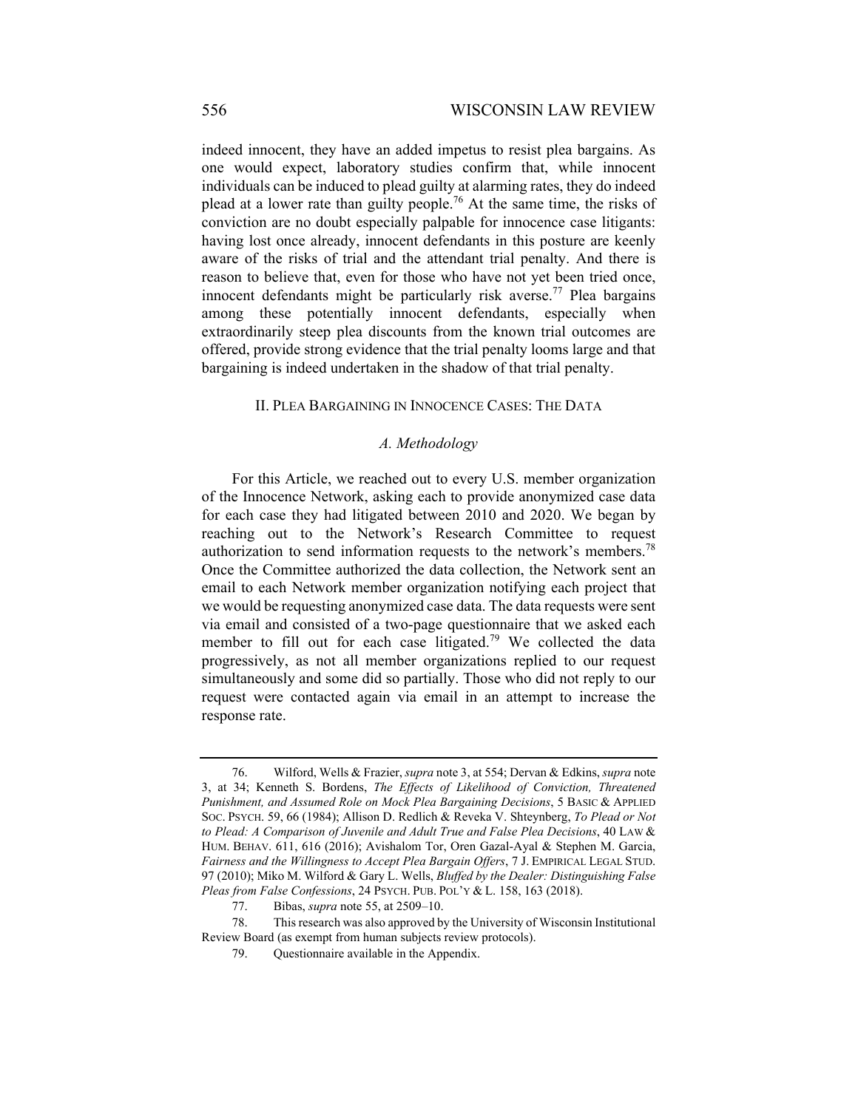indeed innocent, they have an added impetus to resist plea bargains. As one would expect, laboratory studies confirm that, while innocent individuals can be induced to plead guilty at alarming rates, they do indeed plead at a lower rate than guilty people.<sup>76</sup> At the same time, the risks of conviction are no doubt especially palpable for innocence case litigants: having lost once already, innocent defendants in this posture are keenly aware of the risks of trial and the attendant trial penalty. And there is reason to believe that, even for those who have not yet been tried once, innocent defendants might be particularly risk averse.<sup>77</sup> Plea bargains among these potentially innocent defendants, especially when extraordinarily steep plea discounts from the known trial outcomes are offered, provide strong evidence that the trial penalty looms large and that bargaining is indeed undertaken in the shadow of that trial penalty.

#### II. PLEA BARGAINING IN INNOCENCE CASES: THE DATA

#### *A. Methodology*

For this Article, we reached out to every U.S. member organization of the Innocence Network, asking each to provide anonymized case data for each case they had litigated between 2010 and 2020. We began by reaching out to the Network's Research Committee to request authorization to send information requests to the network's members.<sup>78</sup> Once the Committee authorized the data collection, the Network sent an email to each Network member organization notifying each project that we would be requesting anonymized case data. The data requests were sent via email and consisted of a two-page questionnaire that we asked each member to fill out for each case litigated.79 We collected the data progressively, as not all member organizations replied to our request simultaneously and some did so partially. Those who did not reply to our request were contacted again via email in an attempt to increase the response rate.

 <sup>76.</sup> Wilford, Wells & Frazier, *supra* note 3, at 554; Dervan & Edkins, *supra* note 3, at 34; Kenneth S. Bordens, *The Effects of Likelihood of Conviction, Threatened Punishment, and Assumed Role on Mock Plea Bargaining Decisions*, 5 BASIC & APPLIED SOC. PSYCH. 59, 66 (1984); Allison D. Redlich & Reveka V. Shteynberg, *To Plead or Not to Plead: A Comparison of Juvenile and Adult True and False Plea Decisions*, 40 LAW & HUM. BEHAV. 611, 616 (2016); Avishalom Tor, Oren Gazal-Ayal & Stephen M. Garcia, *Fairness and the Willingness to Accept Plea Bargain Offers*, 7 J. EMPIRICAL LEGAL STUD. 97 (2010); Miko M. Wilford & Gary L. Wells, *Bluffed by the Dealer: Distinguishing False Pleas from False Confessions*, 24 PSYCH. PUB. POL'Y & L. 158, 163 (2018).

 <sup>77.</sup> Bibas, *supra* note 55, at 2509–10.

 <sup>78.</sup> This research was also approved by the University of Wisconsin Institutional Review Board (as exempt from human subjects review protocols).

 <sup>79.</sup> Questionnaire available in the Appendix.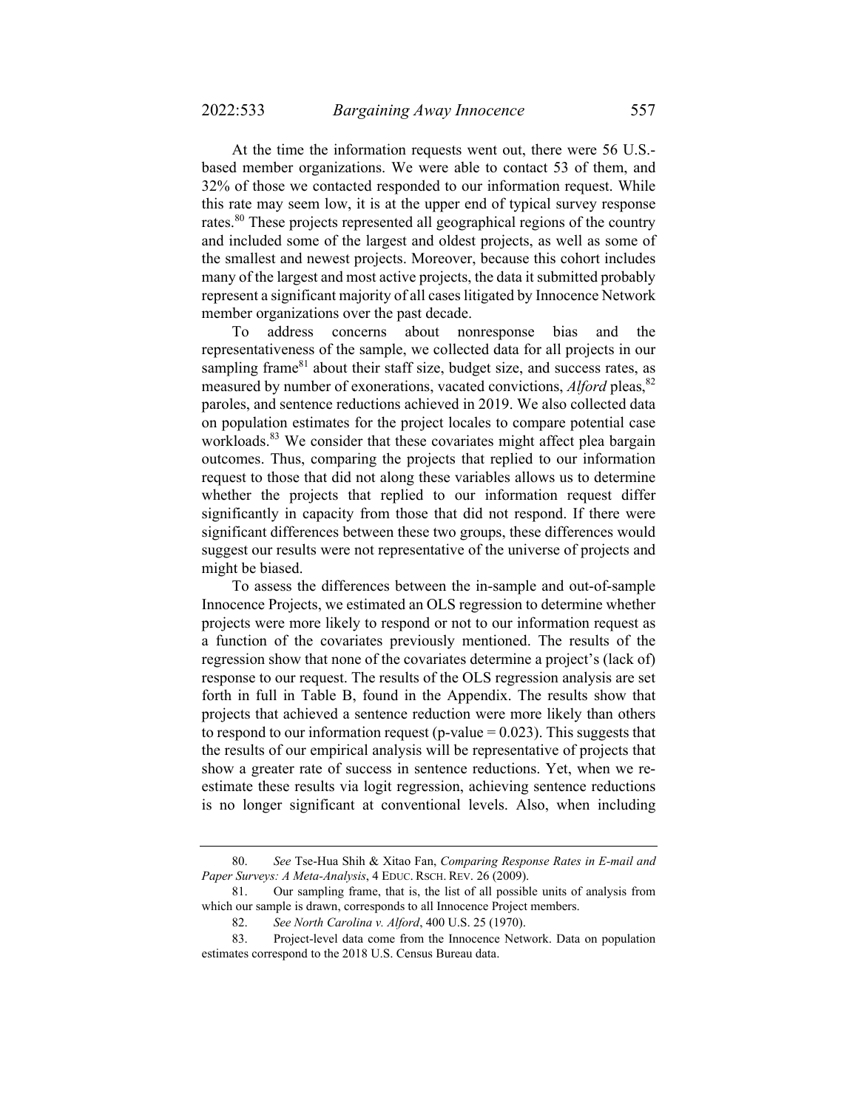At the time the information requests went out, there were 56 U.S. based member organizations. We were able to contact 53 of them, and 32% of those we contacted responded to our information request. While this rate may seem low, it is at the upper end of typical survey response rates.<sup>80</sup> These projects represented all geographical regions of the country and included some of the largest and oldest projects, as well as some of the smallest and newest projects. Moreover, because this cohort includes many of the largest and most active projects, the data it submitted probably represent a significant majority of all cases litigated by Innocence Network member organizations over the past decade.

To address concerns about nonresponse bias and the representativeness of the sample, we collected data for all projects in our sampling frame $81$  about their staff size, budget size, and success rates, as measured by number of exonerations, vacated convictions, *Alford* pleas, <sup>82</sup> paroles, and sentence reductions achieved in 2019. We also collected data on population estimates for the project locales to compare potential case workloads.<sup>83</sup> We consider that these covariates might affect plea bargain outcomes. Thus, comparing the projects that replied to our information request to those that did not along these variables allows us to determine whether the projects that replied to our information request differ significantly in capacity from those that did not respond. If there were significant differences between these two groups, these differences would suggest our results were not representative of the universe of projects and might be biased.

To assess the differences between the in-sample and out-of-sample Innocence Projects, we estimated an OLS regression to determine whether projects were more likely to respond or not to our information request as a function of the covariates previously mentioned. The results of the regression show that none of the covariates determine a project's (lack of) response to our request. The results of the OLS regression analysis are set forth in full in Table B, found in the Appendix. The results show that projects that achieved a sentence reduction were more likely than others to respond to our information request (p-value  $= 0.023$ ). This suggests that the results of our empirical analysis will be representative of projects that show a greater rate of success in sentence reductions. Yet, when we reestimate these results via logit regression, achieving sentence reductions is no longer significant at conventional levels. Also, when including

 <sup>80.</sup> *See* Tse-Hua Shih & Xitao Fan, *Comparing Response Rates in E-mail and Paper Surveys: A Meta-Analysis*, 4 EDUC. RSCH. REV. 26 (2009).

 <sup>81.</sup> Our sampling frame, that is, the list of all possible units of analysis from which our sample is drawn, corresponds to all Innocence Project members.

 <sup>82.</sup> *See North Carolina v. Alford*, 400 U.S. 25 (1970).

 <sup>83.</sup> Project-level data come from the Innocence Network. Data on population estimates correspond to the 2018 U.S. Census Bureau data.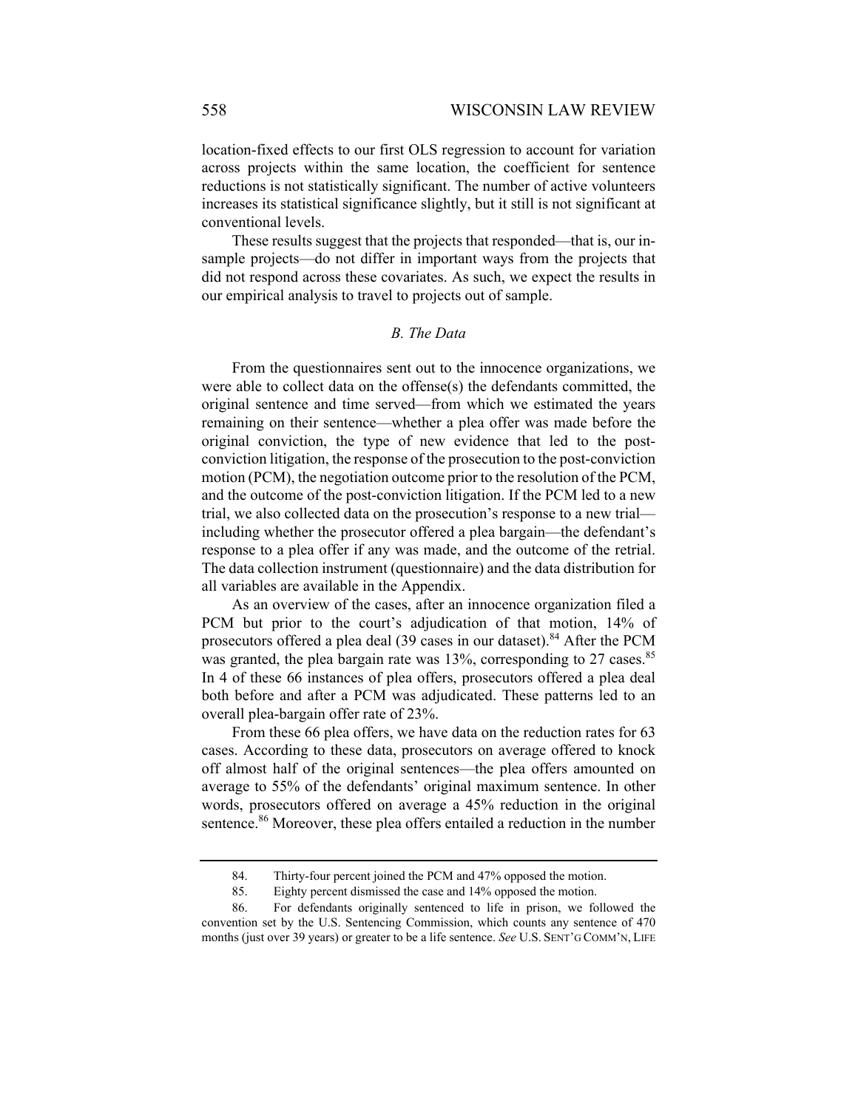location-fixed effects to our first OLS regression to account for variation across projects within the same location, the coefficient for sentence reductions is not statistically significant. The number of active volunteers increases its statistical significance slightly, but it still is not significant at conventional levels.

These results suggest that the projects that responded—that is, our insample projects—do not differ in important ways from the projects that did not respond across these covariates. As such, we expect the results in our empirical analysis to travel to projects out of sample.

### *B. The Data*

From the questionnaires sent out to the innocence organizations, we were able to collect data on the offense(s) the defendants committed, the original sentence and time served—from which we estimated the years remaining on their sentence—whether a plea offer was made before the original conviction, the type of new evidence that led to the postconviction litigation, the response of the prosecution to the post-conviction motion (PCM), the negotiation outcome prior to the resolution of the PCM, and the outcome of the post-conviction litigation. If the PCM led to a new trial, we also collected data on the prosecution's response to a new trial including whether the prosecutor offered a plea bargain—the defendant's response to a plea offer if any was made, and the outcome of the retrial. The data collection instrument (questionnaire) and the data distribution for all variables are available in the Appendix.

As an overview of the cases, after an innocence organization filed a PCM but prior to the court's adjudication of that motion, 14% of prosecutors offered a plea deal (39 cases in our dataset).<sup>84</sup> After the PCM was granted, the plea bargain rate was  $13\%$ , corresponding to 27 cases.<sup>85</sup> In 4 of these 66 instances of plea offers, prosecutors offered a plea deal both before and after a PCM was adjudicated. These patterns led to an overall plea-bargain offer rate of 23%.

From these 66 plea offers, we have data on the reduction rates for 63 cases. According to these data, prosecutors on average offered to knock off almost half of the original sentences—the plea offers amounted on average to 55% of the defendants' original maximum sentence. In other words, prosecutors offered on average a 45% reduction in the original sentence.<sup>86</sup> Moreover, these plea offers entailed a reduction in the number

 <sup>84.</sup> Thirty-four percent joined the PCM and 47% opposed the motion.

 <sup>85.</sup> Eighty percent dismissed the case and 14% opposed the motion.

 <sup>86.</sup> For defendants originally sentenced to life in prison, we followed the convention set by the U.S. Sentencing Commission, which counts any sentence of 470 months (just over 39 years) or greater to be a life sentence. *See* U.S. SENT'G COMM'N, LIFE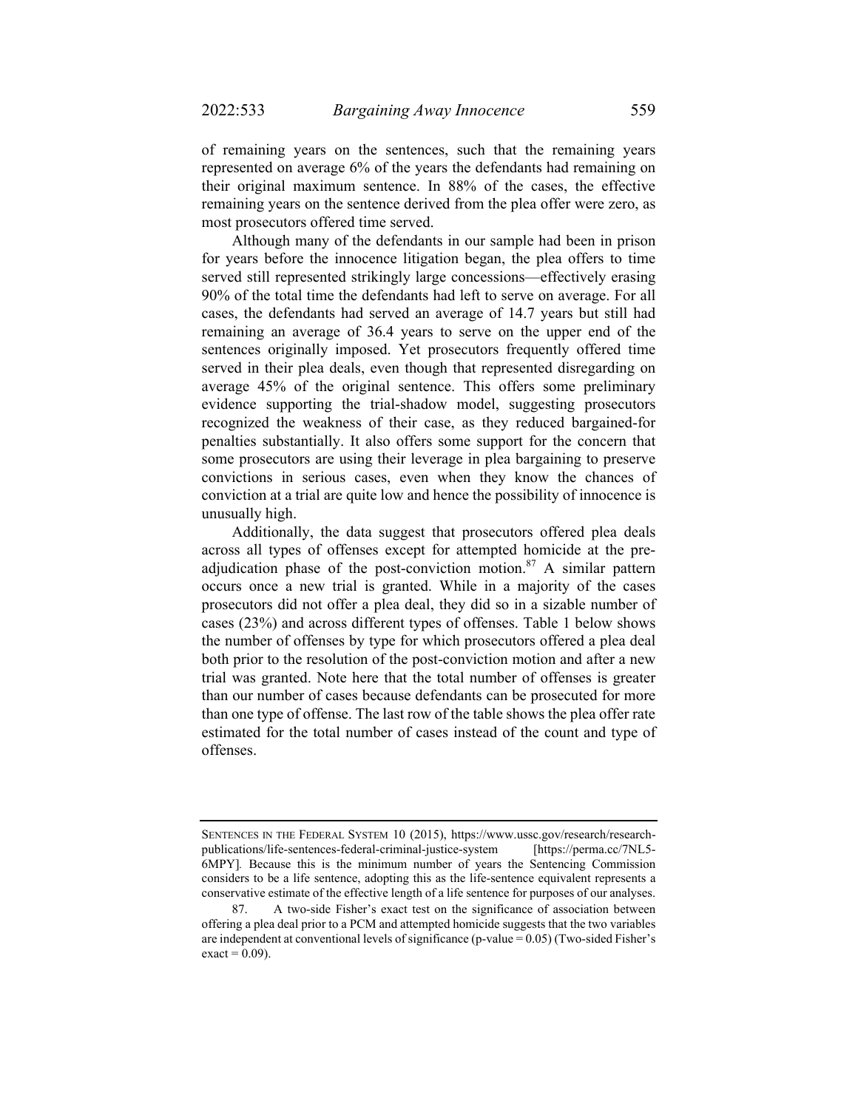of remaining years on the sentences, such that the remaining years represented on average 6% of the years the defendants had remaining on their original maximum sentence. In 88% of the cases, the effective remaining years on the sentence derived from the plea offer were zero, as most prosecutors offered time served.

Although many of the defendants in our sample had been in prison for years before the innocence litigation began, the plea offers to time served still represented strikingly large concessions—effectively erasing 90% of the total time the defendants had left to serve on average. For all cases, the defendants had served an average of 14.7 years but still had remaining an average of 36.4 years to serve on the upper end of the sentences originally imposed. Yet prosecutors frequently offered time served in their plea deals, even though that represented disregarding on average 45% of the original sentence. This offers some preliminary evidence supporting the trial-shadow model, suggesting prosecutors recognized the weakness of their case, as they reduced bargained-for penalties substantially. It also offers some support for the concern that some prosecutors are using their leverage in plea bargaining to preserve convictions in serious cases, even when they know the chances of conviction at a trial are quite low and hence the possibility of innocence is unusually high.

Additionally, the data suggest that prosecutors offered plea deals across all types of offenses except for attempted homicide at the preadjudication phase of the post-conviction motion. $87$  A similar pattern occurs once a new trial is granted. While in a majority of the cases prosecutors did not offer a plea deal, they did so in a sizable number of cases (23%) and across different types of offenses. Table 1 below shows the number of offenses by type for which prosecutors offered a plea deal both prior to the resolution of the post-conviction motion and after a new trial was granted. Note here that the total number of offenses is greater than our number of cases because defendants can be prosecuted for more than one type of offense. The last row of the table shows the plea offer rate estimated for the total number of cases instead of the count and type of offenses.

SENTENCES IN THE FEDERAL SYSTEM 10 (2015), https://www.ussc.gov/research/researchpublications/life-sentences-federal-criminal-justice-system [https://perma.cc/7NL5- 6MPY]*.* Because this is the minimum number of years the Sentencing Commission considers to be a life sentence, adopting this as the life-sentence equivalent represents a conservative estimate of the effective length of a life sentence for purposes of our analyses.

 <sup>87.</sup> A two-side Fisher's exact test on the significance of association between offering a plea deal prior to a PCM and attempted homicide suggests that the two variables are independent at conventional levels of significance (p-value = 0.05) (Two-sided Fisher's  $\text{exact} = 0.09$ ).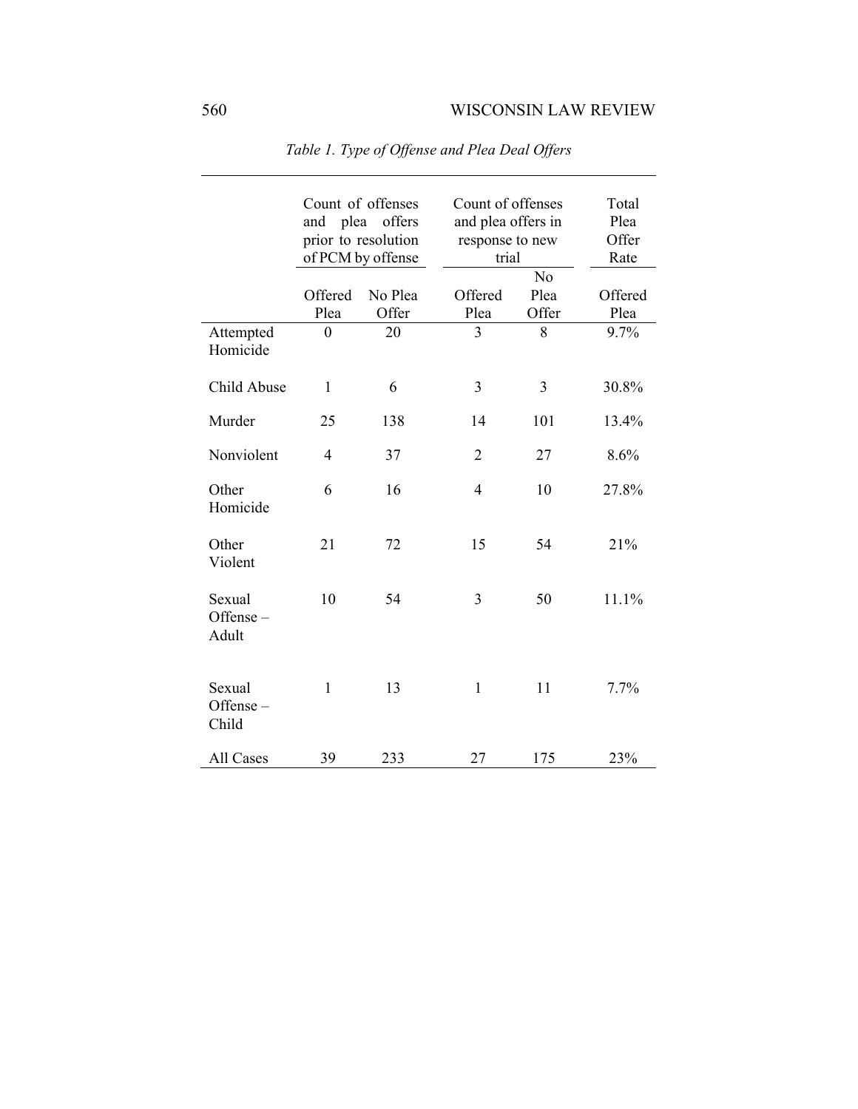| Attempted                   | Offered<br>Plea<br>$\boldsymbol{0}$ | Count of offenses<br>and plea offers<br>prior to resolution<br>of PCM by offense<br>No Plea<br>Offer<br>20 | Count of offenses<br>and plea offers in<br>response to new<br>trial<br>Offered<br>Plea<br>$\overline{3}$ | N <sub>o</sub><br>Plea<br>Offer<br>8 | Total<br>Plea<br>Offer<br>Rate<br>Offered<br>Plea<br>9.7% |
|-----------------------------|-------------------------------------|------------------------------------------------------------------------------------------------------------|----------------------------------------------------------------------------------------------------------|--------------------------------------|-----------------------------------------------------------|
| Homicide                    |                                     |                                                                                                            |                                                                                                          |                                      |                                                           |
| Child Abuse                 | 1                                   | 6                                                                                                          | 3                                                                                                        | 3                                    | 30.8%                                                     |
| Murder                      | 25                                  | 138                                                                                                        | 14                                                                                                       | 101                                  | 13.4%                                                     |
| Nonviolent                  | $\overline{4}$                      | 37                                                                                                         | $\overline{2}$                                                                                           | 27                                   | 8.6%                                                      |
| Other<br>Homicide           | 6                                   | 16                                                                                                         | $\overline{4}$                                                                                           | 10                                   | 27.8%                                                     |
| Other<br>Violent            | 21                                  | 72                                                                                                         | 15                                                                                                       | 54                                   | 21%                                                       |
| Sexual<br>Offense-<br>Adult | 10                                  | 54                                                                                                         | 3                                                                                                        | 50                                   | 11.1%                                                     |
| Sexual<br>Offense-<br>Child | $\mathbf{1}$                        | 13                                                                                                         | $\mathbf{1}$                                                                                             | 11                                   | 7.7%                                                      |
| All Cases                   | 39                                  | 233                                                                                                        | 27                                                                                                       | 175                                  | 23%                                                       |

*Table 1. Type of Offense and Plea Deal Offers*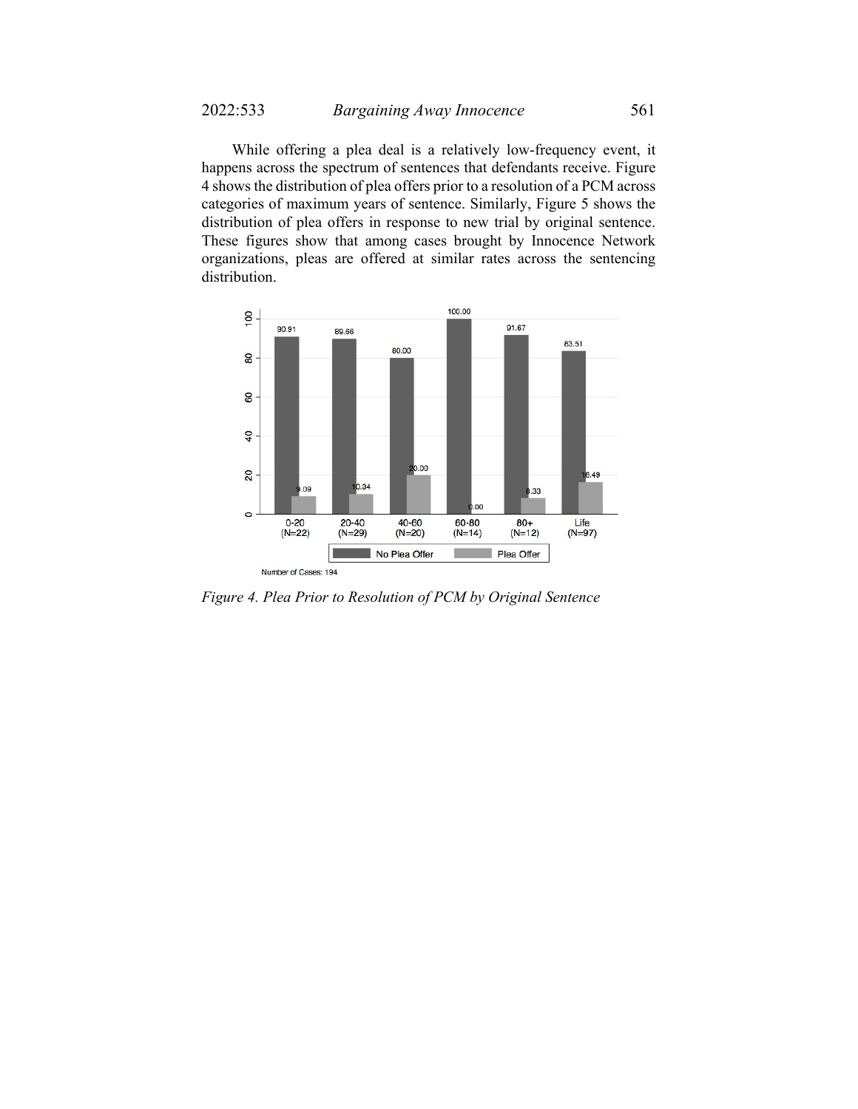While offering a plea deal is a relatively low-frequency event, it happens across the spectrum of sentences that defendants receive. Figure 4 shows the distribution of plea offers prior to a resolution of a PCM across categories of maximum years of sentence. Similarly, Figure 5 shows the distribution of plea offers in response to new trial by original sentence. These figures show that among cases brought by Innocence Network organizations, pleas are offered at similar rates across the sentencing distribution.



*Figure 4. Plea Prior to Resolution of PCM by Original Sentence*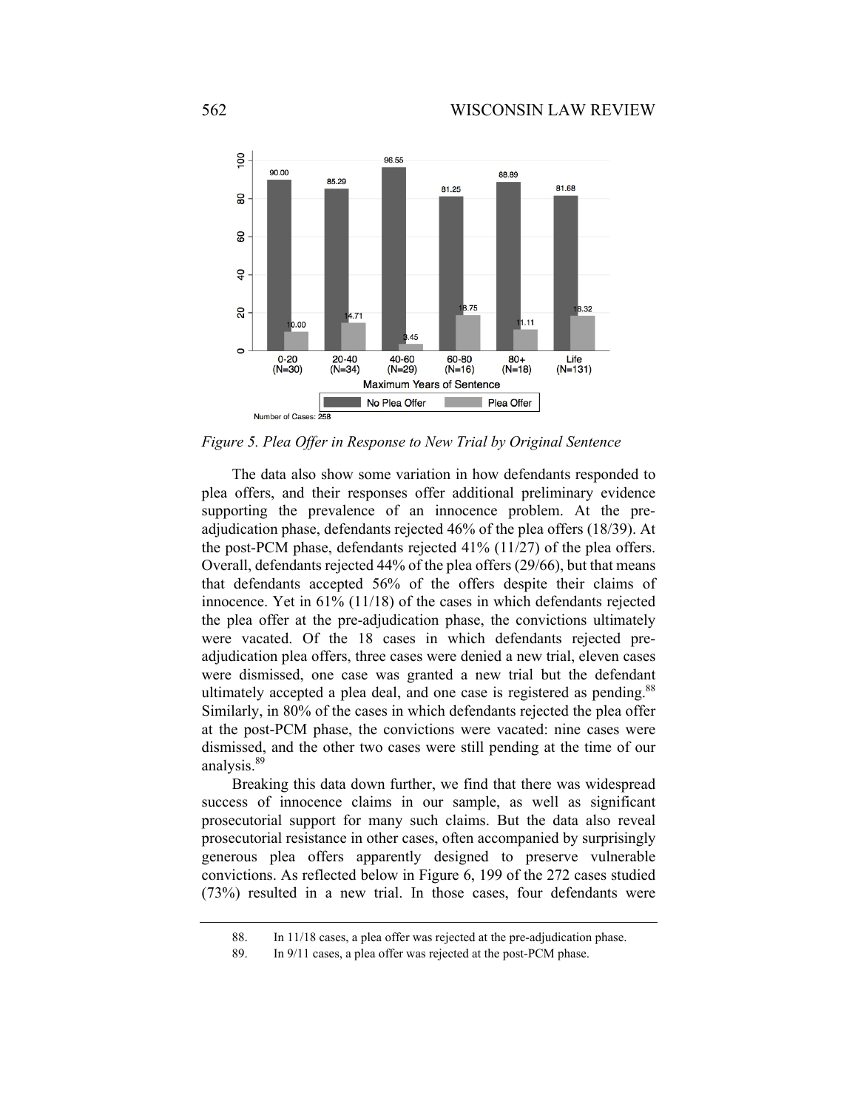

*Figure 5. Plea Offer in Response to New Trial by Original Sentence* 

The data also show some variation in how defendants responded to plea offers, and their responses offer additional preliminary evidence supporting the prevalence of an innocence problem. At the preadjudication phase, defendants rejected 46% of the plea offers (18/39). At the post-PCM phase, defendants rejected 41% (11/27) of the plea offers. Overall, defendants rejected 44% of the plea offers (29/66), but that means that defendants accepted 56% of the offers despite their claims of innocence. Yet in 61% (11/18) of the cases in which defendants rejected the plea offer at the pre-adjudication phase, the convictions ultimately were vacated. Of the 18 cases in which defendants rejected preadjudication plea offers, three cases were denied a new trial, eleven cases were dismissed, one case was granted a new trial but the defendant ultimately accepted a plea deal, and one case is registered as pending.<sup>88</sup> Similarly, in 80% of the cases in which defendants rejected the plea offer at the post-PCM phase, the convictions were vacated: nine cases were dismissed, and the other two cases were still pending at the time of our analysis.<sup>89</sup>

Breaking this data down further, we find that there was widespread success of innocence claims in our sample, as well as significant prosecutorial support for many such claims. But the data also reveal prosecutorial resistance in other cases, often accompanied by surprisingly generous plea offers apparently designed to preserve vulnerable convictions. As reflected below in Figure 6, 199 of the 272 cases studied (73%) resulted in a new trial. In those cases, four defendants were

 <sup>88.</sup> In 11/18 cases, a plea offer was rejected at the pre-adjudication phase.

 <sup>89.</sup> In 9/11 cases, a plea offer was rejected at the post-PCM phase.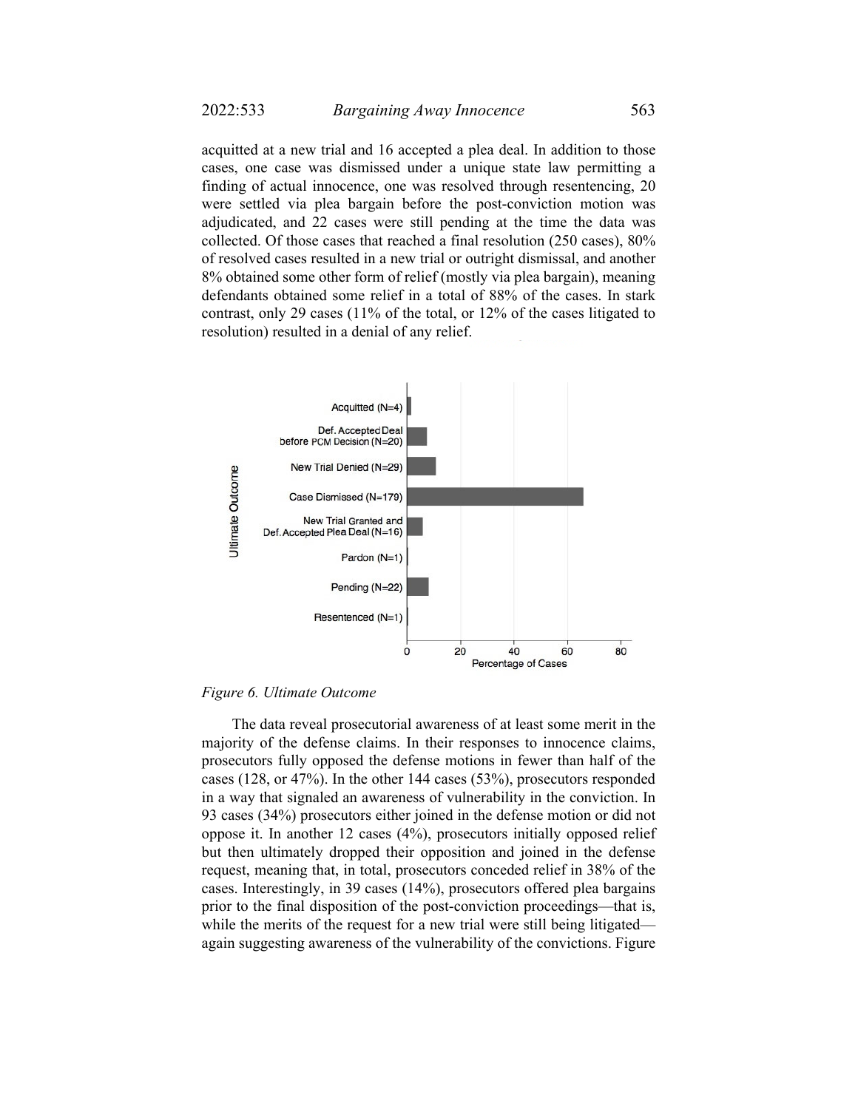acquitted at a new trial and 16 accepted a plea deal. In addition to those cases, one case was dismissed under a unique state law permitting a finding of actual innocence, one was resolved through resentencing, 20 were settled via plea bargain before the post-conviction motion was adjudicated, and 22 cases were still pending at the time the data was collected. Of those cases that reached a final resolution (250 cases), 80% of resolved cases resulted in a new trial or outright dismissal, and another 8% obtained some other form of relief (mostly via plea bargain), meaning defendants obtained some relief in a total of 88% of the cases. In stark contrast, only 29 cases (11% of the total, or 12% of the cases litigated to resolution) resulted in a denial of any relief.



*Figure 6. Ultimate Outcome* 

The data reveal prosecutorial awareness of at least some merit in the majority of the defense claims. In their responses to innocence claims, prosecutors fully opposed the defense motions in fewer than half of the cases (128, or 47%). In the other 144 cases (53%), prosecutors responded in a way that signaled an awareness of vulnerability in the conviction. In 93 cases (34%) prosecutors either joined in the defense motion or did not oppose it. In another 12 cases (4%), prosecutors initially opposed relief but then ultimately dropped their opposition and joined in the defense request, meaning that, in total, prosecutors conceded relief in 38% of the cases. Interestingly, in 39 cases (14%), prosecutors offered plea bargains prior to the final disposition of the post-conviction proceedings—that is, while the merits of the request for a new trial were still being litigated again suggesting awareness of the vulnerability of the convictions. Figure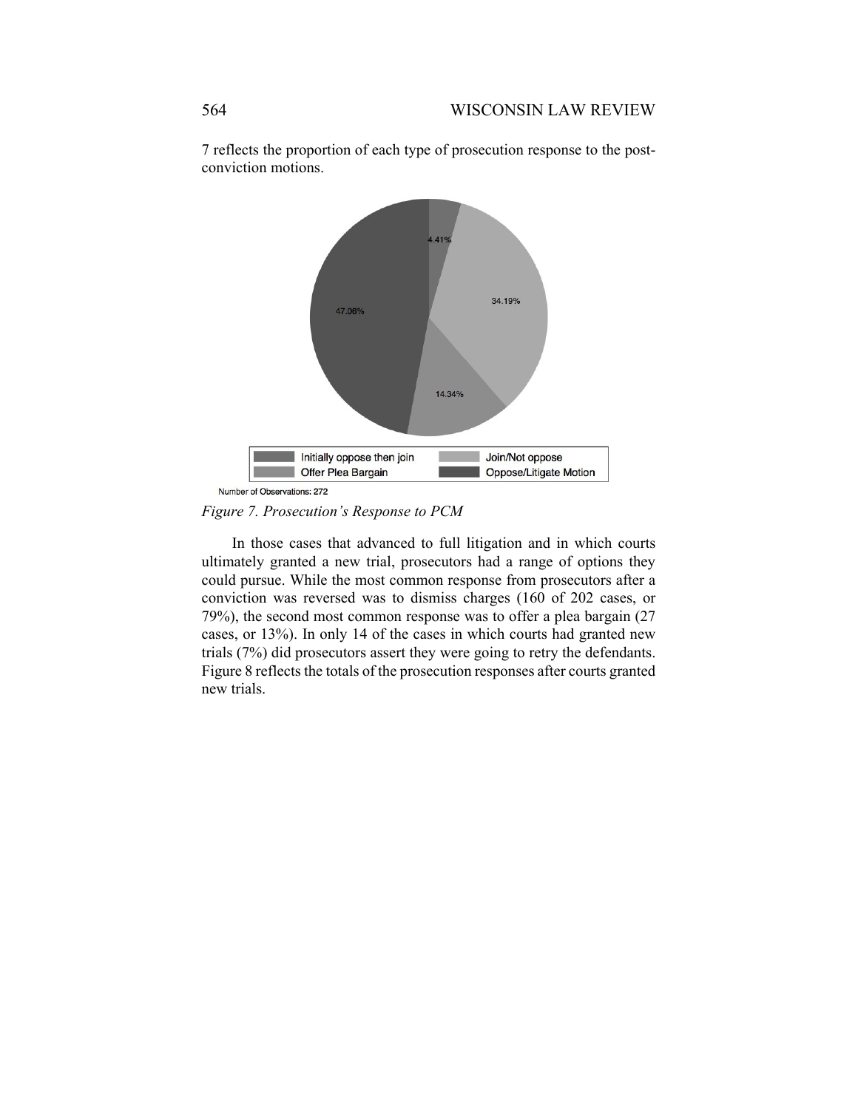

7 reflects the proportion of each type of prosecution response to the postconviction motions.

*Figure 7. Prosecution's Response to PCM* 

In those cases that advanced to full litigation and in which courts ultimately granted a new trial, prosecutors had a range of options they could pursue. While the most common response from prosecutors after a conviction was reversed was to dismiss charges (160 of 202 cases, or 79%), the second most common response was to offer a plea bargain (27 cases, or 13%). In only 14 of the cases in which courts had granted new trials (7%) did prosecutors assert they were going to retry the defendants. Figure 8 reflects the totals of the prosecution responses after courts granted new trials.

Number of Observations: 272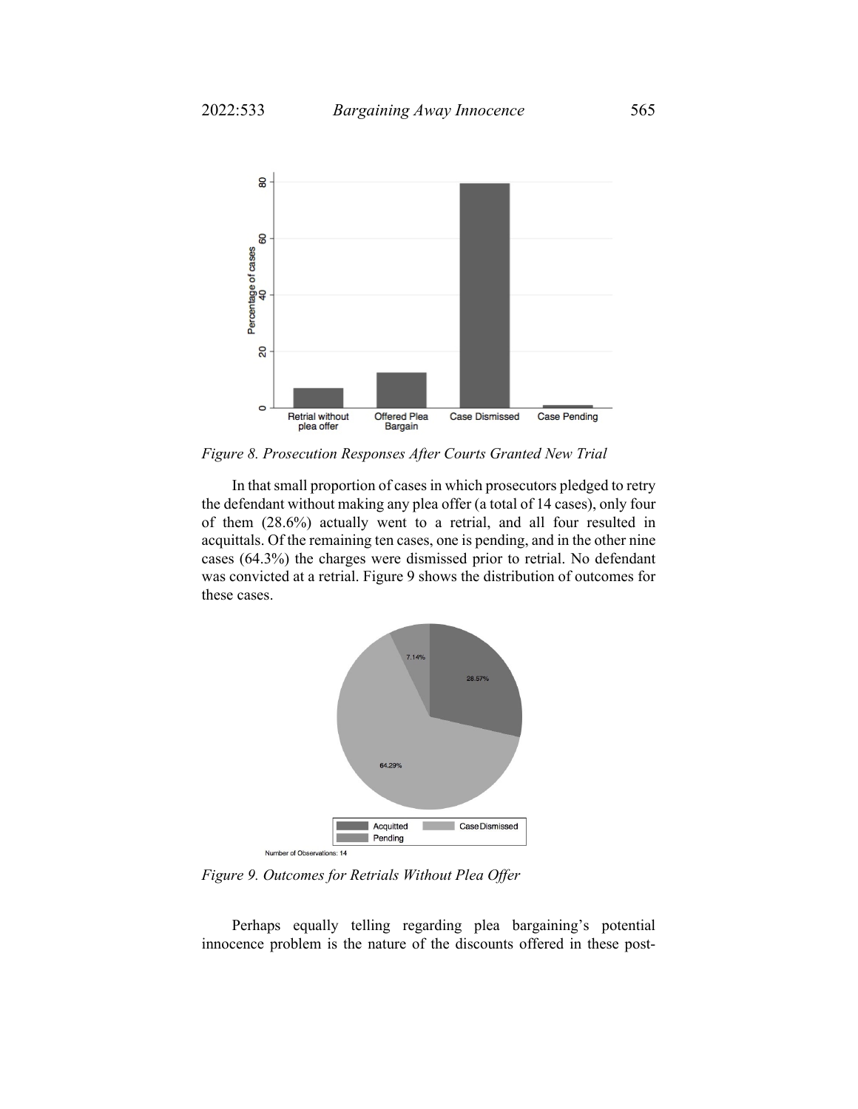

*Figure 8. Prosecution Responses After Courts Granted New Trial* 

In that small proportion of cases in which prosecutors pledged to retry the defendant without making any plea offer (a total of 14 cases), only four of them (28.6%) actually went to a retrial, and all four resulted in acquittals. Of the remaining ten cases, one is pending, and in the other nine cases (64.3%) the charges were dismissed prior to retrial. No defendant was convicted at a retrial. Figure 9 shows the distribution of outcomes for these cases.



*Figure 9. Outcomes for Retrials Without Plea Offer* 

Perhaps equally telling regarding plea bargaining's potential innocence problem is the nature of the discounts offered in these post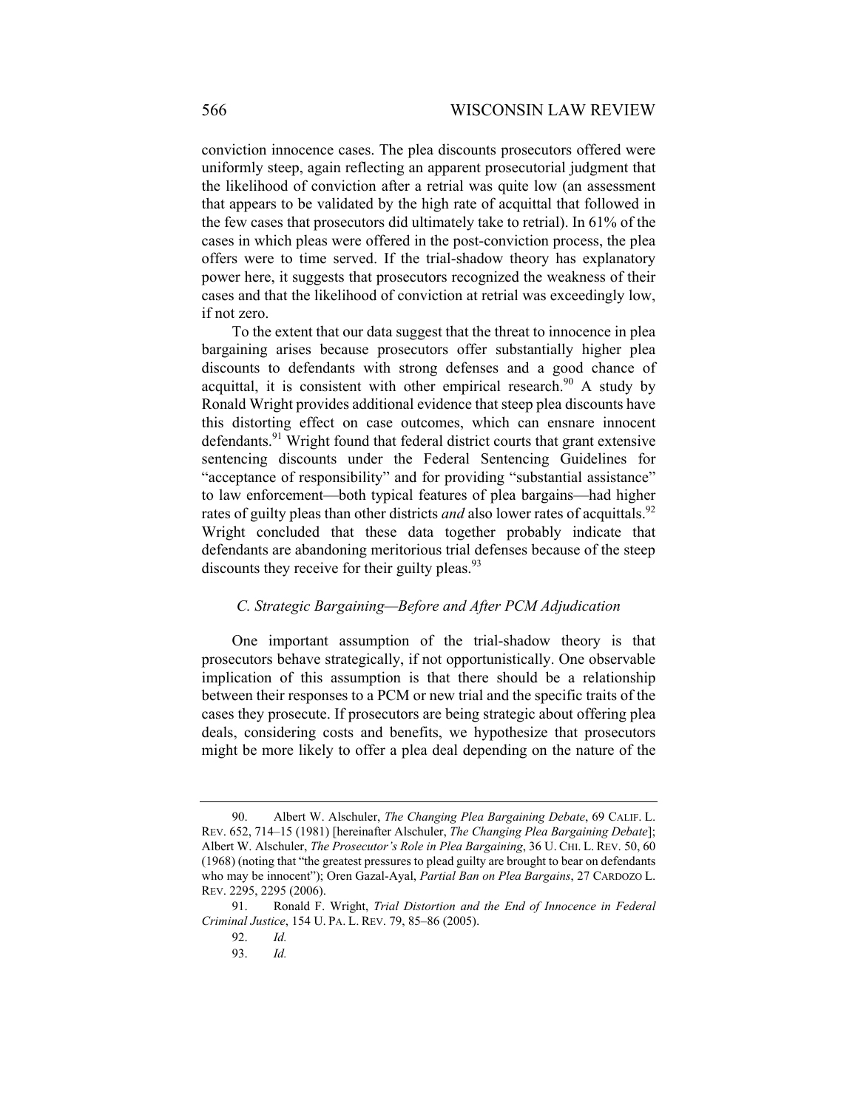conviction innocence cases. The plea discounts prosecutors offered were uniformly steep, again reflecting an apparent prosecutorial judgment that the likelihood of conviction after a retrial was quite low (an assessment that appears to be validated by the high rate of acquittal that followed in the few cases that prosecutors did ultimately take to retrial). In 61% of the cases in which pleas were offered in the post-conviction process, the plea offers were to time served. If the trial-shadow theory has explanatory power here, it suggests that prosecutors recognized the weakness of their cases and that the likelihood of conviction at retrial was exceedingly low, if not zero.

To the extent that our data suggest that the threat to innocence in plea bargaining arises because prosecutors offer substantially higher plea discounts to defendants with strong defenses and a good chance of acquittal, it is consistent with other empirical research.<sup>90</sup> A study by Ronald Wright provides additional evidence that steep plea discounts have this distorting effect on case outcomes, which can ensnare innocent defendants.<sup>91</sup> Wright found that federal district courts that grant extensive sentencing discounts under the Federal Sentencing Guidelines for "acceptance of responsibility" and for providing "substantial assistance" to law enforcement—both typical features of plea bargains—had higher rates of guilty pleas than other districts *and* also lower rates of acquittals.<sup>92</sup> Wright concluded that these data together probably indicate that defendants are abandoning meritorious trial defenses because of the steep discounts they receive for their guilty pleas. $93$ 

#### *C. Strategic Bargaining—Before and After PCM Adjudication*

One important assumption of the trial-shadow theory is that prosecutors behave strategically, if not opportunistically. One observable implication of this assumption is that there should be a relationship between their responses to a PCM or new trial and the specific traits of the cases they prosecute. If prosecutors are being strategic about offering plea deals, considering costs and benefits, we hypothesize that prosecutors might be more likely to offer a plea deal depending on the nature of the

 <sup>90.</sup> Albert W. Alschuler, *The Changing Plea Bargaining Debate*, 69 CALIF. L. REV. 652, 714–15 (1981) [hereinafter Alschuler, *The Changing Plea Bargaining Debate*]; Albert W. Alschuler, *The Prosecutor's Role in Plea Bargaining*, 36 U. CHI. L. REV. 50, 60 (1968) (noting that "the greatest pressures to plead guilty are brought to bear on defendants who may be innocent"); Oren Gazal-Ayal, *Partial Ban on Plea Bargains*, 27 CARDOZO L. REV. 2295, 2295 (2006).

 <sup>91.</sup> Ronald F. Wright, *Trial Distortion and the End of Innocence in Federal Criminal Justice*, 154 U. PA. L. REV. 79, 85–86 (2005).

 <sup>92.</sup> *Id.* 

 <sup>93.</sup> *Id.*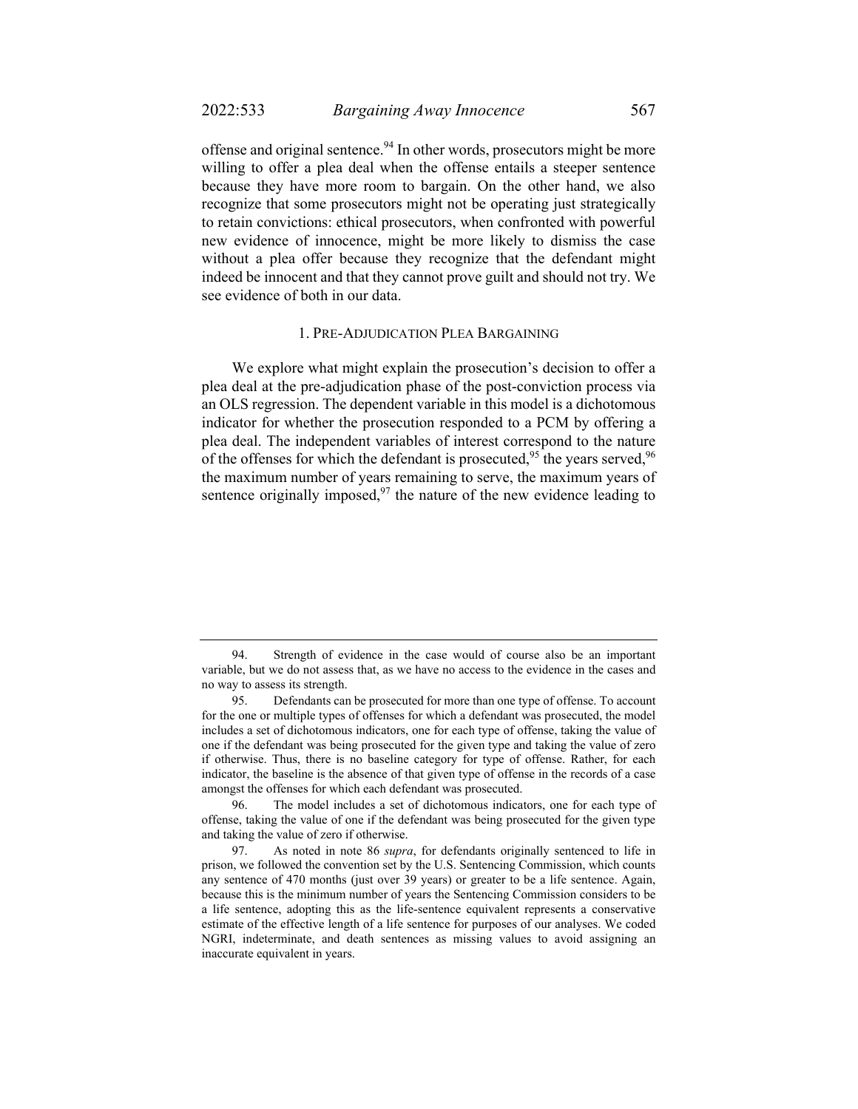offense and original sentence.<sup>94</sup> In other words, prosecutors might be more willing to offer a plea deal when the offense entails a steeper sentence because they have more room to bargain. On the other hand, we also recognize that some prosecutors might not be operating just strategically to retain convictions: ethical prosecutors, when confronted with powerful new evidence of innocence, might be more likely to dismiss the case without a plea offer because they recognize that the defendant might indeed be innocent and that they cannot prove guilt and should not try. We see evidence of both in our data.

#### 1. PRE-ADJUDICATION PLEA BARGAINING

We explore what might explain the prosecution's decision to offer a plea deal at the pre-adjudication phase of the post-conviction process via an OLS regression. The dependent variable in this model is a dichotomous indicator for whether the prosecution responded to a PCM by offering a plea deal. The independent variables of interest correspond to the nature of the offenses for which the defendant is prosecuted,  $95$  the years served,  $96$ the maximum number of years remaining to serve, the maximum years of sentence originally imposed, $97$  the nature of the new evidence leading to

 <sup>94.</sup> Strength of evidence in the case would of course also be an important variable, but we do not assess that, as we have no access to the evidence in the cases and no way to assess its strength.

 <sup>95.</sup> Defendants can be prosecuted for more than one type of offense. To account for the one or multiple types of offenses for which a defendant was prosecuted, the model includes a set of dichotomous indicators, one for each type of offense, taking the value of one if the defendant was being prosecuted for the given type and taking the value of zero if otherwise. Thus, there is no baseline category for type of offense. Rather, for each indicator, the baseline is the absence of that given type of offense in the records of a case amongst the offenses for which each defendant was prosecuted.

 <sup>96.</sup> The model includes a set of dichotomous indicators, one for each type of offense, taking the value of one if the defendant was being prosecuted for the given type and taking the value of zero if otherwise.

 <sup>97.</sup> As noted in note 86 *supra*, for defendants originally sentenced to life in prison, we followed the convention set by the U.S. Sentencing Commission, which counts any sentence of 470 months (just over 39 years) or greater to be a life sentence. Again, because this is the minimum number of years the Sentencing Commission considers to be a life sentence, adopting this as the life-sentence equivalent represents a conservative estimate of the effective length of a life sentence for purposes of our analyses. We coded NGRI, indeterminate, and death sentences as missing values to avoid assigning an inaccurate equivalent in years.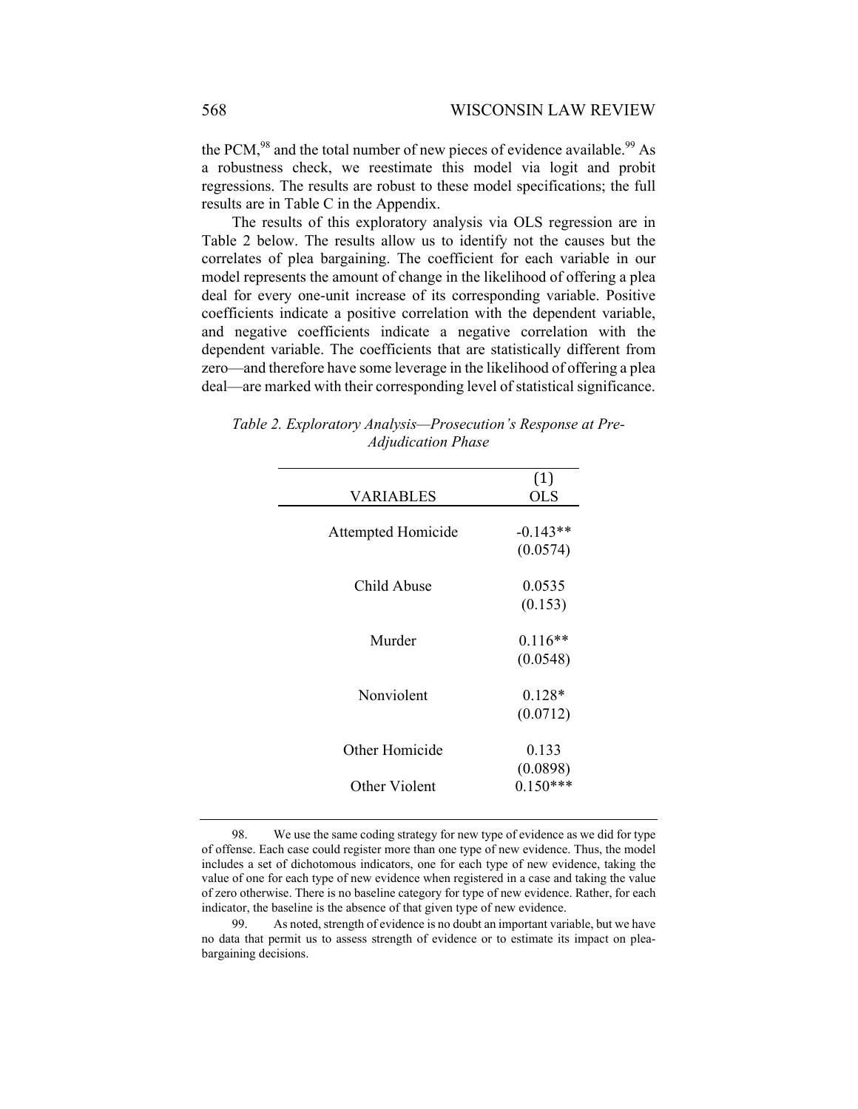the PCM, $98$  and the total number of new pieces of evidence available.  $99$  As a robustness check, we reestimate this model via logit and probit regressions. The results are robust to these model specifications; the full results are in Table C in the Appendix.

The results of this exploratory analysis via OLS regression are in Table 2 below. The results allow us to identify not the causes but the correlates of plea bargaining. The coefficient for each variable in our model represents the amount of change in the likelihood of offering a plea deal for every one-unit increase of its corresponding variable. Positive coefficients indicate a positive correlation with the dependent variable, and negative coefficients indicate a negative correlation with the dependent variable. The coefficients that are statistically different from zero—and therefore have some leverage in the likelihood of offering a plea deal—are marked with their corresponding level of statistical significance.

| (1)        |
|------------|
| <b>OLS</b> |
|            |
| $-0.143**$ |
| (0.0574)   |
| 0.0535     |
| (0.153)    |
|            |
| $0.116**$  |
| (0.0548)   |
| $0.128*$   |
| (0.0712)   |
|            |
| 0.133      |
| (0.0898)   |
| $0.150***$ |
|            |

*Table 2. Exploratory Analysis—Prosecution's Response at Pre-Adjudication Phase* 

 98. We use the same coding strategy for new type of evidence as we did for type of offense. Each case could register more than one type of new evidence. Thus, the model includes a set of dichotomous indicators, one for each type of new evidence, taking the value of one for each type of new evidence when registered in a case and taking the value of zero otherwise. There is no baseline category for type of new evidence. Rather, for each indicator, the baseline is the absence of that given type of new evidence.

 99. As noted, strength of evidence is no doubt an important variable, but we have no data that permit us to assess strength of evidence or to estimate its impact on pleabargaining decisions.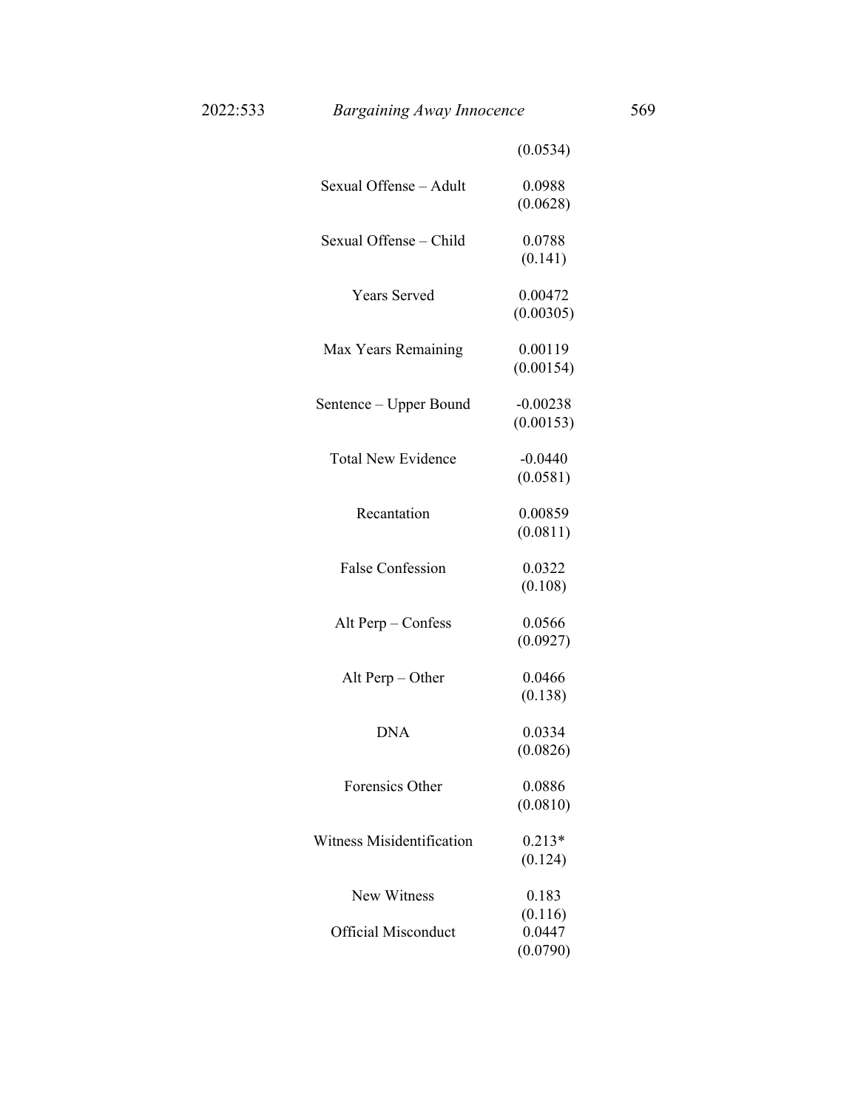|                            | (0.0534)                      |
|----------------------------|-------------------------------|
| Sexual Offense - Adult     | 0.0988<br>(0.0628)            |
| Sexual Offense - Child     | 0.0788<br>(0.141)             |
| <b>Years Served</b>        | 0.00472<br>(0.00305)          |
| Max Years Remaining        | 0.00119<br>(0.00154)          |
| Sentence – Upper Bound     | $-0.00238$<br>(0.00153)       |
| <b>Total New Evidence</b>  | $-0.0440$<br>(0.0581)         |
| Recantation                | 0.00859<br>(0.0811)           |
| <b>False Confession</b>    | 0.0322<br>(0.108)             |
| Alt Perp - Confess         | 0.0566<br>(0.0927)            |
| Alt Perp - Other           | 0.0466<br>(0.138)             |
| <b>DNA</b>                 | 0.0334<br>(0.0826)            |
| Forensics Other            | 0.0886<br>(0.0810)            |
| Witness Misidentification  | $0.213*$<br>(0.124)           |
| New Witness                | 0.183                         |
| <b>Official Misconduct</b> | (0.116)<br>0.0447<br>(0.0790) |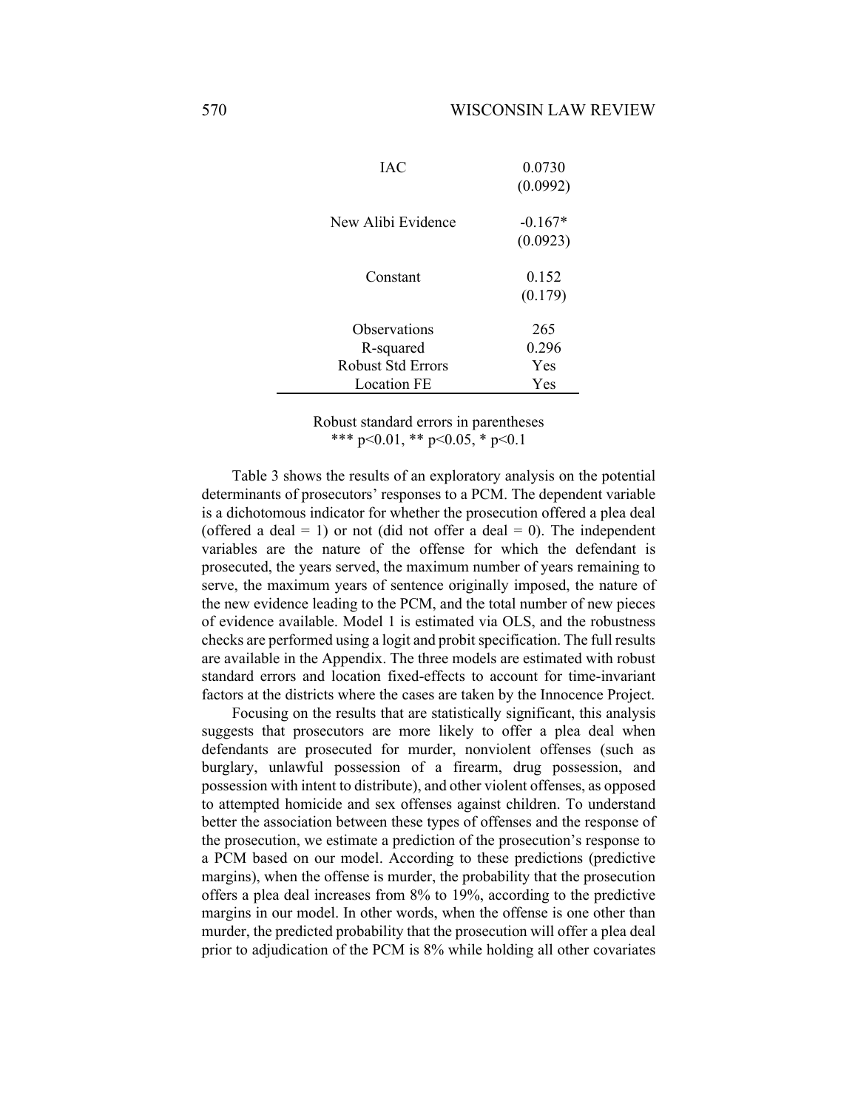| IAC                       | 0.0730<br>(0.0992)    |
|---------------------------|-----------------------|
| New Alibi Evidence        | $-0.167*$<br>(0.0923) |
| Constant                  | 0.152<br>(0.179)      |
| Observations<br>R-squared | 265<br>0.296          |
| <b>Robust Std Errors</b>  | Yes                   |
| Location FE               | Yes                   |
|                           |                       |

Robust standard errors in parentheses \*\*\* p<0.01, \*\* p<0.05, \* p<0.1

Table 3 shows the results of an exploratory analysis on the potential determinants of prosecutors' responses to a PCM. The dependent variable is a dichotomous indicator for whether the prosecution offered a plea deal (offered a deal  $= 1$ ) or not (did not offer a deal  $= 0$ ). The independent variables are the nature of the offense for which the defendant is prosecuted, the years served, the maximum number of years remaining to serve, the maximum years of sentence originally imposed, the nature of the new evidence leading to the PCM, and the total number of new pieces of evidence available. Model 1 is estimated via OLS, and the robustness checks are performed using a logit and probit specification. The full results are available in the Appendix. The three models are estimated with robust standard errors and location fixed-effects to account for time-invariant factors at the districts where the cases are taken by the Innocence Project.

Focusing on the results that are statistically significant, this analysis suggests that prosecutors are more likely to offer a plea deal when defendants are prosecuted for murder, nonviolent offenses (such as burglary, unlawful possession of a firearm, drug possession, and possession with intent to distribute), and other violent offenses, as opposed to attempted homicide and sex offenses against children. To understand better the association between these types of offenses and the response of the prosecution, we estimate a prediction of the prosecution's response to a PCM based on our model. According to these predictions (predictive margins), when the offense is murder, the probability that the prosecution offers a plea deal increases from 8% to 19%, according to the predictive margins in our model. In other words, when the offense is one other than murder, the predicted probability that the prosecution will offer a plea deal prior to adjudication of the PCM is 8% while holding all other covariates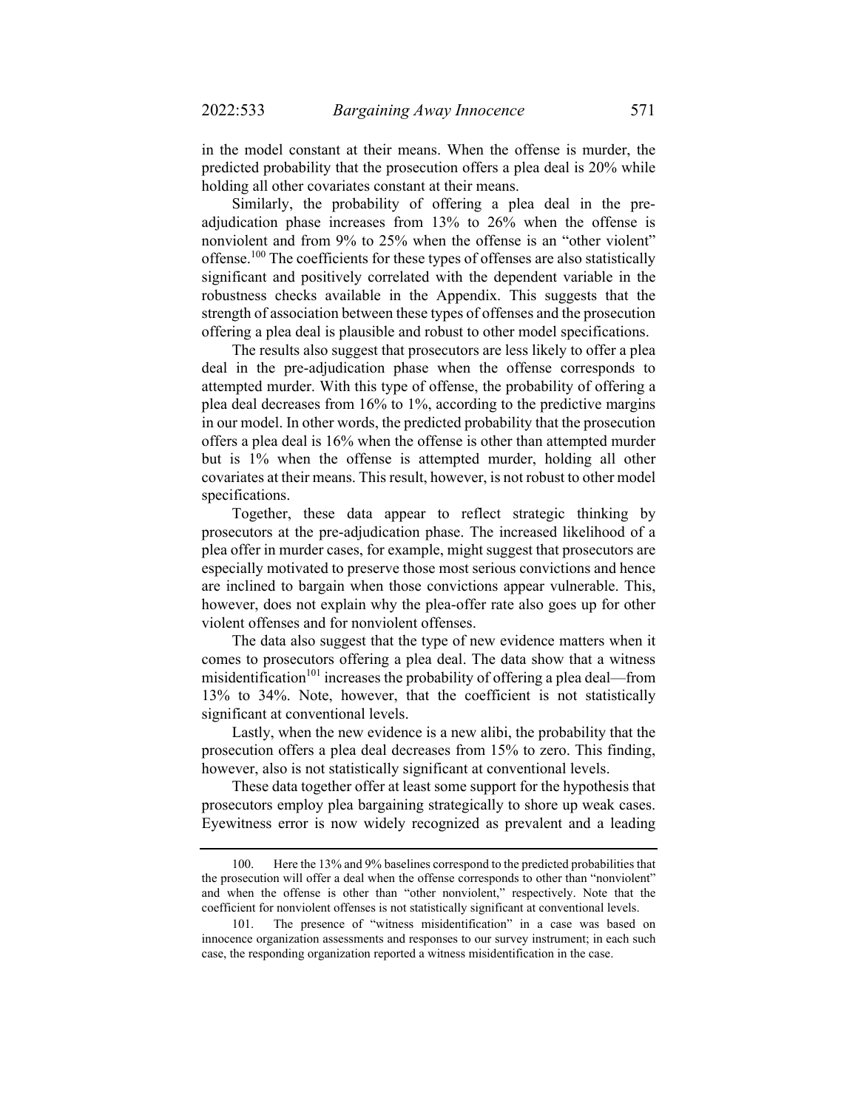in the model constant at their means. When the offense is murder, the predicted probability that the prosecution offers a plea deal is 20% while holding all other covariates constant at their means.

Similarly, the probability of offering a plea deal in the preadjudication phase increases from 13% to 26% when the offense is nonviolent and from 9% to 25% when the offense is an "other violent" offense.100 The coefficients for these types of offenses are also statistically significant and positively correlated with the dependent variable in the robustness checks available in the Appendix. This suggests that the strength of association between these types of offenses and the prosecution offering a plea deal is plausible and robust to other model specifications.

The results also suggest that prosecutors are less likely to offer a plea deal in the pre-adjudication phase when the offense corresponds to attempted murder. With this type of offense, the probability of offering a plea deal decreases from 16% to 1%, according to the predictive margins in our model. In other words, the predicted probability that the prosecution offers a plea deal is 16% when the offense is other than attempted murder but is 1% when the offense is attempted murder, holding all other covariates at their means. This result, however, is not robust to other model specifications.

Together, these data appear to reflect strategic thinking by prosecutors at the pre-adjudication phase. The increased likelihood of a plea offer in murder cases, for example, might suggest that prosecutors are especially motivated to preserve those most serious convictions and hence are inclined to bargain when those convictions appear vulnerable. This, however, does not explain why the plea-offer rate also goes up for other violent offenses and for nonviolent offenses.

The data also suggest that the type of new evidence matters when it comes to prosecutors offering a plea deal. The data show that a witness misidentification<sup>101</sup> increases the probability of offering a plea deal—from 13% to 34%. Note, however, that the coefficient is not statistically significant at conventional levels.

Lastly, when the new evidence is a new alibi, the probability that the prosecution offers a plea deal decreases from 15% to zero. This finding, however, also is not statistically significant at conventional levels.

These data together offer at least some support for the hypothesis that prosecutors employ plea bargaining strategically to shore up weak cases. Eyewitness error is now widely recognized as prevalent and a leading

 <sup>100.</sup> Here the 13% and 9% baselines correspond to the predicted probabilities that the prosecution will offer a deal when the offense corresponds to other than "nonviolent" and when the offense is other than "other nonviolent," respectively. Note that the coefficient for nonviolent offenses is not statistically significant at conventional levels.

 <sup>101.</sup> The presence of "witness misidentification" in a case was based on innocence organization assessments and responses to our survey instrument; in each such case, the responding organization reported a witness misidentification in the case.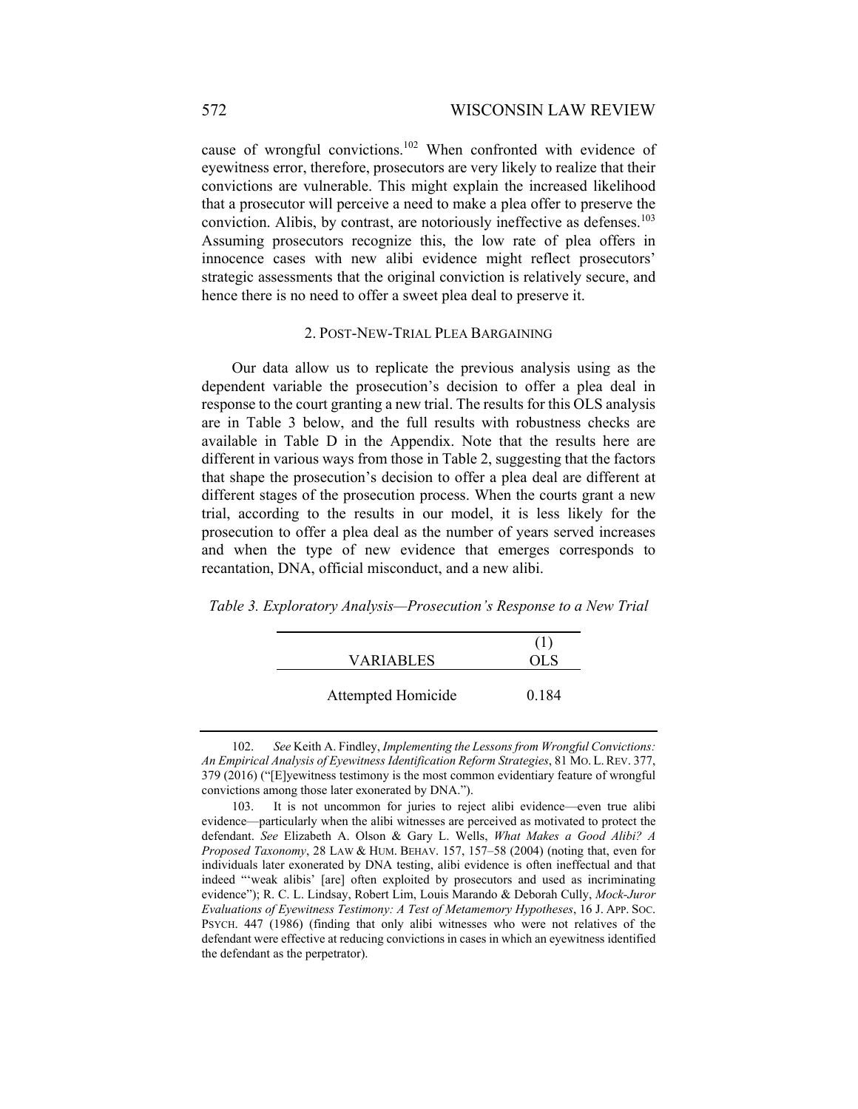cause of wrongful convictions.102 When confronted with evidence of eyewitness error, therefore, prosecutors are very likely to realize that their convictions are vulnerable. This might explain the increased likelihood that a prosecutor will perceive a need to make a plea offer to preserve the conviction. Alibis, by contrast, are notoriously ineffective as defenses.<sup>103</sup> Assuming prosecutors recognize this, the low rate of plea offers in innocence cases with new alibi evidence might reflect prosecutors' strategic assessments that the original conviction is relatively secure, and hence there is no need to offer a sweet plea deal to preserve it.

#### 2. POST-NEW-TRIAL PLEA BARGAINING

Our data allow us to replicate the previous analysis using as the dependent variable the prosecution's decision to offer a plea deal in response to the court granting a new trial. The results for this OLS analysis are in Table 3 below, and the full results with robustness checks are available in Table D in the Appendix. Note that the results here are different in various ways from those in Table 2, suggesting that the factors that shape the prosecution's decision to offer a plea deal are different at different stages of the prosecution process. When the courts grant a new trial, according to the results in our model, it is less likely for the prosecution to offer a plea deal as the number of years served increases and when the type of new evidence that emerges corresponds to recantation, DNA, official misconduct, and a new alibi.

*Table 3. Exploratory Analysis—Prosecution's Response to a New Trial* 

| <b>VARIABLES</b>   | OL S  |
|--------------------|-------|
| Attempted Homicide | 0.184 |

 <sup>102.</sup> *See* Keith A. Findley, *Implementing the Lessons from Wrongful Convictions: An Empirical Analysis of Eyewitness Identification Reform Strategies*, 81 MO. L.REV. 377, 379 (2016) ("[E]yewitness testimony is the most common evidentiary feature of wrongful convictions among those later exonerated by DNA.").

 <sup>103.</sup> It is not uncommon for juries to reject alibi evidence—even true alibi evidence—particularly when the alibi witnesses are perceived as motivated to protect the defendant. *See* Elizabeth A. Olson & Gary L. Wells, *What Makes a Good Alibi? A Proposed Taxonomy*, 28 LAW & HUM. BEHAV. 157, 157–58 (2004) (noting that, even for individuals later exonerated by DNA testing, alibi evidence is often ineffectual and that indeed "'weak alibis' [are] often exploited by prosecutors and used as incriminating evidence"); R. C. L. Lindsay, Robert Lim, Louis Marando & Deborah Cully, *Mock-Juror Evaluations of Eyewitness Testimony: A Test of Metamemory Hypotheses*, 16 J. APP. SOC. PSYCH. 447 (1986) (finding that only alibi witnesses who were not relatives of the defendant were effective at reducing convictions in cases in which an eyewitness identified the defendant as the perpetrator).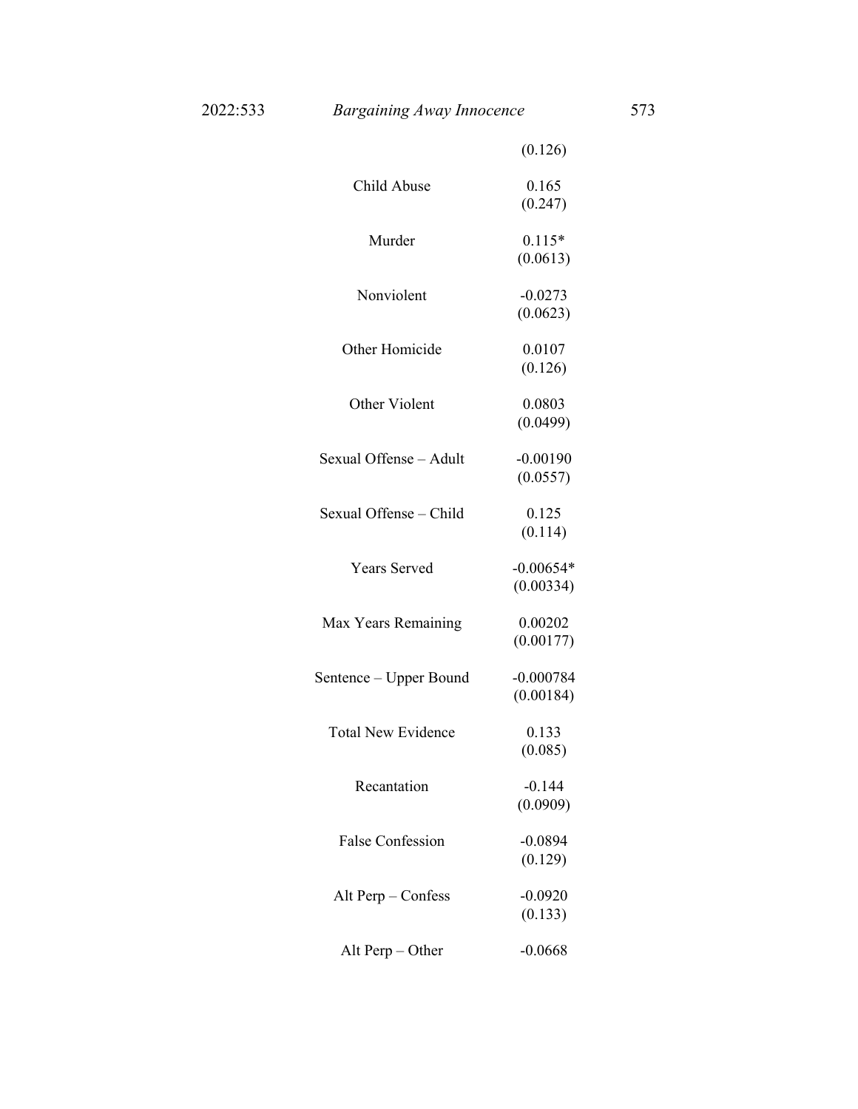|                           | (0.126)                  |
|---------------------------|--------------------------|
| Child Abuse               | 0.165<br>(0.247)         |
| Murder                    | $0.115*$<br>(0.0613)     |
| Nonviolent                | $-0.0273$<br>(0.0623)    |
| Other Homicide            | 0.0107<br>(0.126)        |
| Other Violent             | 0.0803<br>(0.0499)       |
| Sexual Offense - Adult    | $-0.00190$<br>(0.0557)   |
| Sexual Offense - Child    | 0.125<br>(0.114)         |
| <b>Years Served</b>       | $-0.00654*$<br>(0.00334) |
| Max Years Remaining       | 0.00202<br>(0.00177)     |
| Sentence – Upper Bound    | $-0.000784$<br>(0.00184) |
| <b>Total New Evidence</b> | 0.133<br>(0.085)         |
| Recantation               | $-0.144$<br>(0.0909)     |
| <b>False Confession</b>   | $-0.0894$<br>(0.129)     |
| Alt Perp $-$ Confess      | $-0.0920$<br>(0.133)     |
| Alt Perp $-$ Other        | $-0.0668$                |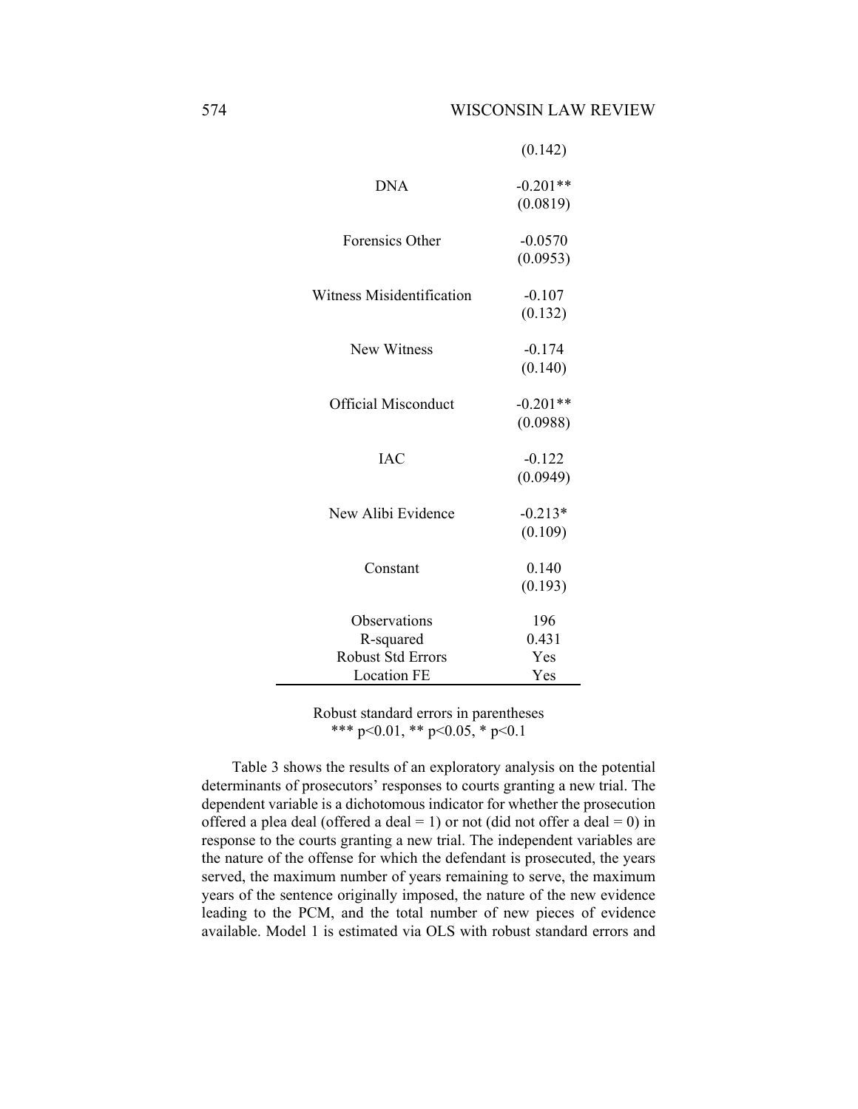|                                                       | (0.142)                    |
|-------------------------------------------------------|----------------------------|
| <b>DNA</b>                                            | $-0.201**$<br>(0.0819)     |
| Forensics Other                                       | $-0.0570$<br>(0.0953)      |
| Witness Misidentification                             | $-0.107$<br>(0.132)        |
| New Witness                                           | $-0.174$<br>(0.140)        |
| Official Misconduct                                   | $-0.201**$<br>(0.0988)     |
| <b>IAC</b>                                            | $-0.122$<br>(0.0949)       |
| New Alibi Evidence                                    | $-0.213*$<br>(0.109)       |
| Constant                                              | 0.140<br>(0.193)           |
| Observations<br>R-squared<br><b>Robust Std Errors</b> | 196<br>0.431<br>Yes<br>Yes |
| <b>Location FE</b>                                    |                            |

Robust standard errors in parentheses \*\*\* p<0.01, \*\* p<0.05, \* p<0.1

Table 3 shows the results of an exploratory analysis on the potential determinants of prosecutors' responses to courts granting a new trial. The dependent variable is a dichotomous indicator for whether the prosecution offered a plea deal (offered a deal = 1) or not (did not offer a deal = 0) in response to the courts granting a new trial. The independent variables are the nature of the offense for which the defendant is prosecuted, the years served, the maximum number of years remaining to serve, the maximum years of the sentence originally imposed, the nature of the new evidence leading to the PCM, and the total number of new pieces of evidence available. Model 1 is estimated via OLS with robust standard errors and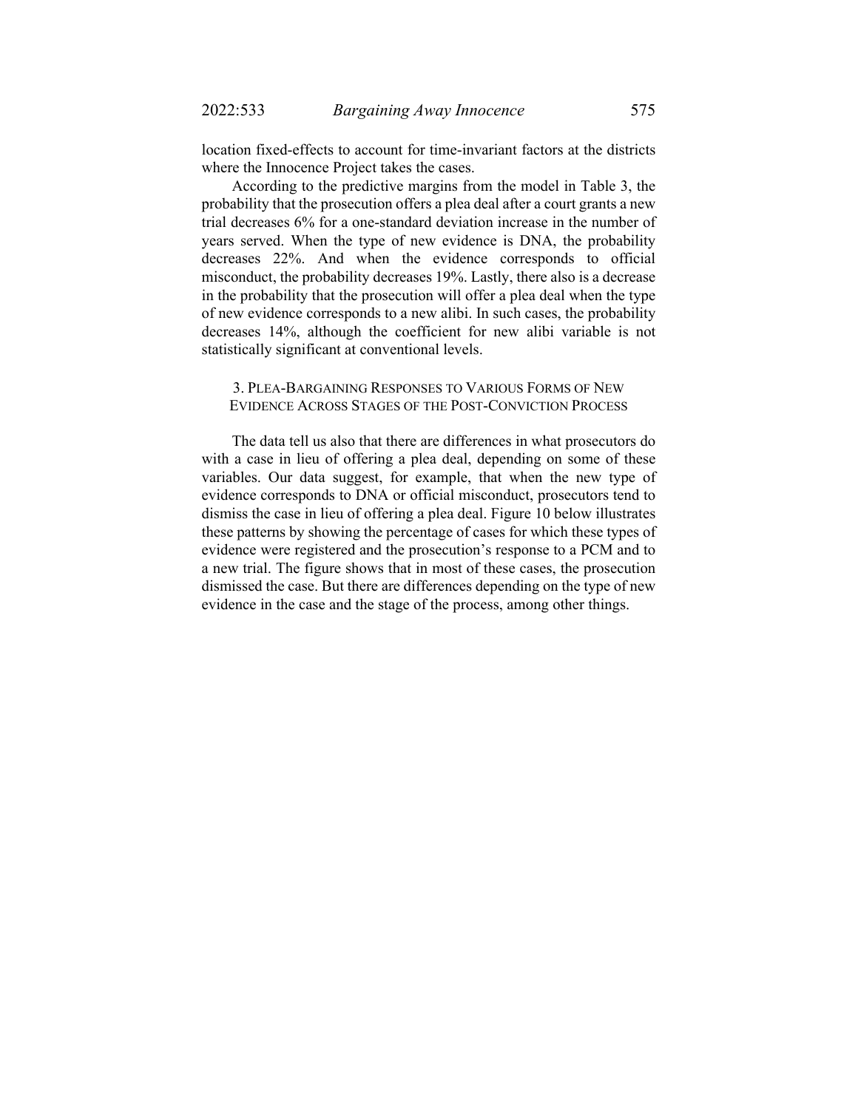location fixed-effects to account for time-invariant factors at the districts where the Innocence Project takes the cases.

According to the predictive margins from the model in Table 3, the probability that the prosecution offers a plea deal after a court grants a new trial decreases 6% for a one-standard deviation increase in the number of years served. When the type of new evidence is DNA, the probability decreases 22%. And when the evidence corresponds to official misconduct, the probability decreases 19%. Lastly, there also is a decrease in the probability that the prosecution will offer a plea deal when the type of new evidence corresponds to a new alibi. In such cases, the probability decreases 14%, although the coefficient for new alibi variable is not statistically significant at conventional levels.

## 3. PLEA-BARGAINING RESPONSES TO VARIOUS FORMS OF NEW EVIDENCE ACROSS STAGES OF THE POST-CONVICTION PROCESS

The data tell us also that there are differences in what prosecutors do with a case in lieu of offering a plea deal, depending on some of these variables. Our data suggest, for example, that when the new type of evidence corresponds to DNA or official misconduct, prosecutors tend to dismiss the case in lieu of offering a plea deal. Figure 10 below illustrates these patterns by showing the percentage of cases for which these types of evidence were registered and the prosecution's response to a PCM and to a new trial. The figure shows that in most of these cases, the prosecution dismissed the case. But there are differences depending on the type of new evidence in the case and the stage of the process, among other things.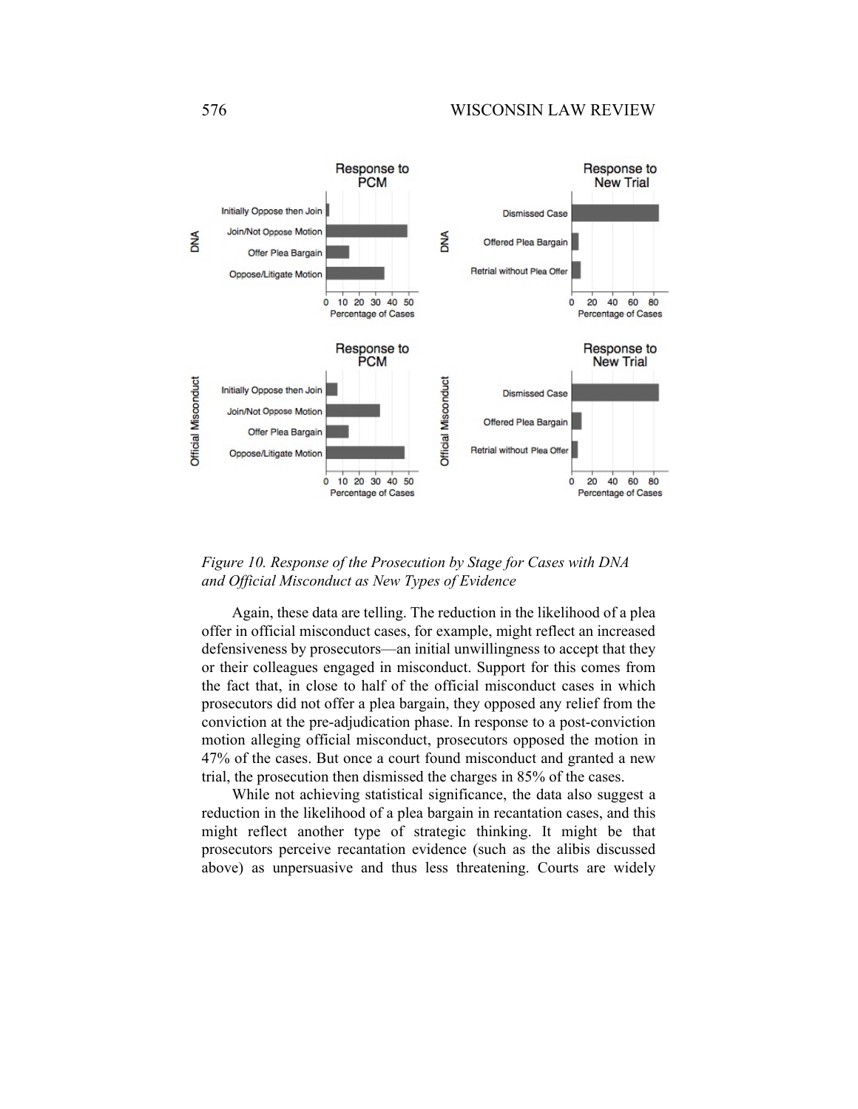

# *Figure 10. Response of the Prosecution by Stage for Cases with DNA and Official Misconduct as New Types of Evidence*

Again, these data are telling. The reduction in the likelihood of a plea offer in official misconduct cases, for example, might reflect an increased defensiveness by prosecutors—an initial unwillingness to accept that they or their colleagues engaged in misconduct. Support for this comes from the fact that, in close to half of the official misconduct cases in which prosecutors did not offer a plea bargain, they opposed any relief from the conviction at the pre-adjudication phase. In response to a post-conviction motion alleging official misconduct, prosecutors opposed the motion in 47% of the cases. But once a court found misconduct and granted a new trial, the prosecution then dismissed the charges in 85% of the cases.

While not achieving statistical significance, the data also suggest a reduction in the likelihood of a plea bargain in recantation cases, and this might reflect another type of strategic thinking. It might be that prosecutors perceive recantation evidence (such as the alibis discussed above) as unpersuasive and thus less threatening. Courts are widely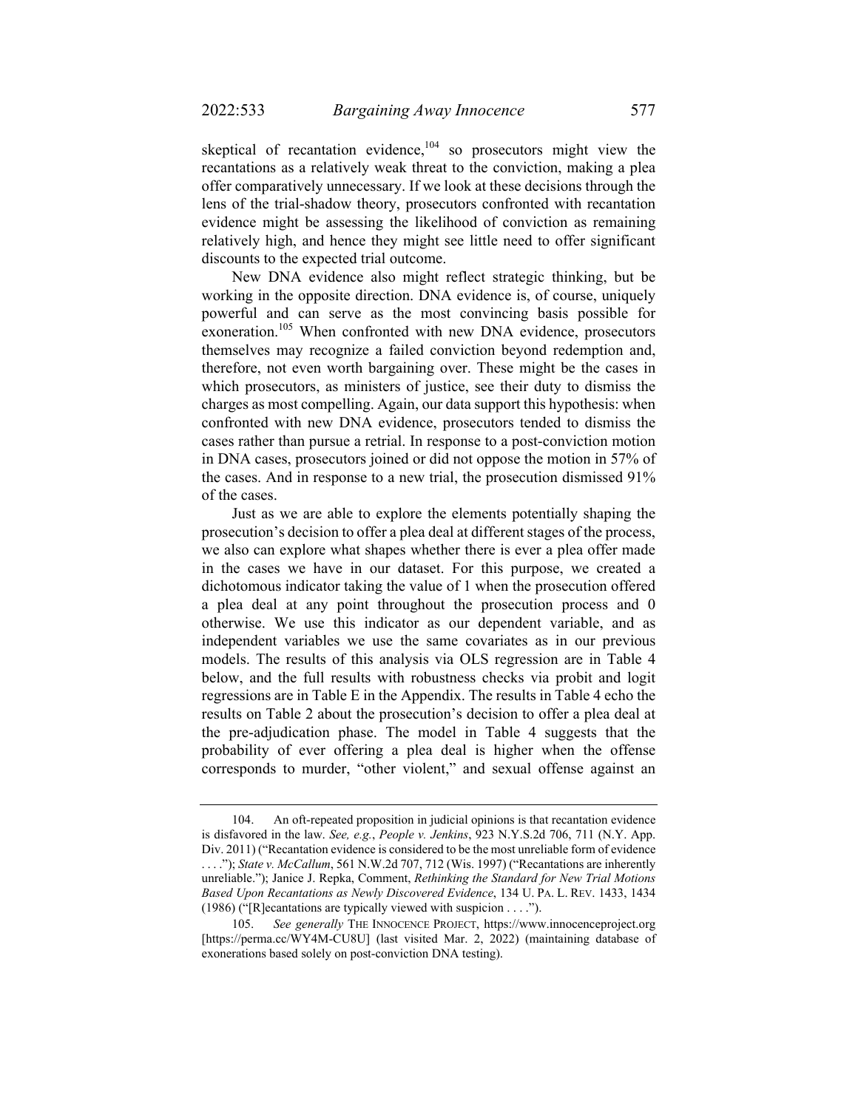skeptical of recantation evidence, $104$  so prosecutors might view the recantations as a relatively weak threat to the conviction, making a plea offer comparatively unnecessary. If we look at these decisions through the lens of the trial-shadow theory, prosecutors confronted with recantation evidence might be assessing the likelihood of conviction as remaining relatively high, and hence they might see little need to offer significant discounts to the expected trial outcome.

New DNA evidence also might reflect strategic thinking, but be working in the opposite direction. DNA evidence is, of course, uniquely powerful and can serve as the most convincing basis possible for exoneration.<sup>105</sup> When confronted with new DNA evidence, prosecutors themselves may recognize a failed conviction beyond redemption and, therefore, not even worth bargaining over. These might be the cases in which prosecutors, as ministers of justice, see their duty to dismiss the charges as most compelling. Again, our data support this hypothesis: when confronted with new DNA evidence, prosecutors tended to dismiss the cases rather than pursue a retrial. In response to a post-conviction motion in DNA cases, prosecutors joined or did not oppose the motion in 57% of the cases. And in response to a new trial, the prosecution dismissed 91% of the cases.

Just as we are able to explore the elements potentially shaping the prosecution's decision to offer a plea deal at different stages of the process, we also can explore what shapes whether there is ever a plea offer made in the cases we have in our dataset. For this purpose, we created a dichotomous indicator taking the value of 1 when the prosecution offered a plea deal at any point throughout the prosecution process and 0 otherwise. We use this indicator as our dependent variable, and as independent variables we use the same covariates as in our previous models. The results of this analysis via OLS regression are in Table 4 below, and the full results with robustness checks via probit and logit regressions are in Table E in the Appendix. The results in Table 4 echo the results on Table 2 about the prosecution's decision to offer a plea deal at the pre-adjudication phase. The model in Table 4 suggests that the probability of ever offering a plea deal is higher when the offense corresponds to murder, "other violent," and sexual offense against an

 <sup>104.</sup> An oft-repeated proposition in judicial opinions is that recantation evidence is disfavored in the law. *See, e.g.*, *People v. Jenkins*, 923 N.Y.S.2d 706, 711 (N.Y. App. Div. 2011) ("Recantation evidence is considered to be the most unreliable form of evidence . . . ."); *State v. McCallum*, 561 N.W.2d 707, 712 (Wis. 1997) ("Recantations are inherently unreliable."); Janice J. Repka, Comment, *Rethinking the Standard for New Trial Motions Based Upon Recantations as Newly Discovered Evidence*, 134 U. PA. L. REV. 1433, 1434 (1986) ("[R]ecantations are typically viewed with suspicion . . . .").

 <sup>105.</sup> *See generally* THE INNOCENCE PROJECT, https://www.innocenceproject.org [https://perma.cc/WY4M-CU8U] (last visited Mar. 2, 2022) (maintaining database of exonerations based solely on post-conviction DNA testing).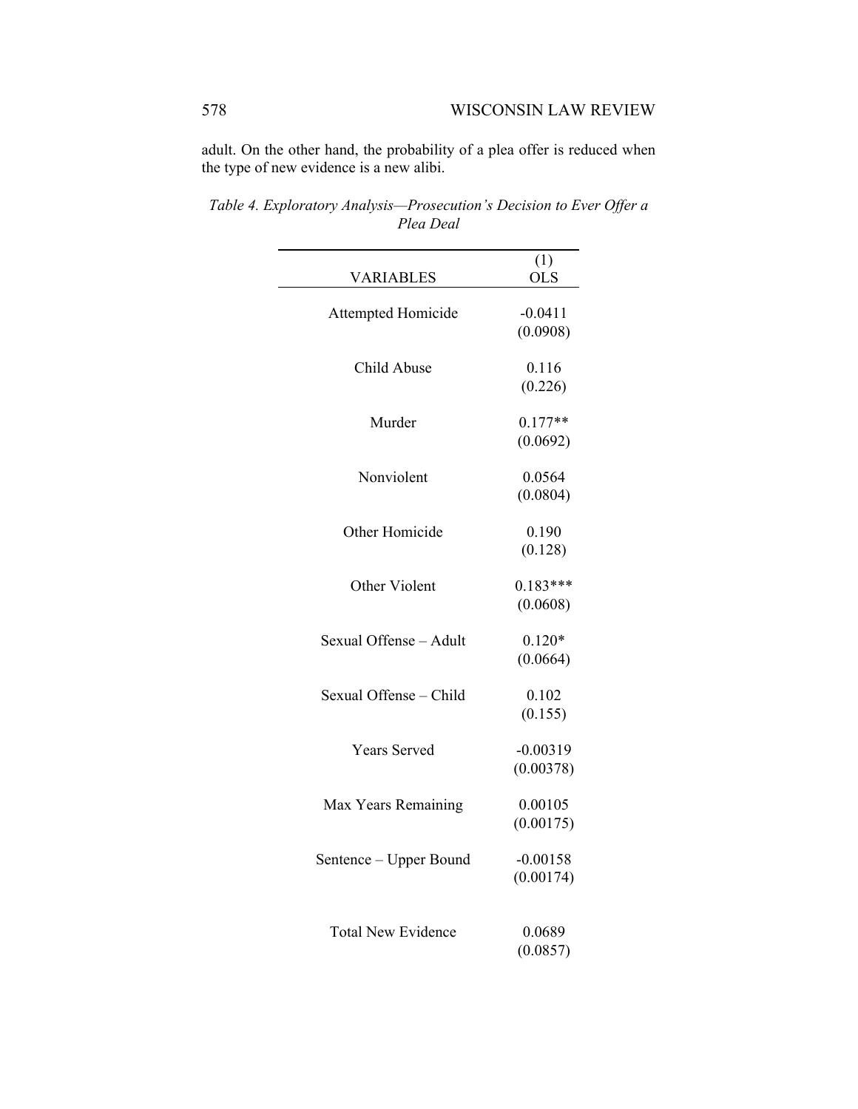adult. On the other hand, the probability of a plea offer is reduced when the type of new evidence is a new alibi.

|                           | (1)                  |
|---------------------------|----------------------|
| <b>VARIABLES</b>          | <b>OLS</b>           |
| Attempted Homicide        | $-0.0411$            |
|                           | (0.0908)             |
|                           |                      |
| Child Abuse               | 0.116                |
|                           | (0.226)              |
| Murder                    | $0.177**$            |
|                           | (0.0692)             |
|                           |                      |
| Nonviolent                | 0.0564               |
|                           | (0.0804)             |
|                           |                      |
| Other Homicide            | 0.190                |
|                           | (0.128)              |
| Other Violent             | $0.183***$           |
|                           | (0.0608)             |
|                           |                      |
| Sexual Offense - Adult    | $0.120*$             |
|                           | (0.0664)             |
| Sexual Offense - Child    | 0.102                |
|                           | (0.155)              |
|                           |                      |
| <b>Years Served</b>       | $-0.00319$           |
|                           | (0.00378)            |
|                           |                      |
| Max Years Remaining       | 0.00105<br>(0.00175) |
|                           |                      |
| Sentence - Upper Bound    | $-0.00158$           |
|                           | (0.00174)            |
|                           |                      |
| <b>Total New Evidence</b> |                      |
|                           | 0.0689               |
|                           | (0.0857)             |

*Table 4. Exploratory Analysis—Prosecution's Decision to Ever Offer a Plea Deal*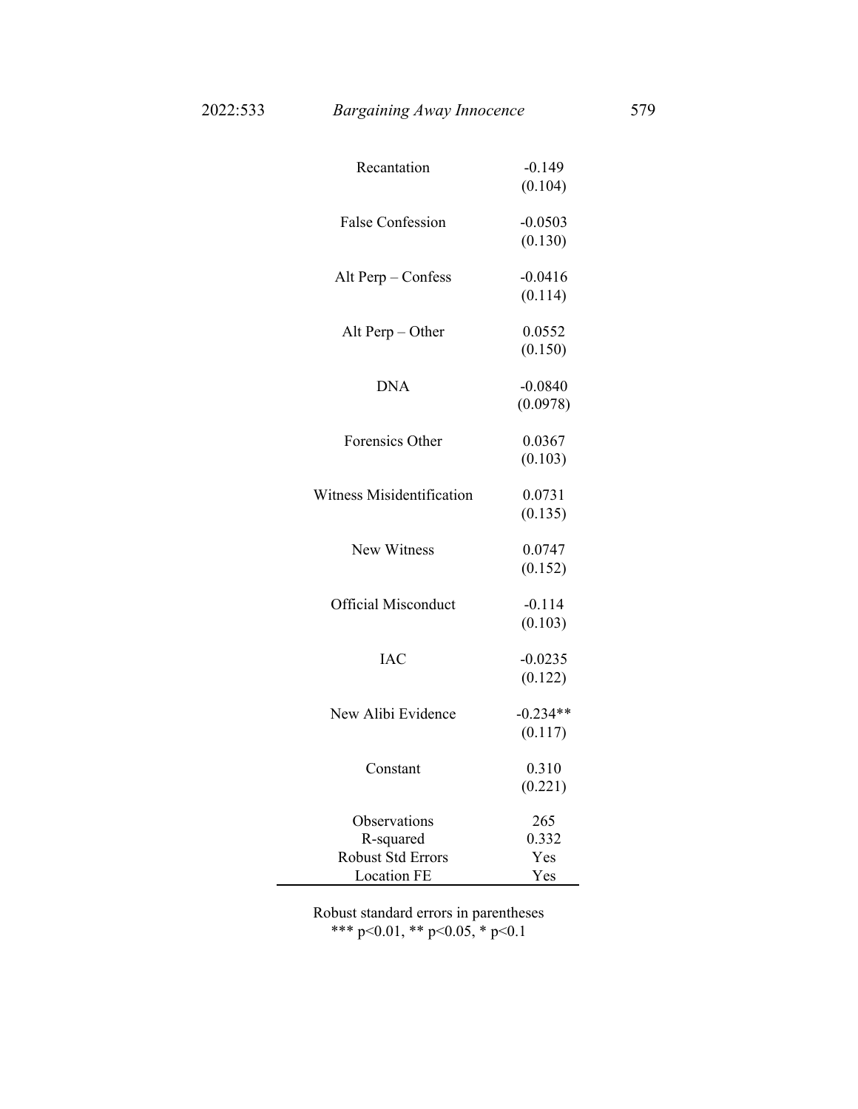| Recantation                | $-0.149$   |
|----------------------------|------------|
|                            | (0.104)    |
|                            |            |
| <b>False Confession</b>    | $-0.0503$  |
|                            | (0.130)    |
| Alt Perp - Confess         | $-0.0416$  |
|                            | (0.114)    |
|                            |            |
| Alt Perp $-$ Other         | 0.0552     |
|                            | (0.150)    |
| <b>DNA</b>                 | $-0.0840$  |
|                            | (0.0978)   |
|                            |            |
| Forensics Other            | 0.0367     |
|                            | (0.103)    |
|                            |            |
| Witness Misidentification  | 0.0731     |
|                            | (0.135)    |
|                            |            |
| New Witness                | 0.0747     |
|                            | (0.152)    |
| <b>Official Misconduct</b> | $-0.114$   |
|                            | (0.103)    |
|                            |            |
| <b>IAC</b>                 | $-0.0235$  |
|                            | (0.122)    |
| New Alibi Evidence         | $-0.234**$ |
|                            |            |
|                            | (0.117)    |
| Constant                   | 0.310      |
|                            | (0.221)    |
|                            |            |
| Observations               | 265        |
| R-squared                  | 0.332      |
| <b>Robust Std Errors</b>   | Yes        |
| <b>Location FE</b>         | Yes        |

Robust standard errors in parentheses \*\*\* p<0.01, \*\* p<0.05, \* p<0.1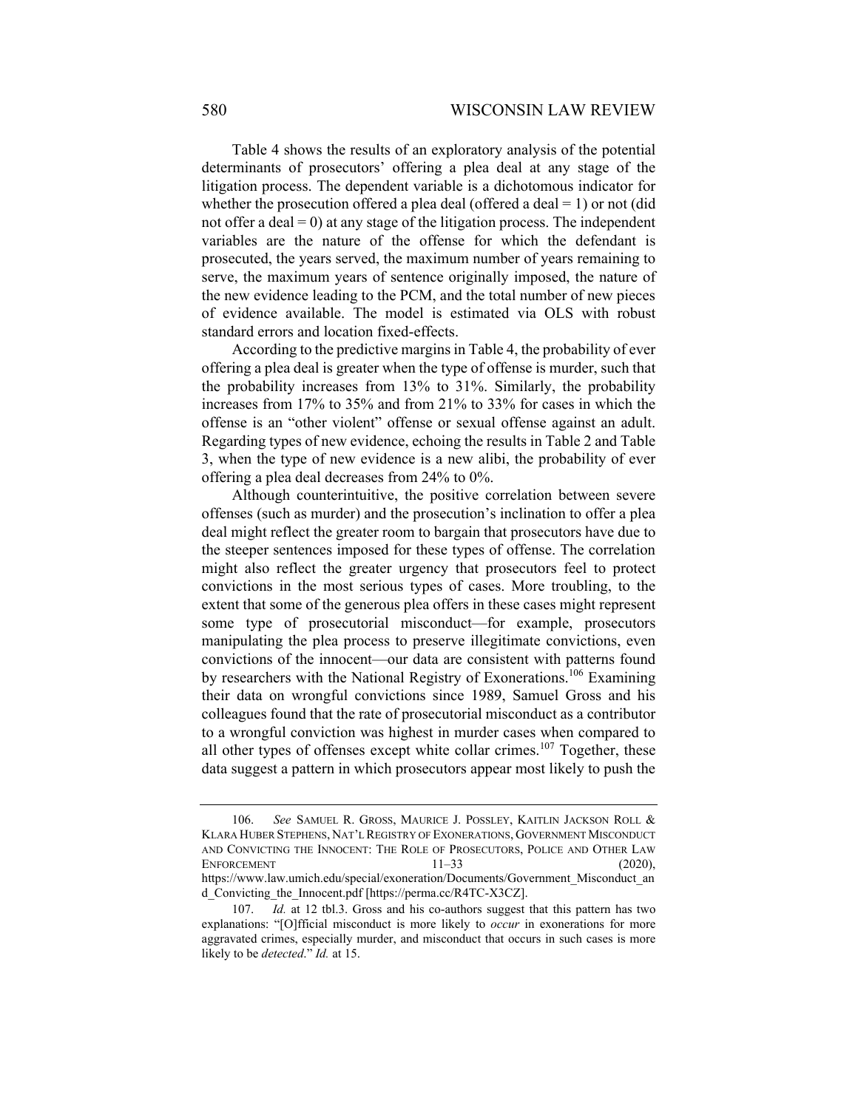Table 4 shows the results of an exploratory analysis of the potential determinants of prosecutors' offering a plea deal at any stage of the litigation process. The dependent variable is a dichotomous indicator for whether the prosecution offered a plea deal (offered a deal  $= 1$ ) or not (did not offer a deal  $= 0$ ) at any stage of the litigation process. The independent variables are the nature of the offense for which the defendant is prosecuted, the years served, the maximum number of years remaining to serve, the maximum years of sentence originally imposed, the nature of the new evidence leading to the PCM, and the total number of new pieces of evidence available. The model is estimated via OLS with robust standard errors and location fixed-effects.

According to the predictive margins in Table 4, the probability of ever offering a plea deal is greater when the type of offense is murder, such that the probability increases from 13% to 31%. Similarly, the probability increases from 17% to 35% and from 21% to 33% for cases in which the offense is an "other violent" offense or sexual offense against an adult. Regarding types of new evidence, echoing the results in Table 2 and Table 3, when the type of new evidence is a new alibi, the probability of ever offering a plea deal decreases from 24% to 0%.

Although counterintuitive, the positive correlation between severe offenses (such as murder) and the prosecution's inclination to offer a plea deal might reflect the greater room to bargain that prosecutors have due to the steeper sentences imposed for these types of offense. The correlation might also reflect the greater urgency that prosecutors feel to protect convictions in the most serious types of cases. More troubling, to the extent that some of the generous plea offers in these cases might represent some type of prosecutorial misconduct—for example, prosecutors manipulating the plea process to preserve illegitimate convictions, even convictions of the innocent—our data are consistent with patterns found by researchers with the National Registry of Exonerations.<sup>106</sup> Examining their data on wrongful convictions since 1989, Samuel Gross and his colleagues found that the rate of prosecutorial misconduct as a contributor to a wrongful conviction was highest in murder cases when compared to all other types of offenses except white collar crimes.<sup>107</sup> Together, these data suggest a pattern in which prosecutors appear most likely to push the

 <sup>106.</sup> *See* SAMUEL R. GROSS, MAURICE J. POSSLEY, KAITLIN JACKSON ROLL & KLARA HUBER STEPHENS, NAT'L REGISTRY OF EXONERATIONS, GOVERNMENT MISCONDUCT AND CONVICTING THE INNOCENT: THE ROLE OF PROSECUTORS, POLICE AND OTHER LAW ENFORCEMENT  $11-33$  (2020), https://www.law.umich.edu/special/exoneration/Documents/Government\_Misconduct\_an d\_Convicting\_the\_Innocent.pdf [https://perma.cc/R4TC-X3CZ].

 <sup>107.</sup> *Id.* at 12 tbl.3. Gross and his co-authors suggest that this pattern has two explanations: "[O]fficial misconduct is more likely to *occur* in exonerations for more aggravated crimes, especially murder, and misconduct that occurs in such cases is more likely to be *detected*." *Id.* at 15.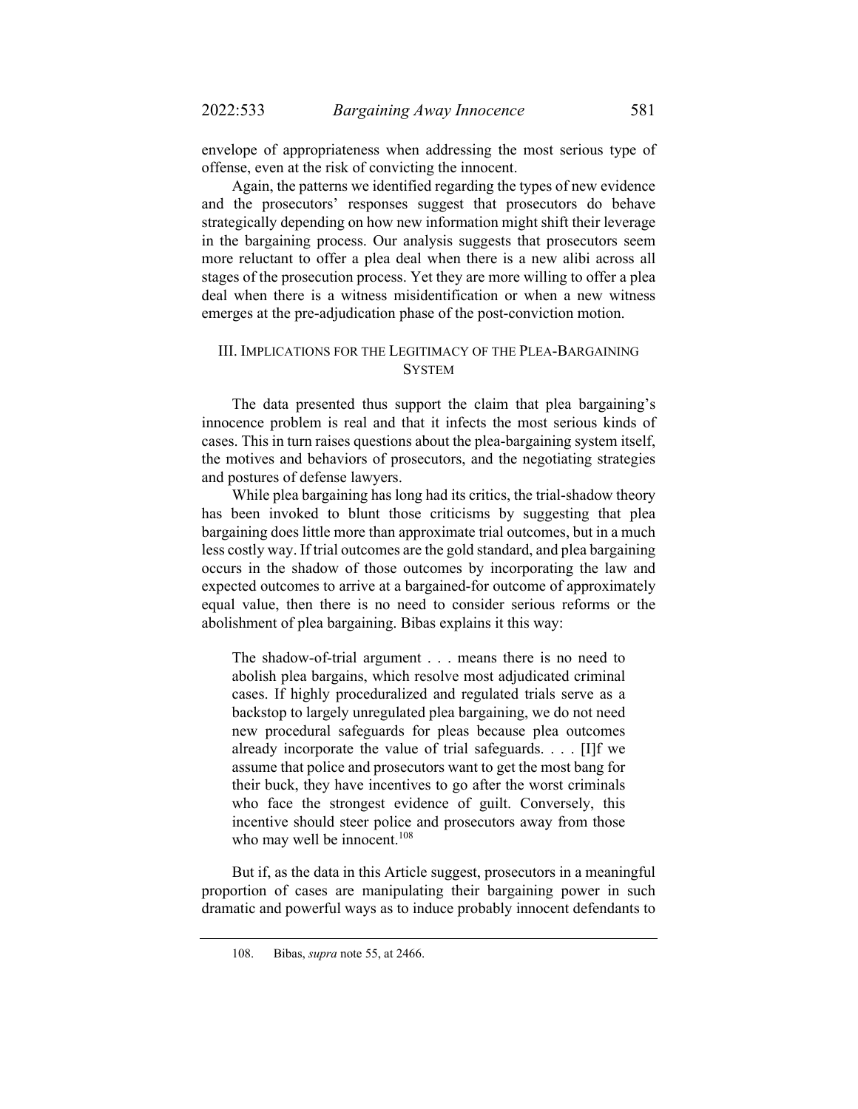envelope of appropriateness when addressing the most serious type of offense, even at the risk of convicting the innocent.

Again, the patterns we identified regarding the types of new evidence and the prosecutors' responses suggest that prosecutors do behave strategically depending on how new information might shift their leverage in the bargaining process. Our analysis suggests that prosecutors seem more reluctant to offer a plea deal when there is a new alibi across all stages of the prosecution process. Yet they are more willing to offer a plea deal when there is a witness misidentification or when a new witness emerges at the pre-adjudication phase of the post-conviction motion.

## III. IMPLICATIONS FOR THE LEGITIMACY OF THE PLEA-BARGAINING SYSTEM

The data presented thus support the claim that plea bargaining's innocence problem is real and that it infects the most serious kinds of cases. This in turn raises questions about the plea-bargaining system itself, the motives and behaviors of prosecutors, and the negotiating strategies and postures of defense lawyers.

While plea bargaining has long had its critics, the trial-shadow theory has been invoked to blunt those criticisms by suggesting that plea bargaining does little more than approximate trial outcomes, but in a much less costly way. If trial outcomes are the gold standard, and plea bargaining occurs in the shadow of those outcomes by incorporating the law and expected outcomes to arrive at a bargained-for outcome of approximately equal value, then there is no need to consider serious reforms or the abolishment of plea bargaining. Bibas explains it this way:

The shadow-of-trial argument . . . means there is no need to abolish plea bargains, which resolve most adjudicated criminal cases. If highly proceduralized and regulated trials serve as a backstop to largely unregulated plea bargaining, we do not need new procedural safeguards for pleas because plea outcomes already incorporate the value of trial safeguards. . . . [I]f we assume that police and prosecutors want to get the most bang for their buck, they have incentives to go after the worst criminals who face the strongest evidence of guilt. Conversely, this incentive should steer police and prosecutors away from those who may well be innocent. $108$ 

But if, as the data in this Article suggest, prosecutors in a meaningful proportion of cases are manipulating their bargaining power in such dramatic and powerful ways as to induce probably innocent defendants to

 <sup>108.</sup> Bibas, *supra* note 55, at 2466.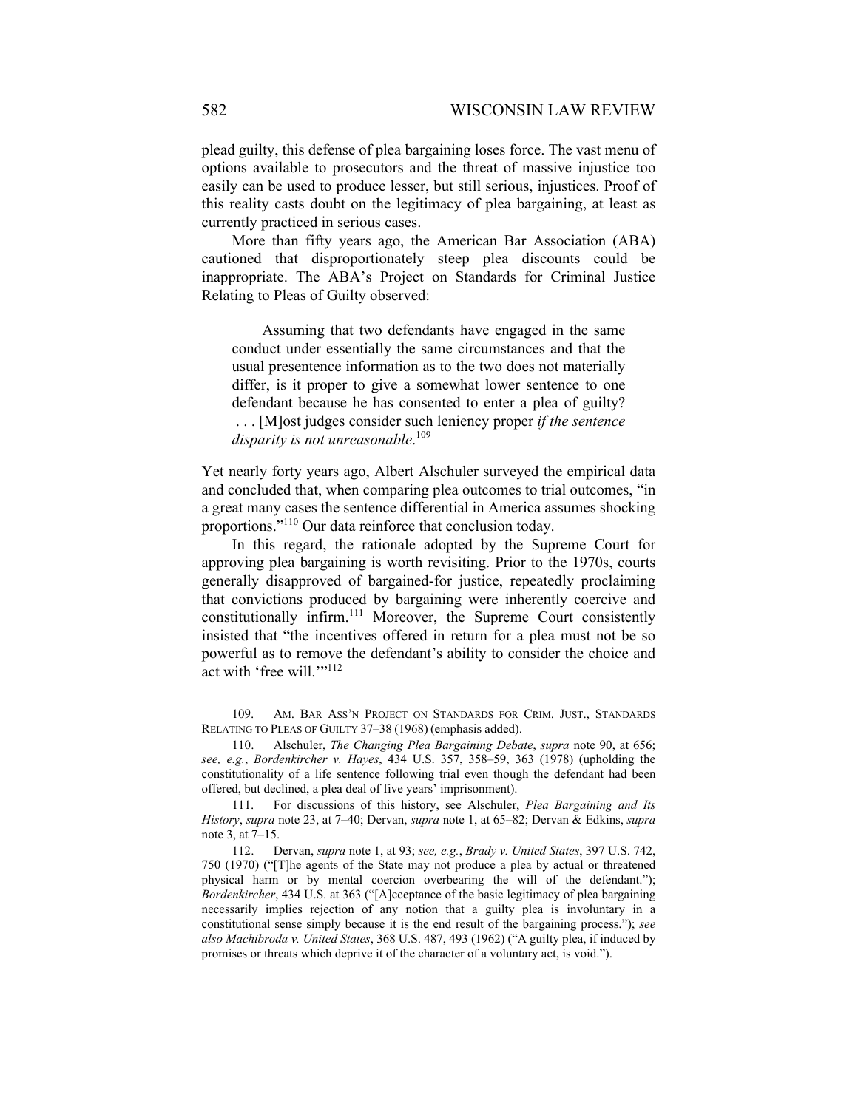plead guilty, this defense of plea bargaining loses force. The vast menu of options available to prosecutors and the threat of massive injustice too easily can be used to produce lesser, but still serious, injustices. Proof of this reality casts doubt on the legitimacy of plea bargaining, at least as currently practiced in serious cases.

More than fifty years ago, the American Bar Association (ABA) cautioned that disproportionately steep plea discounts could be inappropriate. The ABA's Project on Standards for Criminal Justice Relating to Pleas of Guilty observed:

 Assuming that two defendants have engaged in the same conduct under essentially the same circumstances and that the usual presentence information as to the two does not materially differ, is it proper to give a somewhat lower sentence to one defendant because he has consented to enter a plea of guilty? . . . [M]ost judges consider such leniency proper *if the sentence disparity is not unreasonable*. 109

Yet nearly forty years ago, Albert Alschuler surveyed the empirical data and concluded that, when comparing plea outcomes to trial outcomes, "in a great many cases the sentence differential in America assumes shocking proportions."110 Our data reinforce that conclusion today.

In this regard, the rationale adopted by the Supreme Court for approving plea bargaining is worth revisiting. Prior to the 1970s, courts generally disapproved of bargained-for justice, repeatedly proclaiming that convictions produced by bargaining were inherently coercive and constitutionally infirm.<sup>111</sup> Moreover, the Supreme Court consistently insisted that "the incentives offered in return for a plea must not be so powerful as to remove the defendant's ability to consider the choice and act with 'free will.'"<sup>112</sup>

 <sup>109.</sup> AM. BAR ASS'N PROJECT ON STANDARDS FOR CRIM. JUST., STANDARDS RELATING TO PLEAS OF GUILTY 37–38 (1968) (emphasis added).

 <sup>110.</sup> Alschuler, *The Changing Plea Bargaining Debate*, *supra* note 90, at 656; *see, e.g.*, *Bordenkircher v. Hayes*, 434 U.S. 357, 358–59, 363 (1978) (upholding the constitutionality of a life sentence following trial even though the defendant had been offered, but declined, a plea deal of five years' imprisonment).

 <sup>111.</sup> For discussions of this history, see Alschuler, *Plea Bargaining and Its History*, *supra* note 23, at 7–40; Dervan, *supra* note 1, at 65–82; Dervan & Edkins, *supra* note 3, at 7–15.

 <sup>112.</sup> Dervan, *supra* note 1, at 93; *see, e.g.*, *Brady v. United States*, 397 U.S. 742, 750 (1970) ("[T]he agents of the State may not produce a plea by actual or threatened physical harm or by mental coercion overbearing the will of the defendant."); *Bordenkircher*, 434 U.S. at 363 ("[A]cceptance of the basic legitimacy of plea bargaining necessarily implies rejection of any notion that a guilty plea is involuntary in a constitutional sense simply because it is the end result of the bargaining process."); *see also Machibroda v. United States*, 368 U.S. 487, 493 (1962) ("A guilty plea, if induced by promises or threats which deprive it of the character of a voluntary act, is void.").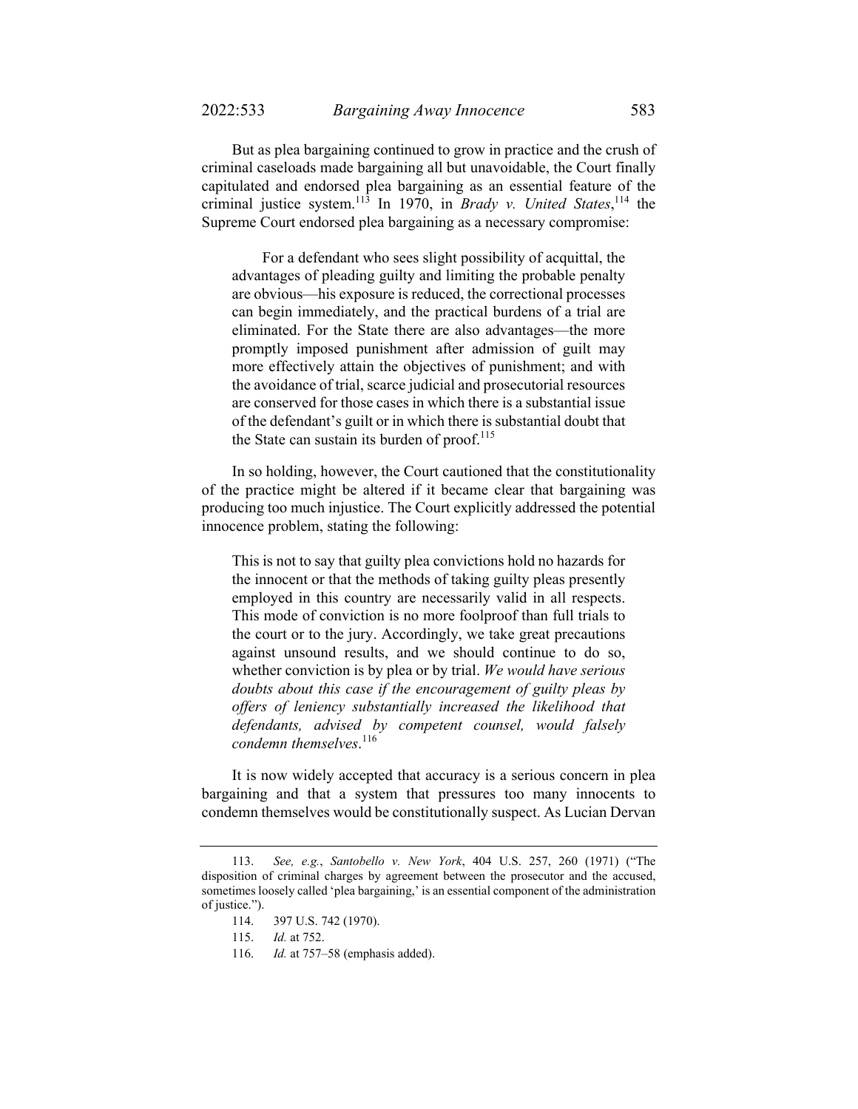But as plea bargaining continued to grow in practice and the crush of criminal caseloads made bargaining all but unavoidable, the Court finally capitulated and endorsed plea bargaining as an essential feature of the criminal justice system.113 In 1970, in *Brady v. United States*, <sup>114</sup> the Supreme Court endorsed plea bargaining as a necessary compromise:

 For a defendant who sees slight possibility of acquittal, the advantages of pleading guilty and limiting the probable penalty are obvious—his exposure is reduced, the correctional processes can begin immediately, and the practical burdens of a trial are eliminated. For the State there are also advantages—the more promptly imposed punishment after admission of guilt may more effectively attain the objectives of punishment; and with the avoidance of trial, scarce judicial and prosecutorial resources are conserved for those cases in which there is a substantial issue of the defendant's guilt or in which there is substantial doubt that the State can sustain its burden of proof.<sup>115</sup>

In so holding, however, the Court cautioned that the constitutionality of the practice might be altered if it became clear that bargaining was producing too much injustice. The Court explicitly addressed the potential innocence problem, stating the following:

This is not to say that guilty plea convictions hold no hazards for the innocent or that the methods of taking guilty pleas presently employed in this country are necessarily valid in all respects. This mode of conviction is no more foolproof than full trials to the court or to the jury. Accordingly, we take great precautions against unsound results, and we should continue to do so, whether conviction is by plea or by trial. *We would have serious doubts about this case if the encouragement of guilty pleas by offers of leniency substantially increased the likelihood that defendants, advised by competent counsel, would falsely condemn themselves*. 116

It is now widely accepted that accuracy is a serious concern in plea bargaining and that a system that pressures too many innocents to condemn themselves would be constitutionally suspect. As Lucian Dervan

 <sup>113.</sup> *See, e.g.*, *Santobello v. New York*, 404 U.S. 257, 260 (1971) ("The disposition of criminal charges by agreement between the prosecutor and the accused, sometimes loosely called 'plea bargaining,' is an essential component of the administration of justice.").

 <sup>114. 397</sup> U.S. 742 (1970).

 <sup>115.</sup> *Id.* at 752.

 <sup>116.</sup> *Id.* at 757–58 (emphasis added).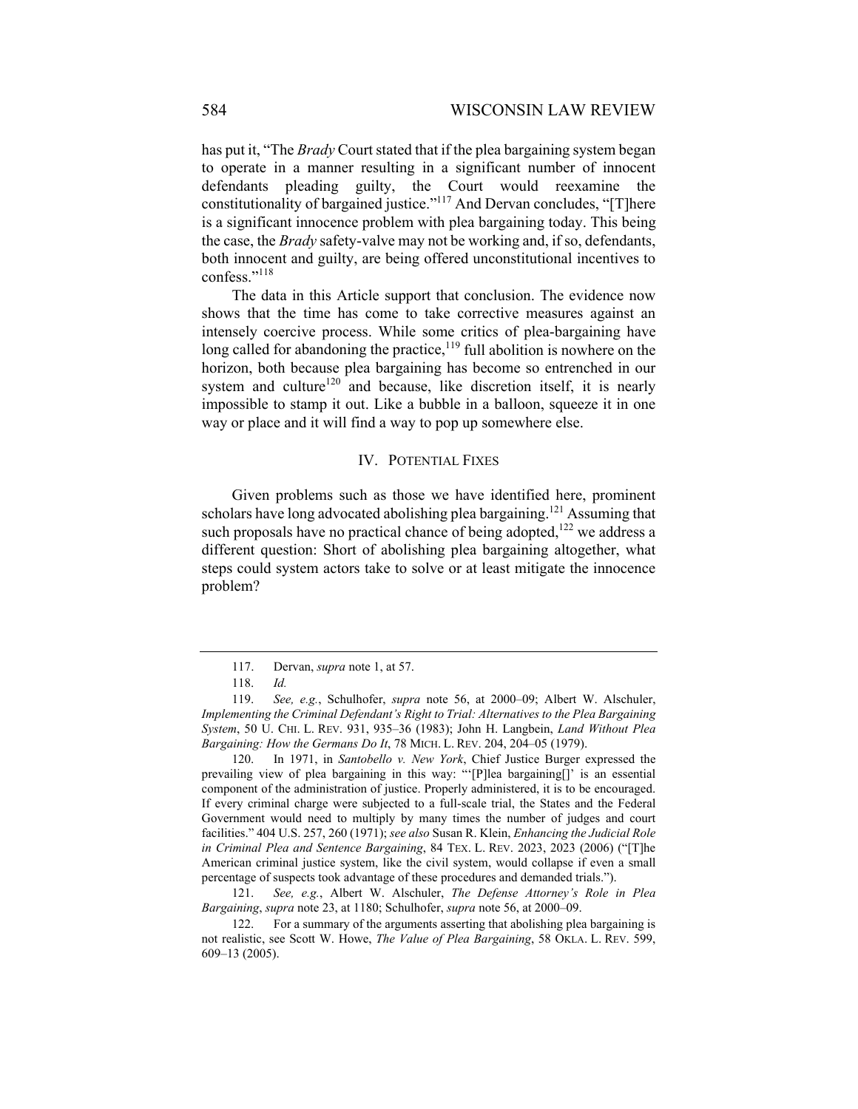has put it, "The *Brady* Court stated that if the plea bargaining system began to operate in a manner resulting in a significant number of innocent defendants pleading guilty, the Court would reexamine the constitutionality of bargained justice."117 And Dervan concludes, "[T]here is a significant innocence problem with plea bargaining today. This being the case, the *Brady* safety-valve may not be working and, if so, defendants, both innocent and guilty, are being offered unconstitutional incentives to confess."<sup>118</sup>

The data in this Article support that conclusion. The evidence now shows that the time has come to take corrective measures against an intensely coercive process. While some critics of plea-bargaining have long called for abandoning the practice, $119$  full abolition is nowhere on the horizon, both because plea bargaining has become so entrenched in our system and culture<sup>120</sup> and because, like discretion itself, it is nearly impossible to stamp it out. Like a bubble in a balloon, squeeze it in one way or place and it will find a way to pop up somewhere else.

## IV. POTENTIAL FIXES

Given problems such as those we have identified here, prominent scholars have long advocated abolishing plea bargaining.<sup>121</sup> Assuming that such proposals have no practical chance of being adopted,<sup>122</sup> we address a different question: Short of abolishing plea bargaining altogether, what steps could system actors take to solve or at least mitigate the innocence problem?

 120. In 1971, in *Santobello v. New York*, Chief Justice Burger expressed the prevailing view of plea bargaining in this way: "'[P]lea bargaining[]' is an essential component of the administration of justice. Properly administered, it is to be encouraged. If every criminal charge were subjected to a full-scale trial, the States and the Federal Government would need to multiply by many times the number of judges and court facilities." 404 U.S. 257, 260 (1971); *see also* Susan R. Klein, *Enhancing the Judicial Role in Criminal Plea and Sentence Bargaining*, 84 TEX. L. REV. 2023, 2023 (2006) ("[T]he American criminal justice system, like the civil system, would collapse if even a small percentage of suspects took advantage of these procedures and demanded trials.").

 121. *See, e.g.*, Albert W. Alschuler, *The Defense Attorney's Role in Plea Bargaining*, *supra* note 23, at 1180; Schulhofer, *supra* note 56, at 2000–09.

 <sup>117.</sup> Dervan, *supra* note 1, at 57.

 <sup>118.</sup> *Id.*

 <sup>119.</sup> *See, e.g.*, Schulhofer, *supra* note 56, at 2000–09; Albert W. Alschuler, *Implementing the Criminal Defendant's Right to Trial: Alternatives to the Plea Bargaining System*, 50 U. CHI. L. REV. 931, 935–36 (1983); John H. Langbein, *Land Without Plea Bargaining: How the Germans Do It*, 78 MICH. L. REV. 204, 204–05 (1979).

 <sup>122.</sup> For a summary of the arguments asserting that abolishing plea bargaining is not realistic, see Scott W. Howe, *The Value of Plea Bargaining*, 58 OKLA. L. REV. 599, 609–13 (2005).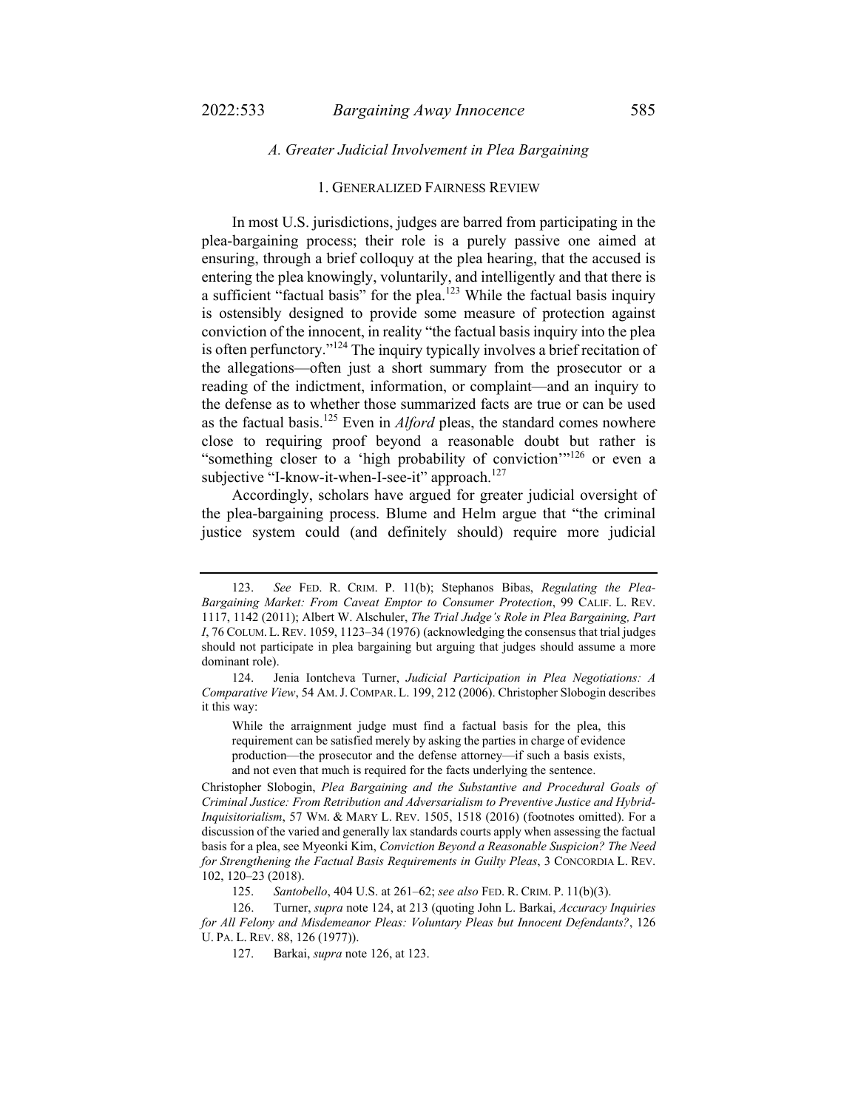## *A. Greater Judicial Involvement in Plea Bargaining*

## 1. GENERALIZED FAIRNESS REVIEW

In most U.S. jurisdictions, judges are barred from participating in the plea-bargaining process; their role is a purely passive one aimed at ensuring, through a brief colloquy at the plea hearing, that the accused is entering the plea knowingly, voluntarily, and intelligently and that there is a sufficient "factual basis" for the plea.<sup>123</sup> While the factual basis inquiry is ostensibly designed to provide some measure of protection against conviction of the innocent, in reality "the factual basis inquiry into the plea is often perfunctory."<sup>124</sup> The inquiry typically involves a brief recitation of the allegations—often just a short summary from the prosecutor or a reading of the indictment, information, or complaint—and an inquiry to the defense as to whether those summarized facts are true or can be used as the factual basis.125 Even in *Alford* pleas, the standard comes nowhere close to requiring proof beyond a reasonable doubt but rather is "something closer to a 'high probability of conviction'"<sup>126</sup> or even a subjective "I-know-it-when-I-see-it" approach. $127$ 

Accordingly, scholars have argued for greater judicial oversight of the plea-bargaining process. Blume and Helm argue that "the criminal justice system could (and definitely should) require more judicial

While the arraignment judge must find a factual basis for the plea, this requirement can be satisfied merely by asking the parties in charge of evidence production—the prosecutor and the defense attorney—if such a basis exists, and not even that much is required for the facts underlying the sentence.

Christopher Slobogin, *Plea Bargaining and the Substantive and Procedural Goals of Criminal Justice: From Retribution and Adversarialism to Preventive Justice and Hybrid-Inquisitorialism*, 57 WM. & MARY L. REV. 1505, 1518 (2016) (footnotes omitted). For a discussion of the varied and generally lax standards courts apply when assessing the factual basis for a plea, see Myeonki Kim, *Conviction Beyond a Reasonable Suspicion? The Need for Strengthening the Factual Basis Requirements in Guilty Pleas*, 3 CONCORDIA L. REV. 102, 120–23 (2018).

 <sup>123.</sup> *See* FED. R. CRIM. P. 11(b); Stephanos Bibas, *Regulating the Plea-Bargaining Market: From Caveat Emptor to Consumer Protection*, 99 CALIF. L. REV. 1117, 1142 (2011); Albert W. Alschuler, *The Trial Judge's Role in Plea Bargaining, Part I*, 76 COLUM. L.REV. 1059, 1123–34 (1976) (acknowledging the consensus that trial judges should not participate in plea bargaining but arguing that judges should assume a more dominant role).

 <sup>124.</sup> Jenia Iontcheva Turner, *Judicial Participation in Plea Negotiations: A Comparative View*, 54 AM.J. COMPAR. L. 199, 212 (2006). Christopher Slobogin describes it this way:

 <sup>125.</sup> *Santobello*, 404 U.S. at 261–62; *see also* FED. R. CRIM. P. 11(b)(3).

 <sup>126.</sup> Turner, *supra* note 124, at 213 (quoting John L. Barkai, *Accuracy Inquiries for All Felony and Misdemeanor Pleas: Voluntary Pleas but Innocent Defendants?*, 126 U. PA. L. REV. 88, 126 (1977)).

 <sup>127.</sup> Barkai, *supra* note 126, at 123.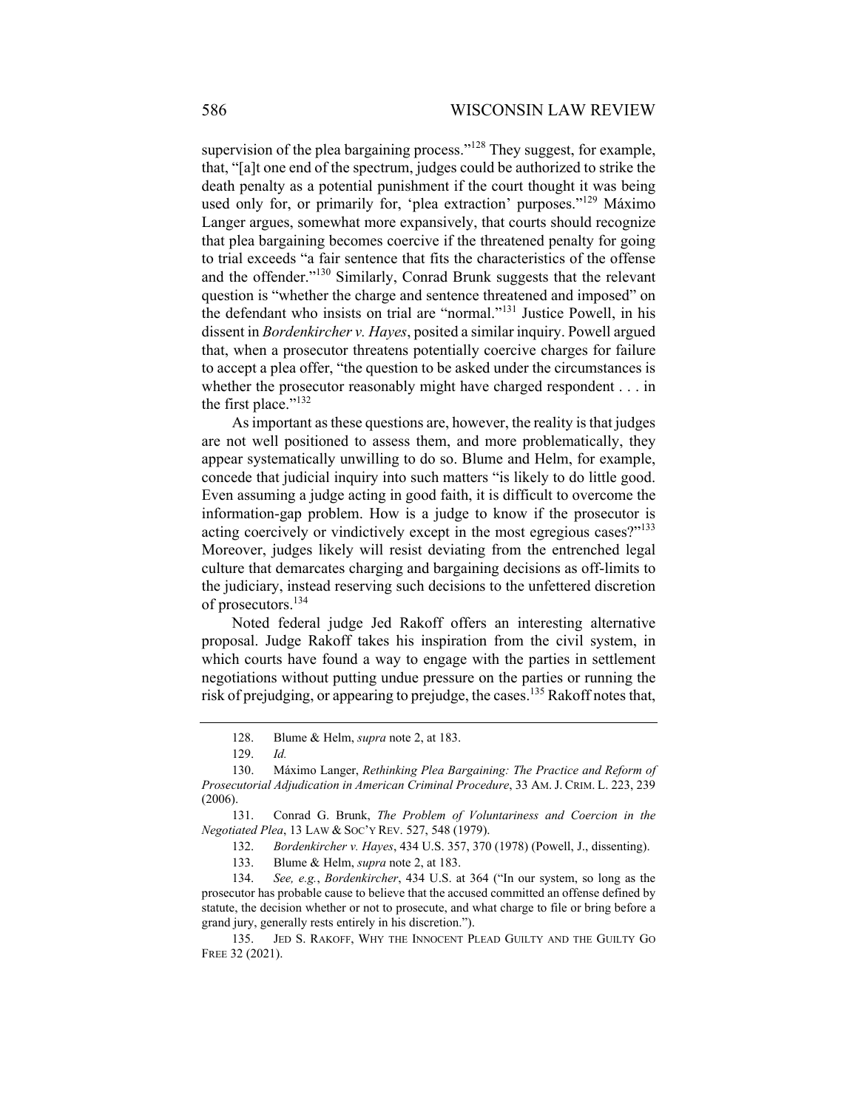supervision of the plea bargaining process."<sup>128</sup> They suggest, for example, that, "[a]t one end of the spectrum, judges could be authorized to strike the death penalty as a potential punishment if the court thought it was being used only for, or primarily for, 'plea extraction' purposes."<sup>129</sup> Máximo Langer argues, somewhat more expansively, that courts should recognize that plea bargaining becomes coercive if the threatened penalty for going to trial exceeds "a fair sentence that fits the characteristics of the offense and the offender."<sup>130</sup> Similarly, Conrad Brunk suggests that the relevant question is "whether the charge and sentence threatened and imposed" on the defendant who insists on trial are "normal."131 Justice Powell, in his dissent in *Bordenkircher v. Hayes*, posited a similar inquiry. Powell argued that, when a prosecutor threatens potentially coercive charges for failure to accept a plea offer, "the question to be asked under the circumstances is whether the prosecutor reasonably might have charged respondent . . . in the first place."<sup>132</sup>

As important as these questions are, however, the reality is that judges are not well positioned to assess them, and more problematically, they appear systematically unwilling to do so. Blume and Helm, for example, concede that judicial inquiry into such matters "is likely to do little good. Even assuming a judge acting in good faith, it is difficult to overcome the information-gap problem. How is a judge to know if the prosecutor is acting coercively or vindictively except in the most egregious cases?"<sup>133</sup> Moreover, judges likely will resist deviating from the entrenched legal culture that demarcates charging and bargaining decisions as off-limits to the judiciary, instead reserving such decisions to the unfettered discretion of prosecutors.<sup>134</sup>

Noted federal judge Jed Rakoff offers an interesting alternative proposal. Judge Rakoff takes his inspiration from the civil system, in which courts have found a way to engage with the parties in settlement negotiations without putting undue pressure on the parties or running the risk of prejudging, or appearing to prejudge, the cases.135 Rakoff notes that,

133. Blume & Helm, *supra* note 2, at 183.

 134. *See, e.g.*, *Bordenkircher*, 434 U.S. at 364 ("In our system, so long as the prosecutor has probable cause to believe that the accused committed an offense defined by statute, the decision whether or not to prosecute, and what charge to file or bring before a grand jury, generally rests entirely in his discretion.").

 135. JED S. RAKOFF, WHY THE INNOCENT PLEAD GUILTY AND THE GUILTY GO FREE 32 (2021).

 <sup>128.</sup> Blume & Helm, *supra* note 2, at 183.

 <sup>129.</sup> *Id.* 

 <sup>130.</sup> Máximo Langer, *Rethinking Plea Bargaining: The Practice and Reform of Prosecutorial Adjudication in American Criminal Procedure*, 33 AM. J. CRIM. L. 223, 239 (2006).

 <sup>131.</sup> Conrad G. Brunk, *The Problem of Voluntariness and Coercion in the Negotiated Plea*, 13 LAW & SOC'Y REV. 527, 548 (1979).

 <sup>132.</sup> *Bordenkircher v. Hayes*, 434 U.S. 357, 370 (1978) (Powell, J., dissenting).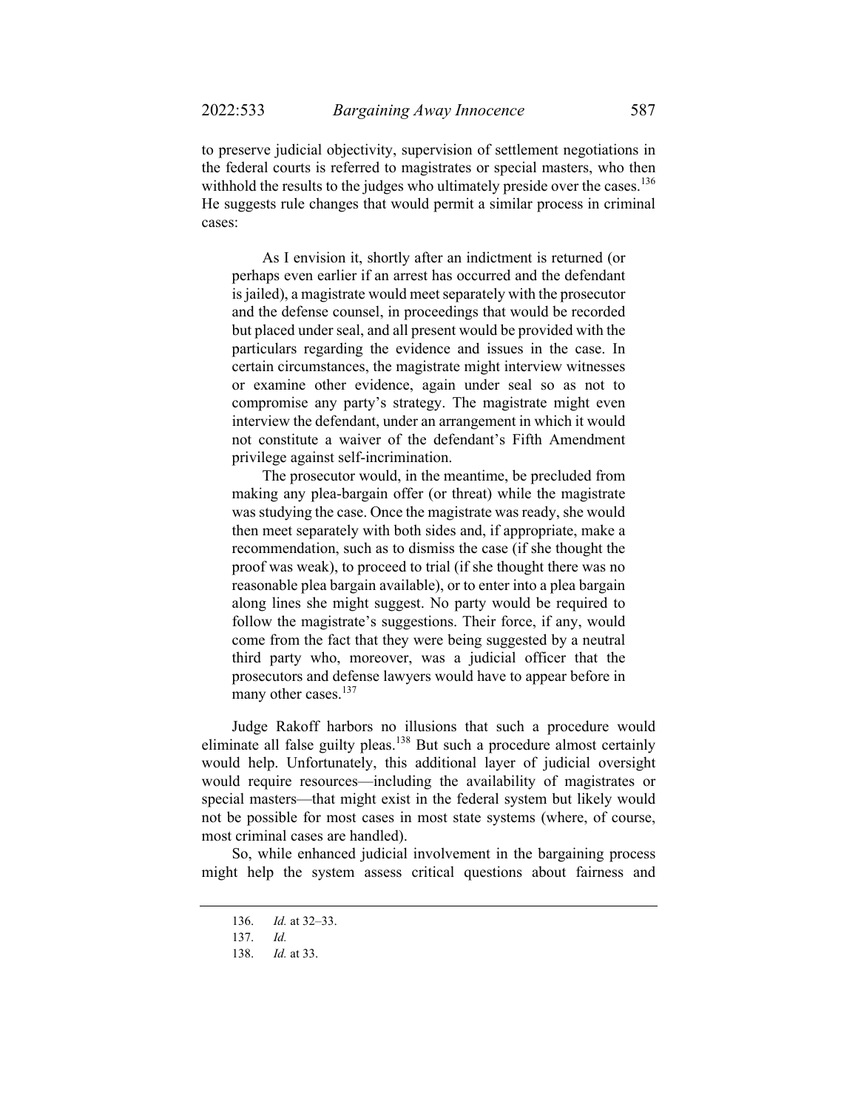to preserve judicial objectivity, supervision of settlement negotiations in the federal courts is referred to magistrates or special masters, who then withhold the results to the judges who ultimately preside over the cases.<sup>136</sup> He suggests rule changes that would permit a similar process in criminal cases:

 As I envision it, shortly after an indictment is returned (or perhaps even earlier if an arrest has occurred and the defendant is jailed), a magistrate would meet separately with the prosecutor and the defense counsel, in proceedings that would be recorded but placed under seal, and all present would be provided with the particulars regarding the evidence and issues in the case. In certain circumstances, the magistrate might interview witnesses or examine other evidence, again under seal so as not to compromise any party's strategy. The magistrate might even interview the defendant, under an arrangement in which it would not constitute a waiver of the defendant's Fifth Amendment privilege against self-incrimination.

 The prosecutor would, in the meantime, be precluded from making any plea-bargain offer (or threat) while the magistrate was studying the case. Once the magistrate was ready, she would then meet separately with both sides and, if appropriate, make a recommendation, such as to dismiss the case (if she thought the proof was weak), to proceed to trial (if she thought there was no reasonable plea bargain available), or to enter into a plea bargain along lines she might suggest. No party would be required to follow the magistrate's suggestions. Their force, if any, would come from the fact that they were being suggested by a neutral third party who, moreover, was a judicial officer that the prosecutors and defense lawyers would have to appear before in many other cases.<sup>137</sup>

Judge Rakoff harbors no illusions that such a procedure would eliminate all false guilty pleas.<sup>138</sup> But such a procedure almost certainly would help. Unfortunately, this additional layer of judicial oversight would require resources—including the availability of magistrates or special masters—that might exist in the federal system but likely would not be possible for most cases in most state systems (where, of course, most criminal cases are handled).

So, while enhanced judicial involvement in the bargaining process might help the system assess critical questions about fairness and

 <sup>136.</sup> *Id.* at 32–33.

 <sup>137.</sup> *Id.*

 <sup>138.</sup> *Id.* at 33.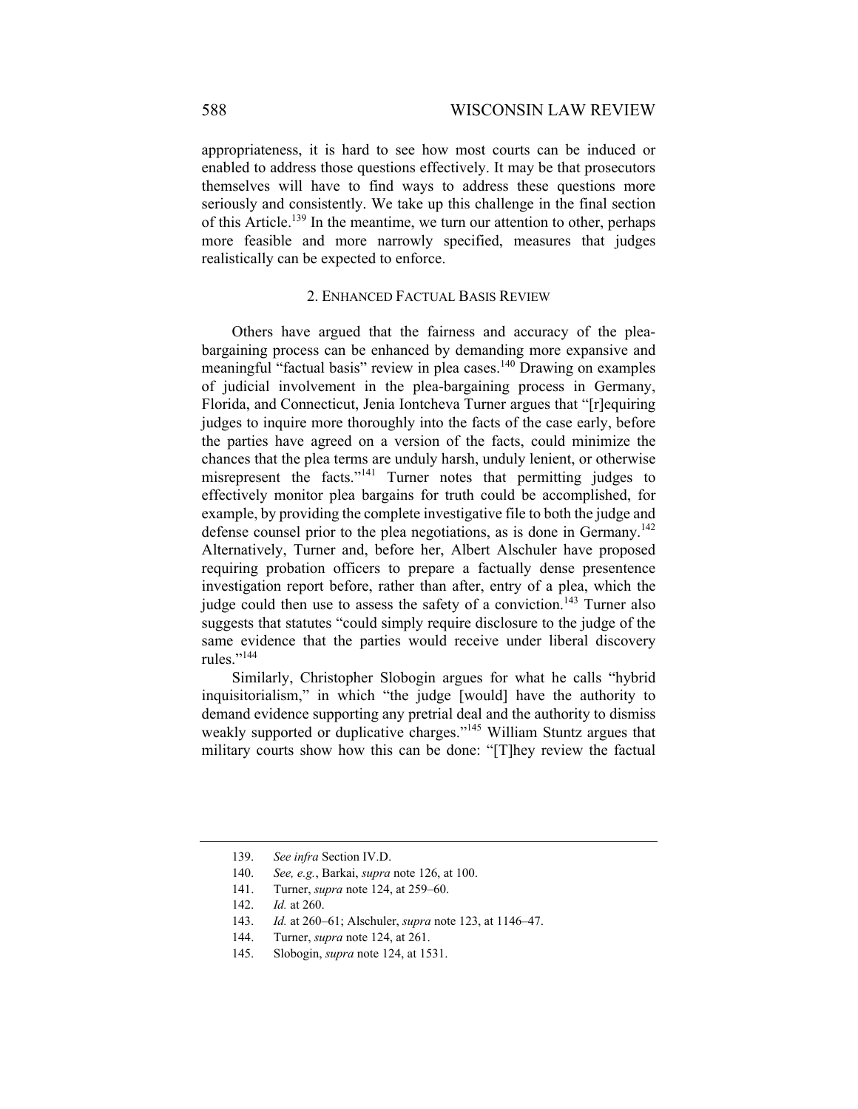appropriateness, it is hard to see how most courts can be induced or enabled to address those questions effectively. It may be that prosecutors themselves will have to find ways to address these questions more seriously and consistently. We take up this challenge in the final section of this Article.<sup>139</sup> In the meantime, we turn our attention to other, perhaps more feasible and more narrowly specified, measures that judges realistically can be expected to enforce.

## 2. ENHANCED FACTUAL BASIS REVIEW

Others have argued that the fairness and accuracy of the pleabargaining process can be enhanced by demanding more expansive and meaningful "factual basis" review in plea cases.<sup>140</sup> Drawing on examples of judicial involvement in the plea-bargaining process in Germany, Florida, and Connecticut, Jenia Iontcheva Turner argues that "[r]equiring judges to inquire more thoroughly into the facts of the case early, before the parties have agreed on a version of the facts, could minimize the chances that the plea terms are unduly harsh, unduly lenient, or otherwise misrepresent the facts."141 Turner notes that permitting judges to effectively monitor plea bargains for truth could be accomplished, for example, by providing the complete investigative file to both the judge and defense counsel prior to the plea negotiations, as is done in Germany.<sup>142</sup> Alternatively, Turner and, before her, Albert Alschuler have proposed requiring probation officers to prepare a factually dense presentence investigation report before, rather than after, entry of a plea, which the judge could then use to assess the safety of a conviction.<sup>143</sup> Turner also suggests that statutes "could simply require disclosure to the judge of the same evidence that the parties would receive under liberal discovery rules."<sup>144</sup>

Similarly, Christopher Slobogin argues for what he calls "hybrid inquisitorialism," in which "the judge [would] have the authority to demand evidence supporting any pretrial deal and the authority to dismiss weakly supported or duplicative charges."<sup>145</sup> William Stuntz argues that military courts show how this can be done: "[T]hey review the factual

 <sup>139.</sup> *See infra* Section IV.D.

 <sup>140.</sup> *See, e.g.*, Barkai, *supra* note 126, at 100.

 <sup>141.</sup> Turner, *supra* note 124, at 259–60.

 <sup>142.</sup> *Id.* at 260.

 <sup>143.</sup> *Id.* at 260–61; Alschuler, *supra* note 123, at 1146–47.

 <sup>144.</sup> Turner, *supra* note 124, at 261.

 <sup>145.</sup> Slobogin, *supra* note 124, at 1531.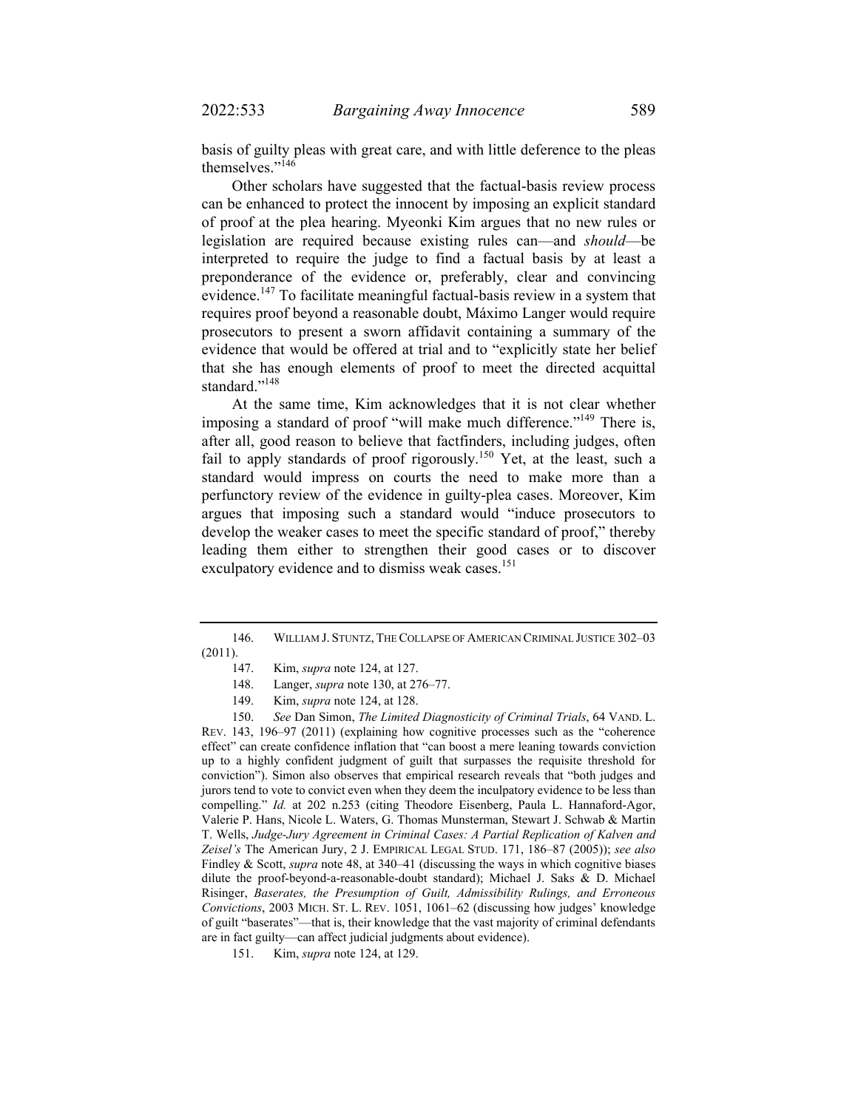basis of guilty pleas with great care, and with little deference to the pleas themselves."<sup>146</sup>

Other scholars have suggested that the factual-basis review process can be enhanced to protect the innocent by imposing an explicit standard of proof at the plea hearing. Myeonki Kim argues that no new rules or legislation are required because existing rules can—and *should*—be interpreted to require the judge to find a factual basis by at least a preponderance of the evidence or, preferably, clear and convincing evidence.<sup>147</sup> To facilitate meaningful factual-basis review in a system that requires proof beyond a reasonable doubt, Máximo Langer would require prosecutors to present a sworn affidavit containing a summary of the evidence that would be offered at trial and to "explicitly state her belief that she has enough elements of proof to meet the directed acquittal standard."<sup>148</sup>

At the same time, Kim acknowledges that it is not clear whether imposing a standard of proof "will make much difference."<sup>149</sup> There is, after all, good reason to believe that factfinders, including judges, often fail to apply standards of proof rigorously.<sup>150</sup> Yet, at the least, such a standard would impress on courts the need to make more than a perfunctory review of the evidence in guilty-plea cases. Moreover, Kim argues that imposing such a standard would "induce prosecutors to develop the weaker cases to meet the specific standard of proof," thereby leading them either to strengthen their good cases or to discover exculpatory evidence and to dismiss weak cases.<sup>151</sup>

 <sup>146.</sup> WILLIAM J. STUNTZ, THE COLLAPSE OF AMERICAN CRIMINAL JUSTICE 302–03 (2011).

 <sup>147.</sup> Kim, *supra* note 124, at 127.

 <sup>148.</sup> Langer, *supra* note 130, at 276–77.

 <sup>149.</sup> Kim, *supra* note 124, at 128.

 <sup>150.</sup> *See* Dan Simon, *The Limited Diagnosticity of Criminal Trials*, 64 VAND. L. REV. 143, 196–97 (2011) (explaining how cognitive processes such as the "coherence effect" can create confidence inflation that "can boost a mere leaning towards conviction up to a highly confident judgment of guilt that surpasses the requisite threshold for conviction"). Simon also observes that empirical research reveals that "both judges and jurors tend to vote to convict even when they deem the inculpatory evidence to be less than compelling." *Id.* at 202 n.253 (citing Theodore Eisenberg, Paula L. Hannaford-Agor, Valerie P. Hans, Nicole L. Waters, G. Thomas Munsterman, Stewart J. Schwab & Martin T. Wells, *Judge-Jury Agreement in Criminal Cases: A Partial Replication of Kalven and Zeisel's* The American Jury, 2 J. EMPIRICAL LEGAL STUD. 171, 186–87 (2005)); *see also* Findley & Scott, *supra* note 48, at 340–41 (discussing the ways in which cognitive biases dilute the proof-beyond-a-reasonable-doubt standard); Michael J. Saks & D. Michael Risinger, *Baserates, the Presumption of Guilt, Admissibility Rulings, and Erroneous Convictions*, 2003 MICH. ST. L. REV. 1051, 1061–62 (discussing how judges' knowledge of guilt "baserates"—that is, their knowledge that the vast majority of criminal defendants are in fact guilty—can affect judicial judgments about evidence).

 <sup>151.</sup> Kim, *supra* note 124, at 129.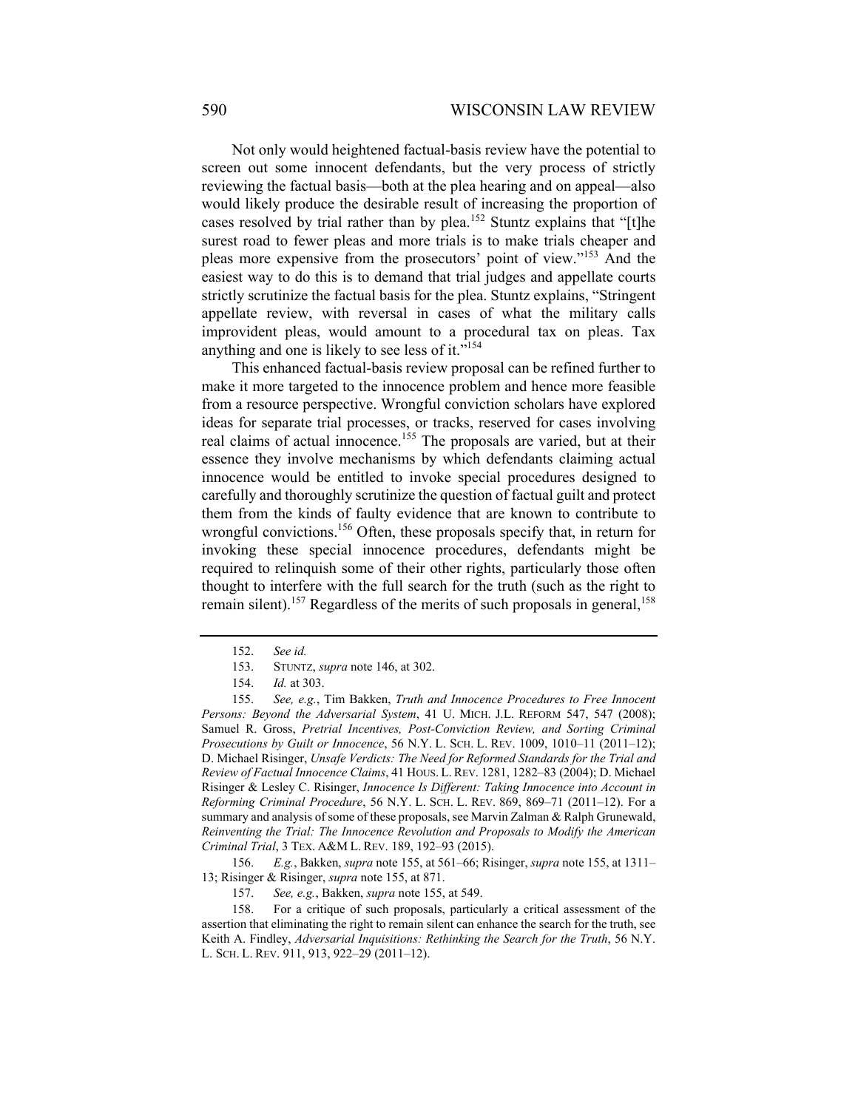Not only would heightened factual-basis review have the potential to screen out some innocent defendants, but the very process of strictly reviewing the factual basis—both at the plea hearing and on appeal—also would likely produce the desirable result of increasing the proportion of cases resolved by trial rather than by plea.<sup>152</sup> Stuntz explains that "[t]he surest road to fewer pleas and more trials is to make trials cheaper and pleas more expensive from the prosecutors' point of view."153 And the easiest way to do this is to demand that trial judges and appellate courts strictly scrutinize the factual basis for the plea. Stuntz explains, "Stringent appellate review, with reversal in cases of what the military calls improvident pleas, would amount to a procedural tax on pleas. Tax anything and one is likely to see less of it."<sup>154</sup>

This enhanced factual-basis review proposal can be refined further to make it more targeted to the innocence problem and hence more feasible from a resource perspective. Wrongful conviction scholars have explored ideas for separate trial processes, or tracks, reserved for cases involving real claims of actual innocence.<sup>155</sup> The proposals are varied, but at their essence they involve mechanisms by which defendants claiming actual innocence would be entitled to invoke special procedures designed to carefully and thoroughly scrutinize the question of factual guilt and protect them from the kinds of faulty evidence that are known to contribute to wrongful convictions.<sup>156</sup> Often, these proposals specify that, in return for invoking these special innocence procedures, defendants might be required to relinquish some of their other rights, particularly those often thought to interfere with the full search for the truth (such as the right to remain silent).<sup>157</sup> Regardless of the merits of such proposals in general,<sup>158</sup>

 <sup>152.</sup> *See id.* 

 <sup>153.</sup> STUNTZ, *supra* note 146, at 302.

 <sup>154.</sup> *Id.* at 303.

 <sup>155.</sup> *See, e.g.*, Tim Bakken, *Truth and Innocence Procedures to Free Innocent Persons: Beyond the Adversarial System*, 41 U. MICH. J.L. REFORM 547, 547 (2008); Samuel R. Gross, *Pretrial Incentives, Post-Conviction Review, and Sorting Criminal Prosecutions by Guilt or Innocence*, 56 N.Y. L. SCH. L. REV. 1009, 1010–11 (2011–12); D. Michael Risinger, *Unsafe Verdicts: The Need for Reformed Standards for the Trial and Review of Factual Innocence Claims*, 41 HOUS. L. REV. 1281, 1282–83 (2004); D. Michael Risinger & Lesley C. Risinger, *Innocence Is Different: Taking Innocence into Account in Reforming Criminal Procedure*, 56 N.Y. L. SCH. L. REV. 869, 869–71 (2011–12). For a summary and analysis of some of these proposals, see Marvin Zalman & Ralph Grunewald, *Reinventing the Trial: The Innocence Revolution and Proposals to Modify the American Criminal Trial*, 3 TEX. A&M L. REV. 189, 192–93 (2015).

 <sup>156.</sup> *E.g.*, Bakken, *supra* note 155, at 561–66; Risinger, *supra* note 155, at 1311– 13; Risinger & Risinger, *supra* note 155, at 871.

 <sup>157.</sup> *See, e.g.*, Bakken, *supra* note 155, at 549.

 <sup>158.</sup> For a critique of such proposals, particularly a critical assessment of the assertion that eliminating the right to remain silent can enhance the search for the truth, see Keith A. Findley, *Adversarial Inquisitions: Rethinking the Search for the Truth*, 56 N.Y. L. SCH. L. REV. 911, 913, 922–29 (2011–12).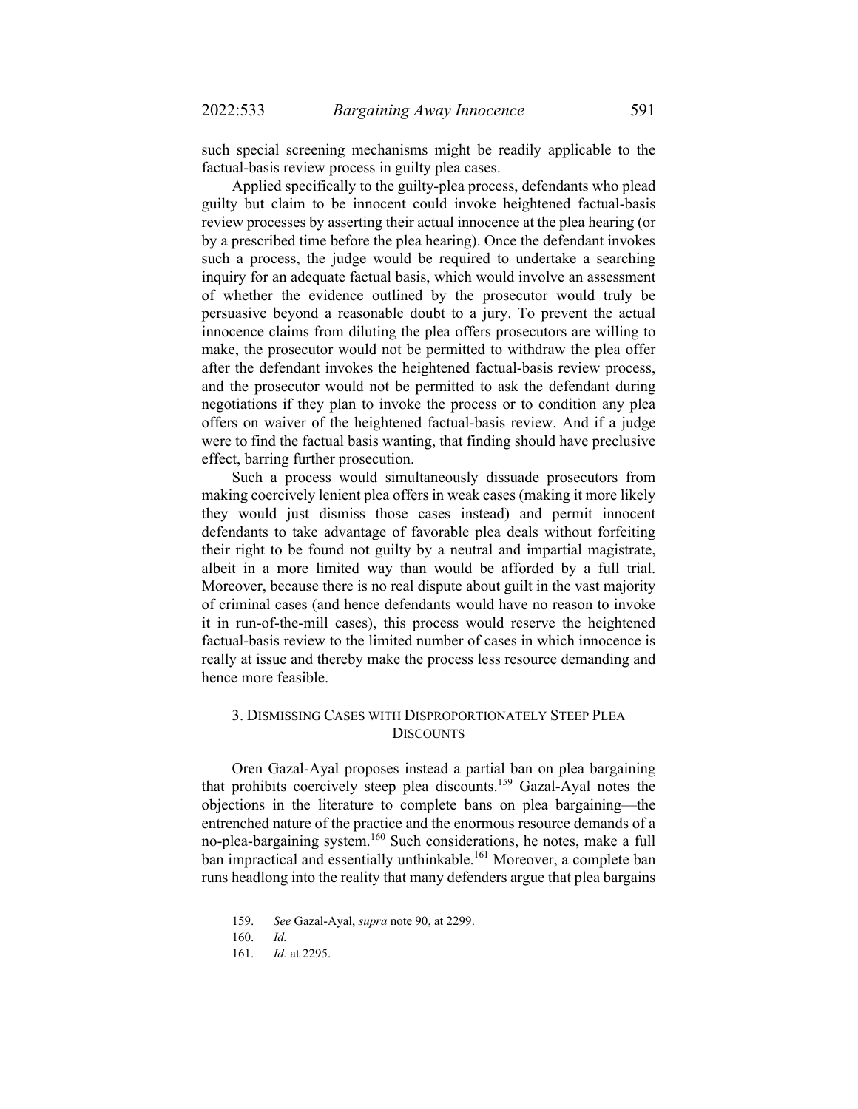such special screening mechanisms might be readily applicable to the factual-basis review process in guilty plea cases.

Applied specifically to the guilty-plea process, defendants who plead guilty but claim to be innocent could invoke heightened factual-basis review processes by asserting their actual innocence at the plea hearing (or by a prescribed time before the plea hearing). Once the defendant invokes such a process, the judge would be required to undertake a searching inquiry for an adequate factual basis, which would involve an assessment of whether the evidence outlined by the prosecutor would truly be persuasive beyond a reasonable doubt to a jury. To prevent the actual innocence claims from diluting the plea offers prosecutors are willing to make, the prosecutor would not be permitted to withdraw the plea offer after the defendant invokes the heightened factual-basis review process, and the prosecutor would not be permitted to ask the defendant during negotiations if they plan to invoke the process or to condition any plea offers on waiver of the heightened factual-basis review. And if a judge were to find the factual basis wanting, that finding should have preclusive effect, barring further prosecution.

Such a process would simultaneously dissuade prosecutors from making coercively lenient plea offers in weak cases (making it more likely they would just dismiss those cases instead) and permit innocent defendants to take advantage of favorable plea deals without forfeiting their right to be found not guilty by a neutral and impartial magistrate, albeit in a more limited way than would be afforded by a full trial. Moreover, because there is no real dispute about guilt in the vast majority of criminal cases (and hence defendants would have no reason to invoke it in run-of-the-mill cases), this process would reserve the heightened factual-basis review to the limited number of cases in which innocence is really at issue and thereby make the process less resource demanding and hence more feasible.

## 3. DISMISSING CASES WITH DISPROPORTIONATELY STEEP PLEA **DISCOUNTS**

Oren Gazal-Ayal proposes instead a partial ban on plea bargaining that prohibits coercively steep plea discounts.159 Gazal-Ayal notes the objections in the literature to complete bans on plea bargaining—the entrenched nature of the practice and the enormous resource demands of a no-plea-bargaining system.160 Such considerations, he notes, make a full ban impractical and essentially unthinkable.<sup>161</sup> Moreover, a complete ban runs headlong into the reality that many defenders argue that plea bargains

 <sup>159.</sup> *See* Gazal-Ayal, *supra* note 90, at 2299.

 <sup>160.</sup> *Id.* 

 <sup>161.</sup> *Id.* at 2295.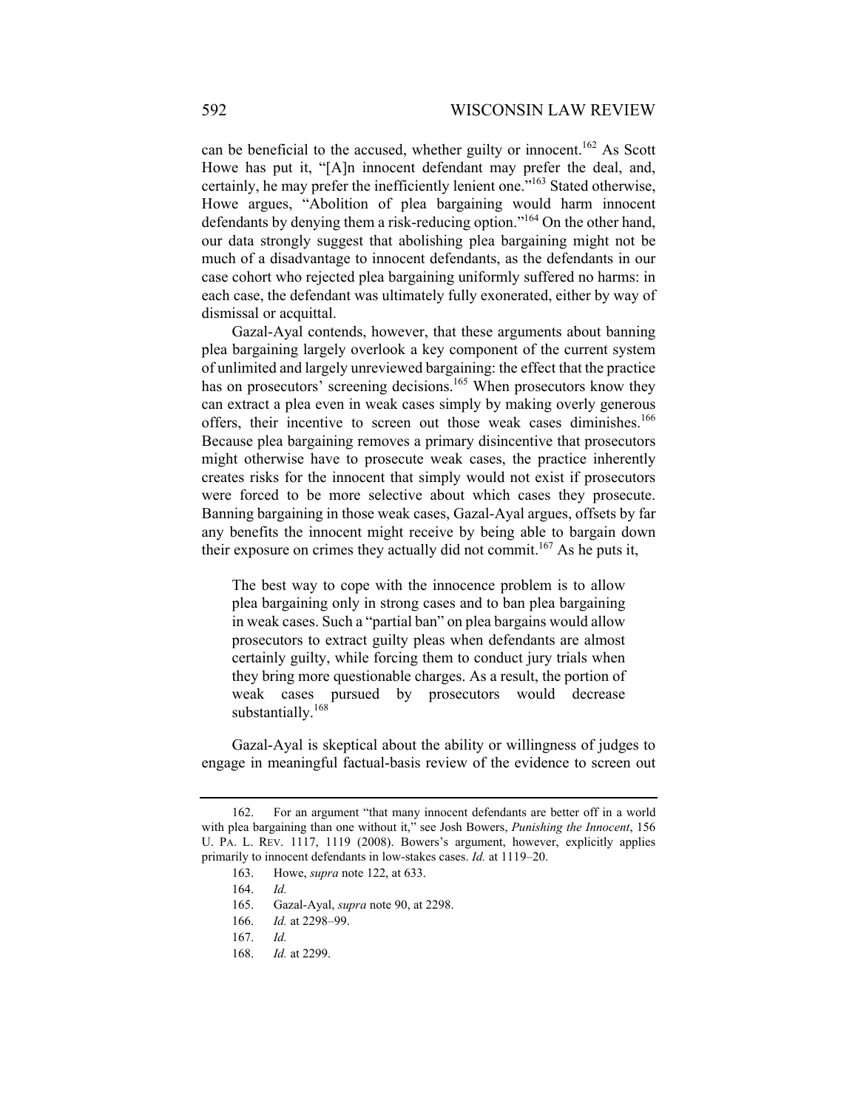can be beneficial to the accused, whether guilty or innocent.<sup>162</sup> As Scott Howe has put it, "[A]n innocent defendant may prefer the deal, and, certainly, he may prefer the inefficiently lenient one."163 Stated otherwise, Howe argues, "Abolition of plea bargaining would harm innocent defendants by denying them a risk-reducing option."164 On the other hand, our data strongly suggest that abolishing plea bargaining might not be much of a disadvantage to innocent defendants, as the defendants in our case cohort who rejected plea bargaining uniformly suffered no harms: in each case, the defendant was ultimately fully exonerated, either by way of dismissal or acquittal.

Gazal-Ayal contends, however, that these arguments about banning plea bargaining largely overlook a key component of the current system of unlimited and largely unreviewed bargaining: the effect that the practice has on prosecutors' screening decisions.<sup>165</sup> When prosecutors know they can extract a plea even in weak cases simply by making overly generous offers, their incentive to screen out those weak cases diminishes.<sup>166</sup> Because plea bargaining removes a primary disincentive that prosecutors might otherwise have to prosecute weak cases, the practice inherently creates risks for the innocent that simply would not exist if prosecutors were forced to be more selective about which cases they prosecute. Banning bargaining in those weak cases, Gazal-Ayal argues, offsets by far any benefits the innocent might receive by being able to bargain down their exposure on crimes they actually did not commit.<sup>167</sup> As he puts it,

The best way to cope with the innocence problem is to allow plea bargaining only in strong cases and to ban plea bargaining in weak cases. Such a "partial ban" on plea bargains would allow prosecutors to extract guilty pleas when defendants are almost certainly guilty, while forcing them to conduct jury trials when they bring more questionable charges. As a result, the portion of weak cases pursued by prosecutors would decrease substantially.<sup>168</sup>

Gazal-Ayal is skeptical about the ability or willingness of judges to engage in meaningful factual-basis review of the evidence to screen out

 <sup>162.</sup> For an argument "that many innocent defendants are better off in a world with plea bargaining than one without it," see Josh Bowers, *Punishing the Innocent*, 156 U. PA. L. REV. 1117, 1119 (2008). Bowers's argument, however, explicitly applies primarily to innocent defendants in low-stakes cases. *Id.* at 1119–20.

 <sup>163.</sup> Howe, *supra* note 122, at 633.

 <sup>164.</sup> *Id.* 

 <sup>165.</sup> Gazal-Ayal, *supra* note 90, at 2298.

 <sup>166.</sup> *Id.* at 2298–99.

 <sup>167.</sup> *Id.* 

 <sup>168.</sup> *Id.* at 2299.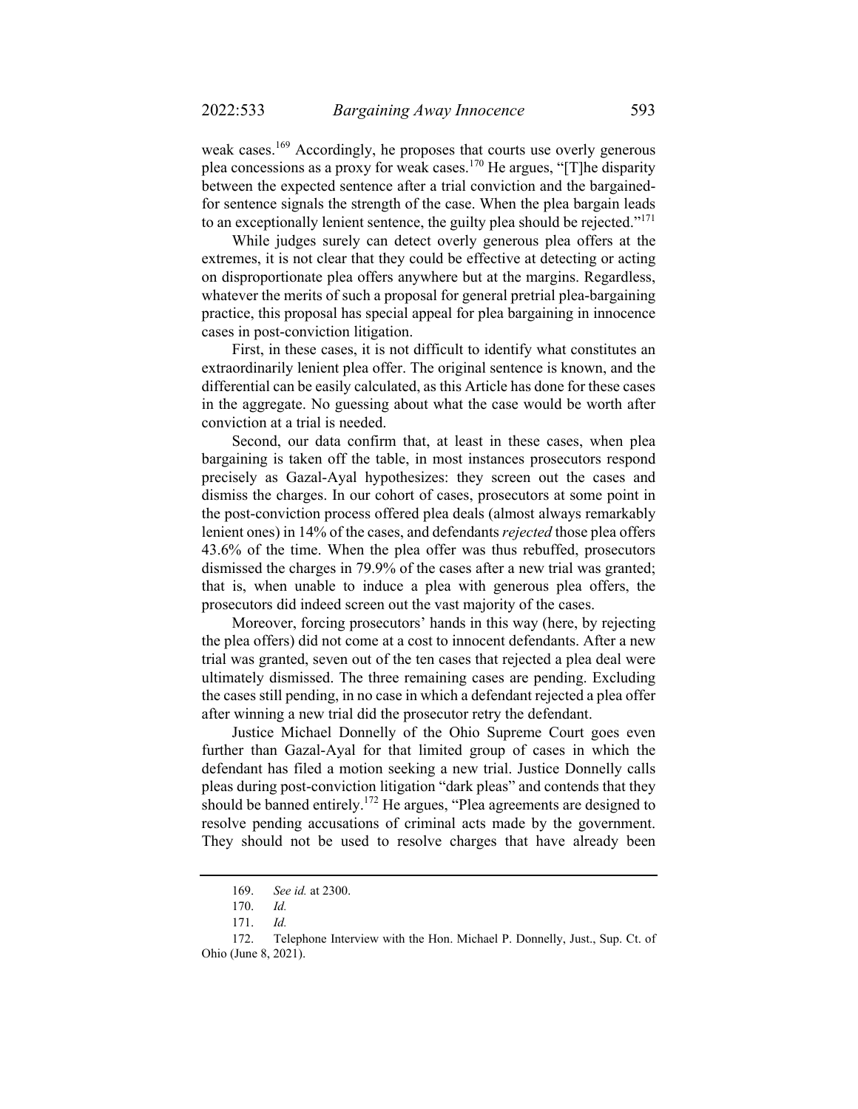weak cases.<sup>169</sup> Accordingly, he proposes that courts use overly generous plea concessions as a proxy for weak cases.170 He argues, "[T]he disparity between the expected sentence after a trial conviction and the bargainedfor sentence signals the strength of the case. When the plea bargain leads to an exceptionally lenient sentence, the guilty plea should be rejected."<sup>171</sup>

While judges surely can detect overly generous plea offers at the extremes, it is not clear that they could be effective at detecting or acting on disproportionate plea offers anywhere but at the margins. Regardless, whatever the merits of such a proposal for general pretrial plea-bargaining practice, this proposal has special appeal for plea bargaining in innocence cases in post-conviction litigation.

First, in these cases, it is not difficult to identify what constitutes an extraordinarily lenient plea offer. The original sentence is known, and the differential can be easily calculated, as this Article has done for these cases in the aggregate. No guessing about what the case would be worth after conviction at a trial is needed.

Second, our data confirm that, at least in these cases, when plea bargaining is taken off the table, in most instances prosecutors respond precisely as Gazal-Ayal hypothesizes: they screen out the cases and dismiss the charges. In our cohort of cases, prosecutors at some point in the post-conviction process offered plea deals (almost always remarkably lenient ones) in 14% of the cases, and defendants *rejected* those plea offers 43.6% of the time. When the plea offer was thus rebuffed, prosecutors dismissed the charges in 79.9% of the cases after a new trial was granted; that is, when unable to induce a plea with generous plea offers, the prosecutors did indeed screen out the vast majority of the cases.

Moreover, forcing prosecutors' hands in this way (here, by rejecting the plea offers) did not come at a cost to innocent defendants. After a new trial was granted, seven out of the ten cases that rejected a plea deal were ultimately dismissed. The three remaining cases are pending. Excluding the cases still pending, in no case in which a defendant rejected a plea offer after winning a new trial did the prosecutor retry the defendant.

Justice Michael Donnelly of the Ohio Supreme Court goes even further than Gazal-Ayal for that limited group of cases in which the defendant has filed a motion seeking a new trial. Justice Donnelly calls pleas during post-conviction litigation "dark pleas" and contends that they should be banned entirely.<sup>172</sup> He argues, "Plea agreements are designed to resolve pending accusations of criminal acts made by the government. They should not be used to resolve charges that have already been

 <sup>169.</sup> *See id.* at 2300.

 <sup>170.</sup> *Id.* 

 <sup>171.</sup> *Id.* 

 <sup>172.</sup> Telephone Interview with the Hon. Michael P. Donnelly, Just., Sup. Ct. of Ohio (June 8, 2021).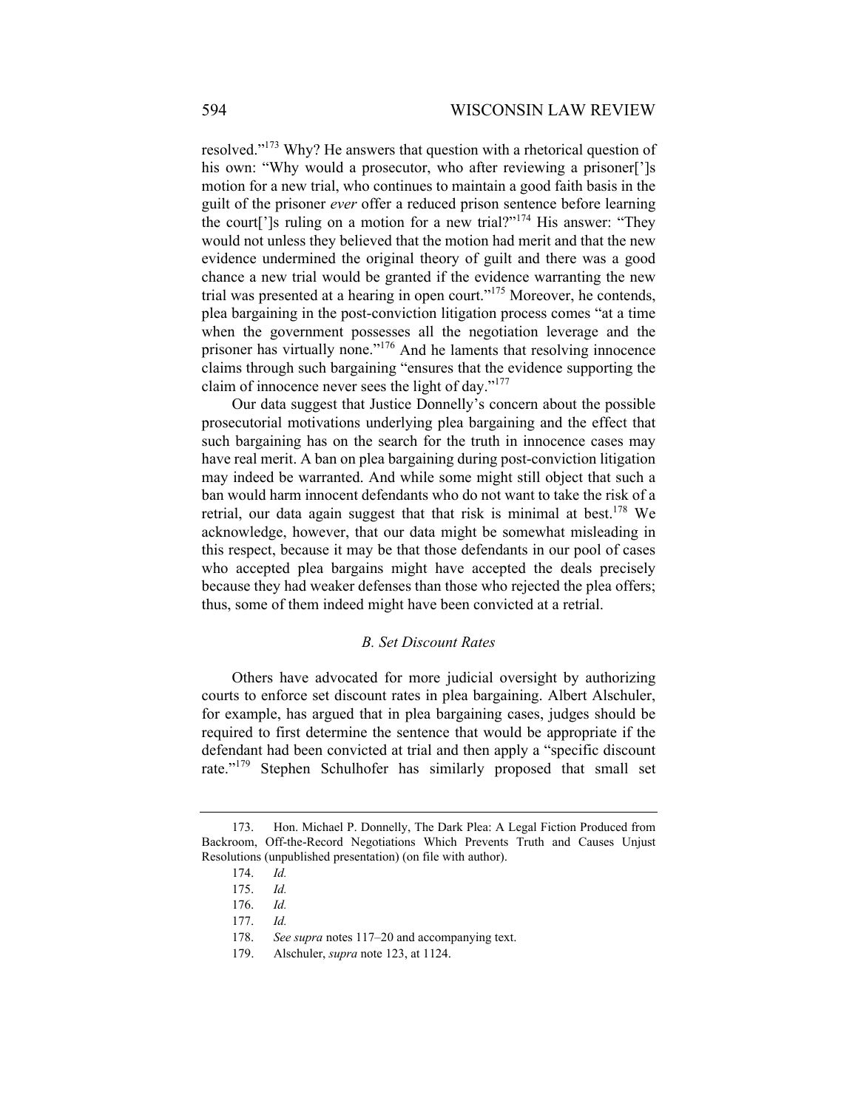resolved."173 Why? He answers that question with a rhetorical question of his own: "Why would a prosecutor, who after reviewing a prisoner[']s motion for a new trial, who continues to maintain a good faith basis in the guilt of the prisoner *ever* offer a reduced prison sentence before learning the court<sup>['</sup>]s ruling on a motion for a new trial?"<sup>174</sup> His answer: "They would not unless they believed that the motion had merit and that the new evidence undermined the original theory of guilt and there was a good chance a new trial would be granted if the evidence warranting the new trial was presented at a hearing in open court."<sup>175</sup> Moreover, he contends, plea bargaining in the post-conviction litigation process comes "at a time when the government possesses all the negotiation leverage and the prisoner has virtually none."<sup>176</sup> And he laments that resolving innocence claims through such bargaining "ensures that the evidence supporting the claim of innocence never sees the light of day."<sup>177</sup>

Our data suggest that Justice Donnelly's concern about the possible prosecutorial motivations underlying plea bargaining and the effect that such bargaining has on the search for the truth in innocence cases may have real merit. A ban on plea bargaining during post-conviction litigation may indeed be warranted. And while some might still object that such a ban would harm innocent defendants who do not want to take the risk of a retrial, our data again suggest that that risk is minimal at best.<sup>178</sup> We acknowledge, however, that our data might be somewhat misleading in this respect, because it may be that those defendants in our pool of cases who accepted plea bargains might have accepted the deals precisely because they had weaker defenses than those who rejected the plea offers; thus, some of them indeed might have been convicted at a retrial.

#### *B. Set Discount Rates*

Others have advocated for more judicial oversight by authorizing courts to enforce set discount rates in plea bargaining. Albert Alschuler, for example, has argued that in plea bargaining cases, judges should be required to first determine the sentence that would be appropriate if the defendant had been convicted at trial and then apply a "specific discount rate."<sup>179</sup> Stephen Schulhofer has similarly proposed that small set

 <sup>173.</sup> Hon. Michael P. Donnelly, The Dark Plea: A Legal Fiction Produced from Backroom, Off-the-Record Negotiations Which Prevents Truth and Causes Unjust Resolutions (unpublished presentation) (on file with author).

 <sup>174.</sup> *Id.*

 <sup>175.</sup> *Id.* 

 <sup>176.</sup> *Id.* 

 <sup>177.</sup> *Id.* 

 <sup>178.</sup> *See supra* notes 117–20 and accompanying text.

 <sup>179.</sup> Alschuler, *supra* note 123, at 1124.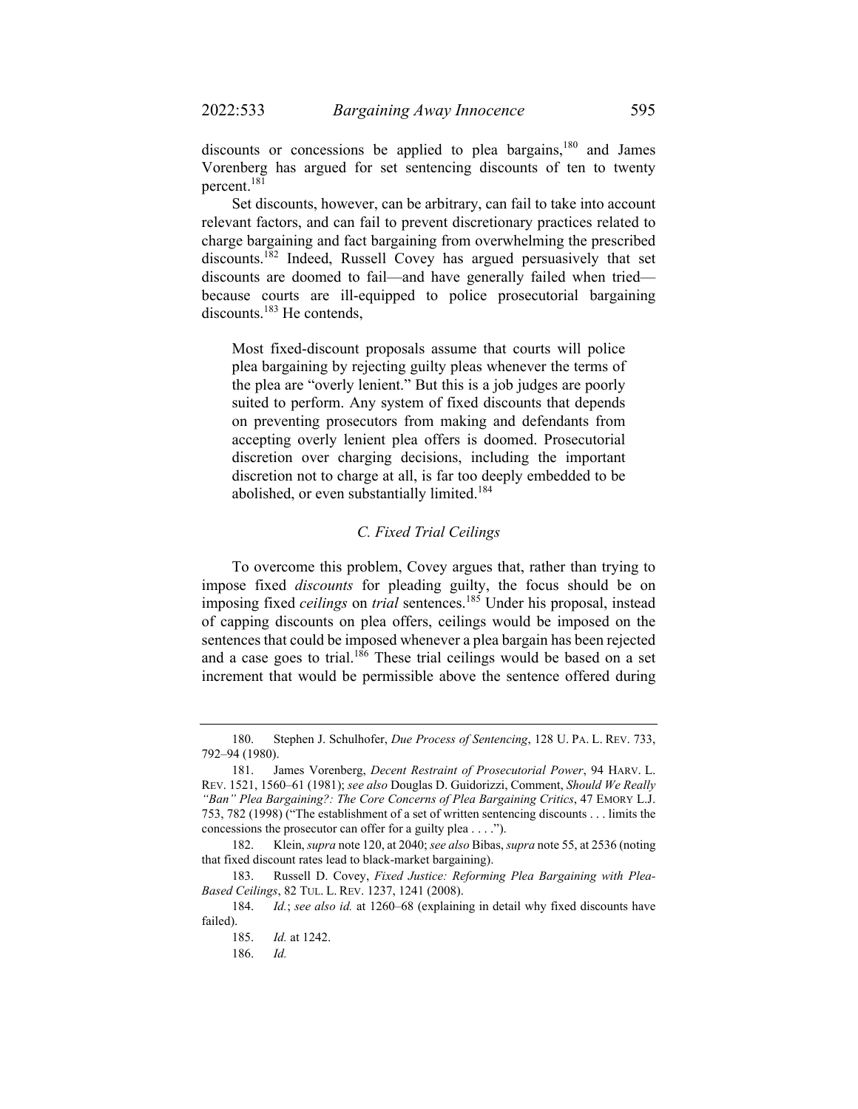discounts or concessions be applied to plea bargains,  $180$  and James Vorenberg has argued for set sentencing discounts of ten to twenty percent.<sup>181</sup>

Set discounts, however, can be arbitrary, can fail to take into account relevant factors, and can fail to prevent discretionary practices related to charge bargaining and fact bargaining from overwhelming the prescribed discounts.<sup>182</sup> Indeed, Russell Covey has argued persuasively that set discounts are doomed to fail—and have generally failed when tried because courts are ill-equipped to police prosecutorial bargaining discounts.<sup>183</sup> He contends,

Most fixed-discount proposals assume that courts will police plea bargaining by rejecting guilty pleas whenever the terms of the plea are "overly lenient." But this is a job judges are poorly suited to perform. Any system of fixed discounts that depends on preventing prosecutors from making and defendants from accepting overly lenient plea offers is doomed. Prosecutorial discretion over charging decisions, including the important discretion not to charge at all, is far too deeply embedded to be abolished, or even substantially limited.<sup>184</sup>

## *C. Fixed Trial Ceilings*

To overcome this problem, Covey argues that, rather than trying to impose fixed *discounts* for pleading guilty, the focus should be on imposing fixed *ceilings* on *trial* sentences.185 Under his proposal, instead of capping discounts on plea offers, ceilings would be imposed on the sentences that could be imposed whenever a plea bargain has been rejected and a case goes to trial.<sup>186</sup> These trial ceilings would be based on a set increment that would be permissible above the sentence offered during

 <sup>180.</sup> Stephen J. Schulhofer, *Due Process of Sentencing*, 128 U. PA. L. REV. 733, 792–94 (1980).

 <sup>181.</sup> James Vorenberg, *Decent Restraint of Prosecutorial Power*, 94 HARV. L. REV. 1521, 1560–61 (1981); *see also* Douglas D. Guidorizzi, Comment, *Should We Really "Ban" Plea Bargaining?: The Core Concerns of Plea Bargaining Critics*, 47 EMORY L.J. 753, 782 (1998) ("The establishment of a set of written sentencing discounts . . . limits the concessions the prosecutor can offer for a guilty plea . . . .").

 <sup>182.</sup> Klein, *supra* note 120, at 2040; *see also* Bibas, *supra* note 55, at 2536 (noting that fixed discount rates lead to black-market bargaining).

 <sup>183.</sup> Russell D. Covey, *Fixed Justice: Reforming Plea Bargaining with Plea-Based Ceilings*, 82 TUL. L. REV. 1237, 1241 (2008).

 <sup>184.</sup> *Id.*; *see also id.* at 1260–68 (explaining in detail why fixed discounts have failed).

 <sup>185.</sup> *Id.* at 1242.

 <sup>186.</sup> *Id.*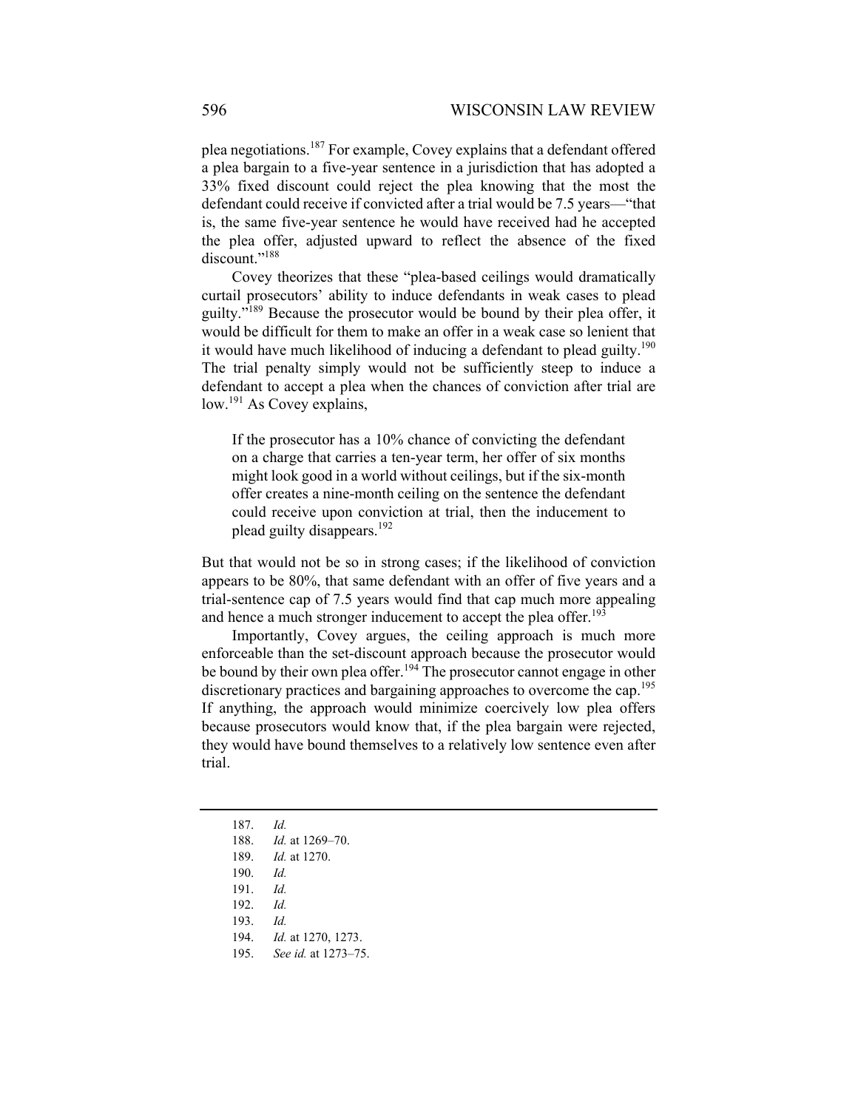plea negotiations.<sup>187</sup> For example, Covey explains that a defendant offered a plea bargain to a five-year sentence in a jurisdiction that has adopted a 33% fixed discount could reject the plea knowing that the most the defendant could receive if convicted after a trial would be 7.5 years—"that is, the same five-year sentence he would have received had he accepted the plea offer, adjusted upward to reflect the absence of the fixed discount."<sup>188</sup>

Covey theorizes that these "plea-based ceilings would dramatically curtail prosecutors' ability to induce defendants in weak cases to plead guilty."<sup>189</sup> Because the prosecutor would be bound by their plea offer, it would be difficult for them to make an offer in a weak case so lenient that it would have much likelihood of inducing a defendant to plead guilty.<sup>190</sup> The trial penalty simply would not be sufficiently steep to induce a defendant to accept a plea when the chances of conviction after trial are low.<sup>191</sup> As Covey explains,

If the prosecutor has a 10% chance of convicting the defendant on a charge that carries a ten-year term, her offer of six months might look good in a world without ceilings, but if the six-month offer creates a nine-month ceiling on the sentence the defendant could receive upon conviction at trial, then the inducement to plead guilty disappears.<sup>192</sup>

But that would not be so in strong cases; if the likelihood of conviction appears to be 80%, that same defendant with an offer of five years and a trial-sentence cap of 7.5 years would find that cap much more appealing and hence a much stronger inducement to accept the plea offer.<sup>193</sup>

Importantly, Covey argues, the ceiling approach is much more enforceable than the set-discount approach because the prosecutor would be bound by their own plea offer.<sup>194</sup> The prosecutor cannot engage in other discretionary practices and bargaining approaches to overcome the cap.<sup>195</sup> If anything, the approach would minimize coercively low plea offers because prosecutors would know that, if the plea bargain were rejected, they would have bound themselves to a relatively low sentence even after trial.

- 187. *Id.*
- 188. *Id.* at 1269–70.
- 189. *Id.* at 1270.
- 190. *Id.*
- 191. *Id.*
- 192. *Id.*
- 193. *Id.*
- 194. *Id.* at 1270, 1273.
- 195. *See id.* at 1273–75.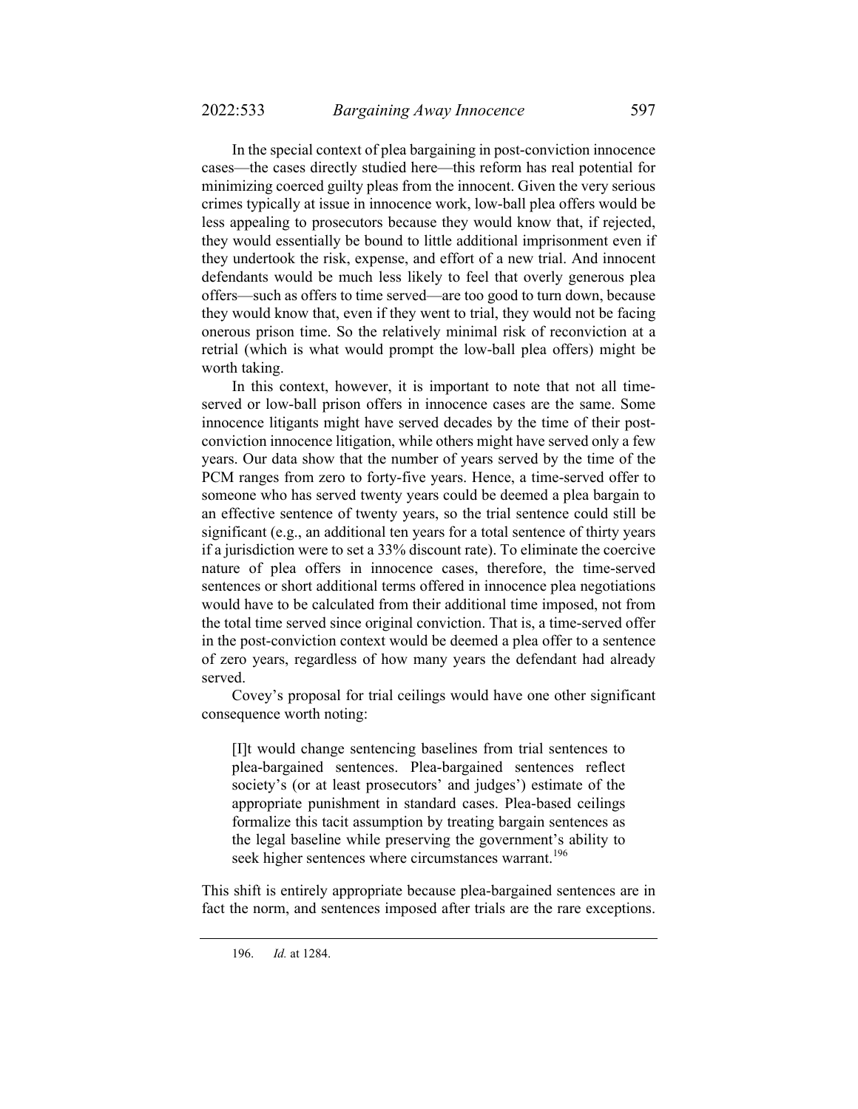In the special context of plea bargaining in post-conviction innocence cases—the cases directly studied here—this reform has real potential for minimizing coerced guilty pleas from the innocent. Given the very serious crimes typically at issue in innocence work, low-ball plea offers would be less appealing to prosecutors because they would know that, if rejected, they would essentially be bound to little additional imprisonment even if they undertook the risk, expense, and effort of a new trial. And innocent defendants would be much less likely to feel that overly generous plea offers—such as offers to time served—are too good to turn down, because they would know that, even if they went to trial, they would not be facing onerous prison time. So the relatively minimal risk of reconviction at a retrial (which is what would prompt the low-ball plea offers) might be worth taking.

In this context, however, it is important to note that not all timeserved or low-ball prison offers in innocence cases are the same. Some innocence litigants might have served decades by the time of their postconviction innocence litigation, while others might have served only a few years. Our data show that the number of years served by the time of the PCM ranges from zero to forty-five years. Hence, a time-served offer to someone who has served twenty years could be deemed a plea bargain to an effective sentence of twenty years, so the trial sentence could still be significant (e.g., an additional ten years for a total sentence of thirty years if a jurisdiction were to set a 33% discount rate). To eliminate the coercive nature of plea offers in innocence cases, therefore, the time-served sentences or short additional terms offered in innocence plea negotiations would have to be calculated from their additional time imposed, not from the total time served since original conviction. That is, a time-served offer in the post-conviction context would be deemed a plea offer to a sentence of zero years, regardless of how many years the defendant had already served.

Covey's proposal for trial ceilings would have one other significant consequence worth noting:

[I]t would change sentencing baselines from trial sentences to plea-bargained sentences. Plea-bargained sentences reflect society's (or at least prosecutors' and judges') estimate of the appropriate punishment in standard cases. Plea-based ceilings formalize this tacit assumption by treating bargain sentences as the legal baseline while preserving the government's ability to seek higher sentences where circumstances warrant.<sup>196</sup>

This shift is entirely appropriate because plea-bargained sentences are in fact the norm, and sentences imposed after trials are the rare exceptions.

 <sup>196.</sup> *Id.* at 1284.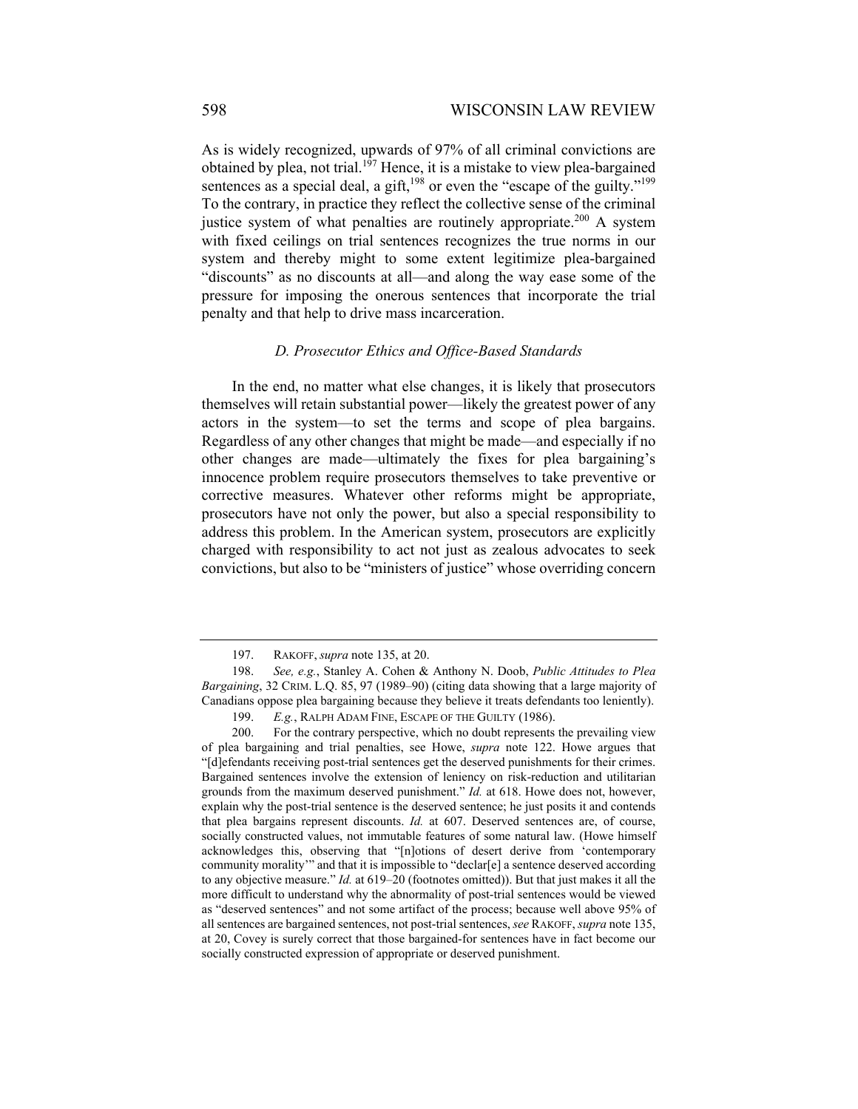As is widely recognized, upwards of 97% of all criminal convictions are obtained by plea, not trial.<sup>197</sup> Hence, it is a mistake to view plea-bargained sentences as a special deal, a gift,<sup>198</sup> or even the "escape of the guilty."<sup>199</sup> To the contrary, in practice they reflect the collective sense of the criminal justice system of what penalties are routinely appropriate.<sup>200</sup> A system with fixed ceilings on trial sentences recognizes the true norms in our system and thereby might to some extent legitimize plea-bargained "discounts" as no discounts at all—and along the way ease some of the pressure for imposing the onerous sentences that incorporate the trial penalty and that help to drive mass incarceration.

## *D. Prosecutor Ethics and Office-Based Standards*

In the end, no matter what else changes, it is likely that prosecutors themselves will retain substantial power—likely the greatest power of any actors in the system—to set the terms and scope of plea bargains. Regardless of any other changes that might be made—and especially if no other changes are made—ultimately the fixes for plea bargaining's innocence problem require prosecutors themselves to take preventive or corrective measures. Whatever other reforms might be appropriate, prosecutors have not only the power, but also a special responsibility to address this problem. In the American system, prosecutors are explicitly charged with responsibility to act not just as zealous advocates to seek convictions, but also to be "ministers of justice" whose overriding concern

 <sup>197.</sup> RAKOFF, *supra* note 135, at 20.

 <sup>198.</sup> *See, e.g.*, Stanley A. Cohen & Anthony N. Doob, *Public Attitudes to Plea Bargaining*, 32 CRIM. L.Q. 85, 97 (1989–90) (citing data showing that a large majority of Canadians oppose plea bargaining because they believe it treats defendants too leniently).

 <sup>199.</sup> *E.g.*, RALPH ADAM FINE, ESCAPE OF THE GUILTY (1986).

 <sup>200.</sup> For the contrary perspective, which no doubt represents the prevailing view of plea bargaining and trial penalties, see Howe, *supra* note 122. Howe argues that "[d]efendants receiving post-trial sentences get the deserved punishments for their crimes. Bargained sentences involve the extension of leniency on risk-reduction and utilitarian grounds from the maximum deserved punishment." *Id.* at 618. Howe does not, however, explain why the post-trial sentence is the deserved sentence; he just posits it and contends that plea bargains represent discounts. *Id.* at 607. Deserved sentences are, of course, socially constructed values, not immutable features of some natural law. (Howe himself acknowledges this, observing that "[n]otions of desert derive from 'contemporary community morality'" and that it is impossible to "declar[e] a sentence deserved according to any objective measure." *Id.* at 619–20 (footnotes omitted)). But that just makes it all the more difficult to understand why the abnormality of post-trial sentences would be viewed as "deserved sentences" and not some artifact of the process; because well above 95% of all sentences are bargained sentences, not post-trial sentences, *see* RAKOFF, *supra* note 135, at 20, Covey is surely correct that those bargained-for sentences have in fact become our socially constructed expression of appropriate or deserved punishment.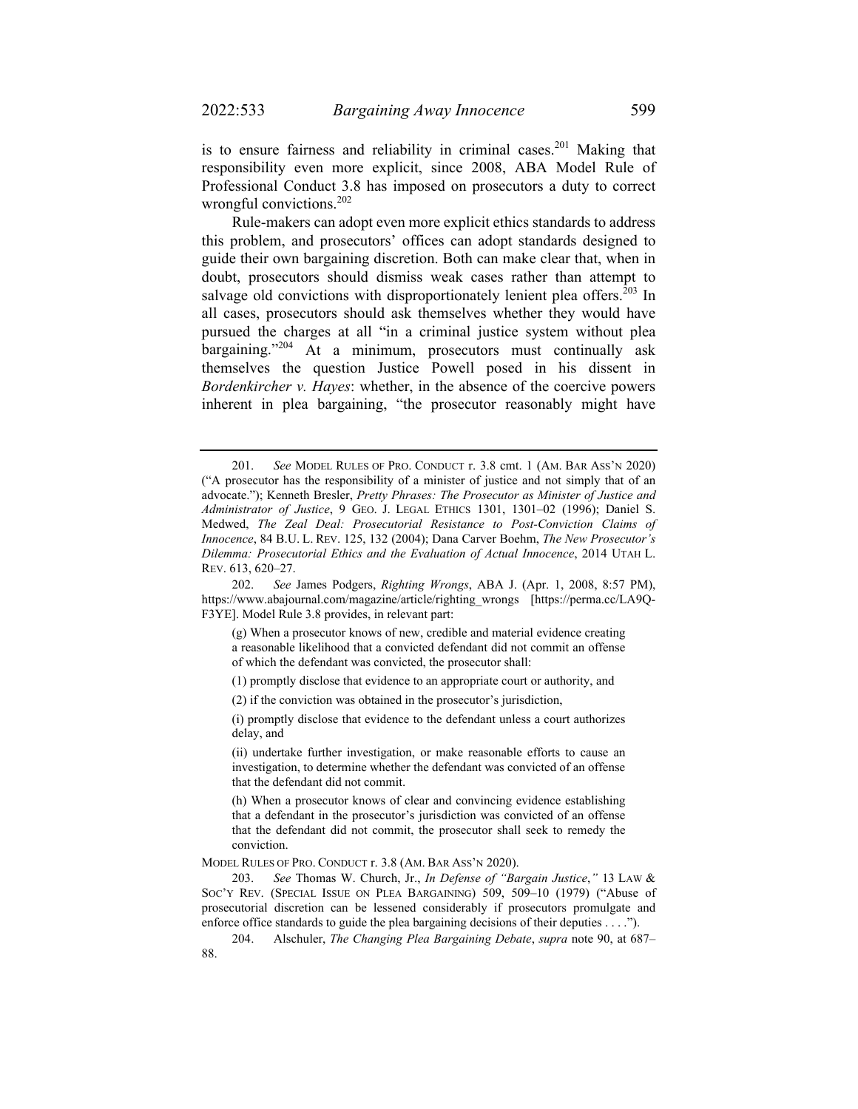is to ensure fairness and reliability in criminal cases.<sup>201</sup> Making that responsibility even more explicit, since 2008, ABA Model Rule of Professional Conduct 3.8 has imposed on prosecutors a duty to correct wrongful convictions.<sup>202</sup>

Rule-makers can adopt even more explicit ethics standards to address this problem, and prosecutors' offices can adopt standards designed to guide their own bargaining discretion. Both can make clear that, when in doubt, prosecutors should dismiss weak cases rather than attempt to salvage old convictions with disproportionately lenient plea offers.<sup>203</sup> In all cases, prosecutors should ask themselves whether they would have pursued the charges at all "in a criminal justice system without plea bargaining."<sup>204</sup> At a minimum, prosecutors must continually ask themselves the question Justice Powell posed in his dissent in *Bordenkircher v. Hayes*: whether, in the absence of the coercive powers inherent in plea bargaining, "the prosecutor reasonably might have

(g) When a prosecutor knows of new, credible and material evidence creating a reasonable likelihood that a convicted defendant did not commit an offense of which the defendant was convicted, the prosecutor shall:

(1) promptly disclose that evidence to an appropriate court or authority, and

(2) if the conviction was obtained in the prosecutor's jurisdiction,

(i) promptly disclose that evidence to the defendant unless a court authorizes delay, and

(ii) undertake further investigation, or make reasonable efforts to cause an investigation, to determine whether the defendant was convicted of an offense that the defendant did not commit.

(h) When a prosecutor knows of clear and convincing evidence establishing that a defendant in the prosecutor's jurisdiction was convicted of an offense that the defendant did not commit, the prosecutor shall seek to remedy the conviction.

MODEL RULES OF PRO. CONDUCT r. 3.8 (AM. BAR ASS'N 2020).

 203. *See* Thomas W. Church, Jr., *In Defense of "Bargain Justice*,*"* 13 LAW & SOC'Y REV. (SPECIAL ISSUE ON PLEA BARGAINING) 509, 509–10 (1979) ("Abuse of prosecutorial discretion can be lessened considerably if prosecutors promulgate and enforce office standards to guide the plea bargaining decisions of their deputies . . . .").

 204. Alschuler, *The Changing Plea Bargaining Debate*, *supra* note 90, at 687– 88.

 <sup>201.</sup> *See* MODEL RULES OF PRO. CONDUCT r. 3.8 cmt. 1 (AM. BAR ASS'N 2020) ("A prosecutor has the responsibility of a minister of justice and not simply that of an advocate."); Kenneth Bresler, *Pretty Phrases: The Prosecutor as Minister of Justice and Administrator of Justice*, 9 GEO. J. LEGAL ETHICS 1301, 1301–02 (1996); Daniel S. Medwed, *The Zeal Deal: Prosecutorial Resistance to Post-Conviction Claims of Innocence*, 84 B.U. L. REV. 125, 132 (2004); Dana Carver Boehm, *The New Prosecutor's Dilemma: Prosecutorial Ethics and the Evaluation of Actual Innocence*, 2014 UTAH L. REV. 613, 620–27.

 <sup>202.</sup> *See* James Podgers, *Righting Wrongs*, ABA J. (Apr. 1, 2008, 8:57 PM), https://www.abajournal.com/magazine/article/righting\_wrongs [https://perma.cc/LA9Q-F3YE]. Model Rule 3.8 provides, in relevant part: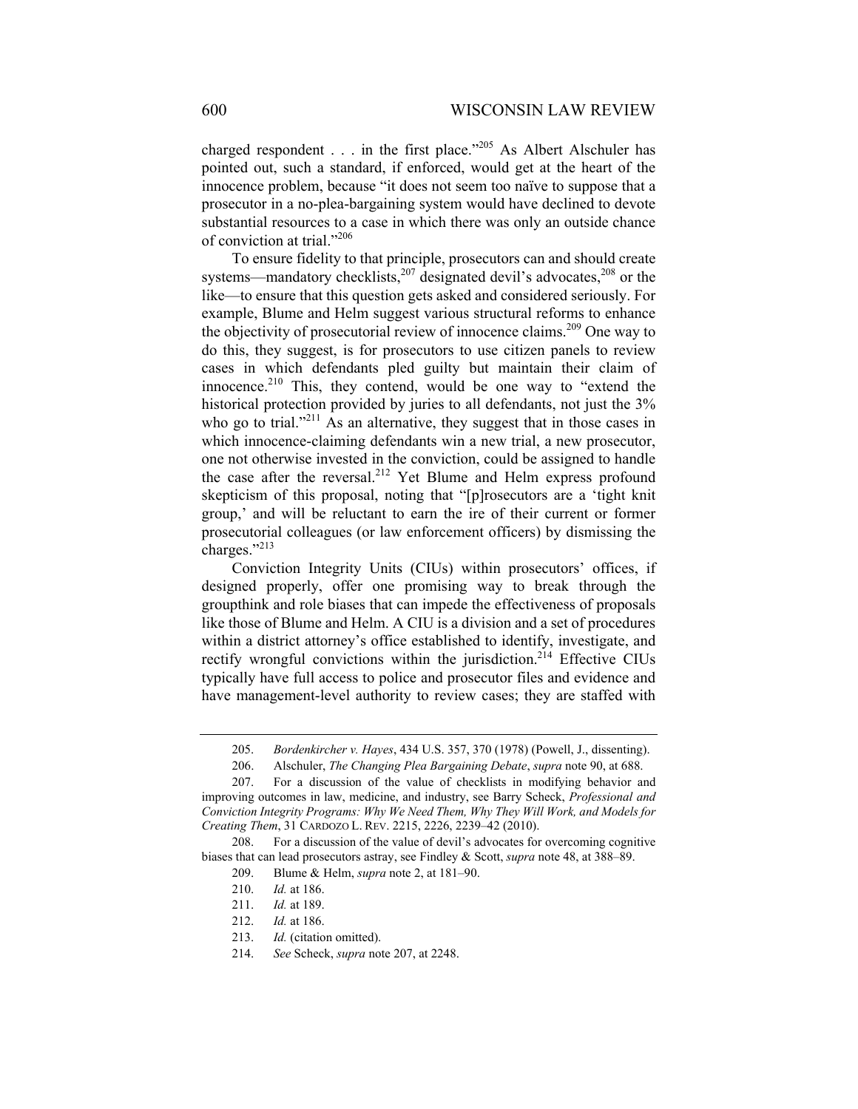charged respondent  $\ldots$  in the first place."<sup>205</sup> As Albert Alschuler has pointed out, such a standard, if enforced, would get at the heart of the innocence problem, because "it does not seem too naïve to suppose that a prosecutor in a no-plea-bargaining system would have declined to devote substantial resources to a case in which there was only an outside chance of conviction at trial."206

To ensure fidelity to that principle, prosecutors can and should create systems—mandatory checklists, $207$  designated devil's advocates, $208$  or the like—to ensure that this question gets asked and considered seriously. For example, Blume and Helm suggest various structural reforms to enhance the objectivity of prosecutorial review of innocence claims.<sup>209</sup> One way to do this, they suggest, is for prosecutors to use citizen panels to review cases in which defendants pled guilty but maintain their claim of innocence.<sup>210</sup> This, they contend, would be one way to "extend the historical protection provided by juries to all defendants, not just the 3% who go to trial."<sup>211</sup> As an alternative, they suggest that in those cases in which innocence-claiming defendants win a new trial, a new prosecutor, one not otherwise invested in the conviction, could be assigned to handle the case after the reversal.<sup>212</sup> Yet Blume and Helm express profound skepticism of this proposal, noting that "[p]rosecutors are a 'tight knit group,' and will be reluctant to earn the ire of their current or former prosecutorial colleagues (or law enforcement officers) by dismissing the charges."213

Conviction Integrity Units (CIUs) within prosecutors' offices, if designed properly, offer one promising way to break through the groupthink and role biases that can impede the effectiveness of proposals like those of Blume and Helm. A CIU is a division and a set of procedures within a district attorney's office established to identify, investigate, and rectify wrongful convictions within the jurisdiction.<sup>214</sup> Effective CIUs typically have full access to police and prosecutor files and evidence and have management-level authority to review cases; they are staffed with

 <sup>205.</sup> *Bordenkircher v. Hayes*, 434 U.S. 357, 370 (1978) (Powell, J., dissenting).

 <sup>206.</sup> Alschuler, *The Changing Plea Bargaining Debate*, *supra* note 90, at 688.

 <sup>207.</sup> For a discussion of the value of checklists in modifying behavior and improving outcomes in law, medicine, and industry, see Barry Scheck, *Professional and Conviction Integrity Programs: Why We Need Them, Why They Will Work, and Models for Creating Them*, 31 CARDOZO L. REV. 2215, 2226, 2239–42 (2010).

 <sup>208.</sup> For a discussion of the value of devil's advocates for overcoming cognitive biases that can lead prosecutors astray, see Findley & Scott, *supra* note 48, at 388–89.

 <sup>209.</sup> Blume & Helm, *supra* note 2, at 181–90.

 <sup>210.</sup> *Id.* at 186.

 <sup>211.</sup> *Id.* at 189.

 <sup>212.</sup> *Id.* at 186.

 <sup>213.</sup> *Id.* (citation omitted).

 <sup>214.</sup> *See* Scheck, *supra* note 207, at 2248.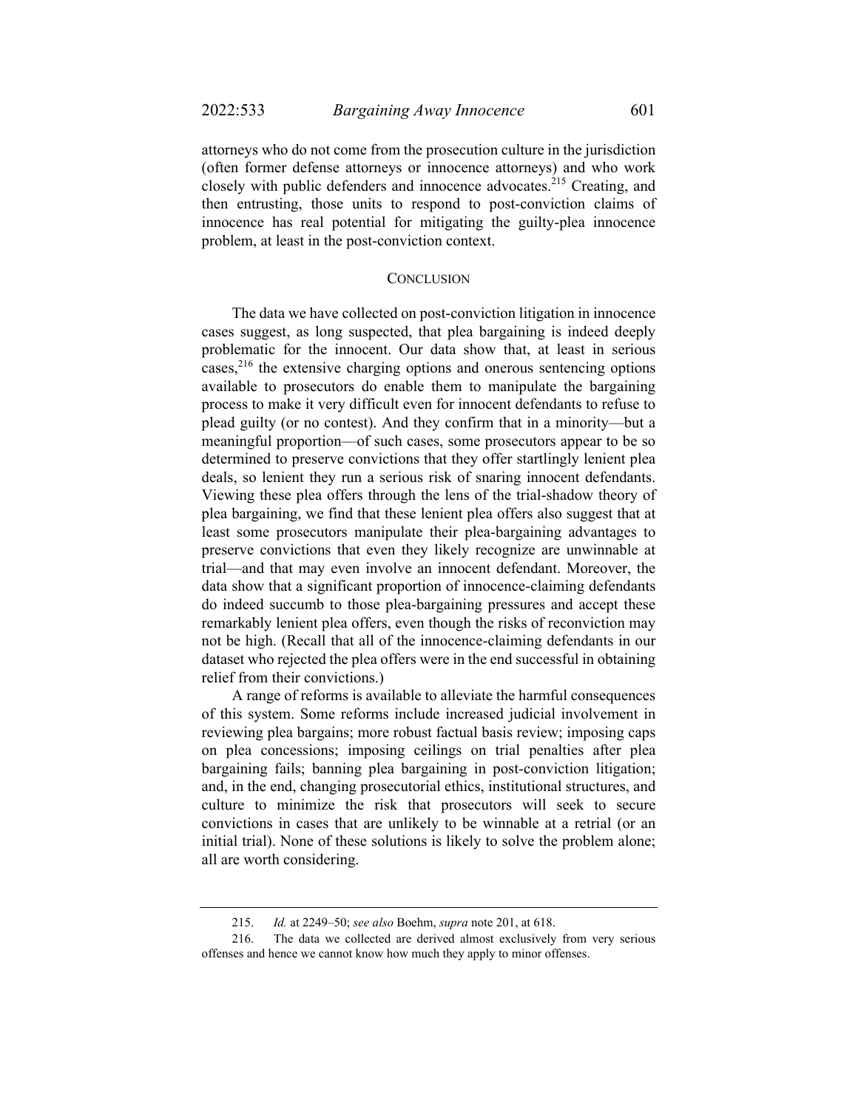attorneys who do not come from the prosecution culture in the jurisdiction (often former defense attorneys or innocence attorneys) and who work closely with public defenders and innocence advocates.<sup>215</sup> Creating, and then entrusting, those units to respond to post-conviction claims of innocence has real potential for mitigating the guilty-plea innocence problem, at least in the post-conviction context.

## **CONCLUSION**

The data we have collected on post-conviction litigation in innocence cases suggest, as long suspected, that plea bargaining is indeed deeply problematic for the innocent. Our data show that, at least in serious cases,<sup>216</sup> the extensive charging options and onerous sentencing options available to prosecutors do enable them to manipulate the bargaining process to make it very difficult even for innocent defendants to refuse to plead guilty (or no contest). And they confirm that in a minority—but a meaningful proportion—of such cases, some prosecutors appear to be so determined to preserve convictions that they offer startlingly lenient plea deals, so lenient they run a serious risk of snaring innocent defendants. Viewing these plea offers through the lens of the trial-shadow theory of plea bargaining, we find that these lenient plea offers also suggest that at least some prosecutors manipulate their plea-bargaining advantages to preserve convictions that even they likely recognize are unwinnable at trial—and that may even involve an innocent defendant. Moreover, the data show that a significant proportion of innocence-claiming defendants do indeed succumb to those plea-bargaining pressures and accept these remarkably lenient plea offers, even though the risks of reconviction may not be high. (Recall that all of the innocence-claiming defendants in our dataset who rejected the plea offers were in the end successful in obtaining relief from their convictions.)

A range of reforms is available to alleviate the harmful consequences of this system. Some reforms include increased judicial involvement in reviewing plea bargains; more robust factual basis review; imposing caps on plea concessions; imposing ceilings on trial penalties after plea bargaining fails; banning plea bargaining in post-conviction litigation; and, in the end, changing prosecutorial ethics, institutional structures, and culture to minimize the risk that prosecutors will seek to secure convictions in cases that are unlikely to be winnable at a retrial (or an initial trial). None of these solutions is likely to solve the problem alone; all are worth considering.

 <sup>215.</sup> *Id.* at 2249–50; *see also* Boehm, *supra* note 201, at 618.

 <sup>216.</sup> The data we collected are derived almost exclusively from very serious offenses and hence we cannot know how much they apply to minor offenses.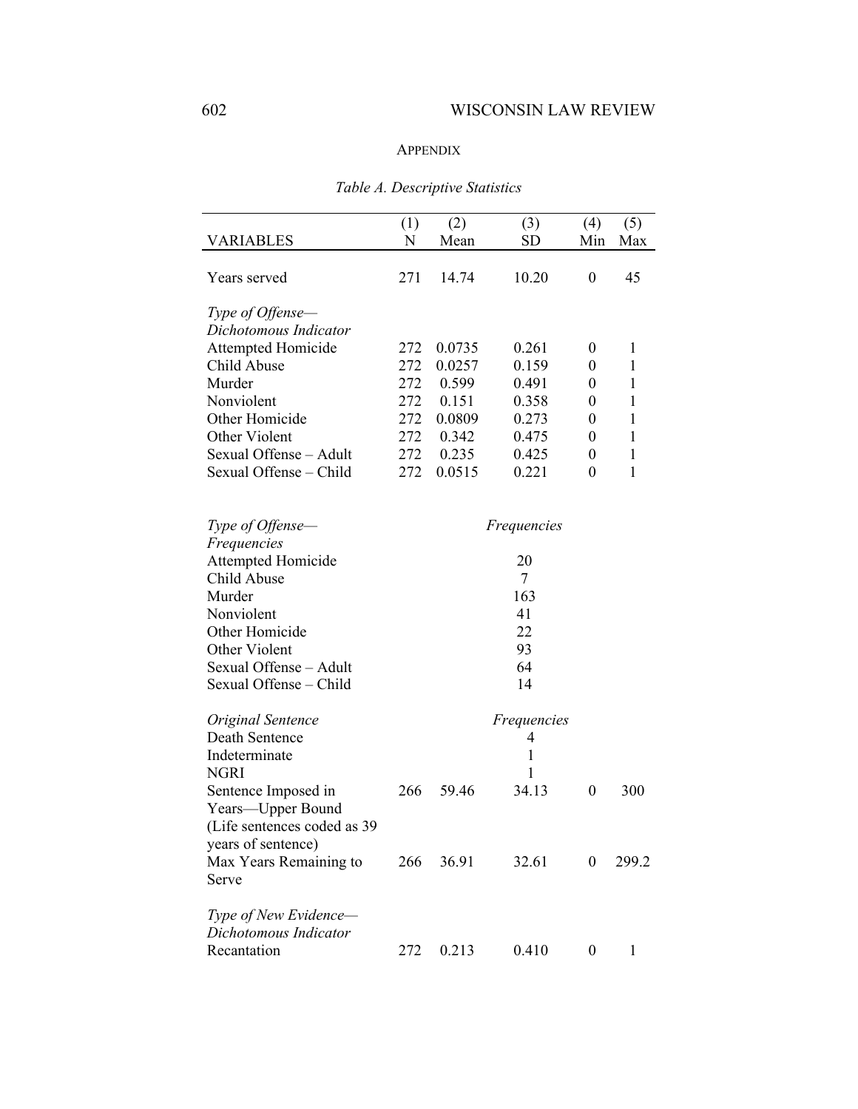## APPENDIX

| VARIABLES                                      | (1)<br>N | (2)<br>Mean | (3)<br>SD          | (4)<br>Min | (5)<br>Max |
|------------------------------------------------|----------|-------------|--------------------|------------|------------|
| Years served                                   | 271      | 14.74       | 10.20              | 0          | 45         |
| Type of Offense-                               |          |             |                    |            |            |
| Dichotomous Indicator                          |          |             |                    |            |            |
| <b>Attempted Homicide</b>                      | 272      | 0.0735      | 0.261              | 0          | 1          |
| Child Abuse                                    | 272      | 0.0257      | 0.159              | 0          | 1          |
| Murder                                         | 272      | 0.599       | 0.491              | 0          | 1          |
| Nonviolent                                     | 272      | 0.151       | 0.358              | 0          | 1          |
| Other Homicide                                 | 272      | 0.0809      | 0.273              | 0          | 1          |
| Other Violent                                  | 272      | 0.342       | 0.475              | 0          | 1          |
| Sexual Offense - Adult                         | 272      | 0.235       | 0.425              | 0          | 1          |
| Sexual Offense - Child                         | 272      | 0.0515      | 0.221              | $\theta$   | 1          |
| Type of Offense-                               |          |             | <i>Frequencies</i> |            |            |
| Frequencies<br><b>Attempted Homicide</b>       |          |             | 20                 |            |            |
| Child Abuse                                    |          |             | 7                  |            |            |
| Murder                                         |          |             | 163                |            |            |
| Nonviolent                                     |          |             | 41                 |            |            |
| Other Homicide                                 |          |             | 22                 |            |            |
| Other Violent                                  |          |             | 93                 |            |            |
| Sexual Offense - Adult                         |          |             | 64                 |            |            |
| Sexual Offense - Child                         |          |             | 14                 |            |            |
| Original Sentence                              |          |             | <i>Frequencies</i> |            |            |
| Death Sentence                                 |          |             | 4                  |            |            |
| Indeterminate                                  |          |             | 1                  |            |            |
| <b>NGRI</b>                                    |          |             | 1                  |            |            |
| Sentence Imposed in                            | 266      | 59.46       | 34.13              | 0          | 300        |
| Years—Upper Bound                              |          |             |                    |            |            |
| (Life sentences coded as 39                    |          |             |                    |            |            |
| years of sentence)                             |          |             |                    |            |            |
| Max Years Remaining to                         | 266      | 36.91       | 32.61              | $\theta$   | 299.2      |
| Serve                                          |          |             |                    |            |            |
| Type of New Evidence-<br>Dichotomous Indicator |          |             |                    |            |            |
| Recantation                                    | 272      | 0.213       | 0.410              | 0          | 1          |

# *Table A. Descriptive Statistics*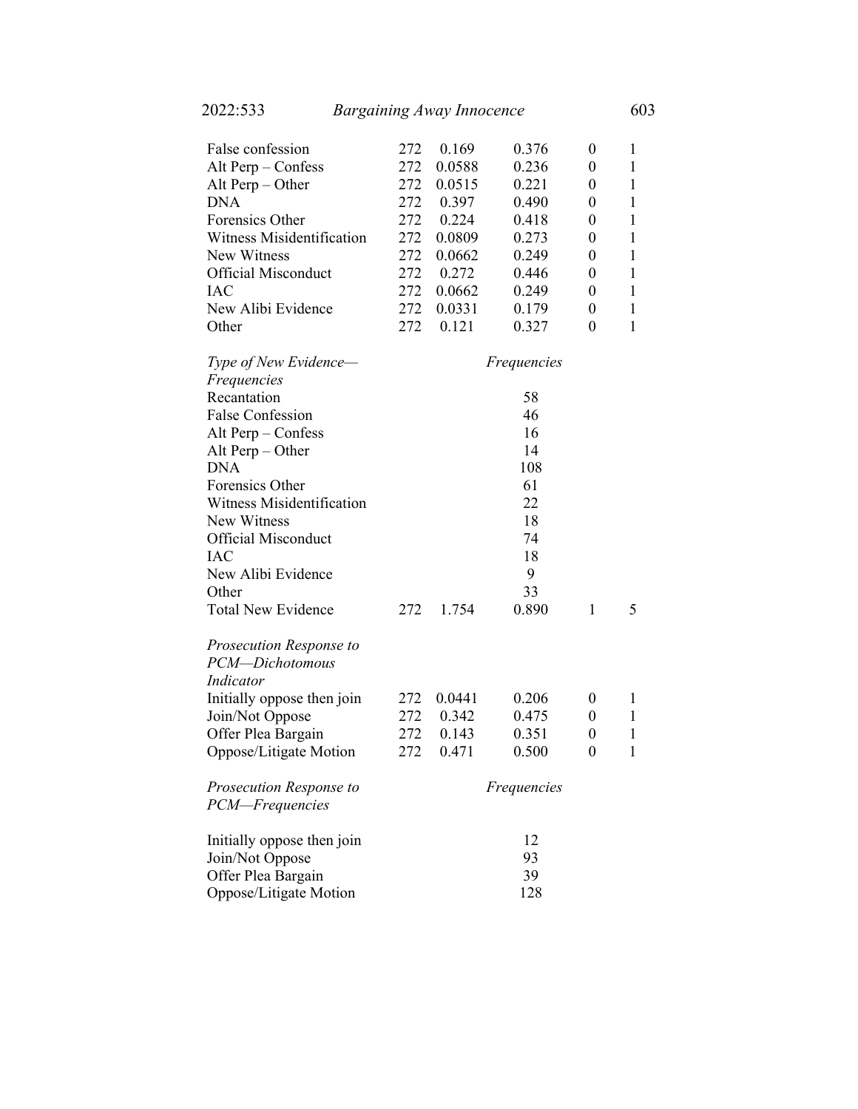| False confession           | 272 | 0.169  | 0.376              | 0                | $\mathbf{1}$ |
|----------------------------|-----|--------|--------------------|------------------|--------------|
| Alt Perp $-$ Confess       | 272 | 0.0588 | 0.236              | $\boldsymbol{0}$ | 1            |
| Alt Perp $-$ Other         | 272 | 0.0515 | 0.221              | 0                | 1            |
| <b>DNA</b>                 | 272 | 0.397  | 0.490              | 0                | 1            |
| Forensics Other            | 272 | 0.224  | 0.418              | 0                | 1            |
| Witness Misidentification  | 272 | 0.0809 | 0.273              | 0                | 1            |
| New Witness                | 272 | 0.0662 | 0.249              | 0                | 1            |
| <b>Official Misconduct</b> | 272 | 0.272  | 0.446              | 0                | 1            |
| <b>IAC</b>                 | 272 | 0.0662 | 0.249              | 0                | 1            |
| New Alibi Evidence         | 272 | 0.0331 | 0.179              | $\boldsymbol{0}$ | 1            |
| Other                      | 272 | 0.121  | 0.327              | 0                | 1            |
| Type of New Evidence-      |     |        | <i>Frequencies</i> |                  |              |
| Frequencies                |     |        |                    |                  |              |
| Recantation                |     |        | 58                 |                  |              |
| <b>False Confession</b>    |     |        | 46                 |                  |              |
| Alt Perp - Confess         |     |        | 16                 |                  |              |
| Alt Perp $-$ Other         |     |        | 14                 |                  |              |
| <b>DNA</b>                 |     |        | 108                |                  |              |
| Forensics Other            |     |        | 61                 |                  |              |
| Witness Misidentification  |     |        | 22                 |                  |              |
| New Witness                |     |        | 18                 |                  |              |
| <b>Official Misconduct</b> |     |        | 74                 |                  |              |
| IAC                        |     |        | 18                 |                  |              |
| New Alibi Evidence         |     |        | 9                  |                  |              |
| Other                      |     |        | 33                 |                  |              |
| <b>Total New Evidence</b>  | 272 | 1.754  | 0.890              | 1                | 5            |
|                            |     |        |                    |                  |              |
| Prosecution Response to    |     |        |                    |                  |              |
| PCM-Dichotomous            |     |        |                    |                  |              |
| Indicator                  |     |        |                    |                  |              |
| Initially oppose then join | 272 | 0.0441 | 0.206              | $\boldsymbol{0}$ | 1            |
| Join/Not Oppose            | 272 | 0.342  | 0.475              | $\boldsymbol{0}$ | 1            |
| Offer Plea Bargain         | 272 | 0.143  | 0.351              | $\boldsymbol{0}$ | 1            |
| Oppose/Litigate Motion     | 272 | 0.471  | 0.500              | 0                | 1            |
| Prosecution Response to    |     |        | Frequencies        |                  |              |
| PCM-Frequencies            |     |        |                    |                  |              |
| Initially oppose then join |     |        | 12                 |                  |              |
| Join/Not Oppose            |     |        | 93                 |                  |              |
| Offer Plea Bargain         |     |        | 39                 |                  |              |
| Oppose/Litigate Motion     |     |        | 128                |                  |              |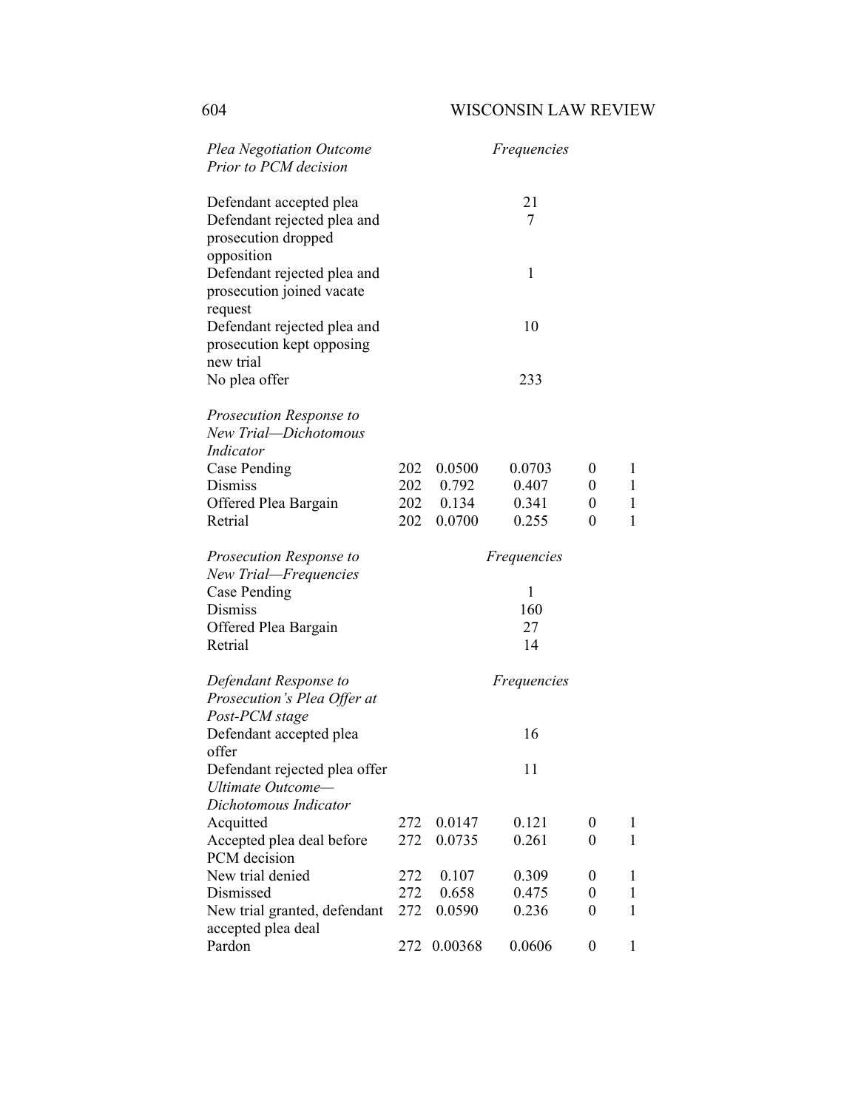| <b>Plea Negotiation Outcome</b><br>Prior to PCM decision                                    |     |           | <i>Frequencies</i> |                |              |
|---------------------------------------------------------------------------------------------|-----|-----------|--------------------|----------------|--------------|
| Defendant accepted plea<br>Defendant rejected plea and<br>prosecution dropped<br>opposition |     |           | 21<br>7            |                |              |
| Defendant rejected plea and<br>prosecution joined vacate<br>request                         |     |           | 1                  |                |              |
| Defendant rejected plea and<br>prosecution kept opposing<br>new trial                       |     |           | 10                 |                |              |
| No plea offer                                                                               |     |           | 233                |                |              |
| Prosecution Response to<br>New Trial-Dichotomous<br>Indicator                               |     |           |                    |                |              |
| Case Pending                                                                                | 202 | 0.0500    | 0.0703             | $\overline{0}$ | 1            |
| <b>Dismiss</b>                                                                              |     | 202 0.792 | 0.407              | $\theta$       | 1            |
| Offered Plea Bargain                                                                        |     | 202 0.134 | 0.341              | $\overline{0}$ | 1            |
| Retrial                                                                                     | 202 | 0.0700    | 0.255              | 0              | 1            |
| Prosecution Response to                                                                     |     |           | <i>Frequencies</i> |                |              |
| New Trial—Frequencies                                                                       |     |           |                    |                |              |
| Case Pending<br><b>Dismiss</b>                                                              |     |           | 1<br>160           |                |              |
| Offered Plea Bargain                                                                        |     |           | 27                 |                |              |
| Retrial                                                                                     |     |           | 14                 |                |              |
| Defendant Response to                                                                       |     |           | <i>Frequencies</i> |                |              |
| Prosecution's Plea Offer at<br>Post-PCM stage                                               |     |           |                    |                |              |
| Defendant accepted plea<br>offer                                                            |     |           | 16                 |                |              |
| Defendant rejected plea offer<br>Ultimate Outcome-                                          |     |           | 11                 |                |              |
| Dichotomous Indicator                                                                       |     |           |                    |                |              |
| Acquitted                                                                                   | 272 | 0.0147    | 0.121              | 0              | $\mathbf{1}$ |
| Accepted plea deal before                                                                   | 272 | 0.0735    | 0.261              | $\theta$       | 1            |
| PCM decision                                                                                |     |           |                    |                |              |
| New trial denied                                                                            | 272 | 0.107     | 0.309              | 0              | 1            |
| Dismissed                                                                                   | 272 | 0.658     | 0.475              | 0              | $\mathbf{1}$ |
| New trial granted, defendant<br>accepted plea deal                                          | 272 | 0.0590    | 0.236              | $\theta$       | 1            |
| Pardon                                                                                      | 272 | 0.00368   | 0.0606             | 0              | 1            |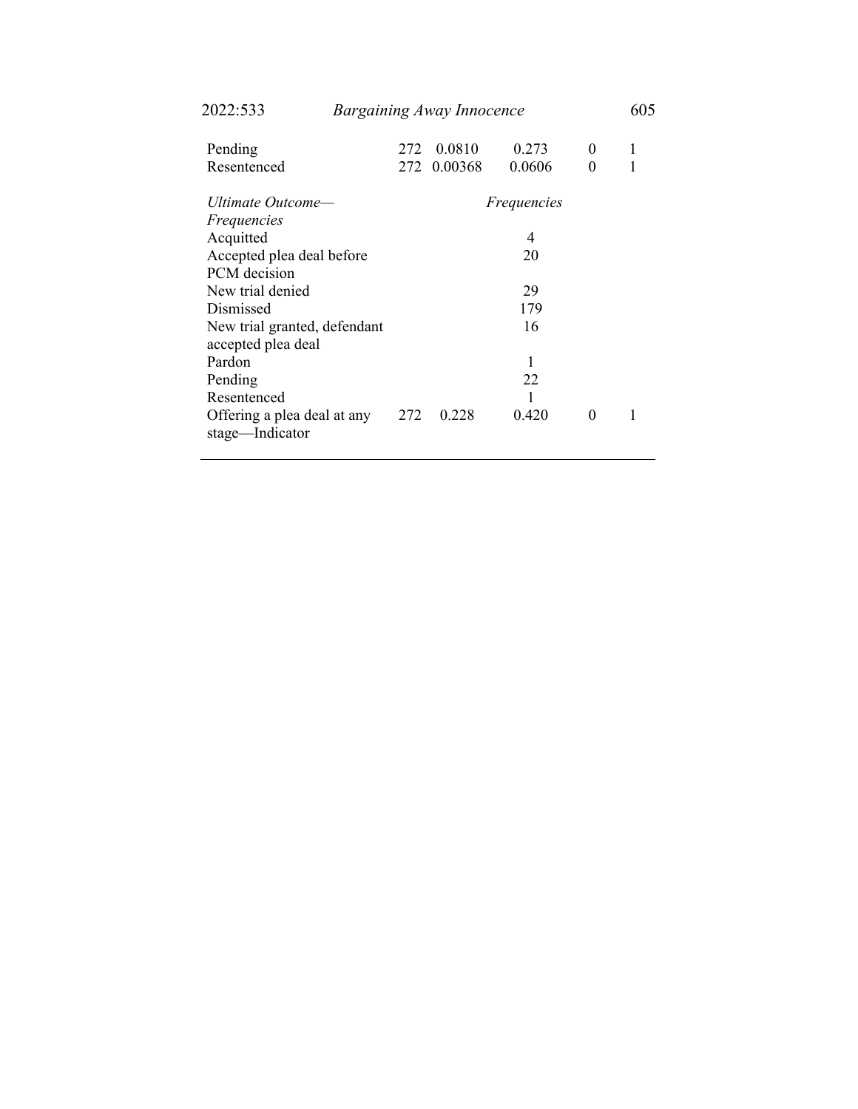| 40 <i>44.JJJ</i>             |     | Durgummg Away Innocence |                    |          | υν. |
|------------------------------|-----|-------------------------|--------------------|----------|-----|
| Pending                      | 272 | 0.0810                  | 0.273              | $\theta$ | 1   |
| Resentenced                  | 272 | 0.00368                 | 0.0606             | 0        |     |
| Ultimate Outcome—            |     |                         | <i>Frequencies</i> |          |     |
| <i>Frequencies</i>           |     |                         |                    |          |     |
| Acquitted                    |     |                         | 4                  |          |     |
| Accepted plea deal before    |     |                         | 20                 |          |     |
| PCM decision                 |     |                         |                    |          |     |
| New trial denied             |     |                         | 29                 |          |     |
| Dismissed                    |     |                         | 179                |          |     |
| New trial granted, defendant |     |                         | 16                 |          |     |
| accepted plea deal           |     |                         |                    |          |     |
| Pardon                       |     |                         | 1                  |          |     |
| Pending                      |     |                         | 22                 |          |     |
| Resentenced                  |     |                         |                    |          |     |
| Offering a plea deal at any  | 272 | 0.228                   | 0.420              | $\theta$ |     |
| stage—Indicator              |     |                         |                    |          |     |
|                              |     |                         |                    |          |     |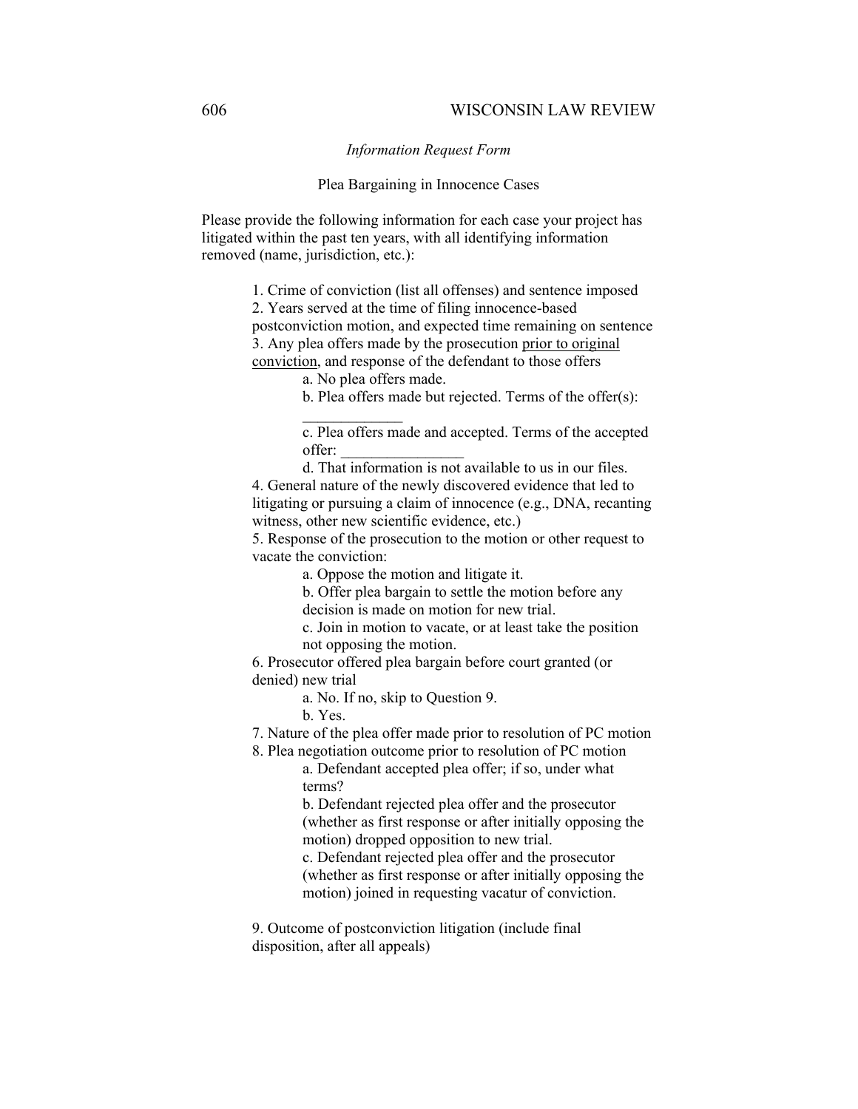*Information Request Form* 

## Plea Bargaining in Innocence Cases

Please provide the following information for each case your project has litigated within the past ten years, with all identifying information removed (name, jurisdiction, etc.):

1. Crime of conviction (list all offenses) and sentence imposed

2. Years served at the time of filing innocence-based

postconviction motion, and expected time remaining on sentence 3. Any plea offers made by the prosecution prior to original conviction, and response of the defendant to those offers

a. No plea offers made.

b. Plea offers made but rejected. Terms of the offer(s):

c. Plea offers made and accepted. Terms of the accepted offer: \_\_\_\_\_\_\_\_\_\_\_\_\_\_\_\_

d. That information is not available to us in our files. 4. General nature of the newly discovered evidence that led to litigating or pursuing a claim of innocence (e.g., DNA, recanting witness, other new scientific evidence, etc.)

5. Response of the prosecution to the motion or other request to vacate the conviction:

a. Oppose the motion and litigate it.

b. Offer plea bargain to settle the motion before any decision is made on motion for new trial.

c. Join in motion to vacate, or at least take the position not opposing the motion.

6. Prosecutor offered plea bargain before court granted (or denied) new trial

a. No. If no, skip to Question 9.

b. Yes.

7. Nature of the plea offer made prior to resolution of PC motion

8. Plea negotiation outcome prior to resolution of PC motion a. Defendant accepted plea offer; if so, under what

terms?

b. Defendant rejected plea offer and the prosecutor (whether as first response or after initially opposing the motion) dropped opposition to new trial.

c. Defendant rejected plea offer and the prosecutor (whether as first response or after initially opposing the motion) joined in requesting vacatur of conviction.

9. Outcome of postconviction litigation (include final disposition, after all appeals)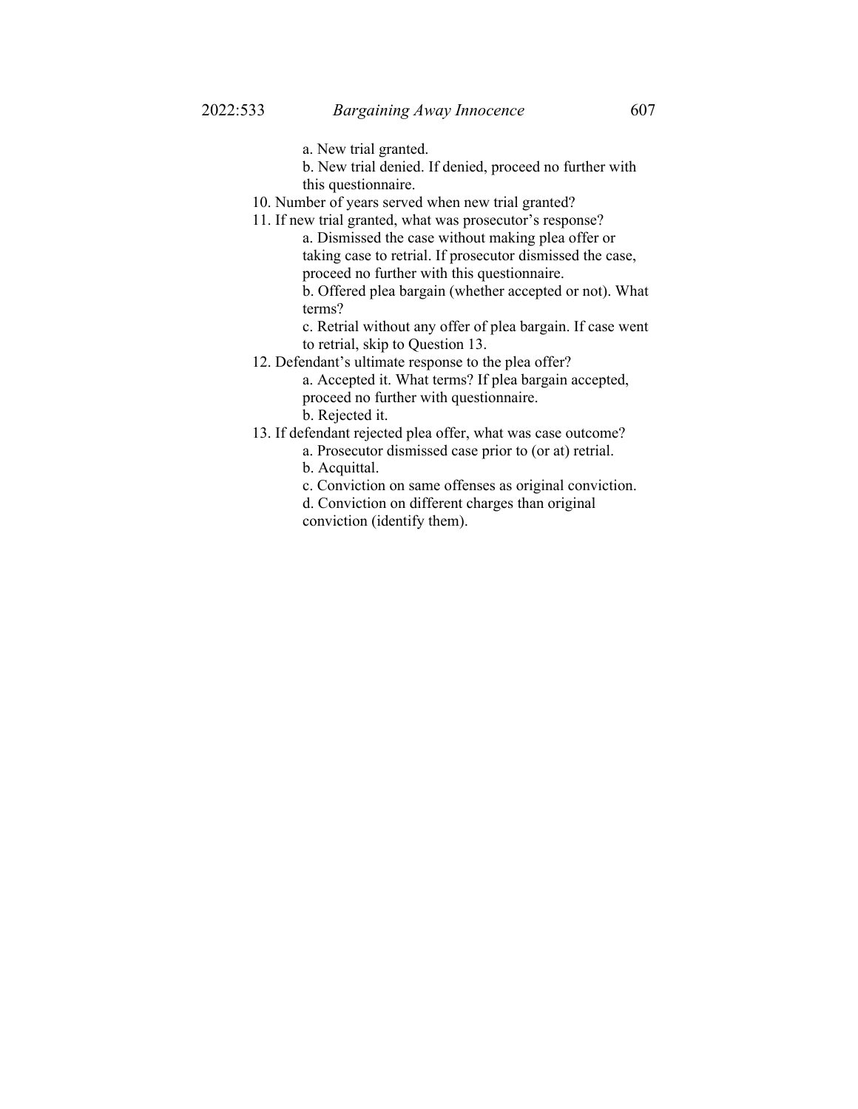- a. New trial granted.
- b. New trial denied. If denied, proceed no further with this questionnaire.
- 10. Number of years served when new trial granted?
- 11. If new trial granted, what was prosecutor's response? a. Dismissed the case without making plea offer or taking case to retrial. If prosecutor dismissed the case,
	- proceed no further with this questionnaire.

b. Offered plea bargain (whether accepted or not). What terms?

c. Retrial without any offer of plea bargain. If case went to retrial, skip to Question 13.

- 12. Defendant's ultimate response to the plea offer?
	- a. Accepted it. What terms? If plea bargain accepted, proceed no further with questionnaire. b. Rejected it.
- 13. If defendant rejected plea offer, what was case outcome?
	- a. Prosecutor dismissed case prior to (or at) retrial.
		- b. Acquittal.
		- c. Conviction on same offenses as original conviction.
		- d. Conviction on different charges than original conviction (identify them).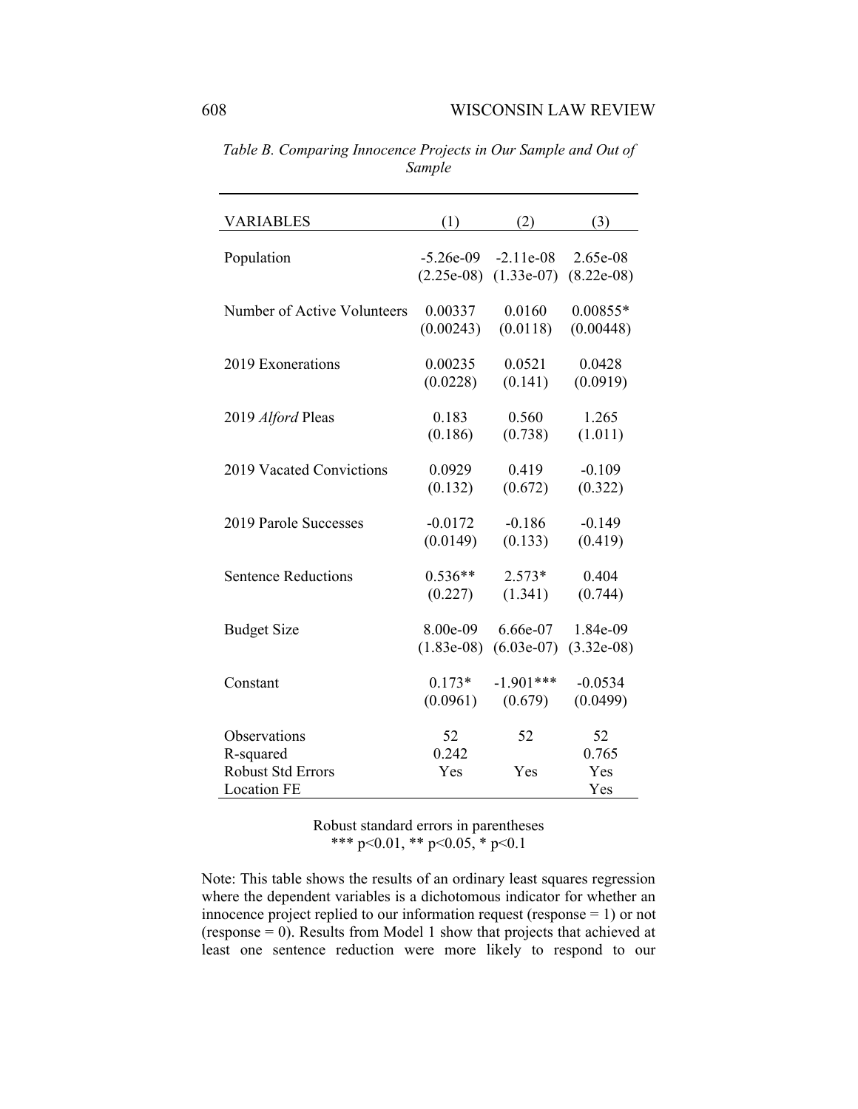| <b>VARIABLES</b>                                            | (1)          | (2)          | (3)                 |
|-------------------------------------------------------------|--------------|--------------|---------------------|
| Population                                                  | $-5.26e-09$  | $-2.11e-08$  | 2.65e-08            |
|                                                             | $(2.25e-08)$ | $(1.33e-07)$ | $(8.22e-08)$        |
| Number of Active Volunteers                                 | 0.00337      | 0.0160       | $0.00855*$          |
|                                                             | (0.00243)    | (0.0118)     | (0.00448)           |
| 2019 Exonerations                                           | 0.00235      | 0.0521       | 0.0428              |
|                                                             | (0.0228)     | (0.141)      | (0.0919)            |
| 2019 Alford Pleas                                           | 0.183        | 0.560        | 1.265               |
|                                                             | (0.186)      | (0.738)      | (1.011)             |
| 2019 Vacated Convictions                                    | 0.0929       | 0.419        | $-0.109$            |
|                                                             | (0.132)      | (0.672)      | (0.322)             |
| 2019 Parole Successes                                       | $-0.0172$    | $-0.186$     | $-0.149$            |
|                                                             | (0.0149)     | (0.133)      | (0.419)             |
| <b>Sentence Reductions</b>                                  | $0.536**$    | $2.573*$     | 0.404               |
| <b>Budget Size</b>                                          | (0.227)      | (1.341)      | (0.744)             |
|                                                             | 8.00e-09     | 6.66e-07     | 1.84e-09            |
| Constant                                                    | $(1.83e-08)$ | $(6.03e-07)$ | $(3.32e-08)$        |
|                                                             | $0.173*$     | $-1.901***$  | $-0.0534$           |
| Observations                                                | (0.0961)     | (0.679)      | (0.0499)            |
|                                                             | 52           | 52           | 52                  |
| R-squared<br><b>Robust Std Errors</b><br><b>Location FE</b> | 0.242<br>Yes | Yes          | 0.765<br>Yes<br>Yes |

*Table B. Comparing Innocence Projects in Our Sample and Out of Sample* 

Note: This table shows the results of an ordinary least squares regression where the dependent variables is a dichotomous indicator for whether an innocence project replied to our information request (response = 1) or not (response = 0). Results from Model 1 show that projects that achieved at least one sentence reduction were more likely to respond to our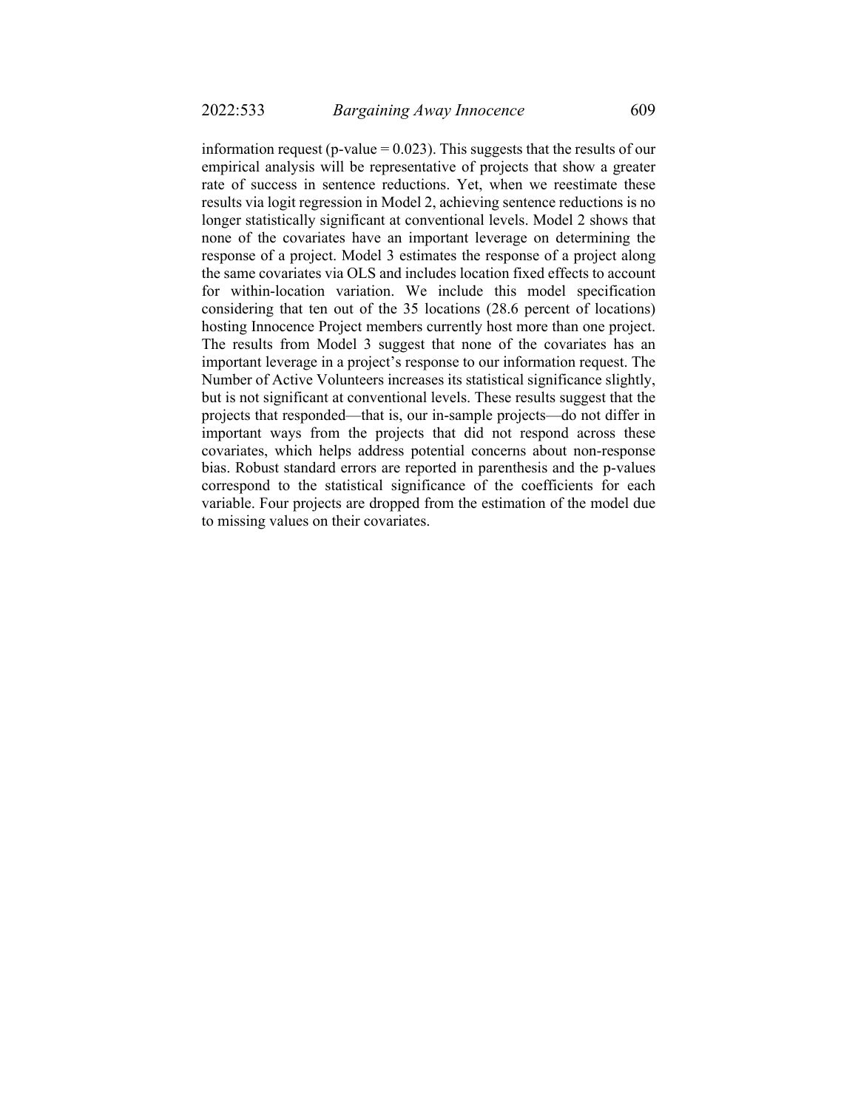information request (p-value  $= 0.023$ ). This suggests that the results of our empirical analysis will be representative of projects that show a greater rate of success in sentence reductions. Yet, when we reestimate these results via logit regression in Model 2, achieving sentence reductions is no longer statistically significant at conventional levels. Model 2 shows that none of the covariates have an important leverage on determining the response of a project. Model 3 estimates the response of a project along the same covariates via OLS and includes location fixed effects to account for within-location variation. We include this model specification considering that ten out of the 35 locations (28.6 percent of locations) hosting Innocence Project members currently host more than one project. The results from Model 3 suggest that none of the covariates has an important leverage in a project's response to our information request. The Number of Active Volunteers increases its statistical significance slightly, but is not significant at conventional levels. These results suggest that the projects that responded—that is, our in-sample projects—do not differ in important ways from the projects that did not respond across these covariates, which helps address potential concerns about non-response bias. Robust standard errors are reported in parenthesis and the p-values correspond to the statistical significance of the coefficients for each variable. Four projects are dropped from the estimation of the model due to missing values on their covariates.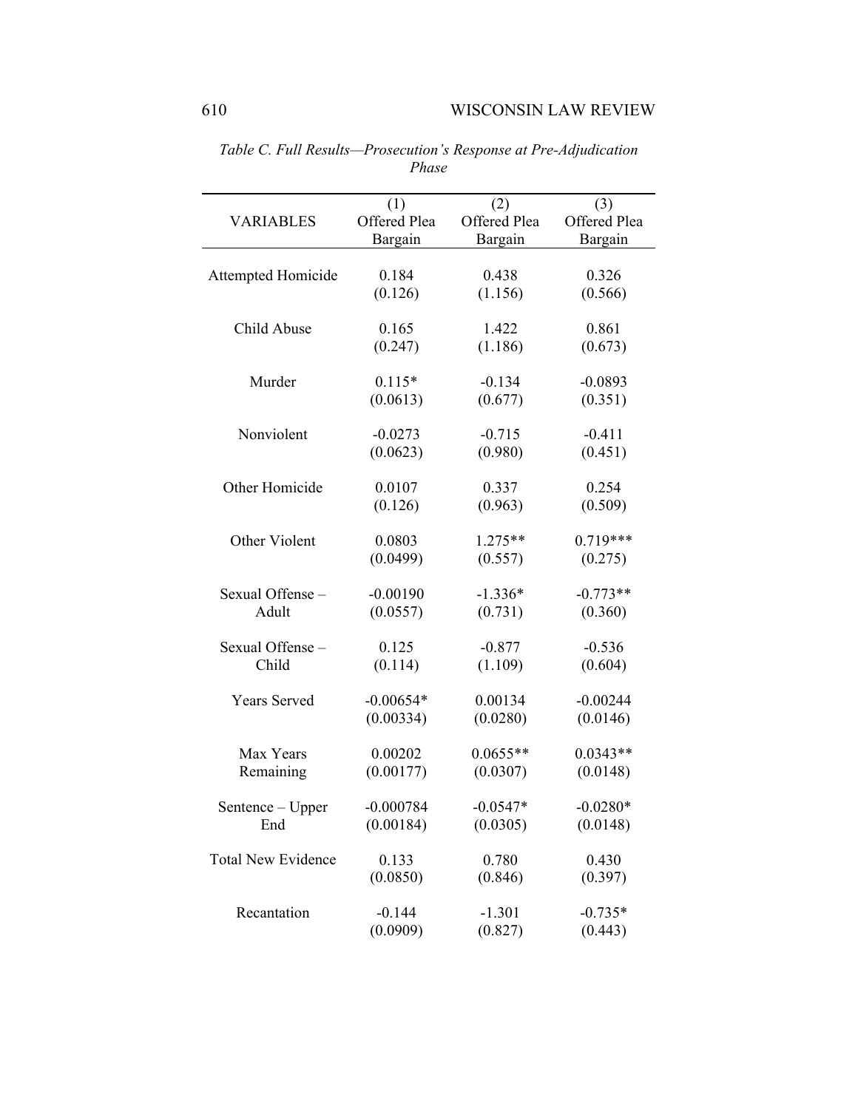|                           | (1)          | (2)          | (3)          |
|---------------------------|--------------|--------------|--------------|
| <b>VARIABLES</b>          | Offered Plea | Offered Plea | Offered Plea |
|                           | Bargain      | Bargain      | Bargain      |
|                           |              |              |              |
| Attempted Homicide        | 0.184        | 0.438        | 0.326        |
|                           | (0.126)      | (1.156)      | (0.566)      |
| Child Abuse               | 0.165        | 1.422        | 0.861        |
|                           | (0.247)      | (1.186)      | (0.673)      |
|                           |              |              |              |
| Murder                    | $0.115*$     | $-0.134$     | $-0.0893$    |
|                           | (0.0613)     | (0.677)      | (0.351)      |
| Nonviolent                | $-0.0273$    | $-0.715$     | $-0.411$     |
|                           | (0.0623)     | (0.980)      | (0.451)      |
|                           |              |              |              |
| Other Homicide            | 0.0107       | 0.337        | 0.254        |
|                           | (0.126)      | (0.963)      | (0.509)      |
|                           |              |              |              |
| Other Violent             | 0.0803       | $1.275**$    | $0.719***$   |
|                           | (0.0499)     | (0.557)      | (0.275)      |
| Sexual Offense-           | $-0.00190$   | $-1.336*$    | $-0.773**$   |
| Adult                     | (0.0557)     | (0.731)      | (0.360)      |
|                           |              |              |              |
| Sexual Offense-           | 0.125        | $-0.877$     | $-0.536$     |
| Child                     | (0.114)      | (1.109)      | (0.604)      |
| Years Served              | $-0.00654*$  | 0.00134      | $-0.00244$   |
|                           | (0.00334)    | (0.0280)     | (0.0146)     |
|                           |              |              |              |
| Max Years                 | 0.00202      | $0.0655**$   | $0.0343**$   |
| Remaining                 | (0.00177)    | (0.0307)     | (0.0148)     |
|                           | $-0.000784$  | $-0.0547*$   | $-0.0280*$   |
| Sentence - Upper          | (0.00184)    | (0.0305)     | (0.0148)     |
| End                       |              |              |              |
| <b>Total New Evidence</b> | 0.133        | 0.780        | 0.430        |
|                           | (0.0850)     | (0.846)      | (0.397)      |
|                           |              |              |              |
| Recantation               | $-0.144$     | $-1.301$     | $-0.735*$    |
|                           | (0.0909)     | (0.827)      | (0.443)      |

*Table C. Full Results—Prosecution's Response at Pre-Adjudication Phase*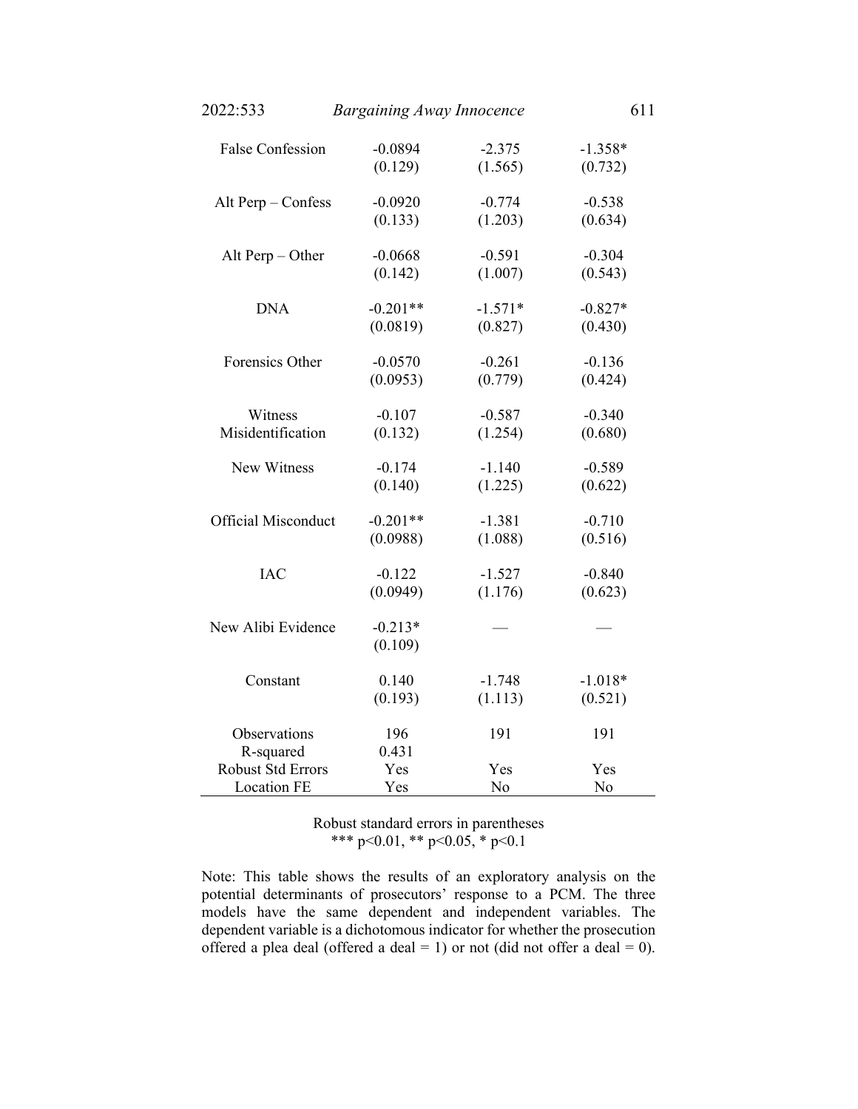| 2022:533                       | <b>Bargaining Away Innocence</b> |           | 611       |
|--------------------------------|----------------------------------|-----------|-----------|
| <b>False Confession</b>        | $-0.0894$                        | $-2.375$  | $-1.358*$ |
|                                | (0.129)                          | (1.565)   | (0.732)   |
| Alt Perp - Confess             | $-0.0920$                        | $-0.774$  | $-0.538$  |
|                                | (0.133)                          | (1.203)   | (0.634)   |
| Alt Perp $-$ Other             | $-0.0668$                        | $-0.591$  | $-0.304$  |
|                                | (0.142)                          | (1.007)   | (0.543)   |
| <b>DNA</b>                     | $-0.201**$                       | $-1.571*$ | $-0.827*$ |
|                                | (0.0819)                         | (0.827)   | (0.430)   |
| Forensics Other                | $-0.0570$                        | $-0.261$  | $-0.136$  |
|                                | (0.0953)                         | (0.779)   | (0.424)   |
| Witness                        | $-0.107$                         | $-0.587$  | $-0.340$  |
| Misidentification              | (0.132)                          | (1.254)   | (0.680)   |
| New Witness                    | $-0.174$                         | $-1.140$  | $-0.589$  |
|                                | (0.140)                          | (1.225)   | (0.622)   |
| <b>Official Misconduct</b>     | $-0.201**$                       | $-1.381$  | $-0.710$  |
|                                | (0.0988)                         | (1.088)   | (0.516)   |
| <b>IAC</b>                     | $-0.122$                         | $-1.527$  | $-0.840$  |
|                                | (0.0949)                         | (1.176)   | (0.623)   |
| New Alibi Evidence             | $-0.213*$                        |           |           |
|                                | (0.109)                          |           |           |
| Constant                       | 0.140                            | $-1.748$  | $-1.018*$ |
|                                | (0.193)                          | (1.113)   | (0.521)   |
| Observations                   | 196                              | 191       | 191       |
| R-squared<br>Robust Std Errors | 0.431<br>Yes                     | Yes       | Yes       |
| <b>Location FE</b>             | Yes                              | No        | No        |

Note: This table shows the results of an exploratory analysis on the potential determinants of prosecutors' response to a PCM. The three models have the same dependent and independent variables. The dependent variable is a dichotomous indicator for whether the prosecution offered a plea deal (offered a deal  $= 1$ ) or not (did not offer a deal  $= 0$ ).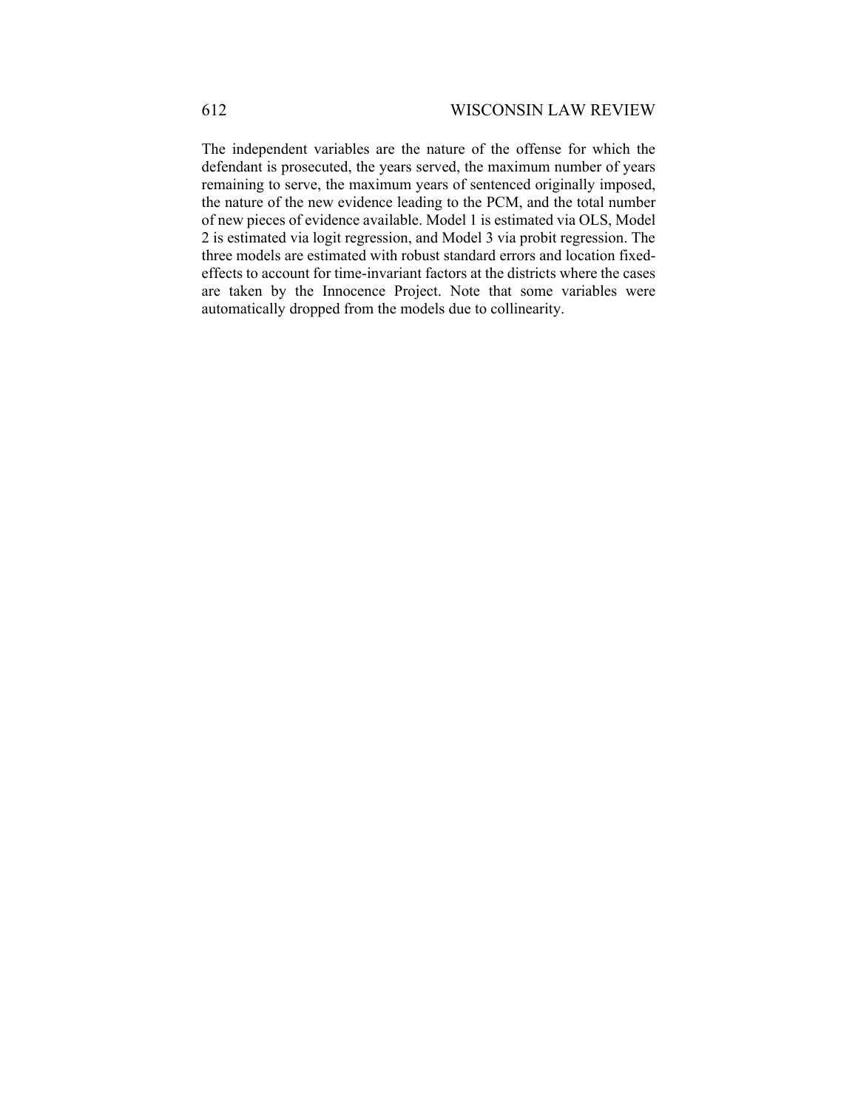The independent variables are the nature of the offense for which the defendant is prosecuted, the years served, the maximum number of years remaining to serve, the maximum years of sentenced originally imposed, the nature of the new evidence leading to the PCM, and the total number of new pieces of evidence available. Model 1 is estimated via OLS, Model 2 is estimated via logit regression, and Model 3 via probit regression. The three models are estimated with robust standard errors and location fixedeffects to account for time-invariant factors at the districts where the cases are taken by the Innocence Project. Note that some variables were automatically dropped from the models due to collinearity.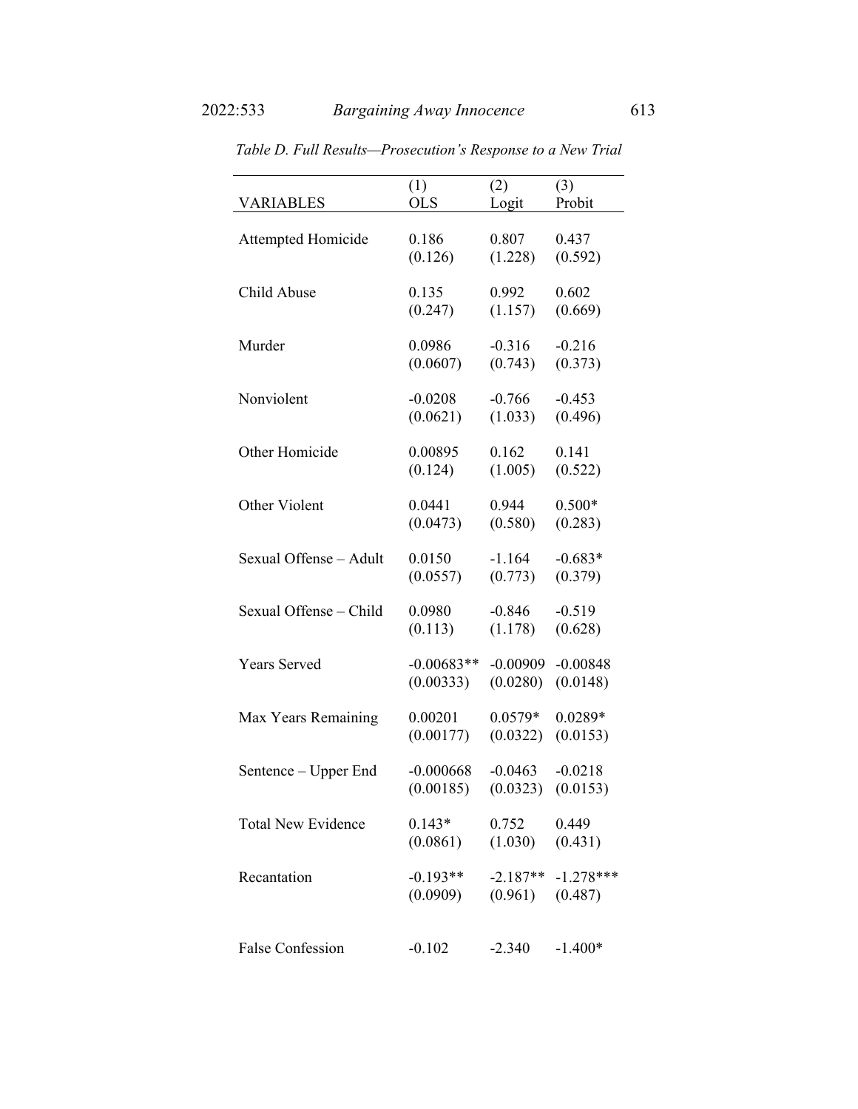| <b>VARIABLES</b>          | (1)          | (2)        | (3)         |
|---------------------------|--------------|------------|-------------|
|                           | <b>OLS</b>   | Logit      | Probit      |
| Attempted Homicide        | 0.186        | 0.807      | 0.437       |
|                           | (0.126)      | (1.228)    | (0.592)     |
| Child Abuse               | 0.135        | 0.992      | 0.602       |
|                           | (0.247)      | (1.157)    | (0.669)     |
| Murder                    | 0.0986       | $-0.316$   | $-0.216$    |
|                           | (0.0607)     | (0.743)    | (0.373)     |
| Nonviolent                | $-0.0208$    | $-0.766$   | $-0.453$    |
|                           | (0.0621)     | (1.033)    | (0.496)     |
| Other Homicide            | 0.00895      | 0.162      | 0.141       |
|                           | (0.124)      | (1.005)    | (0.522)     |
| Other Violent             | 0.0441       | 0.944      | $0.500*$    |
|                           | (0.0473)     | (0.580)    | (0.283)     |
| Sexual Offense - Adult    | 0.0150       | $-1.164$   | $-0.683*$   |
|                           | (0.0557)     | (0.773)    | (0.379)     |
| Sexual Offense - Child    | 0.0980       | $-0.846$   | $-0.519$    |
|                           | (0.113)      | (1.178)    | (0.628)     |
| Years Served              | $-0.00683**$ | $-0.00909$ | $-0.00848$  |
|                           | (0.00333)    | (0.0280)   | (0.0148)    |
| Max Years Remaining       | 0.00201      | $0.0579*$  | $0.0289*$   |
|                           | (0.00177)    | (0.0322)   | (0.0153)    |
| Sentence – Upper End      | $-0.000668$  | $-0.0463$  | $-0.0218$   |
|                           | (0.00185)    | (0.0323)   | (0.0153)    |
| <b>Total New Evidence</b> | $0.143*$     | 0.752      | 0.449       |
|                           | (0.0861)     | (1.030)    | (0.431)     |
| Recantation               | $-0.193**$   | $-2.187**$ | $-1.278***$ |
|                           | (0.0909)     | (0.961)    | (0.487)     |
| <b>False Confession</b>   | $-0.102$     | $-2.340$   | $-1.400*$   |

*Table D. Full Results—Prosecution's Response to a New Trial*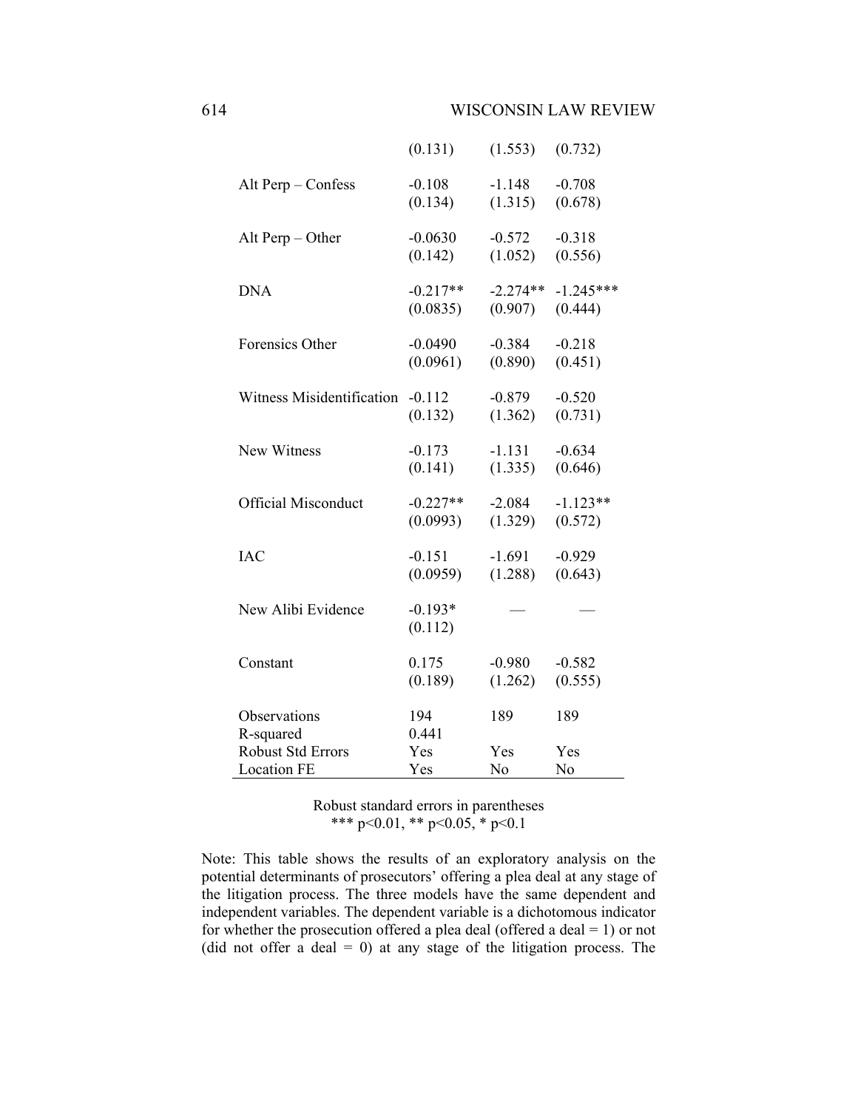|                            | (0.131)              | (1.553)        | (0.732)        |
|----------------------------|----------------------|----------------|----------------|
| Alt Perp - Confess         | $-0.108$             | $-1.148$       | $-0.708$       |
|                            | (0.134)              | (1.315)        | (0.678)        |
| Alt Perp $-$ Other         | $-0.0630$            | $-0.572$       | $-0.318$       |
|                            | (0.142)              | (1.052)        | (0.556)        |
| <b>DNA</b>                 | $-0.217**$           | $-2.274**$     | $-1.245***$    |
|                            | (0.0835)             | (0.907)        | (0.444)        |
| Forensics Other            | $-0.0490$            | $-0.384$       | $-0.218$       |
|                            | (0.0961)             | (0.890)        | (0.451)        |
| Witness Misidentification  | $-0.112$             | $-0.879$       | $-0.520$       |
|                            | (0.132)              | (1.362)        | (0.731)        |
| New Witness                | $-0.173$             | $-1.131$       | $-0.634$       |
|                            | (0.141)              | (1.335)        | (0.646)        |
| <b>Official Misconduct</b> | $-0.227**$           | $-2.084$       | $-1.123**$     |
|                            | (0.0993)             | (1.329)        | (0.572)        |
| <b>IAC</b>                 | $-0.151$             | $-1.691$       | $-0.929$       |
|                            | (0.0959)             | (1.288)        | (0.643)        |
| New Alibi Evidence         | $-0.193*$<br>(0.112) |                |                |
| Constant                   | 0.175                | $-0.980$       | $-0.582$       |
|                            | (0.189)              | (1.262)        | (0.555)        |
| Observations<br>R-squared  | 194<br>0.441         | 189            | 189            |
| Robust Std Errors          | Yes                  | Yes            | Yes            |
| <b>Location FE</b>         | Yes                  | N <sub>o</sub> | N <sub>0</sub> |

Note: This table shows the results of an exploratory analysis on the potential determinants of prosecutors' offering a plea deal at any stage of the litigation process. The three models have the same dependent and independent variables. The dependent variable is a dichotomous indicator for whether the prosecution offered a plea deal (offered a deal  $= 1$ ) or not (did not offer a deal  $= 0$ ) at any stage of the litigation process. The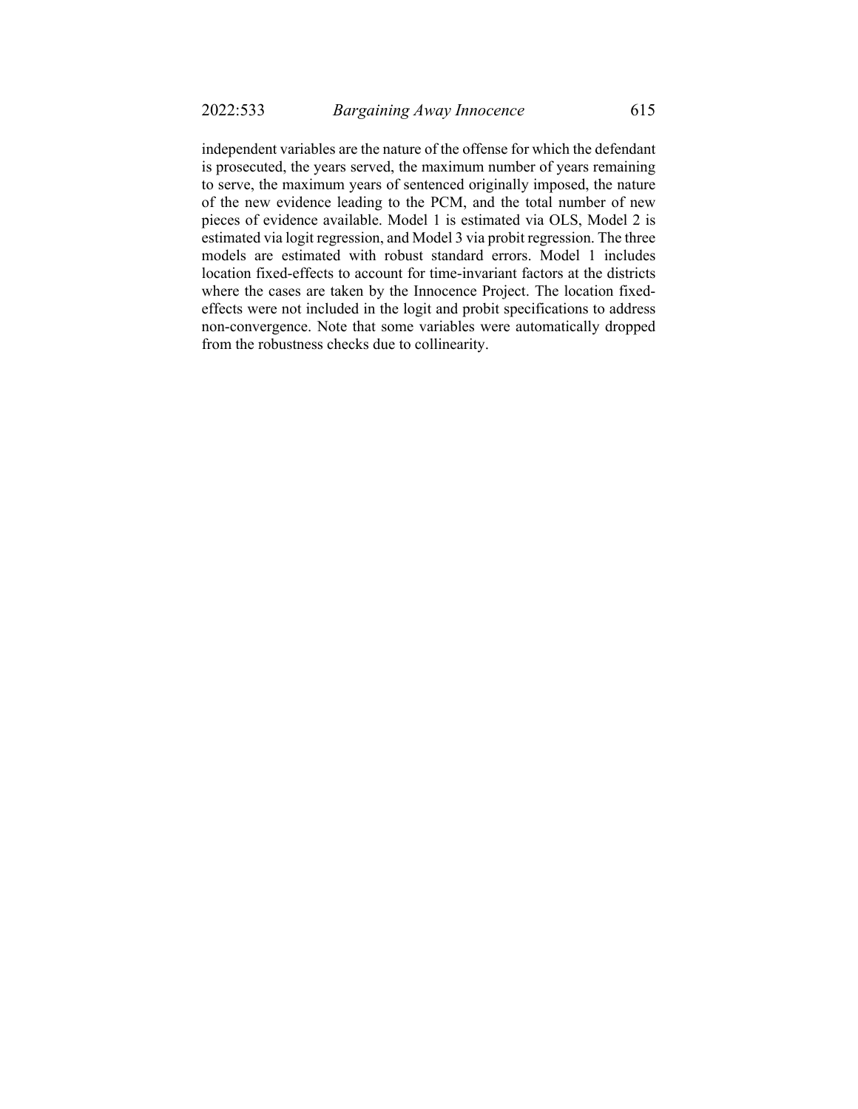independent variables are the nature of the offense for which the defendant is prosecuted, the years served, the maximum number of years remaining to serve, the maximum years of sentenced originally imposed, the nature of the new evidence leading to the PCM, and the total number of new pieces of evidence available. Model 1 is estimated via OLS, Model 2 is estimated via logit regression, and Model 3 via probit regression. The three models are estimated with robust standard errors. Model 1 includes location fixed-effects to account for time-invariant factors at the districts where the cases are taken by the Innocence Project. The location fixedeffects were not included in the logit and probit specifications to address non-convergence. Note that some variables were automatically dropped from the robustness checks due to collinearity.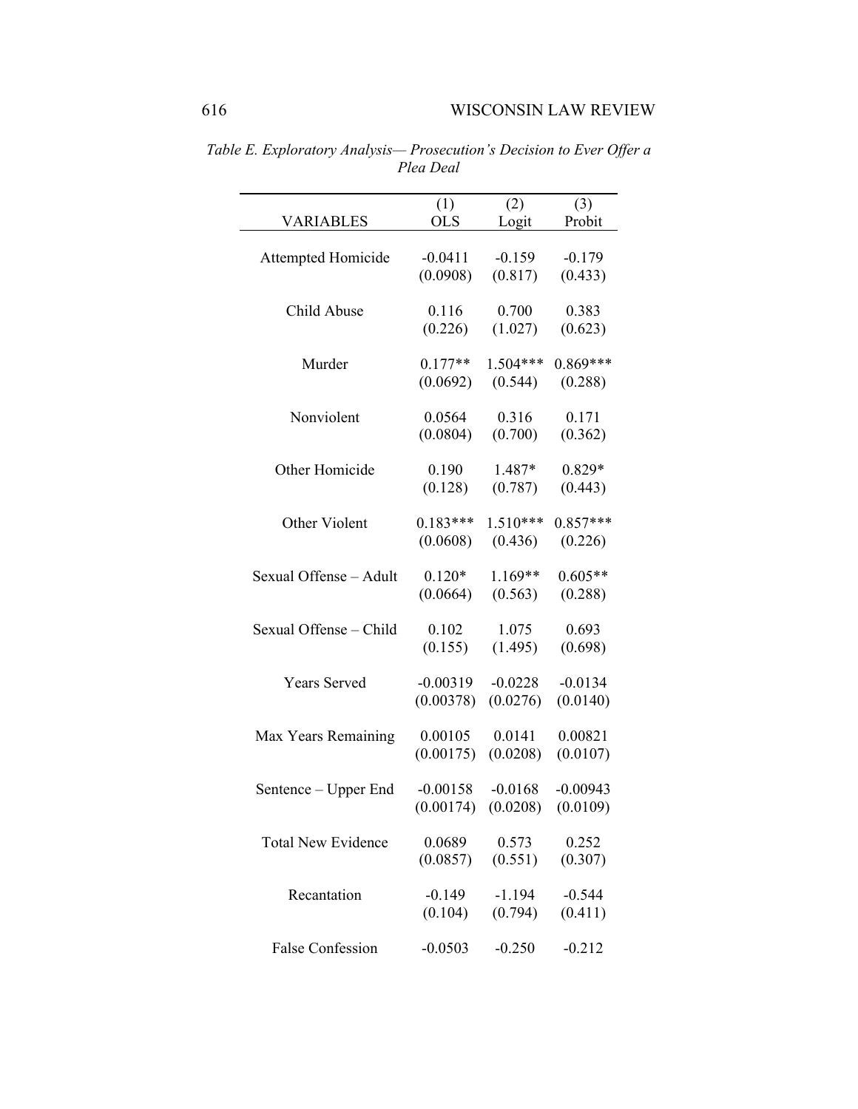|                           | (1)        | (2)        | (3)        |
|---------------------------|------------|------------|------------|
| <b>VARIABLES</b>          | <b>OLS</b> | Logit      | Probit     |
| Attempted Homicide        | $-0.0411$  | $-0.159$   | $-0.179$   |
|                           | (0.0908)   | (0.817)    | (0.433)    |
|                           |            |            |            |
| Child Abuse               | 0.116      | 0.700      | 0.383      |
|                           | (0.226)    | (1.027)    | (0.623)    |
| Murder                    | $0.177**$  | $1.504***$ | $0.869***$ |
|                           | (0.0692)   | (0.544)    | (0.288)    |
|                           |            |            |            |
| Nonviolent                | 0.0564     | 0.316      | 0.171      |
|                           | (0.0804)   | (0.700)    | (0.362)    |
| Other Homicide            | 0.190      | 1.487*     | $0.829*$   |
|                           | (0.128)    | (0.787)    | (0.443)    |
|                           |            |            |            |
| Other Violent             | $0.183***$ | $1.510***$ | $0.857***$ |
|                           | (0.0608)   | (0.436)    | (0.226)    |
| Sexual Offense - Adult    | $0.120*$   | 1.169**    | $0.605**$  |
|                           | (0.0664)   | (0.563)    | (0.288)    |
|                           |            |            |            |
| Sexual Offense - Child    | 0.102      | 1.075      | 0.693      |
|                           | (0.155)    | (1.495)    | (0.698)    |
| Years Served              | $-0.00319$ | $-0.0228$  | $-0.0134$  |
|                           | (0.00378)  | (0.0276)   | (0.0140)   |
|                           |            |            |            |
| Max Years Remaining       | 0.00105    | 0.0141     | 0.00821    |
|                           | (0.00175)  | (0.0208)   | (0.0107)   |
| Sentence – Upper End      | $-0.00158$ | $-0.0168$  | $-0.00943$ |
|                           | (0.00174)  | (0.0208)   | (0.0109)   |
|                           |            |            |            |
| <b>Total New Evidence</b> | 0.0689     | 0.573      | 0.252      |
|                           | (0.0857)   | (0.551)    | (0.307)    |
|                           |            |            |            |
| Recantation               | $-0.149$   | $-1.194$   | $-0.544$   |
|                           | (0.104)    | (0.794)    | (0.411)    |
| <b>False Confession</b>   | $-0.0503$  | $-0.250$   | $-0.212$   |
|                           |            |            |            |

*Table E. Exploratory Analysis— Prosecution's Decision to Ever Offer a Plea Deal*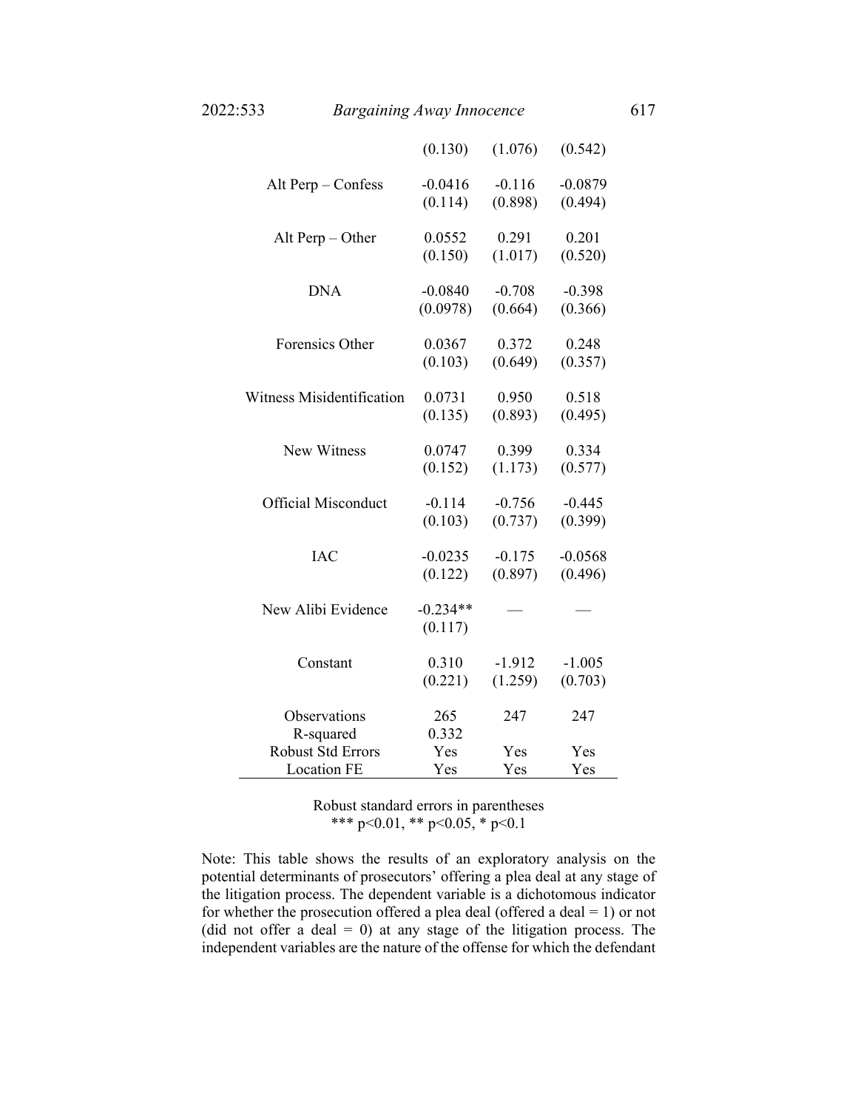|                            | (0.130)               | (1.076)  | (0.542)   |
|----------------------------|-----------------------|----------|-----------|
| Alt Perp - Confess         | $-0.0416$             | $-0.116$ | $-0.0879$ |
|                            | (0.114)               | (0.898)  | (0.494)   |
| Alt Perp $-$ Other         | 0.0552                | 0.291    | 0.201     |
|                            | (0.150)               | (1.017)  | (0.520)   |
| <b>DNA</b>                 | $-0.0840$             | $-0.708$ | $-0.398$  |
|                            | (0.0978)              | (0.664)  | (0.366)   |
| Forensics Other            | 0.0367                | 0.372    | 0.248     |
|                            | (0.103)               | (0.649)  | (0.357)   |
| Witness Misidentification  | 0.0731                | 0.950    | 0.518     |
|                            | (0.135)               | (0.893)  | (0.495)   |
| New Witness                | 0.0747                | 0.399    | 0.334     |
|                            | (0.152)               | (1.173)  | (0.577)   |
| <b>Official Misconduct</b> | $-0.114$              | $-0.756$ | $-0.445$  |
|                            | (0.103)               | (0.737)  | (0.399)   |
| <b>IAC</b>                 | $-0.0235$             | $-0.175$ | $-0.0568$ |
|                            | (0.122)               | (0.897)  | (0.496)   |
| New Alibi Evidence         | $-0.234**$<br>(0.117) |          |           |
| Constant                   | 0.310                 | $-1.912$ | $-1.005$  |
|                            | (0.221)               | (1.259)  | (0.703)   |
| Observations<br>R-squared  | 265<br>0.332          | 247      | 247       |
| <b>Robust Std Errors</b>   | Yes                   | Yes      | Yes       |
| <b>Location FE</b>         | Yes                   | Yes      | Yes       |

Note: This table shows the results of an exploratory analysis on the potential determinants of prosecutors' offering a plea deal at any stage of the litigation process. The dependent variable is a dichotomous indicator for whether the prosecution offered a plea deal (offered a deal  $= 1$ ) or not (did not offer a deal  $= 0$ ) at any stage of the litigation process. The independent variables are the nature of the offense for which the defendant